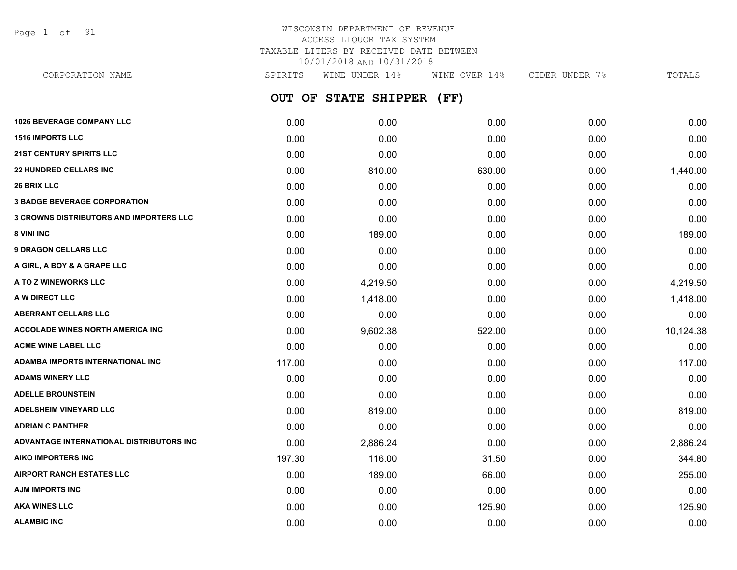Page 1 of 91

# WISCONSIN DEPARTMENT OF REVENUE ACCESS LIQUOR TAX SYSTEM TAXABLE LITERS BY RECEIVED DATE BETWEEN 10/01/2018 AND 10/31/2018

**OUT OF STATE SHIPPER (FF) 1026 BEVERAGE COMPANY LLC** 0.00 0.00 0.00 0.00 0.00 **1516 IMPORTS LLC** 0.00 0.00 0.00 0.00 0.00 **21ST CENTURY SPIRITS LLC** 0.00 0.00 0.00 0.00 0.00 **22 HUNDRED CELLARS INC** 0.00 810.00 630.00 0.00 1,440.00 **26 BRIX LLC** 0.00 0.00 0.00 0.00 0.00 **3 BADGE BEVERAGE CORPORATION** 0.00 0.00 0.00 0.00 0.00 **3 CROWNS DISTRIBUTORS AND IMPORTERS LLC** 0.00 0.00 0.00 0.00 0.00 **8 VINI INC** 0.00 189.00 0.00 0.00 189.00 **9 DRAGON CELLARS LLC** 0.00 0.00 0.00 0.00 0.00 **A GIRL, A BOY & A GRAPE LLC** 0.00 0.00 0.00 0.00 0.00 **A TO Z WINEWORKS LLC** 0.00 4,219.50 0.00 0.00 4,219.50 **A W DIRECT LLC** 0.00 1,418.00 0.00 0.00 1,418.00 **ABERRANT CELLARS LLC** 0.00 0.00 0.00 0.00 0.00 **ACCOLADE WINES NORTH AMERICA INC 10.124.38 522.00 522.00 0.00 10.124.38 ACME WINE LABEL LLC** 0.00 0.00 0.00 0.00 0.00 **ADAMBA IMPORTS INTERNATIONAL INC** 117.00 0.00 0.00 0.00 117.00 **ADAMS WINERY LLC** 0.00 0.00 0.00 0.00 0.00 **ADELLE BROUNSTEIN** 0.00 0.00 0.00 0.00 0.00 **ADELSHEIM VINEYARD LLC** 0.00 819.00 0.00 0.00 819.00 **ADRIAN C PANTHER** 0.00 0.00 0.00 0.00 0.00 **ADVANTAGE INTERNATIONAL DISTRIBUTORS INC** 0.00 2,886.24 0.00 0.00 2,886.24 **AIKO IMPORTERS INC** 197.30 116.00 31.50 0.00 344.80 **AIRPORT RANCH ESTATES LLC** 0.00 189.00 66.00 0.00 255.00 **AJM IMPORTS INC** 0.00 0.00 0.00 0.00 0.00 **AKA WINES LLC** 0.00 0.00 125.90 0.00 125.90 CORPORATION NAME SPIRITS WINE UNDER 14% WINE OVER 14% CIDER UNDER 7% TOTALS

**ALAMBIC INC** 0.00 0.00 0.00 0.00 0.00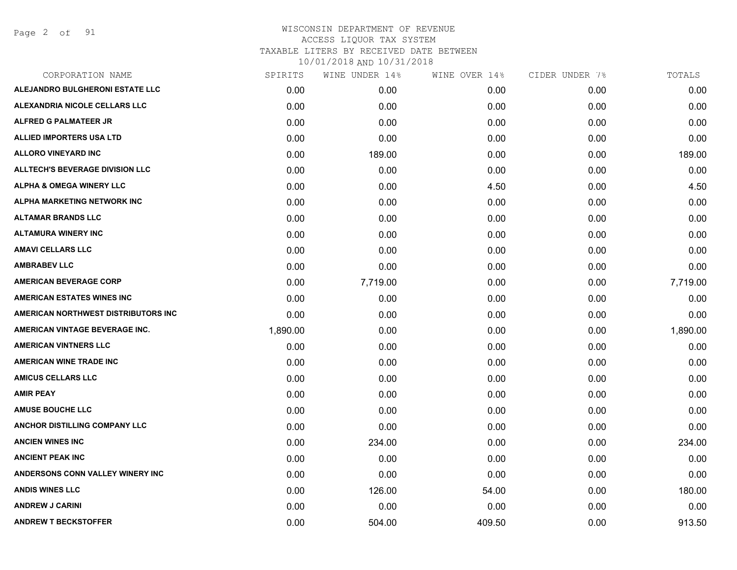Page 2 of 91

| CORPORATION NAME                       | SPIRITS  | WINE UNDER 14% | WINE OVER 14% | CIDER UNDER 7% | TOTALS   |
|----------------------------------------|----------|----------------|---------------|----------------|----------|
| ALEJANDRO BULGHERONI ESTATE LLC        | 0.00     | 0.00           | 0.00          | 0.00           | 0.00     |
| ALEXANDRIA NICOLE CELLARS LLC          | 0.00     | 0.00           | 0.00          | 0.00           | 0.00     |
| ALFRED G PALMATEER JR                  | 0.00     | 0.00           | 0.00          | 0.00           | 0.00     |
| ALLIED IMPORTERS USA LTD               | 0.00     | 0.00           | 0.00          | 0.00           | 0.00     |
| <b>ALLORO VINEYARD INC</b>             | 0.00     | 189.00         | 0.00          | 0.00           | 189.00   |
| <b>ALLTECH'S BEVERAGE DIVISION LLC</b> | 0.00     | 0.00           | 0.00          | 0.00           | 0.00     |
| <b>ALPHA &amp; OMEGA WINERY LLC</b>    | 0.00     | 0.00           | 4.50          | 0.00           | 4.50     |
| ALPHA MARKETING NETWORK INC            | 0.00     | 0.00           | 0.00          | 0.00           | 0.00     |
| <b>ALTAMAR BRANDS LLC</b>              | 0.00     | 0.00           | 0.00          | 0.00           | 0.00     |
| <b>ALTAMURA WINERY INC</b>             | 0.00     | 0.00           | 0.00          | 0.00           | 0.00     |
| <b>AMAVI CELLARS LLC</b>               | 0.00     | 0.00           | 0.00          | 0.00           | 0.00     |
| <b>AMBRABEV LLC</b>                    | 0.00     | 0.00           | 0.00          | 0.00           | 0.00     |
| <b>AMERICAN BEVERAGE CORP</b>          | 0.00     | 7,719.00       | 0.00          | 0.00           | 7,719.00 |
| <b>AMERICAN ESTATES WINES INC</b>      | 0.00     | 0.00           | 0.00          | 0.00           | 0.00     |
| AMERICAN NORTHWEST DISTRIBUTORS INC    | 0.00     | 0.00           | 0.00          | 0.00           | 0.00     |
| AMERICAN VINTAGE BEVERAGE INC.         | 1,890.00 | 0.00           | 0.00          | 0.00           | 1,890.00 |
| <b>AMERICAN VINTNERS LLC</b>           | 0.00     | 0.00           | 0.00          | 0.00           | 0.00     |
| <b>AMERICAN WINE TRADE INC</b>         | 0.00     | 0.00           | 0.00          | 0.00           | 0.00     |
| <b>AMICUS CELLARS LLC</b>              | 0.00     | 0.00           | 0.00          | 0.00           | 0.00     |
| <b>AMIR PEAY</b>                       | 0.00     | 0.00           | 0.00          | 0.00           | 0.00     |
| <b>AMUSE BOUCHE LLC</b>                | 0.00     | 0.00           | 0.00          | 0.00           | 0.00     |
| ANCHOR DISTILLING COMPANY LLC          | 0.00     | 0.00           | 0.00          | 0.00           | 0.00     |
| <b>ANCIEN WINES INC</b>                | 0.00     | 234.00         | 0.00          | 0.00           | 234.00   |
| <b>ANCIENT PEAK INC</b>                | 0.00     | 0.00           | 0.00          | 0.00           | 0.00     |
| ANDERSONS CONN VALLEY WINERY INC       | 0.00     | 0.00           | 0.00          | 0.00           | 0.00     |
| <b>ANDIS WINES LLC</b>                 | 0.00     | 126.00         | 54.00         | 0.00           | 180.00   |
| <b>ANDREW J CARINI</b>                 | 0.00     | 0.00           | 0.00          | 0.00           | 0.00     |
| <b>ANDREW T BECKSTOFFER</b>            | 0.00     | 504.00         | 409.50        | 0.00           | 913.50   |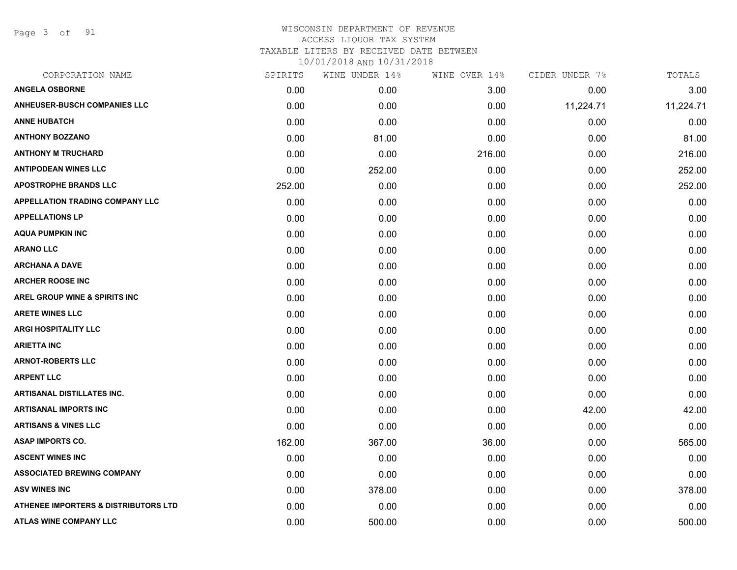Page 3 of 91

| CORPORATION NAME                                | SPIRITS | WINE UNDER 14% | WINE OVER 14% | CIDER UNDER 7% | TOTALS    |
|-------------------------------------------------|---------|----------------|---------------|----------------|-----------|
| <b>ANGELA OSBORNE</b>                           | 0.00    | 0.00           | 3.00          | 0.00           | 3.00      |
| <b>ANHEUSER-BUSCH COMPANIES LLC</b>             | 0.00    | 0.00           | 0.00          | 11,224.71      | 11,224.71 |
| <b>ANNE HUBATCH</b>                             | 0.00    | 0.00           | 0.00          | 0.00           | 0.00      |
| <b>ANTHONY BOZZANO</b>                          | 0.00    | 81.00          | 0.00          | 0.00           | 81.00     |
| <b>ANTHONY M TRUCHARD</b>                       | 0.00    | 0.00           | 216.00        | 0.00           | 216.00    |
| <b>ANTIPODEAN WINES LLC</b>                     | 0.00    | 252.00         | 0.00          | 0.00           | 252.00    |
| <b>APOSTROPHE BRANDS LLC</b>                    | 252.00  | 0.00           | 0.00          | 0.00           | 252.00    |
| <b>APPELLATION TRADING COMPANY LLC</b>          | 0.00    | 0.00           | 0.00          | 0.00           | 0.00      |
| <b>APPELLATIONS LP</b>                          | 0.00    | 0.00           | 0.00          | 0.00           | 0.00      |
| <b>AQUA PUMPKIN INC</b>                         | 0.00    | 0.00           | 0.00          | 0.00           | 0.00      |
| <b>ARANO LLC</b>                                | 0.00    | 0.00           | 0.00          | 0.00           | 0.00      |
| <b>ARCHANA A DAVE</b>                           | 0.00    | 0.00           | 0.00          | 0.00           | 0.00      |
| <b>ARCHER ROOSE INC</b>                         | 0.00    | 0.00           | 0.00          | 0.00           | 0.00      |
| <b>AREL GROUP WINE &amp; SPIRITS INC</b>        | 0.00    | 0.00           | 0.00          | 0.00           | 0.00      |
| <b>ARETE WINES LLC</b>                          | 0.00    | 0.00           | 0.00          | 0.00           | 0.00      |
| <b>ARGI HOSPITALITY LLC</b>                     | 0.00    | 0.00           | 0.00          | 0.00           | 0.00      |
| <b>ARIETTA INC</b>                              | 0.00    | 0.00           | 0.00          | 0.00           | 0.00      |
| <b>ARNOT-ROBERTS LLC</b>                        | 0.00    | 0.00           | 0.00          | 0.00           | 0.00      |
| <b>ARPENT LLC</b>                               | 0.00    | 0.00           | 0.00          | 0.00           | 0.00      |
| <b>ARTISANAL DISTILLATES INC.</b>               | 0.00    | 0.00           | 0.00          | 0.00           | 0.00      |
| <b>ARTISANAL IMPORTS INC</b>                    | 0.00    | 0.00           | 0.00          | 42.00          | 42.00     |
| <b>ARTISANS &amp; VINES LLC</b>                 | 0.00    | 0.00           | 0.00          | 0.00           | 0.00      |
| <b>ASAP IMPORTS CO.</b>                         | 162.00  | 367.00         | 36.00         | 0.00           | 565.00    |
| <b>ASCENT WINES INC</b>                         | 0.00    | 0.00           | 0.00          | 0.00           | 0.00      |
| <b>ASSOCIATED BREWING COMPANY</b>               | 0.00    | 0.00           | 0.00          | 0.00           | 0.00      |
| <b>ASV WINES INC</b>                            | 0.00    | 378.00         | 0.00          | 0.00           | 378.00    |
| <b>ATHENEE IMPORTERS &amp; DISTRIBUTORS LTD</b> | 0.00    | 0.00           | 0.00          | 0.00           | 0.00      |
| <b>ATLAS WINE COMPANY LLC</b>                   | 0.00    | 500.00         | 0.00          | 0.00           | 500.00    |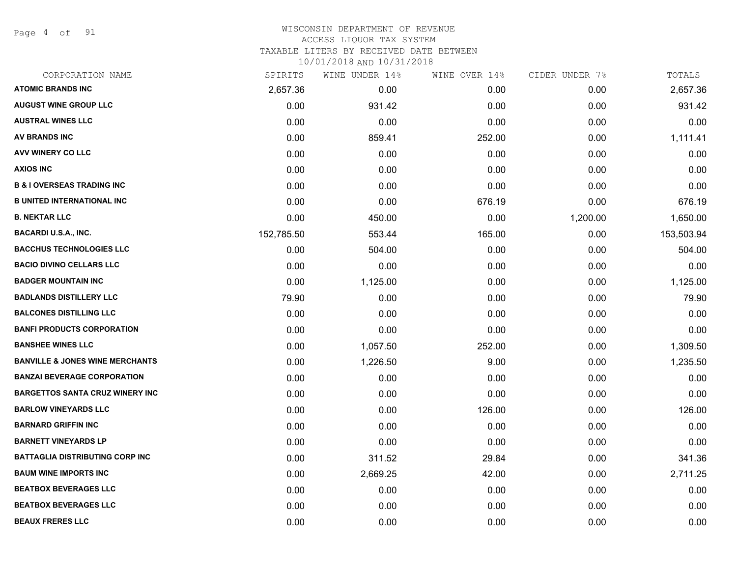Page 4 of 91

#### WISCONSIN DEPARTMENT OF REVENUE ACCESS LIQUOR TAX SYSTEM

TAXABLE LITERS BY RECEIVED DATE BETWEEN

| CORPORATION NAME                           | SPIRITS    | WINE UNDER 14% | WINE OVER 14% | CIDER UNDER 7% | TOTALS     |
|--------------------------------------------|------------|----------------|---------------|----------------|------------|
| <b>ATOMIC BRANDS INC</b>                   | 2,657.36   | 0.00           | 0.00          | 0.00           | 2,657.36   |
| <b>AUGUST WINE GROUP LLC</b>               | 0.00       | 931.42         | 0.00          | 0.00           | 931.42     |
| <b>AUSTRAL WINES LLC</b>                   | 0.00       | 0.00           | 0.00          | 0.00           | 0.00       |
| <b>AV BRANDS INC</b>                       | 0.00       | 859.41         | 252.00        | 0.00           | 1,111.41   |
| <b>AVV WINERY CO LLC</b>                   | 0.00       | 0.00           | 0.00          | 0.00           | 0.00       |
| <b>AXIOS INC</b>                           | 0.00       | 0.00           | 0.00          | 0.00           | 0.00       |
| <b>B &amp; I OVERSEAS TRADING INC</b>      | 0.00       | 0.00           | 0.00          | 0.00           | 0.00       |
| <b>B UNITED INTERNATIONAL INC</b>          | 0.00       | 0.00           | 676.19        | 0.00           | 676.19     |
| <b>B. NEKTAR LLC</b>                       | 0.00       | 450.00         | 0.00          | 1,200.00       | 1,650.00   |
| <b>BACARDI U.S.A., INC.</b>                | 152,785.50 | 553.44         | 165.00        | 0.00           | 153,503.94 |
| <b>BACCHUS TECHNOLOGIES LLC</b>            | 0.00       | 504.00         | 0.00          | 0.00           | 504.00     |
| <b>BACIO DIVINO CELLARS LLC</b>            | 0.00       | 0.00           | 0.00          | 0.00           | 0.00       |
| <b>BADGER MOUNTAIN INC</b>                 | 0.00       | 1,125.00       | 0.00          | 0.00           | 1,125.00   |
| <b>BADLANDS DISTILLERY LLC</b>             | 79.90      | 0.00           | 0.00          | 0.00           | 79.90      |
| <b>BALCONES DISTILLING LLC</b>             | 0.00       | 0.00           | 0.00          | 0.00           | 0.00       |
| <b>BANFI PRODUCTS CORPORATION</b>          | 0.00       | 0.00           | 0.00          | 0.00           | 0.00       |
| <b>BANSHEE WINES LLC</b>                   | 0.00       | 1,057.50       | 252.00        | 0.00           | 1,309.50   |
| <b>BANVILLE &amp; JONES WINE MERCHANTS</b> | 0.00       | 1,226.50       | 9.00          | 0.00           | 1,235.50   |
| <b>BANZAI BEVERAGE CORPORATION</b>         | 0.00       | 0.00           | 0.00          | 0.00           | 0.00       |
| <b>BARGETTOS SANTA CRUZ WINERY INC</b>     | 0.00       | 0.00           | 0.00          | 0.00           | 0.00       |
| <b>BARLOW VINEYARDS LLC</b>                | 0.00       | 0.00           | 126.00        | 0.00           | 126.00     |
| <b>BARNARD GRIFFIN INC</b>                 | 0.00       | 0.00           | 0.00          | 0.00           | 0.00       |
| <b>BARNETT VINEYARDS LP</b>                | 0.00       | 0.00           | 0.00          | 0.00           | 0.00       |
| <b>BATTAGLIA DISTRIBUTING CORP INC</b>     | 0.00       | 311.52         | 29.84         | 0.00           | 341.36     |
| <b>BAUM WINE IMPORTS INC</b>               | 0.00       | 2,669.25       | 42.00         | 0.00           | 2,711.25   |
| <b>BEATBOX BEVERAGES LLC</b>               | 0.00       | 0.00           | 0.00          | 0.00           | 0.00       |
| <b>BEATBOX BEVERAGES LLC</b>               | 0.00       | 0.00           | 0.00          | 0.00           | 0.00       |
| <b>BEAUX FRERES LLC</b>                    | 0.00       | 0.00           | 0.00          | 0.00           | 0.00       |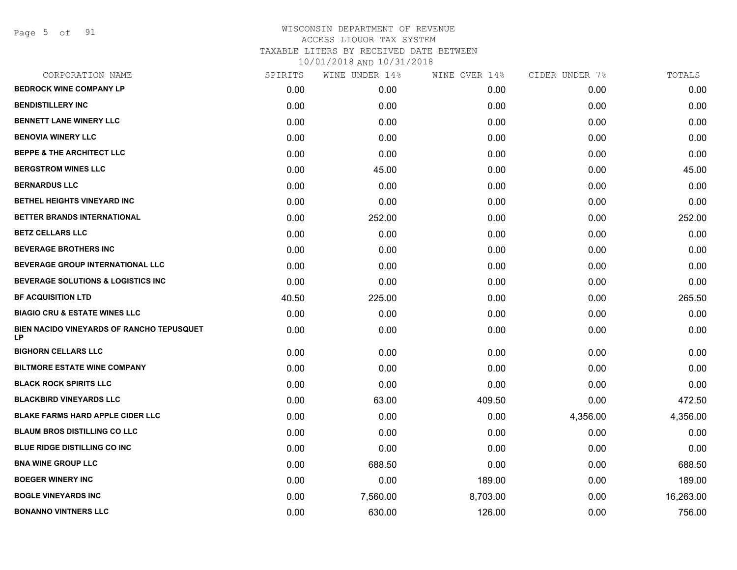Page 5 of 91

| CORPORATION NAME                                | SPIRITS | WINE UNDER 14% | WINE OVER 14% | CIDER UNDER 7% | TOTALS    |
|-------------------------------------------------|---------|----------------|---------------|----------------|-----------|
| <b>BEDROCK WINE COMPANY LP</b>                  | 0.00    | 0.00           | 0.00          | 0.00           | 0.00      |
| <b>BENDISTILLERY INC</b>                        | 0.00    | 0.00           | 0.00          | 0.00           | 0.00      |
| <b>BENNETT LANE WINERY LLC</b>                  | 0.00    | 0.00           | 0.00          | 0.00           | 0.00      |
| <b>BENOVIA WINERY LLC</b>                       | 0.00    | 0.00           | 0.00          | 0.00           | 0.00      |
| <b>BEPPE &amp; THE ARCHITECT LLC</b>            | 0.00    | 0.00           | 0.00          | 0.00           | 0.00      |
| <b>BERGSTROM WINES LLC</b>                      | 0.00    | 45.00          | 0.00          | 0.00           | 45.00     |
| <b>BERNARDUS LLC</b>                            | 0.00    | 0.00           | 0.00          | 0.00           | 0.00      |
| BETHEL HEIGHTS VINEYARD INC                     | 0.00    | 0.00           | 0.00          | 0.00           | 0.00      |
| BETTER BRANDS INTERNATIONAL                     | 0.00    | 252.00         | 0.00          | 0.00           | 252.00    |
| <b>BETZ CELLARS LLC</b>                         | 0.00    | 0.00           | 0.00          | 0.00           | 0.00      |
| <b>BEVERAGE BROTHERS INC</b>                    | 0.00    | 0.00           | 0.00          | 0.00           | 0.00      |
| BEVERAGE GROUP INTERNATIONAL LLC                | 0.00    | 0.00           | 0.00          | 0.00           | 0.00      |
| <b>BEVERAGE SOLUTIONS &amp; LOGISTICS INC</b>   | 0.00    | 0.00           | 0.00          | 0.00           | 0.00      |
| <b>BF ACQUISITION LTD</b>                       | 40.50   | 225.00         | 0.00          | 0.00           | 265.50    |
| <b>BIAGIO CRU &amp; ESTATE WINES LLC</b>        | 0.00    | 0.00           | 0.00          | 0.00           | 0.00      |
| BIEN NACIDO VINEYARDS OF RANCHO TEPUSQUET<br>LP | 0.00    | 0.00           | 0.00          | 0.00           | 0.00      |
| <b>BIGHORN CELLARS LLC</b>                      | 0.00    | 0.00           | 0.00          | 0.00           | 0.00      |
| <b>BILTMORE ESTATE WINE COMPANY</b>             | 0.00    | 0.00           | 0.00          | 0.00           | 0.00      |
| <b>BLACK ROCK SPIRITS LLC</b>                   | 0.00    | 0.00           | 0.00          | 0.00           | 0.00      |
| <b>BLACKBIRD VINEYARDS LLC</b>                  | 0.00    | 63.00          | 409.50        | 0.00           | 472.50    |
| <b>BLAKE FARMS HARD APPLE CIDER LLC</b>         | 0.00    | 0.00           | 0.00          | 4,356.00       | 4,356.00  |
| <b>BLAUM BROS DISTILLING CO LLC</b>             | 0.00    | 0.00           | 0.00          | 0.00           | 0.00      |
| <b>BLUE RIDGE DISTILLING CO INC</b>             | 0.00    | 0.00           | 0.00          | 0.00           | 0.00      |
| <b>BNA WINE GROUP LLC</b>                       | 0.00    | 688.50         | 0.00          | 0.00           | 688.50    |
| <b>BOEGER WINERY INC</b>                        | 0.00    | 0.00           | 189.00        | 0.00           | 189.00    |
| <b>BOGLE VINEYARDS INC</b>                      | 0.00    | 7,560.00       | 8,703.00      | 0.00           | 16,263.00 |
| <b>BONANNO VINTNERS LLC</b>                     | 0.00    | 630.00         | 126.00        | 0.00           | 756.00    |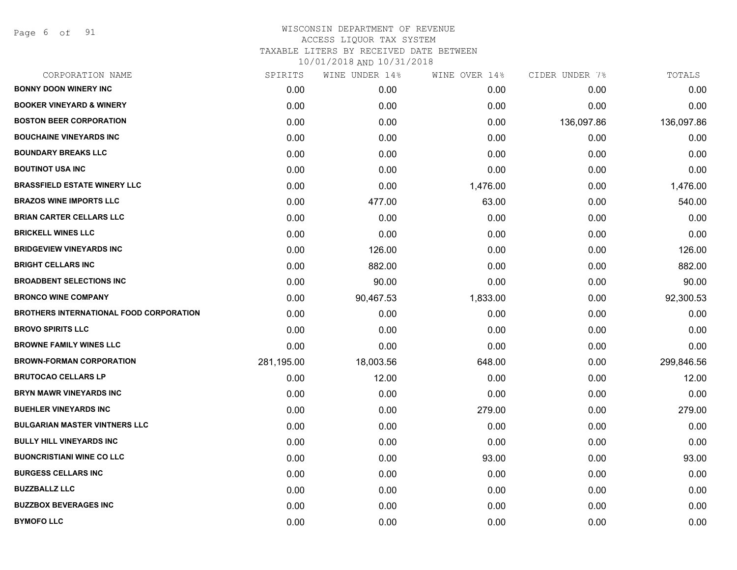Page 6 of 91

| CORPORATION NAME                               | SPIRITS    | WINE UNDER 14% | WINE OVER 14% | CIDER UNDER 7% | TOTALS     |
|------------------------------------------------|------------|----------------|---------------|----------------|------------|
| <b>BONNY DOON WINERY INC</b>                   | 0.00       | 0.00           | 0.00          | 0.00           | 0.00       |
| <b>BOOKER VINEYARD &amp; WINERY</b>            | 0.00       | 0.00           | 0.00          | 0.00           | 0.00       |
| <b>BOSTON BEER CORPORATION</b>                 | 0.00       | 0.00           | 0.00          | 136,097.86     | 136,097.86 |
| <b>BOUCHAINE VINEYARDS INC</b>                 | 0.00       | 0.00           | 0.00          | 0.00           | 0.00       |
| <b>BOUNDARY BREAKS LLC</b>                     | 0.00       | 0.00           | 0.00          | 0.00           | 0.00       |
| <b>BOUTINOT USA INC</b>                        | 0.00       | 0.00           | 0.00          | 0.00           | 0.00       |
| <b>BRASSFIELD ESTATE WINERY LLC</b>            | 0.00       | 0.00           | 1,476.00      | 0.00           | 1,476.00   |
| <b>BRAZOS WINE IMPORTS LLC</b>                 | 0.00       | 477.00         | 63.00         | 0.00           | 540.00     |
| <b>BRIAN CARTER CELLARS LLC</b>                | 0.00       | 0.00           | 0.00          | 0.00           | 0.00       |
| <b>BRICKELL WINES LLC</b>                      | 0.00       | 0.00           | 0.00          | 0.00           | 0.00       |
| <b>BRIDGEVIEW VINEYARDS INC</b>                | 0.00       | 126.00         | 0.00          | 0.00           | 126.00     |
| <b>BRIGHT CELLARS INC</b>                      | 0.00       | 882.00         | 0.00          | 0.00           | 882.00     |
| <b>BROADBENT SELECTIONS INC</b>                | 0.00       | 90.00          | 0.00          | 0.00           | 90.00      |
| <b>BRONCO WINE COMPANY</b>                     | 0.00       | 90,467.53      | 1,833.00      | 0.00           | 92,300.53  |
| <b>BROTHERS INTERNATIONAL FOOD CORPORATION</b> | 0.00       | 0.00           | 0.00          | 0.00           | 0.00       |
| <b>BROVO SPIRITS LLC</b>                       | 0.00       | 0.00           | 0.00          | 0.00           | 0.00       |
| <b>BROWNE FAMILY WINES LLC</b>                 | 0.00       | 0.00           | 0.00          | 0.00           | 0.00       |
| <b>BROWN-FORMAN CORPORATION</b>                | 281,195.00 | 18,003.56      | 648.00        | 0.00           | 299,846.56 |
| <b>BRUTOCAO CELLARS LP</b>                     | 0.00       | 12.00          | 0.00          | 0.00           | 12.00      |
| <b>BRYN MAWR VINEYARDS INC</b>                 | 0.00       | 0.00           | 0.00          | 0.00           | 0.00       |
| <b>BUEHLER VINEYARDS INC</b>                   | 0.00       | 0.00           | 279.00        | 0.00           | 279.00     |
| <b>BULGARIAN MASTER VINTNERS LLC</b>           | 0.00       | 0.00           | 0.00          | 0.00           | 0.00       |
| <b>BULLY HILL VINEYARDS INC</b>                | 0.00       | 0.00           | 0.00          | 0.00           | 0.00       |
| <b>BUONCRISTIANI WINE CO LLC</b>               | 0.00       | 0.00           | 93.00         | 0.00           | 93.00      |
| <b>BURGESS CELLARS INC</b>                     | 0.00       | 0.00           | 0.00          | 0.00           | 0.00       |
| <b>BUZZBALLZ LLC</b>                           | 0.00       | 0.00           | 0.00          | 0.00           | 0.00       |
| <b>BUZZBOX BEVERAGES INC</b>                   | 0.00       | 0.00           | 0.00          | 0.00           | 0.00       |
| <b>BYMOFO LLC</b>                              | 0.00       | 0.00           | 0.00          | 0.00           | 0.00       |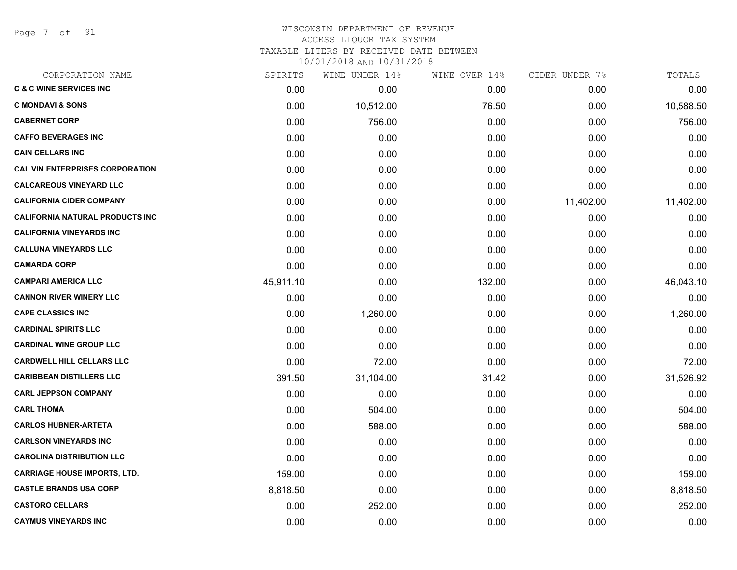Page 7 of 91

#### WISCONSIN DEPARTMENT OF REVENUE ACCESS LIQUOR TAX SYSTEM TAXABLE LITERS BY RECEIVED DATE BETWEEN

| CORPORATION NAME                       | SPIRITS   | WINE UNDER 14% | WINE OVER 14% | CIDER UNDER 7% | TOTALS    |
|----------------------------------------|-----------|----------------|---------------|----------------|-----------|
| <b>C &amp; C WINE SERVICES INC</b>     | 0.00      | 0.00           | 0.00          | 0.00           | 0.00      |
| <b>C MONDAVI &amp; SONS</b>            | 0.00      | 10,512.00      | 76.50         | 0.00           | 10,588.50 |
| <b>CABERNET CORP</b>                   | 0.00      | 756.00         | 0.00          | 0.00           | 756.00    |
| <b>CAFFO BEVERAGES INC</b>             | 0.00      | 0.00           | 0.00          | 0.00           | 0.00      |
| <b>CAIN CELLARS INC</b>                | 0.00      | 0.00           | 0.00          | 0.00           | 0.00      |
| <b>CAL VIN ENTERPRISES CORPORATION</b> | 0.00      | 0.00           | 0.00          | 0.00           | 0.00      |
| <b>CALCAREOUS VINEYARD LLC</b>         | 0.00      | 0.00           | 0.00          | 0.00           | 0.00      |
| <b>CALIFORNIA CIDER COMPANY</b>        | 0.00      | 0.00           | 0.00          | 11,402.00      | 11,402.00 |
| <b>CALIFORNIA NATURAL PRODUCTS INC</b> | 0.00      | 0.00           | 0.00          | 0.00           | 0.00      |
| <b>CALIFORNIA VINEYARDS INC</b>        | 0.00      | 0.00           | 0.00          | 0.00           | 0.00      |
| <b>CALLUNA VINEYARDS LLC</b>           | 0.00      | 0.00           | 0.00          | 0.00           | 0.00      |
| <b>CAMARDA CORP</b>                    | 0.00      | 0.00           | 0.00          | 0.00           | 0.00      |
| <b>CAMPARI AMERICA LLC</b>             | 45,911.10 | 0.00           | 132.00        | 0.00           | 46,043.10 |
| <b>CANNON RIVER WINERY LLC</b>         | 0.00      | 0.00           | 0.00          | 0.00           | 0.00      |
| <b>CAPE CLASSICS INC</b>               | 0.00      | 1,260.00       | 0.00          | 0.00           | 1,260.00  |
| <b>CARDINAL SPIRITS LLC</b>            | 0.00      | 0.00           | 0.00          | 0.00           | 0.00      |
| <b>CARDINAL WINE GROUP LLC</b>         | 0.00      | 0.00           | 0.00          | 0.00           | 0.00      |
| <b>CARDWELL HILL CELLARS LLC</b>       | 0.00      | 72.00          | 0.00          | 0.00           | 72.00     |
| <b>CARIBBEAN DISTILLERS LLC</b>        | 391.50    | 31,104.00      | 31.42         | 0.00           | 31,526.92 |
| <b>CARL JEPPSON COMPANY</b>            | 0.00      | 0.00           | 0.00          | 0.00           | 0.00      |
| <b>CARL THOMA</b>                      | 0.00      | 504.00         | 0.00          | 0.00           | 504.00    |
| <b>CARLOS HUBNER-ARTETA</b>            | 0.00      | 588.00         | 0.00          | 0.00           | 588.00    |
| <b>CARLSON VINEYARDS INC</b>           | 0.00      | 0.00           | 0.00          | 0.00           | 0.00      |
| <b>CAROLINA DISTRIBUTION LLC</b>       | 0.00      | 0.00           | 0.00          | 0.00           | 0.00      |
| <b>CARRIAGE HOUSE IMPORTS, LTD.</b>    | 159.00    | 0.00           | 0.00          | 0.00           | 159.00    |
| <b>CASTLE BRANDS USA CORP</b>          | 8,818.50  | 0.00           | 0.00          | 0.00           | 8,818.50  |
| <b>CASTORO CELLARS</b>                 | 0.00      | 252.00         | 0.00          | 0.00           | 252.00    |
| <b>CAYMUS VINEYARDS INC</b>            | 0.00      | 0.00           | 0.00          | 0.00           | 0.00      |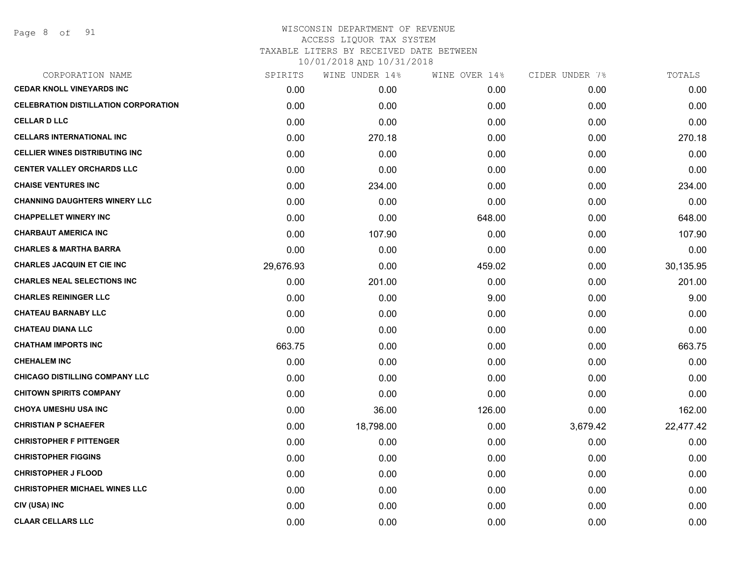| CORPORATION NAME                            | SPIRITS   | WINE UNDER 14% | WINE OVER 14% | CIDER UNDER 7% | TOTALS    |
|---------------------------------------------|-----------|----------------|---------------|----------------|-----------|
| <b>CEDAR KNOLL VINEYARDS INC</b>            | 0.00      | 0.00           | 0.00          | 0.00           | 0.00      |
| <b>CELEBRATION DISTILLATION CORPORATION</b> | 0.00      | 0.00           | 0.00          | 0.00           | 0.00      |
| <b>CELLAR D LLC</b>                         | 0.00      | 0.00           | 0.00          | 0.00           | 0.00      |
| <b>CELLARS INTERNATIONAL INC</b>            | 0.00      | 270.18         | 0.00          | 0.00           | 270.18    |
| <b>CELLIER WINES DISTRIBUTING INC</b>       | 0.00      | 0.00           | 0.00          | 0.00           | 0.00      |
| <b>CENTER VALLEY ORCHARDS LLC</b>           | 0.00      | 0.00           | 0.00          | 0.00           | 0.00      |
| <b>CHAISE VENTURES INC</b>                  | 0.00      | 234.00         | 0.00          | 0.00           | 234.00    |
| <b>CHANNING DAUGHTERS WINERY LLC</b>        | 0.00      | 0.00           | 0.00          | 0.00           | 0.00      |
| <b>CHAPPELLET WINERY INC</b>                | 0.00      | 0.00           | 648.00        | 0.00           | 648.00    |
| <b>CHARBAUT AMERICA INC</b>                 | 0.00      | 107.90         | 0.00          | 0.00           | 107.90    |
| <b>CHARLES &amp; MARTHA BARRA</b>           | 0.00      | 0.00           | 0.00          | 0.00           | 0.00      |
| <b>CHARLES JACQUIN ET CIE INC</b>           | 29,676.93 | 0.00           | 459.02        | 0.00           | 30,135.95 |
| <b>CHARLES NEAL SELECTIONS INC</b>          | 0.00      | 201.00         | 0.00          | 0.00           | 201.00    |
| <b>CHARLES REININGER LLC</b>                | 0.00      | 0.00           | 9.00          | 0.00           | 9.00      |
| <b>CHATEAU BARNABY LLC</b>                  | 0.00      | 0.00           | 0.00          | 0.00           | 0.00      |
| <b>CHATEAU DIANA LLC</b>                    | 0.00      | 0.00           | 0.00          | 0.00           | 0.00      |
| <b>CHATHAM IMPORTS INC</b>                  | 663.75    | 0.00           | 0.00          | 0.00           | 663.75    |
| <b>CHEHALEM INC</b>                         | 0.00      | 0.00           | 0.00          | 0.00           | 0.00      |
| <b>CHICAGO DISTILLING COMPANY LLC</b>       | 0.00      | 0.00           | 0.00          | 0.00           | 0.00      |
| <b>CHITOWN SPIRITS COMPANY</b>              | 0.00      | 0.00           | 0.00          | 0.00           | 0.00      |
| <b>CHOYA UMESHU USA INC</b>                 | 0.00      | 36.00          | 126.00        | 0.00           | 162.00    |
| <b>CHRISTIAN P SCHAEFER</b>                 | 0.00      | 18,798.00      | 0.00          | 3,679.42       | 22,477.42 |
| <b>CHRISTOPHER F PITTENGER</b>              | 0.00      | 0.00           | 0.00          | 0.00           | 0.00      |
| <b>CHRISTOPHER FIGGINS</b>                  | 0.00      | 0.00           | 0.00          | 0.00           | 0.00      |
| <b>CHRISTOPHER J FLOOD</b>                  | 0.00      | 0.00           | 0.00          | 0.00           | 0.00      |
| <b>CHRISTOPHER MICHAEL WINES LLC</b>        | 0.00      | 0.00           | 0.00          | 0.00           | 0.00      |
| CIV (USA) INC                               | 0.00      | 0.00           | 0.00          | 0.00           | 0.00      |
| <b>CLAAR CELLARS LLC</b>                    | 0.00      | 0.00           | 0.00          | 0.00           | 0.00      |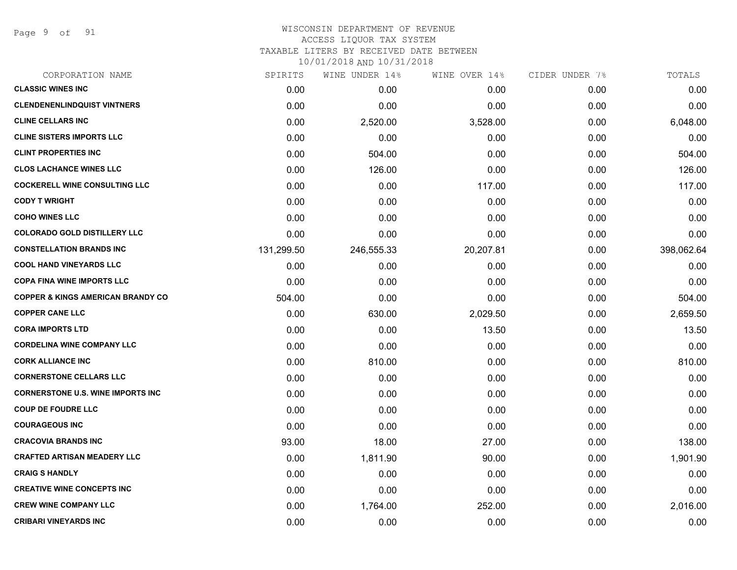Page 9 of 91

| CORPORATION NAME                             | SPIRITS    | WINE UNDER 14% | WINE OVER 14% | CIDER UNDER 7% | TOTALS     |
|----------------------------------------------|------------|----------------|---------------|----------------|------------|
| <b>CLASSIC WINES INC</b>                     | 0.00       | 0.00           | 0.00          | 0.00           | 0.00       |
| <b>CLENDENENLINDQUIST VINTNERS</b>           | 0.00       | 0.00           | 0.00          | 0.00           | 0.00       |
| <b>CLINE CELLARS INC</b>                     | 0.00       | 2,520.00       | 3,528.00      | 0.00           | 6,048.00   |
| <b>CLINE SISTERS IMPORTS LLC</b>             | 0.00       | 0.00           | 0.00          | 0.00           | 0.00       |
| <b>CLINT PROPERTIES INC</b>                  | 0.00       | 504.00         | 0.00          | 0.00           | 504.00     |
| <b>CLOS LACHANCE WINES LLC</b>               | 0.00       | 126.00         | 0.00          | 0.00           | 126.00     |
| <b>COCKERELL WINE CONSULTING LLC</b>         | 0.00       | 0.00           | 117.00        | 0.00           | 117.00     |
| <b>CODY T WRIGHT</b>                         | 0.00       | 0.00           | 0.00          | 0.00           | 0.00       |
| <b>COHO WINES LLC</b>                        | 0.00       | 0.00           | 0.00          | 0.00           | 0.00       |
| <b>COLORADO GOLD DISTILLERY LLC</b>          | 0.00       | 0.00           | 0.00          | 0.00           | 0.00       |
| <b>CONSTELLATION BRANDS INC</b>              | 131,299.50 | 246,555.33     | 20,207.81     | 0.00           | 398,062.64 |
| <b>COOL HAND VINEYARDS LLC</b>               | 0.00       | 0.00           | 0.00          | 0.00           | 0.00       |
| <b>COPA FINA WINE IMPORTS LLC</b>            | 0.00       | 0.00           | 0.00          | 0.00           | 0.00       |
| <b>COPPER &amp; KINGS AMERICAN BRANDY CO</b> | 504.00     | 0.00           | 0.00          | 0.00           | 504.00     |
| <b>COPPER CANE LLC</b>                       | 0.00       | 630.00         | 2,029.50      | 0.00           | 2,659.50   |
| <b>CORA IMPORTS LTD</b>                      | 0.00       | 0.00           | 13.50         | 0.00           | 13.50      |
| <b>CORDELINA WINE COMPANY LLC</b>            | 0.00       | 0.00           | 0.00          | 0.00           | 0.00       |
| <b>CORK ALLIANCE INC</b>                     | 0.00       | 810.00         | 0.00          | 0.00           | 810.00     |
| <b>CORNERSTONE CELLARS LLC</b>               | 0.00       | 0.00           | 0.00          | 0.00           | 0.00       |
| <b>CORNERSTONE U.S. WINE IMPORTS INC</b>     | 0.00       | 0.00           | 0.00          | 0.00           | 0.00       |
| <b>COUP DE FOUDRE LLC</b>                    | 0.00       | 0.00           | 0.00          | 0.00           | 0.00       |
| <b>COURAGEOUS INC</b>                        | 0.00       | 0.00           | 0.00          | 0.00           | 0.00       |
| <b>CRACOVIA BRANDS INC</b>                   | 93.00      | 18.00          | 27.00         | 0.00           | 138.00     |
| <b>CRAFTED ARTISAN MEADERY LLC</b>           | 0.00       | 1,811.90       | 90.00         | 0.00           | 1,901.90   |
| <b>CRAIG S HANDLY</b>                        | 0.00       | 0.00           | 0.00          | 0.00           | 0.00       |
| <b>CREATIVE WINE CONCEPTS INC</b>            | 0.00       | 0.00           | 0.00          | 0.00           | 0.00       |
| <b>CREW WINE COMPANY LLC</b>                 | 0.00       | 1,764.00       | 252.00        | 0.00           | 2,016.00   |
| <b>CRIBARI VINEYARDS INC</b>                 | 0.00       | 0.00           | 0.00          | 0.00           | 0.00       |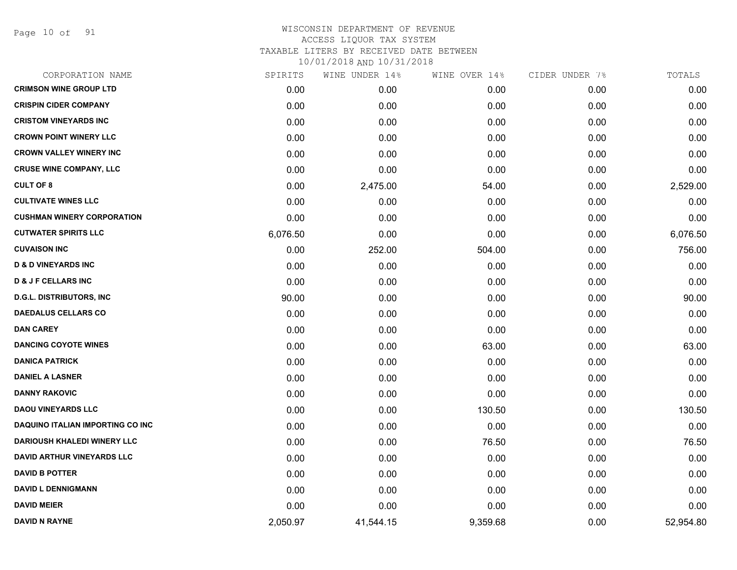Page 10 of 91

| CORPORATION NAME                   | SPIRITS  | WINE UNDER 14% | WINE OVER 14% | CIDER UNDER 7% | TOTALS    |
|------------------------------------|----------|----------------|---------------|----------------|-----------|
| <b>CRIMSON WINE GROUP LTD</b>      | 0.00     | 0.00           | 0.00          | 0.00           | 0.00      |
| <b>CRISPIN CIDER COMPANY</b>       | 0.00     | 0.00           | 0.00          | 0.00           | 0.00      |
| <b>CRISTOM VINEYARDS INC</b>       | 0.00     | 0.00           | 0.00          | 0.00           | 0.00      |
| <b>CROWN POINT WINERY LLC</b>      | 0.00     | 0.00           | 0.00          | 0.00           | 0.00      |
| <b>CROWN VALLEY WINERY INC</b>     | 0.00     | 0.00           | 0.00          | 0.00           | 0.00      |
| <b>CRUSE WINE COMPANY, LLC</b>     | 0.00     | 0.00           | 0.00          | 0.00           | 0.00      |
| <b>CULT OF 8</b>                   | 0.00     | 2,475.00       | 54.00         | 0.00           | 2,529.00  |
| <b>CULTIVATE WINES LLC</b>         | 0.00     | 0.00           | 0.00          | 0.00           | 0.00      |
| <b>CUSHMAN WINERY CORPORATION</b>  | 0.00     | 0.00           | 0.00          | 0.00           | 0.00      |
| <b>CUTWATER SPIRITS LLC</b>        | 6,076.50 | 0.00           | 0.00          | 0.00           | 6,076.50  |
| <b>CUVAISON INC</b>                | 0.00     | 252.00         | 504.00        | 0.00           | 756.00    |
| <b>D &amp; D VINEYARDS INC</b>     | 0.00     | 0.00           | 0.00          | 0.00           | 0.00      |
| <b>D &amp; J F CELLARS INC</b>     | 0.00     | 0.00           | 0.00          | 0.00           | 0.00      |
| <b>D.G.L. DISTRIBUTORS, INC</b>    | 90.00    | 0.00           | 0.00          | 0.00           | 90.00     |
| <b>DAEDALUS CELLARS CO</b>         | 0.00     | 0.00           | 0.00          | 0.00           | 0.00      |
| <b>DAN CAREY</b>                   | 0.00     | 0.00           | 0.00          | 0.00           | 0.00      |
| <b>DANCING COYOTE WINES</b>        | 0.00     | 0.00           | 63.00         | 0.00           | 63.00     |
| <b>DANICA PATRICK</b>              | 0.00     | 0.00           | 0.00          | 0.00           | 0.00      |
| <b>DANIEL A LASNER</b>             | 0.00     | 0.00           | 0.00          | 0.00           | 0.00      |
| <b>DANNY RAKOVIC</b>               | 0.00     | 0.00           | 0.00          | 0.00           | 0.00      |
| <b>DAOU VINEYARDS LLC</b>          | 0.00     | 0.00           | 130.50        | 0.00           | 130.50    |
| DAQUINO ITALIAN IMPORTING CO INC   | 0.00     | 0.00           | 0.00          | 0.00           | 0.00      |
| <b>DARIOUSH KHALEDI WINERY LLC</b> | 0.00     | 0.00           | 76.50         | 0.00           | 76.50     |
| <b>DAVID ARTHUR VINEYARDS LLC</b>  | 0.00     | 0.00           | 0.00          | 0.00           | 0.00      |
| <b>DAVID B POTTER</b>              | 0.00     | 0.00           | 0.00          | 0.00           | 0.00      |
| <b>DAVID L DENNIGMANN</b>          | 0.00     | 0.00           | 0.00          | 0.00           | 0.00      |
| <b>DAVID MEIER</b>                 | 0.00     | 0.00           | 0.00          | 0.00           | 0.00      |
| <b>DAVID N RAYNE</b>               | 2,050.97 | 41,544.15      | 9,359.68      | 0.00           | 52,954.80 |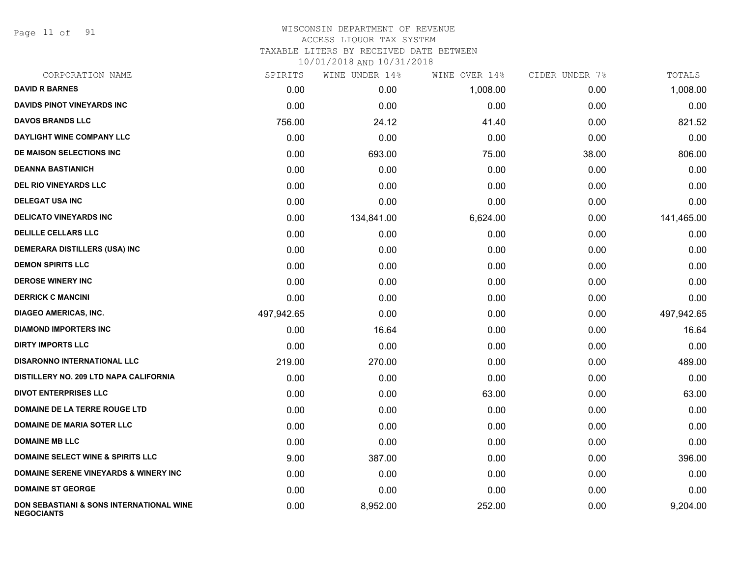Page 11 of 91

| CORPORATION NAME                                              | SPIRITS    | WINE UNDER 14% | WINE OVER 14% | CIDER UNDER 7% | TOTALS     |
|---------------------------------------------------------------|------------|----------------|---------------|----------------|------------|
| <b>DAVID R BARNES</b>                                         | 0.00       | 0.00           | 1,008.00      | 0.00           | 1,008.00   |
| <b>DAVIDS PINOT VINEYARDS INC</b>                             | 0.00       | 0.00           | 0.00          | 0.00           | 0.00       |
| <b>DAVOS BRANDS LLC</b>                                       | 756.00     | 24.12          | 41.40         | 0.00           | 821.52     |
| <b>DAYLIGHT WINE COMPANY LLC</b>                              | 0.00       | 0.00           | 0.00          | 0.00           | 0.00       |
| DE MAISON SELECTIONS INC                                      | 0.00       | 693.00         | 75.00         | 38.00          | 806.00     |
| <b>DEANNA BASTIANICH</b>                                      | 0.00       | 0.00           | 0.00          | 0.00           | 0.00       |
| <b>DEL RIO VINEYARDS LLC</b>                                  | 0.00       | 0.00           | 0.00          | 0.00           | 0.00       |
| <b>DELEGAT USA INC</b>                                        | 0.00       | 0.00           | 0.00          | 0.00           | 0.00       |
| <b>DELICATO VINEYARDS INC</b>                                 | 0.00       | 134,841.00     | 6,624.00      | 0.00           | 141,465.00 |
| <b>DELILLE CELLARS LLC</b>                                    | 0.00       | 0.00           | 0.00          | 0.00           | 0.00       |
| <b>DEMERARA DISTILLERS (USA) INC</b>                          | 0.00       | 0.00           | 0.00          | 0.00           | 0.00       |
| <b>DEMON SPIRITS LLC</b>                                      | 0.00       | 0.00           | 0.00          | 0.00           | 0.00       |
| <b>DEROSE WINERY INC</b>                                      | 0.00       | 0.00           | 0.00          | 0.00           | 0.00       |
| <b>DERRICK C MANCINI</b>                                      | 0.00       | 0.00           | 0.00          | 0.00           | 0.00       |
| <b>DIAGEO AMERICAS, INC.</b>                                  | 497,942.65 | 0.00           | 0.00          | 0.00           | 497,942.65 |
| <b>DIAMOND IMPORTERS INC</b>                                  | 0.00       | 16.64          | 0.00          | 0.00           | 16.64      |
| <b>DIRTY IMPORTS LLC</b>                                      | 0.00       | 0.00           | 0.00          | 0.00           | 0.00       |
| <b>DISARONNO INTERNATIONAL LLC</b>                            | 219.00     | 270.00         | 0.00          | 0.00           | 489.00     |
| DISTILLERY NO. 209 LTD NAPA CALIFORNIA                        | 0.00       | 0.00           | 0.00          | 0.00           | 0.00       |
| <b>DIVOT ENTERPRISES LLC</b>                                  | 0.00       | 0.00           | 63.00         | 0.00           | 63.00      |
| DOMAINE DE LA TERRE ROUGE LTD                                 | 0.00       | 0.00           | 0.00          | 0.00           | 0.00       |
| <b>DOMAINE DE MARIA SOTER LLC</b>                             | 0.00       | 0.00           | 0.00          | 0.00           | 0.00       |
| <b>DOMAINE MB LLC</b>                                         | 0.00       | 0.00           | 0.00          | 0.00           | 0.00       |
| <b>DOMAINE SELECT WINE &amp; SPIRITS LLC</b>                  | 9.00       | 387.00         | 0.00          | 0.00           | 396.00     |
| <b>DOMAINE SERENE VINEYARDS &amp; WINERY INC</b>              | 0.00       | 0.00           | 0.00          | 0.00           | 0.00       |
| <b>DOMAINE ST GEORGE</b>                                      | 0.00       | 0.00           | 0.00          | 0.00           | 0.00       |
| DON SEBASTIANI & SONS INTERNATIONAL WINE<br><b>NEGOCIANTS</b> | 0.00       | 8,952.00       | 252.00        | 0.00           | 9,204.00   |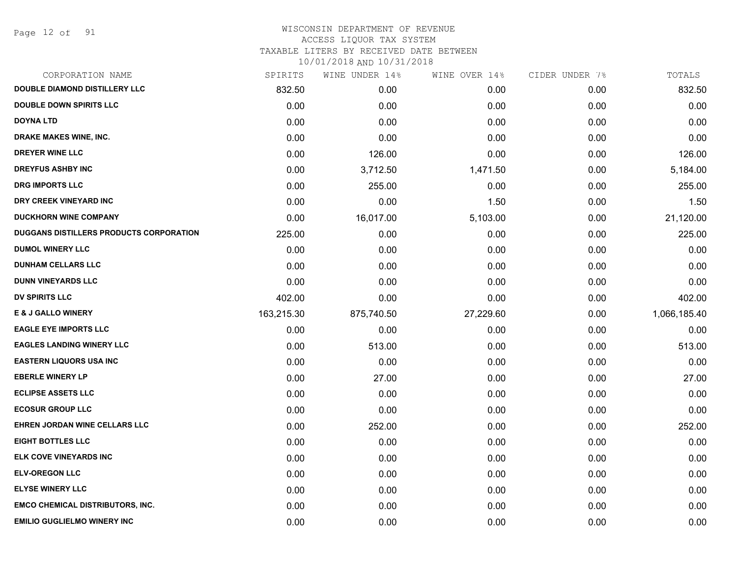Page 12 of 91

#### WISCONSIN DEPARTMENT OF REVENUE ACCESS LIQUOR TAX SYSTEM

TAXABLE LITERS BY RECEIVED DATE BETWEEN

| CORPORATION NAME                               | SPIRITS    | WINE UNDER 14% | WINE OVER 14% | CIDER UNDER 7% | TOTALS       |
|------------------------------------------------|------------|----------------|---------------|----------------|--------------|
| <b>DOUBLE DIAMOND DISTILLERY LLC</b>           | 832.50     | 0.00           | 0.00          | 0.00           | 832.50       |
| <b>DOUBLE DOWN SPIRITS LLC</b>                 | 0.00       | 0.00           | 0.00          | 0.00           | 0.00         |
| <b>DOYNA LTD</b>                               | 0.00       | 0.00           | 0.00          | 0.00           | 0.00         |
| DRAKE MAKES WINE, INC.                         | 0.00       | 0.00           | 0.00          | 0.00           | 0.00         |
| <b>DREYER WINE LLC</b>                         | 0.00       | 126.00         | 0.00          | 0.00           | 126.00       |
| <b>DREYFUS ASHBY INC</b>                       | 0.00       | 3,712.50       | 1,471.50      | 0.00           | 5,184.00     |
| <b>DRG IMPORTS LLC</b>                         | 0.00       | 255.00         | 0.00          | 0.00           | 255.00       |
| DRY CREEK VINEYARD INC                         | 0.00       | 0.00           | 1.50          | 0.00           | 1.50         |
| <b>DUCKHORN WINE COMPANY</b>                   | 0.00       | 16,017.00      | 5,103.00      | 0.00           | 21,120.00    |
| <b>DUGGANS DISTILLERS PRODUCTS CORPORATION</b> | 225.00     | 0.00           | 0.00          | 0.00           | 225.00       |
| <b>DUMOL WINERY LLC</b>                        | 0.00       | 0.00           | 0.00          | 0.00           | 0.00         |
| <b>DUNHAM CELLARS LLC</b>                      | 0.00       | 0.00           | 0.00          | 0.00           | 0.00         |
| <b>DUNN VINEYARDS LLC</b>                      | 0.00       | 0.00           | 0.00          | 0.00           | 0.00         |
| <b>DV SPIRITS LLC</b>                          | 402.00     | 0.00           | 0.00          | 0.00           | 402.00       |
| <b>E &amp; J GALLO WINERY</b>                  | 163,215.30 | 875,740.50     | 27,229.60     | 0.00           | 1,066,185.40 |
| <b>EAGLE EYE IMPORTS LLC</b>                   | 0.00       | 0.00           | 0.00          | 0.00           | 0.00         |
| <b>EAGLES LANDING WINERY LLC</b>               | 0.00       | 513.00         | 0.00          | 0.00           | 513.00       |
| <b>EASTERN LIQUORS USA INC</b>                 | 0.00       | 0.00           | 0.00          | 0.00           | 0.00         |
| <b>EBERLE WINERY LP</b>                        | 0.00       | 27.00          | 0.00          | 0.00           | 27.00        |
| <b>ECLIPSE ASSETS LLC</b>                      | 0.00       | 0.00           | 0.00          | 0.00           | 0.00         |
| <b>ECOSUR GROUP LLC</b>                        | 0.00       | 0.00           | 0.00          | 0.00           | 0.00         |
| EHREN JORDAN WINE CELLARS LLC                  | 0.00       | 252.00         | 0.00          | 0.00           | 252.00       |
| <b>EIGHT BOTTLES LLC</b>                       | 0.00       | 0.00           | 0.00          | 0.00           | 0.00         |
| ELK COVE VINEYARDS INC                         | 0.00       | 0.00           | 0.00          | 0.00           | 0.00         |
| <b>ELV-OREGON LLC</b>                          | 0.00       | 0.00           | 0.00          | 0.00           | 0.00         |
| <b>ELYSE WINERY LLC</b>                        | 0.00       | 0.00           | 0.00          | 0.00           | 0.00         |
| <b>EMCO CHEMICAL DISTRIBUTORS, INC.</b>        | 0.00       | 0.00           | 0.00          | 0.00           | 0.00         |
| <b>EMILIO GUGLIELMO WINERY INC</b>             | 0.00       | 0.00           | 0.00          | 0.00           | 0.00         |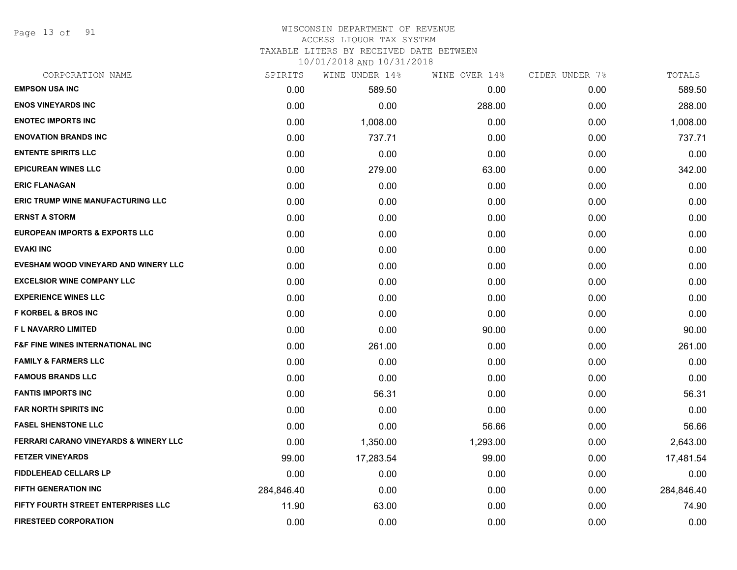Page 13 of 91

#### WISCONSIN DEPARTMENT OF REVENUE ACCESS LIQUOR TAX SYSTEM

TAXABLE LITERS BY RECEIVED DATE BETWEEN

| CORPORATION NAME                            | SPIRITS    | WINE UNDER 14% | WINE OVER 14% | CIDER UNDER 7% | TOTALS     |
|---------------------------------------------|------------|----------------|---------------|----------------|------------|
| <b>EMPSON USA INC</b>                       | 0.00       | 589.50         | 0.00          | 0.00           | 589.50     |
| <b>ENOS VINEYARDS INC</b>                   | 0.00       | 0.00           | 288.00        | 0.00           | 288.00     |
| <b>ENOTEC IMPORTS INC</b>                   | 0.00       | 1,008.00       | 0.00          | 0.00           | 1,008.00   |
| <b>ENOVATION BRANDS INC</b>                 | 0.00       | 737.71         | 0.00          | 0.00           | 737.71     |
| <b>ENTENTE SPIRITS LLC</b>                  | 0.00       | 0.00           | 0.00          | 0.00           | 0.00       |
| <b>EPICUREAN WINES LLC</b>                  | 0.00       | 279.00         | 63.00         | 0.00           | 342.00     |
| <b>ERIC FLANAGAN</b>                        | 0.00       | 0.00           | 0.00          | 0.00           | 0.00       |
| <b>ERIC TRUMP WINE MANUFACTURING LLC</b>    | 0.00       | 0.00           | 0.00          | 0.00           | 0.00       |
| <b>ERNST A STORM</b>                        | 0.00       | 0.00           | 0.00          | 0.00           | 0.00       |
| <b>EUROPEAN IMPORTS &amp; EXPORTS LLC</b>   | 0.00       | 0.00           | 0.00          | 0.00           | 0.00       |
| <b>EVAKI INC</b>                            | 0.00       | 0.00           | 0.00          | 0.00           | 0.00       |
| EVESHAM WOOD VINEYARD AND WINERY LLC        | 0.00       | 0.00           | 0.00          | 0.00           | 0.00       |
| <b>EXCELSIOR WINE COMPANY LLC</b>           | 0.00       | 0.00           | 0.00          | 0.00           | 0.00       |
| <b>EXPERIENCE WINES LLC</b>                 | 0.00       | 0.00           | 0.00          | 0.00           | 0.00       |
| <b>F KORBEL &amp; BROS INC</b>              | 0.00       | 0.00           | 0.00          | 0.00           | 0.00       |
| <b>FL NAVARRO LIMITED</b>                   | 0.00       | 0.00           | 90.00         | 0.00           | 90.00      |
| <b>F&amp;F FINE WINES INTERNATIONAL INC</b> | 0.00       | 261.00         | 0.00          | 0.00           | 261.00     |
| <b>FAMILY &amp; FARMERS LLC</b>             | 0.00       | 0.00           | 0.00          | 0.00           | 0.00       |
| <b>FAMOUS BRANDS LLC</b>                    | 0.00       | 0.00           | 0.00          | 0.00           | 0.00       |
| <b>FANTIS IMPORTS INC</b>                   | 0.00       | 56.31          | 0.00          | 0.00           | 56.31      |
| <b>FAR NORTH SPIRITS INC</b>                | 0.00       | 0.00           | 0.00          | 0.00           | 0.00       |
| <b>FASEL SHENSTONE LLC</b>                  | 0.00       | 0.00           | 56.66         | 0.00           | 56.66      |
| FERRARI CARANO VINEYARDS & WINERY LLC       | 0.00       | 1,350.00       | 1,293.00      | 0.00           | 2,643.00   |
| <b>FETZER VINEYARDS</b>                     | 99.00      | 17,283.54      | 99.00         | 0.00           | 17,481.54  |
| <b>FIDDLEHEAD CELLARS LP</b>                | 0.00       | 0.00           | 0.00          | 0.00           | 0.00       |
| FIFTH GENERATION INC                        | 284,846.40 | 0.00           | 0.00          | 0.00           | 284,846.40 |
| FIFTY FOURTH STREET ENTERPRISES LLC         | 11.90      | 63.00          | 0.00          | 0.00           | 74.90      |
| <b>FIRESTEED CORPORATION</b>                | 0.00       | 0.00           | 0.00          | 0.00           | 0.00       |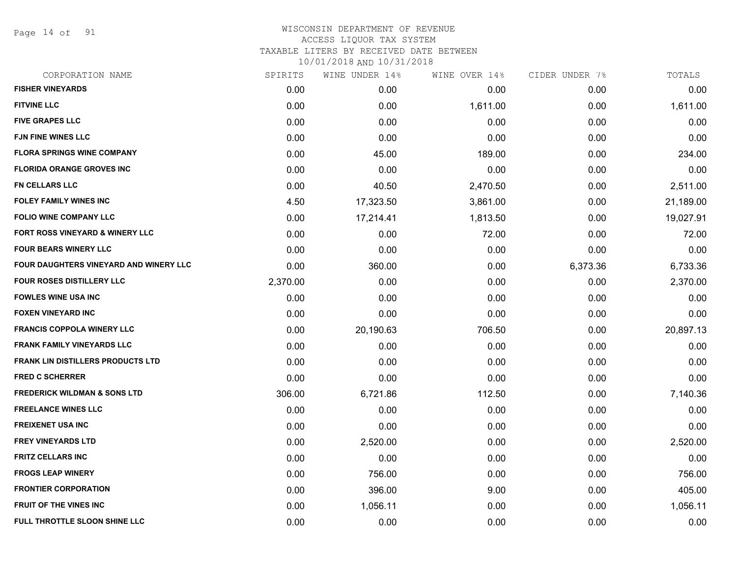Page 14 of 91

## WISCONSIN DEPARTMENT OF REVENUE ACCESS LIQUOR TAX SYSTEM TAXABLE LITERS BY RECEIVED DATE BETWEEN

| CORPORATION NAME                         | SPIRITS  | WINE UNDER 14% | WINE OVER 14% | CIDER UNDER 7% | TOTALS    |
|------------------------------------------|----------|----------------|---------------|----------------|-----------|
| <b>FISHER VINEYARDS</b>                  | 0.00     | 0.00           | 0.00          | 0.00           | 0.00      |
| <b>FITVINE LLC</b>                       | 0.00     | 0.00           | 1,611.00      | 0.00           | 1,611.00  |
| <b>FIVE GRAPES LLC</b>                   | 0.00     | 0.00           | 0.00          | 0.00           | 0.00      |
| <b>FJN FINE WINES LLC</b>                | 0.00     | 0.00           | 0.00          | 0.00           | 0.00      |
| <b>FLORA SPRINGS WINE COMPANY</b>        | 0.00     | 45.00          | 189.00        | 0.00           | 234.00    |
| <b>FLORIDA ORANGE GROVES INC</b>         | 0.00     | 0.00           | 0.00          | 0.00           | 0.00      |
| <b>FN CELLARS LLC</b>                    | 0.00     | 40.50          | 2,470.50      | 0.00           | 2,511.00  |
| <b>FOLEY FAMILY WINES INC</b>            | 4.50     | 17,323.50      | 3,861.00      | 0.00           | 21,189.00 |
| <b>FOLIO WINE COMPANY LLC</b>            | 0.00     | 17,214.41      | 1,813.50      | 0.00           | 19,027.91 |
| FORT ROSS VINEYARD & WINERY LLC          | 0.00     | 0.00           | 72.00         | 0.00           | 72.00     |
| <b>FOUR BEARS WINERY LLC</b>             | 0.00     | 0.00           | 0.00          | 0.00           | 0.00      |
| FOUR DAUGHTERS VINEYARD AND WINERY LLC   | 0.00     | 360.00         | 0.00          | 6,373.36       | 6,733.36  |
| <b>FOUR ROSES DISTILLERY LLC</b>         | 2,370.00 | 0.00           | 0.00          | 0.00           | 2,370.00  |
| <b>FOWLES WINE USA INC</b>               | 0.00     | 0.00           | 0.00          | 0.00           | 0.00      |
| <b>FOXEN VINEYARD INC</b>                | 0.00     | 0.00           | 0.00          | 0.00           | 0.00      |
| <b>FRANCIS COPPOLA WINERY LLC</b>        | 0.00     | 20,190.63      | 706.50        | 0.00           | 20,897.13 |
| <b>FRANK FAMILY VINEYARDS LLC</b>        | 0.00     | 0.00           | 0.00          | 0.00           | 0.00      |
| <b>FRANK LIN DISTILLERS PRODUCTS LTD</b> | 0.00     | 0.00           | 0.00          | 0.00           | 0.00      |
| <b>FRED C SCHERRER</b>                   | 0.00     | 0.00           | 0.00          | 0.00           | 0.00      |
| <b>FREDERICK WILDMAN &amp; SONS LTD</b>  | 306.00   | 6,721.86       | 112.50        | 0.00           | 7,140.36  |
| <b>FREELANCE WINES LLC</b>               | 0.00     | 0.00           | 0.00          | 0.00           | 0.00      |
| <b>FREIXENET USA INC</b>                 | 0.00     | 0.00           | 0.00          | 0.00           | 0.00      |
| <b>FREY VINEYARDS LTD</b>                | 0.00     | 2,520.00       | 0.00          | 0.00           | 2,520.00  |
| <b>FRITZ CELLARS INC</b>                 | 0.00     | 0.00           | 0.00          | 0.00           | 0.00      |
| <b>FROGS LEAP WINERY</b>                 | 0.00     | 756.00         | 0.00          | 0.00           | 756.00    |
| <b>FRONTIER CORPORATION</b>              | 0.00     | 396.00         | 9.00          | 0.00           | 405.00    |
| <b>FRUIT OF THE VINES INC</b>            | 0.00     | 1,056.11       | 0.00          | 0.00           | 1,056.11  |
| FULL THROTTLE SLOON SHINE LLC            | 0.00     | 0.00           | 0.00          | 0.00           | 0.00      |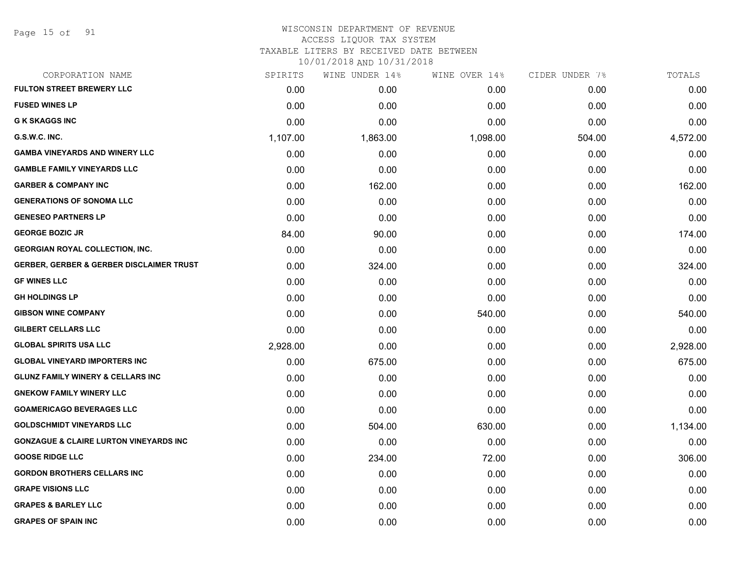Page 15 of 91

# WISCONSIN DEPARTMENT OF REVENUE ACCESS LIQUOR TAX SYSTEM

TAXABLE LITERS BY RECEIVED DATE BETWEEN

| CORPORATION NAME                                    | SPIRITS  | WINE UNDER 14% | WINE OVER 14% | CIDER UNDER 7% | TOTALS   |
|-----------------------------------------------------|----------|----------------|---------------|----------------|----------|
| <b>FULTON STREET BREWERY LLC</b>                    | 0.00     | 0.00           | 0.00          | 0.00           | 0.00     |
| <b>FUSED WINES LP</b>                               | 0.00     | 0.00           | 0.00          | 0.00           | 0.00     |
| <b>G K SKAGGS INC</b>                               | 0.00     | 0.00           | 0.00          | 0.00           | 0.00     |
| G.S.W.C. INC.                                       | 1,107.00 | 1,863.00       | 1,098.00      | 504.00         | 4,572.00 |
| <b>GAMBA VINEYARDS AND WINERY LLC</b>               | 0.00     | 0.00           | 0.00          | 0.00           | 0.00     |
| <b>GAMBLE FAMILY VINEYARDS LLC</b>                  | 0.00     | 0.00           | 0.00          | 0.00           | 0.00     |
| <b>GARBER &amp; COMPANY INC</b>                     | 0.00     | 162.00         | 0.00          | 0.00           | 162.00   |
| <b>GENERATIONS OF SONOMA LLC</b>                    | 0.00     | 0.00           | 0.00          | 0.00           | 0.00     |
| <b>GENESEO PARTNERS LP</b>                          | 0.00     | 0.00           | 0.00          | 0.00           | 0.00     |
| <b>GEORGE BOZIC JR</b>                              | 84.00    | 90.00          | 0.00          | 0.00           | 174.00   |
| <b>GEORGIAN ROYAL COLLECTION, INC.</b>              | 0.00     | 0.00           | 0.00          | 0.00           | 0.00     |
| <b>GERBER, GERBER &amp; GERBER DISCLAIMER TRUST</b> | 0.00     | 324.00         | 0.00          | 0.00           | 324.00   |
| <b>GF WINES LLC</b>                                 | 0.00     | 0.00           | 0.00          | 0.00           | 0.00     |
| <b>GH HOLDINGS LP</b>                               | 0.00     | 0.00           | 0.00          | 0.00           | 0.00     |
| <b>GIBSON WINE COMPANY</b>                          | 0.00     | 0.00           | 540.00        | 0.00           | 540.00   |
| <b>GILBERT CELLARS LLC</b>                          | 0.00     | 0.00           | 0.00          | 0.00           | 0.00     |
| <b>GLOBAL SPIRITS USA LLC</b>                       | 2,928.00 | 0.00           | 0.00          | 0.00           | 2,928.00 |
| <b>GLOBAL VINEYARD IMPORTERS INC</b>                | 0.00     | 675.00         | 0.00          | 0.00           | 675.00   |
| <b>GLUNZ FAMILY WINERY &amp; CELLARS INC</b>        | 0.00     | 0.00           | 0.00          | 0.00           | 0.00     |
| <b>GNEKOW FAMILY WINERY LLC</b>                     | 0.00     | 0.00           | 0.00          | 0.00           | 0.00     |
| <b>GOAMERICAGO BEVERAGES LLC</b>                    | 0.00     | 0.00           | 0.00          | 0.00           | 0.00     |
| <b>GOLDSCHMIDT VINEYARDS LLC</b>                    | 0.00     | 504.00         | 630.00        | 0.00           | 1,134.00 |
| <b>GONZAGUE &amp; CLAIRE LURTON VINEYARDS INC</b>   | 0.00     | 0.00           | 0.00          | 0.00           | 0.00     |
| <b>GOOSE RIDGE LLC</b>                              | 0.00     | 234.00         | 72.00         | 0.00           | 306.00   |
| <b>GORDON BROTHERS CELLARS INC</b>                  | 0.00     | 0.00           | 0.00          | 0.00           | 0.00     |
| <b>GRAPE VISIONS LLC</b>                            | 0.00     | 0.00           | 0.00          | 0.00           | 0.00     |
| <b>GRAPES &amp; BARLEY LLC</b>                      | 0.00     | 0.00           | 0.00          | 0.00           | 0.00     |
| <b>GRAPES OF SPAIN INC</b>                          | 0.00     | 0.00           | 0.00          | 0.00           | 0.00     |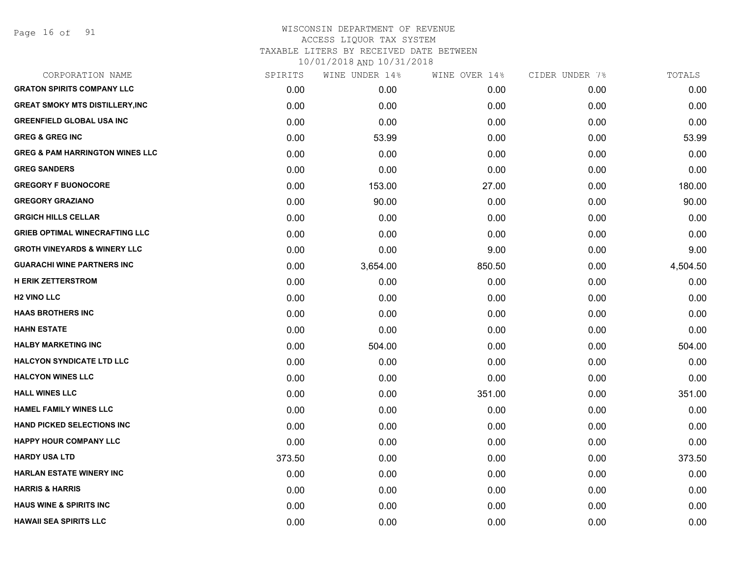Page 16 of 91

| CORPORATION NAME                           | SPIRITS | WINE UNDER 14% | WINE OVER 14% | CIDER UNDER 7% | TOTALS   |
|--------------------------------------------|---------|----------------|---------------|----------------|----------|
| <b>GRATON SPIRITS COMPANY LLC</b>          | 0.00    | 0.00           | 0.00          | 0.00           | 0.00     |
| <b>GREAT SMOKY MTS DISTILLERY, INC</b>     | 0.00    | 0.00           | 0.00          | 0.00           | 0.00     |
| <b>GREENFIELD GLOBAL USA INC</b>           | 0.00    | 0.00           | 0.00          | 0.00           | 0.00     |
| <b>GREG &amp; GREG INC</b>                 | 0.00    | 53.99          | 0.00          | 0.00           | 53.99    |
| <b>GREG &amp; PAM HARRINGTON WINES LLC</b> | 0.00    | 0.00           | 0.00          | 0.00           | 0.00     |
| <b>GREG SANDERS</b>                        | 0.00    | 0.00           | 0.00          | 0.00           | 0.00     |
| <b>GREGORY F BUONOCORE</b>                 | 0.00    | 153.00         | 27.00         | 0.00           | 180.00   |
| <b>GREGORY GRAZIANO</b>                    | 0.00    | 90.00          | 0.00          | 0.00           | 90.00    |
| <b>GRGICH HILLS CELLAR</b>                 | 0.00    | 0.00           | 0.00          | 0.00           | 0.00     |
| <b>GRIEB OPTIMAL WINECRAFTING LLC</b>      | 0.00    | 0.00           | 0.00          | 0.00           | 0.00     |
| <b>GROTH VINEYARDS &amp; WINERY LLC</b>    | 0.00    | 0.00           | 9.00          | 0.00           | 9.00     |
| <b>GUARACHI WINE PARTNERS INC</b>          | 0.00    | 3,654.00       | 850.50        | 0.00           | 4,504.50 |
| <b>H ERIK ZETTERSTROM</b>                  | 0.00    | 0.00           | 0.00          | 0.00           | 0.00     |
| <b>H2 VINO LLC</b>                         | 0.00    | 0.00           | 0.00          | 0.00           | 0.00     |
| <b>HAAS BROTHERS INC</b>                   | 0.00    | 0.00           | 0.00          | 0.00           | 0.00     |
| <b>HAHN ESTATE</b>                         | 0.00    | 0.00           | 0.00          | 0.00           | 0.00     |
| <b>HALBY MARKETING INC</b>                 | 0.00    | 504.00         | 0.00          | 0.00           | 504.00   |
| <b>HALCYON SYNDICATE LTD LLC</b>           | 0.00    | 0.00           | 0.00          | 0.00           | 0.00     |
| <b>HALCYON WINES LLC</b>                   | 0.00    | 0.00           | 0.00          | 0.00           | 0.00     |
| <b>HALL WINES LLC</b>                      | 0.00    | 0.00           | 351.00        | 0.00           | 351.00   |
| <b>HAMEL FAMILY WINES LLC</b>              | 0.00    | 0.00           | 0.00          | 0.00           | 0.00     |
| HAND PICKED SELECTIONS INC                 | 0.00    | 0.00           | 0.00          | 0.00           | 0.00     |
| <b>HAPPY HOUR COMPANY LLC</b>              | 0.00    | 0.00           | 0.00          | 0.00           | 0.00     |
| HARDY USA LTD                              | 373.50  | 0.00           | 0.00          | 0.00           | 373.50   |
| <b>HARLAN ESTATE WINERY INC</b>            | 0.00    | 0.00           | 0.00          | 0.00           | 0.00     |
| <b>HARRIS &amp; HARRIS</b>                 | 0.00    | 0.00           | 0.00          | 0.00           | 0.00     |
| <b>HAUS WINE &amp; SPIRITS INC</b>         | 0.00    | 0.00           | 0.00          | 0.00           | 0.00     |
| <b>HAWAII SEA SPIRITS LLC</b>              | 0.00    | 0.00           | 0.00          | 0.00           | 0.00     |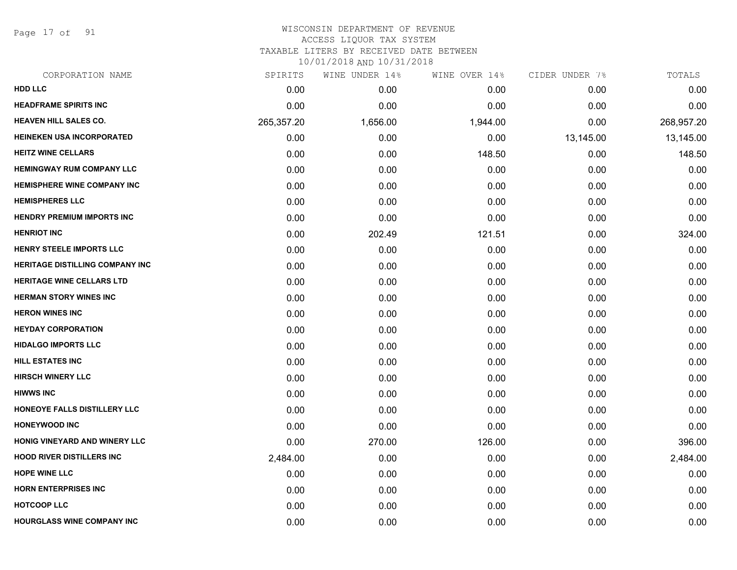Page 17 of 91

## WISCONSIN DEPARTMENT OF REVENUE ACCESS LIQUOR TAX SYSTEM TAXABLE LITERS BY RECEIVED DATE BETWEEN

| CORPORATION NAME                       | SPIRITS    | WINE UNDER 14% | WINE OVER 14% | CIDER UNDER 7% | TOTALS     |
|----------------------------------------|------------|----------------|---------------|----------------|------------|
| <b>HDD LLC</b>                         | 0.00       | 0.00           | 0.00          | 0.00           | 0.00       |
| <b>HEADFRAME SPIRITS INC</b>           | 0.00       | 0.00           | 0.00          | 0.00           | 0.00       |
| <b>HEAVEN HILL SALES CO.</b>           | 265,357.20 | 1,656.00       | 1,944.00      | 0.00           | 268,957.20 |
| <b>HEINEKEN USA INCORPORATED</b>       | 0.00       | 0.00           | 0.00          | 13,145.00      | 13,145.00  |
| <b>HEITZ WINE CELLARS</b>              | 0.00       | 0.00           | 148.50        | 0.00           | 148.50     |
| <b>HEMINGWAY RUM COMPANY LLC</b>       | 0.00       | 0.00           | 0.00          | 0.00           | 0.00       |
| <b>HEMISPHERE WINE COMPANY INC</b>     | 0.00       | 0.00           | 0.00          | 0.00           | 0.00       |
| <b>HEMISPHERES LLC</b>                 | 0.00       | 0.00           | 0.00          | 0.00           | 0.00       |
| <b>HENDRY PREMIUM IMPORTS INC</b>      | 0.00       | 0.00           | 0.00          | 0.00           | 0.00       |
| <b>HENRIOT INC</b>                     | 0.00       | 202.49         | 121.51        | 0.00           | 324.00     |
| HENRY STEELE IMPORTS LLC               | 0.00       | 0.00           | 0.00          | 0.00           | 0.00       |
| <b>HERITAGE DISTILLING COMPANY INC</b> | 0.00       | 0.00           | 0.00          | 0.00           | 0.00       |
| <b>HERITAGE WINE CELLARS LTD</b>       | 0.00       | 0.00           | 0.00          | 0.00           | 0.00       |
| <b>HERMAN STORY WINES INC</b>          | 0.00       | 0.00           | 0.00          | 0.00           | 0.00       |
| <b>HERON WINES INC</b>                 | 0.00       | 0.00           | 0.00          | 0.00           | 0.00       |
| <b>HEYDAY CORPORATION</b>              | 0.00       | 0.00           | 0.00          | 0.00           | 0.00       |
| <b>HIDALGO IMPORTS LLC</b>             | 0.00       | 0.00           | 0.00          | 0.00           | 0.00       |
| <b>HILL ESTATES INC</b>                | 0.00       | 0.00           | 0.00          | 0.00           | 0.00       |
| <b>HIRSCH WINERY LLC</b>               | 0.00       | 0.00           | 0.00          | 0.00           | 0.00       |
| <b>HIWWS INC</b>                       | 0.00       | 0.00           | 0.00          | 0.00           | 0.00       |
| HONEOYE FALLS DISTILLERY LLC           | 0.00       | 0.00           | 0.00          | 0.00           | 0.00       |
| <b>HONEYWOOD INC</b>                   | 0.00       | 0.00           | 0.00          | 0.00           | 0.00       |
| HONIG VINEYARD AND WINERY LLC          | 0.00       | 270.00         | 126.00        | 0.00           | 396.00     |
| <b>HOOD RIVER DISTILLERS INC.</b>      | 2,484.00   | 0.00           | 0.00          | 0.00           | 2,484.00   |
| <b>HOPE WINE LLC</b>                   | 0.00       | 0.00           | 0.00          | 0.00           | 0.00       |
| <b>HORN ENTERPRISES INC</b>            | 0.00       | 0.00           | 0.00          | 0.00           | 0.00       |
| <b>HOTCOOP LLC</b>                     | 0.00       | 0.00           | 0.00          | 0.00           | 0.00       |
| <b>HOURGLASS WINE COMPANY INC</b>      | 0.00       | 0.00           | 0.00          | 0.00           | 0.00       |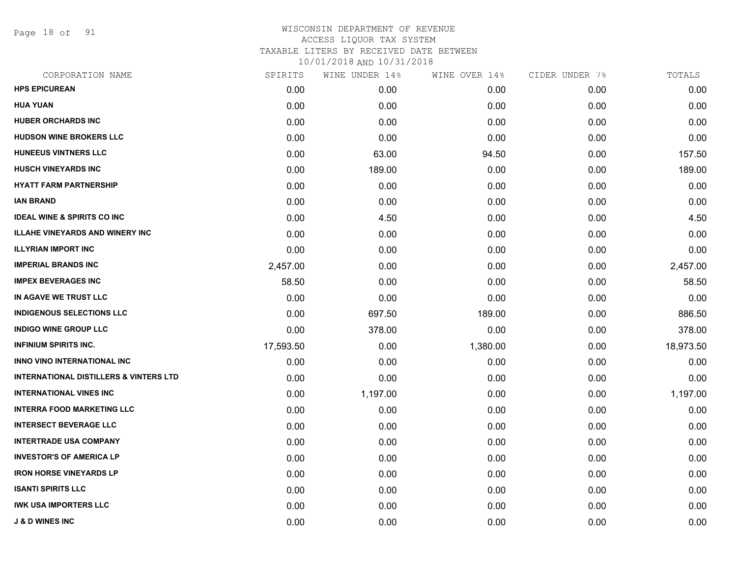Page 18 of 91

| CORPORATION NAME                                  | SPIRITS   | WINE UNDER 14% | WINE OVER 14% | CIDER UNDER 7% | TOTALS    |
|---------------------------------------------------|-----------|----------------|---------------|----------------|-----------|
| <b>HPS EPICUREAN</b>                              | 0.00      | 0.00           | 0.00          | 0.00           | 0.00      |
| <b>HUA YUAN</b>                                   | 0.00      | 0.00           | 0.00          | 0.00           | 0.00      |
| <b>HUBER ORCHARDS INC</b>                         | 0.00      | 0.00           | 0.00          | 0.00           | 0.00      |
| <b>HUDSON WINE BROKERS LLC</b>                    | 0.00      | 0.00           | 0.00          | 0.00           | 0.00      |
| <b>HUNEEUS VINTNERS LLC</b>                       | 0.00      | 63.00          | 94.50         | 0.00           | 157.50    |
| <b>HUSCH VINEYARDS INC</b>                        | 0.00      | 189.00         | 0.00          | 0.00           | 189.00    |
| <b>HYATT FARM PARTNERSHIP</b>                     | 0.00      | 0.00           | 0.00          | 0.00           | 0.00      |
| <b>IAN BRAND</b>                                  | 0.00      | 0.00           | 0.00          | 0.00           | 0.00      |
| <b>IDEAL WINE &amp; SPIRITS CO INC</b>            | 0.00      | 4.50           | 0.00          | 0.00           | 4.50      |
| <b>ILLAHE VINEYARDS AND WINERY INC</b>            | 0.00      | 0.00           | 0.00          | 0.00           | 0.00      |
| <b>ILLYRIAN IMPORT INC</b>                        | 0.00      | 0.00           | 0.00          | 0.00           | 0.00      |
| <b>IMPERIAL BRANDS INC</b>                        | 2,457.00  | 0.00           | 0.00          | 0.00           | 2,457.00  |
| <b>IMPEX BEVERAGES INC</b>                        | 58.50     | 0.00           | 0.00          | 0.00           | 58.50     |
| IN AGAVE WE TRUST LLC                             | 0.00      | 0.00           | 0.00          | 0.00           | 0.00      |
| <b>INDIGENOUS SELECTIONS LLC</b>                  | 0.00      | 697.50         | 189.00        | 0.00           | 886.50    |
| <b>INDIGO WINE GROUP LLC</b>                      | 0.00      | 378.00         | 0.00          | 0.00           | 378.00    |
| <b>INFINIUM SPIRITS INC.</b>                      | 17,593.50 | 0.00           | 1,380.00      | 0.00           | 18,973.50 |
| <b>INNO VINO INTERNATIONAL INC</b>                | 0.00      | 0.00           | 0.00          | 0.00           | 0.00      |
| <b>INTERNATIONAL DISTILLERS &amp; VINTERS LTD</b> | 0.00      | 0.00           | 0.00          | 0.00           | 0.00      |
| <b>INTERNATIONAL VINES INC</b>                    | 0.00      | 1,197.00       | 0.00          | 0.00           | 1,197.00  |
| <b>INTERRA FOOD MARKETING LLC</b>                 | 0.00      | 0.00           | 0.00          | 0.00           | 0.00      |
| <b>INTERSECT BEVERAGE LLC</b>                     | 0.00      | 0.00           | 0.00          | 0.00           | 0.00      |
| <b>INTERTRADE USA COMPANY</b>                     | 0.00      | 0.00           | 0.00          | 0.00           | 0.00      |
| <b>INVESTOR'S OF AMERICA LP</b>                   | 0.00      | 0.00           | 0.00          | 0.00           | 0.00      |
| <b>IRON HORSE VINEYARDS LP</b>                    | 0.00      | 0.00           | 0.00          | 0.00           | 0.00      |
| <b>ISANTI SPIRITS LLC</b>                         | 0.00      | 0.00           | 0.00          | 0.00           | 0.00      |
| <b>IWK USA IMPORTERS LLC</b>                      | 0.00      | 0.00           | 0.00          | 0.00           | 0.00      |
| <b>J &amp; D WINES INC</b>                        | 0.00      | 0.00           | 0.00          | 0.00           | 0.00      |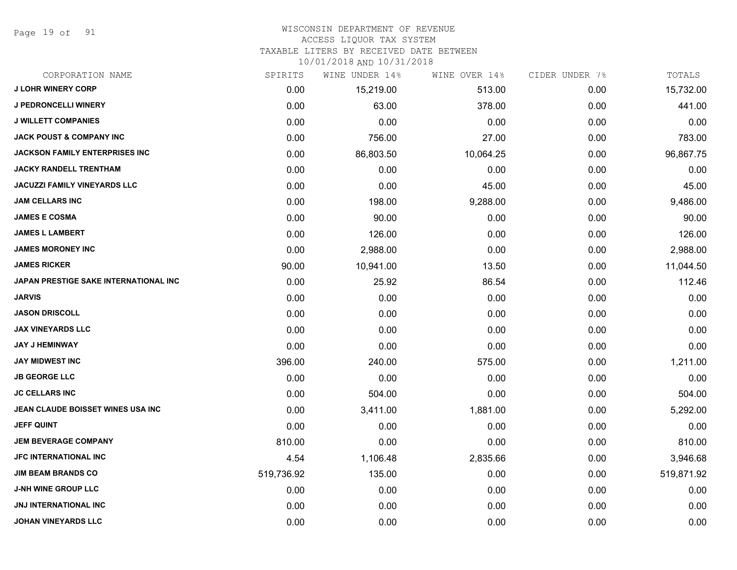Page 19 of 91

#### WISCONSIN DEPARTMENT OF REVENUE ACCESS LIQUOR TAX SYSTEM

TAXABLE LITERS BY RECEIVED DATE BETWEEN

| CORPORATION NAME                      | SPIRITS    | WINE UNDER 14% | WINE OVER 14% | CIDER UNDER 7% | TOTALS     |
|---------------------------------------|------------|----------------|---------------|----------------|------------|
| <b>J LOHR WINERY CORP</b>             | 0.00       | 15,219.00      | 513.00        | 0.00           | 15,732.00  |
| <b>J PEDRONCELLI WINERY</b>           | 0.00       | 63.00          | 378.00        | 0.00           | 441.00     |
| <b>J WILLETT COMPANIES</b>            | 0.00       | 0.00           | 0.00          | 0.00           | 0.00       |
| <b>JACK POUST &amp; COMPANY INC</b>   | 0.00       | 756.00         | 27.00         | 0.00           | 783.00     |
| <b>JACKSON FAMILY ENTERPRISES INC</b> | 0.00       | 86,803.50      | 10,064.25     | 0.00           | 96,867.75  |
| <b>JACKY RANDELL TRENTHAM</b>         | 0.00       | 0.00           | 0.00          | 0.00           | 0.00       |
| <b>JACUZZI FAMILY VINEYARDS LLC</b>   | 0.00       | 0.00           | 45.00         | 0.00           | 45.00      |
| <b>JAM CELLARS INC</b>                | 0.00       | 198.00         | 9,288.00      | 0.00           | 9,486.00   |
| <b>JAMES E COSMA</b>                  | 0.00       | 90.00          | 0.00          | 0.00           | 90.00      |
| <b>JAMES L LAMBERT</b>                | 0.00       | 126.00         | 0.00          | 0.00           | 126.00     |
| <b>JAMES MORONEY INC</b>              | 0.00       | 2,988.00       | 0.00          | 0.00           | 2,988.00   |
| <b>JAMES RICKER</b>                   | 90.00      | 10,941.00      | 13.50         | 0.00           | 11,044.50  |
| JAPAN PRESTIGE SAKE INTERNATIONAL INC | 0.00       | 25.92          | 86.54         | 0.00           | 112.46     |
| <b>JARVIS</b>                         | 0.00       | 0.00           | 0.00          | 0.00           | 0.00       |
| <b>JASON DRISCOLL</b>                 | 0.00       | 0.00           | 0.00          | 0.00           | 0.00       |
| <b>JAX VINEYARDS LLC</b>              | 0.00       | 0.00           | 0.00          | 0.00           | 0.00       |
| <b>JAY J HEMINWAY</b>                 | 0.00       | 0.00           | 0.00          | 0.00           | 0.00       |
| <b>JAY MIDWEST INC</b>                | 396.00     | 240.00         | 575.00        | 0.00           | 1,211.00   |
| <b>JB GEORGE LLC</b>                  | 0.00       | 0.00           | 0.00          | 0.00           | 0.00       |
| <b>JC CELLARS INC</b>                 | 0.00       | 504.00         | 0.00          | 0.00           | 504.00     |
| JEAN CLAUDE BOISSET WINES USA INC     | 0.00       | 3,411.00       | 1,881.00      | 0.00           | 5,292.00   |
| <b>JEFF QUINT</b>                     | 0.00       | 0.00           | 0.00          | 0.00           | 0.00       |
| <b>JEM BEVERAGE COMPANY</b>           | 810.00     | 0.00           | 0.00          | 0.00           | 810.00     |
| <b>JFC INTERNATIONAL INC</b>          | 4.54       | 1,106.48       | 2,835.66      | 0.00           | 3,946.68   |
| <b>JIM BEAM BRANDS CO</b>             | 519,736.92 | 135.00         | 0.00          | 0.00           | 519,871.92 |
| <b>J-NH WINE GROUP LLC</b>            | 0.00       | 0.00           | 0.00          | 0.00           | 0.00       |
| <b>JNJ INTERNATIONAL INC</b>          | 0.00       | 0.00           | 0.00          | 0.00           | 0.00       |
| <b>JOHAN VINEYARDS LLC</b>            | 0.00       | 0.00           | 0.00          | 0.00           | 0.00       |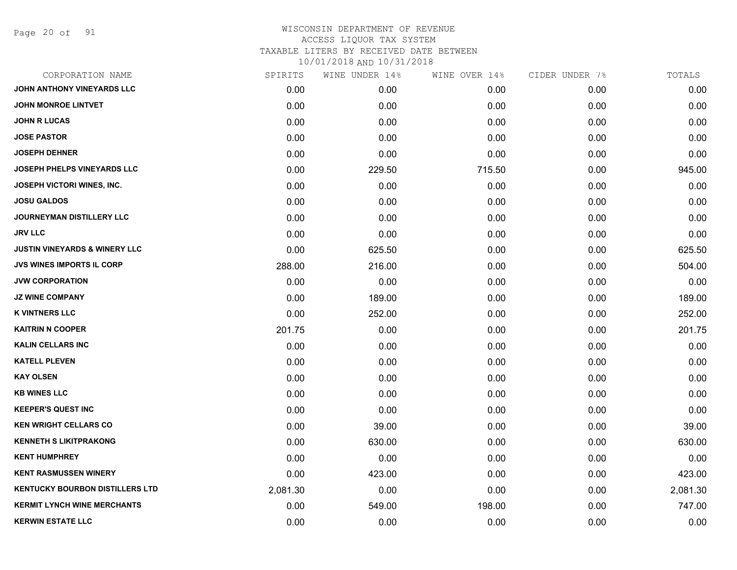Page 20 of 91

| CORPORATION NAME                         | SPIRITS  | WINE UNDER 14% | WINE OVER 14% | CIDER UNDER 7% | TOTALS   |
|------------------------------------------|----------|----------------|---------------|----------------|----------|
| JOHN ANTHONY VINEYARDS LLC               | 0.00     | 0.00           | 0.00          | 0.00           | 0.00     |
| <b>JOHN MONROE LINTVET</b>               | 0.00     | 0.00           | 0.00          | 0.00           | 0.00     |
| <b>JOHN R LUCAS</b>                      | 0.00     | 0.00           | 0.00          | 0.00           | 0.00     |
| <b>JOSE PASTOR</b>                       | 0.00     | 0.00           | 0.00          | 0.00           | 0.00     |
| <b>JOSEPH DEHNER</b>                     | 0.00     | 0.00           | 0.00          | 0.00           | 0.00     |
| <b>JOSEPH PHELPS VINEYARDS LLC</b>       | 0.00     | 229.50         | 715.50        | 0.00           | 945.00   |
| JOSEPH VICTORI WINES, INC.               | 0.00     | 0.00           | 0.00          | 0.00           | 0.00     |
| <b>JOSU GALDOS</b>                       | 0.00     | 0.00           | 0.00          | 0.00           | 0.00     |
| <b>JOURNEYMAN DISTILLERY LLC</b>         | 0.00     | 0.00           | 0.00          | 0.00           | 0.00     |
| <b>JRV LLC</b>                           | 0.00     | 0.00           | 0.00          | 0.00           | 0.00     |
| <b>JUSTIN VINEYARDS &amp; WINERY LLC</b> | 0.00     | 625.50         | 0.00          | 0.00           | 625.50   |
| <b>JVS WINES IMPORTS IL CORP</b>         | 288.00   | 216.00         | 0.00          | 0.00           | 504.00   |
| <b>JVW CORPORATION</b>                   | 0.00     | 0.00           | 0.00          | 0.00           | 0.00     |
| <b>JZ WINE COMPANY</b>                   | 0.00     | 189.00         | 0.00          | 0.00           | 189.00   |
| <b>K VINTNERS LLC</b>                    | 0.00     | 252.00         | 0.00          | 0.00           | 252.00   |
| <b>KAITRIN N COOPER</b>                  | 201.75   | 0.00           | 0.00          | 0.00           | 201.75   |
| <b>KALIN CELLARS INC</b>                 | 0.00     | 0.00           | 0.00          | 0.00           | 0.00     |
| <b>KATELL PLEVEN</b>                     | 0.00     | 0.00           | 0.00          | 0.00           | 0.00     |
| <b>KAY OLSEN</b>                         | 0.00     | 0.00           | 0.00          | 0.00           | 0.00     |
| <b>KB WINES LLC</b>                      | 0.00     | 0.00           | 0.00          | 0.00           | 0.00     |
| <b>KEEPER'S QUEST INC</b>                | 0.00     | 0.00           | 0.00          | 0.00           | 0.00     |
| <b>KEN WRIGHT CELLARS CO</b>             | 0.00     | 39.00          | 0.00          | 0.00           | 39.00    |
| <b>KENNETH S LIKITPRAKONG</b>            | 0.00     | 630.00         | 0.00          | 0.00           | 630.00   |
| <b>KENT HUMPHREY</b>                     | 0.00     | 0.00           | 0.00          | 0.00           | 0.00     |
| <b>KENT RASMUSSEN WINERY</b>             | 0.00     | 423.00         | 0.00          | 0.00           | 423.00   |
| <b>KENTUCKY BOURBON DISTILLERS LTD</b>   | 2,081.30 | 0.00           | 0.00          | 0.00           | 2,081.30 |
| <b>KERMIT LYNCH WINE MERCHANTS</b>       | 0.00     | 549.00         | 198.00        | 0.00           | 747.00   |
| <b>KERWIN ESTATE LLC</b>                 | 0.00     | 0.00           | 0.00          | 0.00           | 0.00     |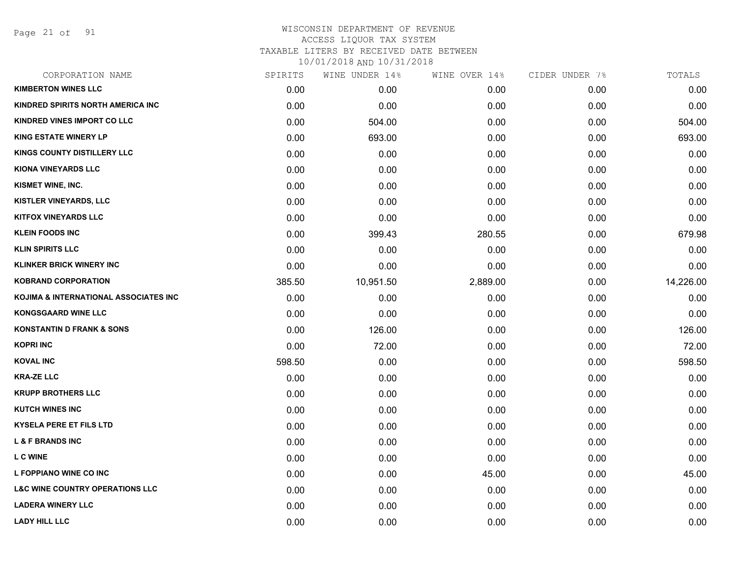Page 21 of 91

| CORPORATION NAME                           | SPIRITS | WINE UNDER 14% | WINE OVER 14% | CIDER UNDER 7% | TOTALS    |
|--------------------------------------------|---------|----------------|---------------|----------------|-----------|
| <b>KIMBERTON WINES LLC</b>                 | 0.00    | 0.00           | 0.00          | 0.00           | 0.00      |
| KINDRED SPIRITS NORTH AMERICA INC          | 0.00    | 0.00           | 0.00          | 0.00           | 0.00      |
| KINDRED VINES IMPORT CO LLC                | 0.00    | 504.00         | 0.00          | 0.00           | 504.00    |
| <b>KING ESTATE WINERY LP</b>               | 0.00    | 693.00         | 0.00          | 0.00           | 693.00    |
| <b>KINGS COUNTY DISTILLERY LLC</b>         | 0.00    | 0.00           | 0.00          | 0.00           | 0.00      |
| KIONA VINEYARDS LLC                        | 0.00    | 0.00           | 0.00          | 0.00           | 0.00      |
| KISMET WINE, INC.                          | 0.00    | 0.00           | 0.00          | 0.00           | 0.00      |
| KISTLER VINEYARDS, LLC                     | 0.00    | 0.00           | 0.00          | 0.00           | 0.00      |
| <b>KITFOX VINEYARDS LLC</b>                | 0.00    | 0.00           | 0.00          | 0.00           | 0.00      |
| <b>KLEIN FOODS INC</b>                     | 0.00    | 399.43         | 280.55        | 0.00           | 679.98    |
| <b>KLIN SPIRITS LLC</b>                    | 0.00    | 0.00           | 0.00          | 0.00           | 0.00      |
| <b>KLINKER BRICK WINERY INC</b>            | 0.00    | 0.00           | 0.00          | 0.00           | 0.00      |
| <b>KOBRAND CORPORATION</b>                 | 385.50  | 10,951.50      | 2,889.00      | 0.00           | 14,226.00 |
| KOJIMA & INTERNATIONAL ASSOCIATES INC      | 0.00    | 0.00           | 0.00          | 0.00           | 0.00      |
| <b>KONGSGAARD WINE LLC</b>                 | 0.00    | 0.00           | 0.00          | 0.00           | 0.00      |
| <b>KONSTANTIN D FRANK &amp; SONS</b>       | 0.00    | 126.00         | 0.00          | 0.00           | 126.00    |
| <b>KOPRI INC</b>                           | 0.00    | 72.00          | 0.00          | 0.00           | 72.00     |
| <b>KOVAL INC</b>                           | 598.50  | 0.00           | 0.00          | 0.00           | 598.50    |
| <b>KRA-ZE LLC</b>                          | 0.00    | 0.00           | 0.00          | 0.00           | 0.00      |
| <b>KRUPP BROTHERS LLC</b>                  | 0.00    | 0.00           | 0.00          | 0.00           | 0.00      |
| <b>KUTCH WINES INC</b>                     | 0.00    | 0.00           | 0.00          | 0.00           | 0.00      |
| <b>KYSELA PERE ET FILS LTD</b>             | 0.00    | 0.00           | 0.00          | 0.00           | 0.00      |
| <b>L &amp; F BRANDS INC</b>                | 0.00    | 0.00           | 0.00          | 0.00           | 0.00      |
| <b>L C WINE</b>                            | 0.00    | 0.00           | 0.00          | 0.00           | 0.00      |
| L FOPPIANO WINE CO INC                     | 0.00    | 0.00           | 45.00         | 0.00           | 45.00     |
| <b>L&amp;C WINE COUNTRY OPERATIONS LLC</b> | 0.00    | 0.00           | 0.00          | 0.00           | 0.00      |
| <b>LADERA WINERY LLC</b>                   | 0.00    | 0.00           | 0.00          | 0.00           | 0.00      |
| <b>LADY HILL LLC</b>                       | 0.00    | 0.00           | 0.00          | 0.00           | 0.00      |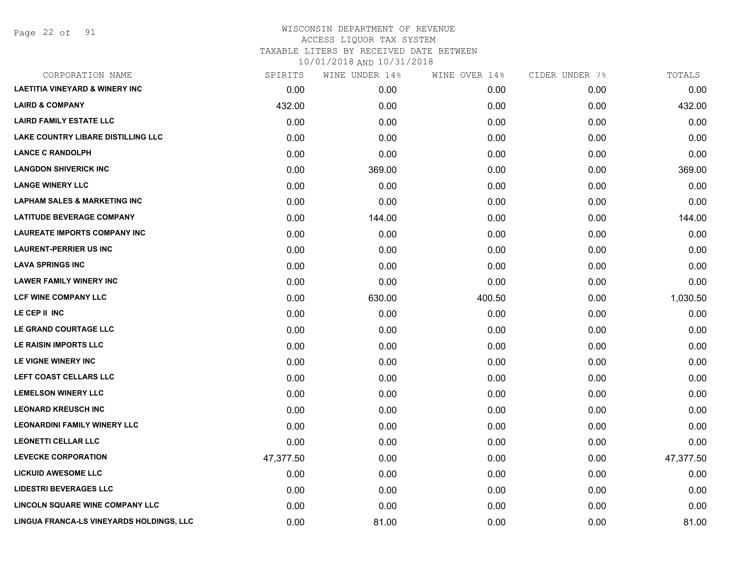Page 22 of 91

| CORPORATION NAME                          | SPIRITS   | WINE UNDER 14% | WINE OVER 14% | CIDER UNDER 7% | TOTALS    |
|-------------------------------------------|-----------|----------------|---------------|----------------|-----------|
| <b>LAETITIA VINEYARD &amp; WINERY INC</b> | 0.00      | 0.00           | 0.00          | 0.00           | 0.00      |
| <b>LAIRD &amp; COMPANY</b>                | 432.00    | 0.00           | 0.00          | 0.00           | 432.00    |
| <b>LAIRD FAMILY ESTATE LLC</b>            | 0.00      | 0.00           | 0.00          | 0.00           | 0.00      |
| <b>LAKE COUNTRY LIBARE DISTILLING LLC</b> | 0.00      | 0.00           | 0.00          | 0.00           | 0.00      |
| <b>LANCE C RANDOLPH</b>                   | 0.00      | 0.00           | 0.00          | 0.00           | 0.00      |
| <b>LANGDON SHIVERICK INC</b>              | 0.00      | 369.00         | 0.00          | 0.00           | 369.00    |
| <b>LANGE WINERY LLC</b>                   | 0.00      | 0.00           | 0.00          | 0.00           | 0.00      |
| <b>LAPHAM SALES &amp; MARKETING INC</b>   | 0.00      | 0.00           | 0.00          | 0.00           | 0.00      |
| <b>LATITUDE BEVERAGE COMPANY</b>          | 0.00      | 144.00         | 0.00          | 0.00           | 144.00    |
| <b>LAUREATE IMPORTS COMPANY INC</b>       | 0.00      | 0.00           | 0.00          | 0.00           | 0.00      |
| <b>LAURENT-PERRIER US INC</b>             | 0.00      | 0.00           | 0.00          | 0.00           | 0.00      |
| <b>LAVA SPRINGS INC</b>                   | 0.00      | 0.00           | 0.00          | 0.00           | 0.00      |
| <b>LAWER FAMILY WINERY INC</b>            | 0.00      | 0.00           | 0.00          | 0.00           | 0.00      |
| <b>LCF WINE COMPANY LLC</b>               | 0.00      | 630.00         | 400.50        | 0.00           | 1,030.50  |
| LE CEP II INC                             | 0.00      | 0.00           | 0.00          | 0.00           | 0.00      |
| LE GRAND COURTAGE LLC                     | 0.00      | 0.00           | 0.00          | 0.00           | 0.00      |
| LE RAISIN IMPORTS LLC                     | 0.00      | 0.00           | 0.00          | 0.00           | 0.00      |
| LE VIGNE WINERY INC                       | 0.00      | 0.00           | 0.00          | 0.00           | 0.00      |
| LEFT COAST CELLARS LLC                    | 0.00      | 0.00           | 0.00          | 0.00           | 0.00      |
| <b>LEMELSON WINERY LLC</b>                | 0.00      | 0.00           | 0.00          | 0.00           | 0.00      |
| <b>LEONARD KREUSCH INC</b>                | 0.00      | 0.00           | 0.00          | 0.00           | 0.00      |
| <b>LEONARDINI FAMILY WINERY LLC</b>       | 0.00      | 0.00           | 0.00          | 0.00           | 0.00      |
| <b>LEONETTI CELLAR LLC</b>                | 0.00      | 0.00           | 0.00          | 0.00           | 0.00      |
| <b>LEVECKE CORPORATION</b>                | 47,377.50 | 0.00           | 0.00          | 0.00           | 47,377.50 |
| <b>LICKUID AWESOME LLC</b>                | 0.00      | 0.00           | 0.00          | 0.00           | 0.00      |
| <b>LIDESTRI BEVERAGES LLC</b>             | 0.00      | 0.00           | 0.00          | 0.00           | 0.00      |
| LINCOLN SQUARE WINE COMPANY LLC           | 0.00      | 0.00           | 0.00          | 0.00           | 0.00      |
| LINGUA FRANCA-LS VINEYARDS HOLDINGS, LLC  | 0.00      | 81.00          | 0.00          | 0.00           | 81.00     |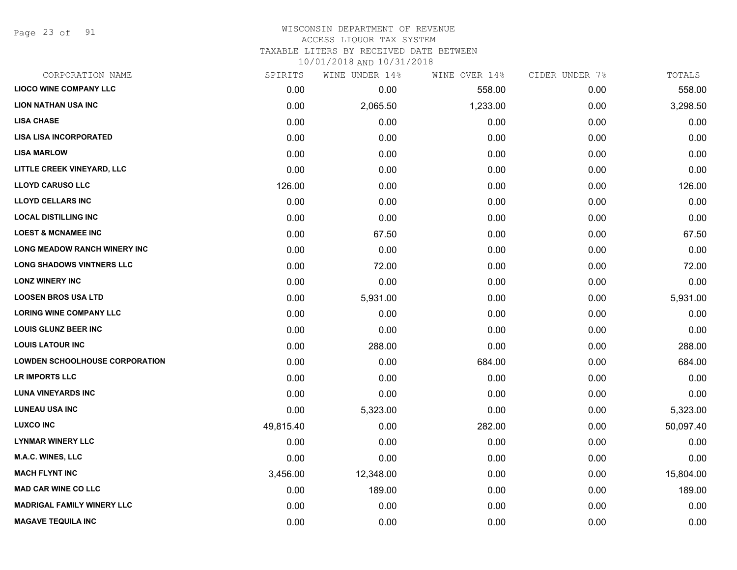Page 23 of 91

## WISCONSIN DEPARTMENT OF REVENUE ACCESS LIQUOR TAX SYSTEM

TAXABLE LITERS BY RECEIVED DATE BETWEEN

| CORPORATION NAME                      | SPIRITS   | WINE UNDER 14% | WINE OVER 14% | CIDER UNDER 7% | TOTALS    |
|---------------------------------------|-----------|----------------|---------------|----------------|-----------|
| <b>LIOCO WINE COMPANY LLC</b>         | 0.00      | 0.00           | 558.00        | 0.00           | 558.00    |
| <b>LION NATHAN USA INC</b>            | 0.00      | 2,065.50       | 1,233.00      | 0.00           | 3,298.50  |
| <b>LISA CHASE</b>                     | 0.00      | 0.00           | 0.00          | 0.00           | 0.00      |
| <b>LISA LISA INCORPORATED</b>         | 0.00      | 0.00           | 0.00          | 0.00           | 0.00      |
| <b>LISA MARLOW</b>                    | 0.00      | 0.00           | 0.00          | 0.00           | 0.00      |
| LITTLE CREEK VINEYARD, LLC            | 0.00      | 0.00           | 0.00          | 0.00           | 0.00      |
| <b>LLOYD CARUSO LLC</b>               | 126.00    | 0.00           | 0.00          | 0.00           | 126.00    |
| <b>LLOYD CELLARS INC</b>              | 0.00      | 0.00           | 0.00          | 0.00           | 0.00      |
| <b>LOCAL DISTILLING INC</b>           | 0.00      | 0.00           | 0.00          | 0.00           | 0.00      |
| <b>LOEST &amp; MCNAMEE INC</b>        | 0.00      | 67.50          | 0.00          | 0.00           | 67.50     |
| <b>LONG MEADOW RANCH WINERY INC</b>   | 0.00      | 0.00           | 0.00          | 0.00           | 0.00      |
| <b>LONG SHADOWS VINTNERS LLC</b>      | 0.00      | 72.00          | 0.00          | 0.00           | 72.00     |
| <b>LONZ WINERY INC</b>                | 0.00      | 0.00           | 0.00          | 0.00           | 0.00      |
| <b>LOOSEN BROS USA LTD</b>            | 0.00      | 5,931.00       | 0.00          | 0.00           | 5,931.00  |
| <b>LORING WINE COMPANY LLC</b>        | 0.00      | 0.00           | 0.00          | 0.00           | 0.00      |
| <b>LOUIS GLUNZ BEER INC</b>           | 0.00      | 0.00           | 0.00          | 0.00           | 0.00      |
| <b>LOUIS LATOUR INC</b>               | 0.00      | 288.00         | 0.00          | 0.00           | 288.00    |
| <b>LOWDEN SCHOOLHOUSE CORPORATION</b> | 0.00      | 0.00           | 684.00        | 0.00           | 684.00    |
| LR IMPORTS LLC                        | 0.00      | 0.00           | 0.00          | 0.00           | 0.00      |
| <b>LUNA VINEYARDS INC</b>             | 0.00      | 0.00           | 0.00          | 0.00           | 0.00      |
| <b>LUNEAU USA INC</b>                 | 0.00      | 5,323.00       | 0.00          | 0.00           | 5,323.00  |
| <b>LUXCO INC</b>                      | 49,815.40 | 0.00           | 282.00        | 0.00           | 50,097.40 |
| <b>LYNMAR WINERY LLC</b>              | 0.00      | 0.00           | 0.00          | 0.00           | 0.00      |
| M.A.C. WINES, LLC                     | 0.00      | 0.00           | 0.00          | 0.00           | 0.00      |
| <b>MACH FLYNT INC</b>                 | 3,456.00  | 12,348.00      | 0.00          | 0.00           | 15,804.00 |
| <b>MAD CAR WINE CO LLC</b>            | 0.00      | 189.00         | 0.00          | 0.00           | 189.00    |
| <b>MADRIGAL FAMILY WINERY LLC</b>     | 0.00      | 0.00           | 0.00          | 0.00           | 0.00      |
| <b>MAGAVE TEQUILA INC</b>             | 0.00      | 0.00           | 0.00          | 0.00           | 0.00      |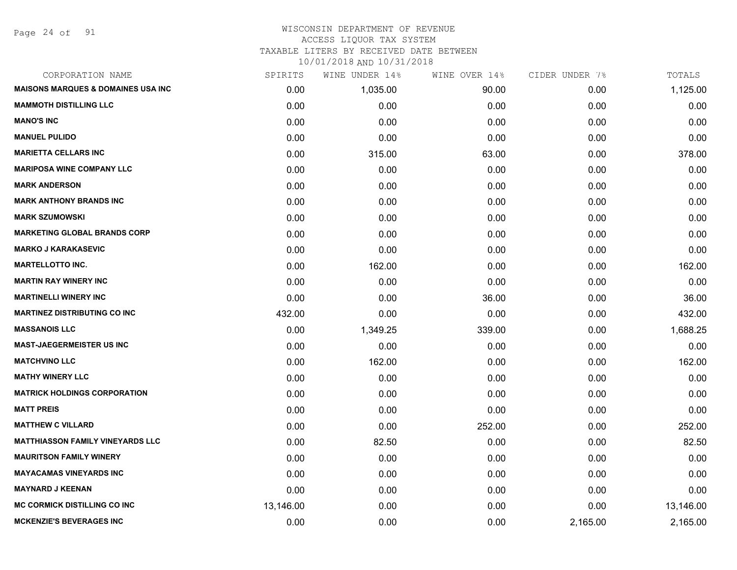Page 24 of 91

# WISCONSIN DEPARTMENT OF REVENUE ACCESS LIQUOR TAX SYSTEM

TAXABLE LITERS BY RECEIVED DATE BETWEEN

| CORPORATION NAME                              | SPIRITS   | WINE UNDER 14% | WINE OVER 14% | CIDER UNDER 7% | TOTALS    |
|-----------------------------------------------|-----------|----------------|---------------|----------------|-----------|
| <b>MAISONS MARQUES &amp; DOMAINES USA INC</b> | 0.00      | 1,035.00       | 90.00         | 0.00           | 1,125.00  |
| <b>MAMMOTH DISTILLING LLC</b>                 | 0.00      | 0.00           | 0.00          | 0.00           | 0.00      |
| <b>MANO'S INC</b>                             | 0.00      | 0.00           | 0.00          | 0.00           | 0.00      |
| <b>MANUEL PULIDO</b>                          | 0.00      | 0.00           | 0.00          | 0.00           | 0.00      |
| <b>MARIETTA CELLARS INC</b>                   | 0.00      | 315.00         | 63.00         | 0.00           | 378.00    |
| <b>MARIPOSA WINE COMPANY LLC</b>              | 0.00      | 0.00           | 0.00          | 0.00           | 0.00      |
| <b>MARK ANDERSON</b>                          | 0.00      | 0.00           | 0.00          | 0.00           | 0.00      |
| <b>MARK ANTHONY BRANDS INC</b>                | 0.00      | 0.00           | 0.00          | 0.00           | 0.00      |
| <b>MARK SZUMOWSKI</b>                         | 0.00      | 0.00           | 0.00          | 0.00           | 0.00      |
| <b>MARKETING GLOBAL BRANDS CORP</b>           | 0.00      | 0.00           | 0.00          | 0.00           | 0.00      |
| <b>MARKO J KARAKASEVIC</b>                    | 0.00      | 0.00           | 0.00          | 0.00           | 0.00      |
| <b>MARTELLOTTO INC.</b>                       | 0.00      | 162.00         | 0.00          | 0.00           | 162.00    |
| <b>MARTIN RAY WINERY INC</b>                  | 0.00      | 0.00           | 0.00          | 0.00           | 0.00      |
| <b>MARTINELLI WINERY INC</b>                  | 0.00      | 0.00           | 36.00         | 0.00           | 36.00     |
| <b>MARTINEZ DISTRIBUTING CO INC</b>           | 432.00    | 0.00           | 0.00          | 0.00           | 432.00    |
| <b>MASSANOIS LLC</b>                          | 0.00      | 1,349.25       | 339.00        | 0.00           | 1,688.25  |
| <b>MAST-JAEGERMEISTER US INC</b>              | 0.00      | 0.00           | 0.00          | 0.00           | 0.00      |
| <b>MATCHVINO LLC</b>                          | 0.00      | 162.00         | 0.00          | 0.00           | 162.00    |
| <b>MATHY WINERY LLC</b>                       | 0.00      | 0.00           | 0.00          | 0.00           | 0.00      |
| <b>MATRICK HOLDINGS CORPORATION</b>           | 0.00      | 0.00           | 0.00          | 0.00           | 0.00      |
| <b>MATT PREIS</b>                             | 0.00      | 0.00           | 0.00          | 0.00           | 0.00      |
| <b>MATTHEW C VILLARD</b>                      | 0.00      | 0.00           | 252.00        | 0.00           | 252.00    |
| <b>MATTHIASSON FAMILY VINEYARDS LLC</b>       | 0.00      | 82.50          | 0.00          | 0.00           | 82.50     |
| <b>MAURITSON FAMILY WINERY</b>                | 0.00      | 0.00           | 0.00          | 0.00           | 0.00      |
| <b>MAYACAMAS VINEYARDS INC</b>                | 0.00      | 0.00           | 0.00          | 0.00           | 0.00      |
| <b>MAYNARD J KEENAN</b>                       | 0.00      | 0.00           | 0.00          | 0.00           | 0.00      |
| <b>MC CORMICK DISTILLING CO INC</b>           | 13,146.00 | 0.00           | 0.00          | 0.00           | 13,146.00 |
| <b>MCKENZIE'S BEVERAGES INC</b>               | 0.00      | 0.00           | 0.00          | 2,165.00       | 2,165.00  |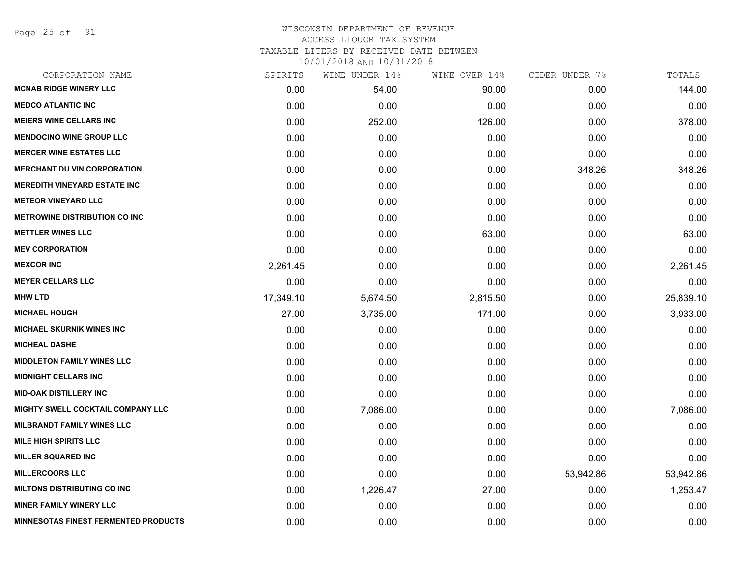Page 25 of 91

| CORPORATION NAME                            | SPIRITS   | WINE UNDER 14% | WINE OVER 14% | CIDER UNDER 7% | TOTALS    |
|---------------------------------------------|-----------|----------------|---------------|----------------|-----------|
| <b>MCNAB RIDGE WINERY LLC</b>               | 0.00      | 54.00          | 90.00         | 0.00           | 144.00    |
| <b>MEDCO ATLANTIC INC</b>                   | 0.00      | 0.00           | 0.00          | 0.00           | 0.00      |
| <b>MEIERS WINE CELLARS INC</b>              | 0.00      | 252.00         | 126.00        | 0.00           | 378.00    |
| <b>MENDOCINO WINE GROUP LLC</b>             | 0.00      | 0.00           | 0.00          | 0.00           | 0.00      |
| <b>MERCER WINE ESTATES LLC</b>              | 0.00      | 0.00           | 0.00          | 0.00           | 0.00      |
| <b>MERCHANT DU VIN CORPORATION</b>          | 0.00      | 0.00           | 0.00          | 348.26         | 348.26    |
| <b>MEREDITH VINEYARD ESTATE INC</b>         | 0.00      | 0.00           | 0.00          | 0.00           | 0.00      |
| <b>METEOR VINEYARD LLC</b>                  | 0.00      | 0.00           | 0.00          | 0.00           | 0.00      |
| <b>METROWINE DISTRIBUTION CO INC</b>        | 0.00      | 0.00           | 0.00          | 0.00           | 0.00      |
| <b>METTLER WINES LLC</b>                    | 0.00      | 0.00           | 63.00         | 0.00           | 63.00     |
| <b>MEV CORPORATION</b>                      | 0.00      | 0.00           | 0.00          | 0.00           | 0.00      |
| <b>MEXCOR INC</b>                           | 2,261.45  | 0.00           | 0.00          | 0.00           | 2,261.45  |
| <b>MEYER CELLARS LLC</b>                    | 0.00      | 0.00           | 0.00          | 0.00           | 0.00      |
| <b>MHW LTD</b>                              | 17,349.10 | 5,674.50       | 2,815.50      | 0.00           | 25,839.10 |
| <b>MICHAEL HOUGH</b>                        | 27.00     | 3,735.00       | 171.00        | 0.00           | 3,933.00  |
| <b>MICHAEL SKURNIK WINES INC</b>            | 0.00      | 0.00           | 0.00          | 0.00           | 0.00      |
| <b>MICHEAL DASHE</b>                        | 0.00      | 0.00           | 0.00          | 0.00           | 0.00      |
| <b>MIDDLETON FAMILY WINES LLC</b>           | 0.00      | 0.00           | 0.00          | 0.00           | 0.00      |
| <b>MIDNIGHT CELLARS INC</b>                 | 0.00      | 0.00           | 0.00          | 0.00           | 0.00      |
| <b>MID-OAK DISTILLERY INC</b>               | 0.00      | 0.00           | 0.00          | 0.00           | 0.00      |
| MIGHTY SWELL COCKTAIL COMPANY LLC           | 0.00      | 7,086.00       | 0.00          | 0.00           | 7,086.00  |
| <b>MILBRANDT FAMILY WINES LLC</b>           | 0.00      | 0.00           | 0.00          | 0.00           | 0.00      |
| <b>MILE HIGH SPIRITS LLC</b>                | 0.00      | 0.00           | 0.00          | 0.00           | 0.00      |
| <b>MILLER SQUARED INC</b>                   | 0.00      | 0.00           | 0.00          | 0.00           | 0.00      |
| <b>MILLERCOORS LLC</b>                      | 0.00      | 0.00           | 0.00          | 53,942.86      | 53,942.86 |
| <b>MILTONS DISTRIBUTING CO INC</b>          | 0.00      | 1,226.47       | 27.00         | 0.00           | 1,253.47  |
| <b>MINER FAMILY WINERY LLC</b>              | 0.00      | 0.00           | 0.00          | 0.00           | 0.00      |
| <b>MINNESOTAS FINEST FERMENTED PRODUCTS</b> | 0.00      | 0.00           | 0.00          | 0.00           | 0.00      |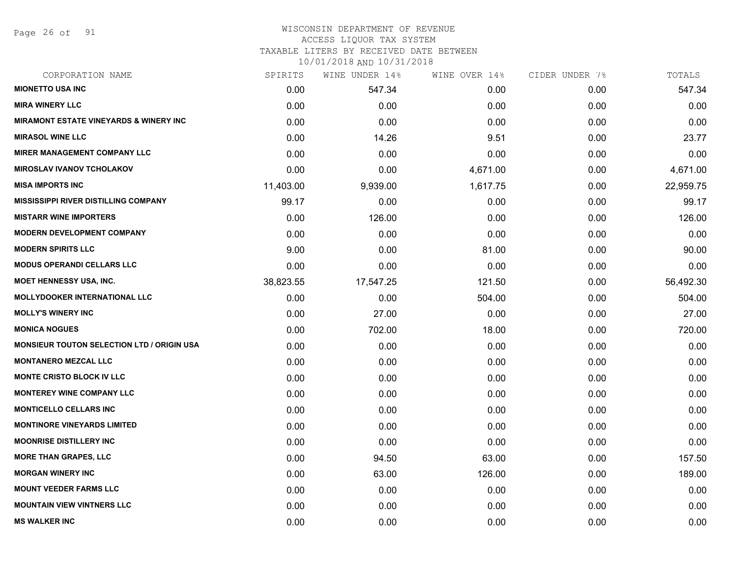Page 26 of 91

#### WISCONSIN DEPARTMENT OF REVENUE ACCESS LIQUOR TAX SYSTEM

TAXABLE LITERS BY RECEIVED DATE BETWEEN

| CORPORATION NAME                                  | SPIRITS   | WINE UNDER 14% | WINE OVER 14% | CIDER UNDER 7% | TOTALS    |
|---------------------------------------------------|-----------|----------------|---------------|----------------|-----------|
| <b>MIONETTO USA INC</b>                           | 0.00      | 547.34         | 0.00          | 0.00           | 547.34    |
| <b>MIRA WINERY LLC</b>                            | 0.00      | 0.00           | 0.00          | 0.00           | 0.00      |
| <b>MIRAMONT ESTATE VINEYARDS &amp; WINERY INC</b> | 0.00      | 0.00           | 0.00          | 0.00           | 0.00      |
| <b>MIRASOL WINE LLC</b>                           | 0.00      | 14.26          | 9.51          | 0.00           | 23.77     |
| <b>MIRER MANAGEMENT COMPANY LLC</b>               | 0.00      | 0.00           | 0.00          | 0.00           | 0.00      |
| <b>MIROSLAV IVANOV TCHOLAKOV</b>                  | 0.00      | 0.00           | 4,671.00      | 0.00           | 4,671.00  |
| <b>MISA IMPORTS INC</b>                           | 11,403.00 | 9,939.00       | 1,617.75      | 0.00           | 22,959.75 |
| <b>MISSISSIPPI RIVER DISTILLING COMPANY</b>       | 99.17     | 0.00           | 0.00          | 0.00           | 99.17     |
| <b>MISTARR WINE IMPORTERS</b>                     | 0.00      | 126.00         | 0.00          | 0.00           | 126.00    |
| <b>MODERN DEVELOPMENT COMPANY</b>                 | 0.00      | 0.00           | 0.00          | 0.00           | 0.00      |
| <b>MODERN SPIRITS LLC</b>                         | 9.00      | 0.00           | 81.00         | 0.00           | 90.00     |
| <b>MODUS OPERANDI CELLARS LLC</b>                 | 0.00      | 0.00           | 0.00          | 0.00           | 0.00      |
| <b>MOET HENNESSY USA, INC.</b>                    | 38,823.55 | 17,547.25      | 121.50        | 0.00           | 56,492.30 |
| <b>MOLLYDOOKER INTERNATIONAL LLC</b>              | 0.00      | 0.00           | 504.00        | 0.00           | 504.00    |
| <b>MOLLY'S WINERY INC</b>                         | 0.00      | 27.00          | 0.00          | 0.00           | 27.00     |
| <b>MONICA NOGUES</b>                              | 0.00      | 702.00         | 18.00         | 0.00           | 720.00    |
| <b>MONSIEUR TOUTON SELECTION LTD / ORIGIN USA</b> | 0.00      | 0.00           | 0.00          | 0.00           | 0.00      |
| <b>MONTANERO MEZCAL LLC</b>                       | 0.00      | 0.00           | 0.00          | 0.00           | 0.00      |
| <b>MONTE CRISTO BLOCK IV LLC</b>                  | 0.00      | 0.00           | 0.00          | 0.00           | 0.00      |
| <b>MONTEREY WINE COMPANY LLC</b>                  | 0.00      | 0.00           | 0.00          | 0.00           | 0.00      |
| <b>MONTICELLO CELLARS INC</b>                     | 0.00      | 0.00           | 0.00          | 0.00           | 0.00      |
| <b>MONTINORE VINEYARDS LIMITED</b>                | 0.00      | 0.00           | 0.00          | 0.00           | 0.00      |
| <b>MOONRISE DISTILLERY INC</b>                    | 0.00      | 0.00           | 0.00          | 0.00           | 0.00      |
| <b>MORE THAN GRAPES, LLC</b>                      | 0.00      | 94.50          | 63.00         | 0.00           | 157.50    |
| <b>MORGAN WINERY INC</b>                          | 0.00      | 63.00          | 126.00        | 0.00           | 189.00    |
| <b>MOUNT VEEDER FARMS LLC</b>                     | 0.00      | 0.00           | 0.00          | 0.00           | 0.00      |
| <b>MOUNTAIN VIEW VINTNERS LLC</b>                 | 0.00      | 0.00           | 0.00          | 0.00           | 0.00      |
| <b>MS WALKER INC</b>                              | 0.00      | 0.00           | 0.00          | 0.00           | 0.00      |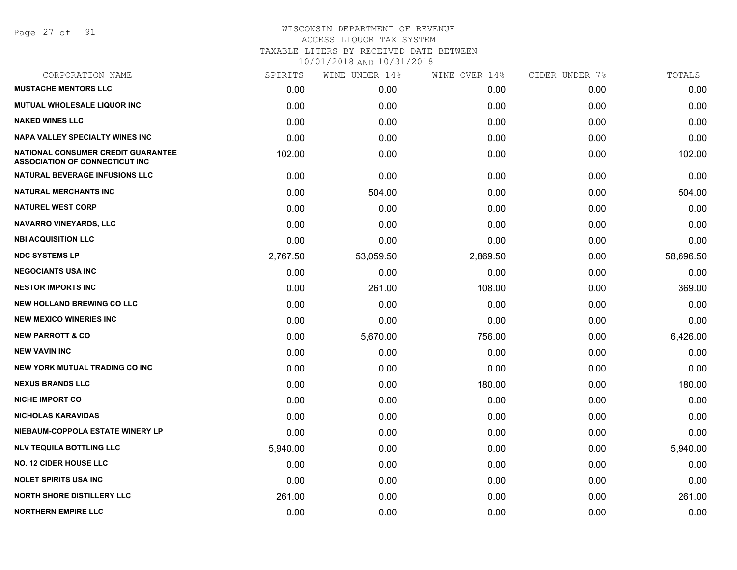Page 27 of 91

| CORPORATION NAME                                                                   | SPIRITS  | WINE UNDER 14% | WINE OVER 14% | CIDER UNDER 7% | TOTALS    |
|------------------------------------------------------------------------------------|----------|----------------|---------------|----------------|-----------|
| <b>MUSTACHE MENTORS LLC</b>                                                        | 0.00     | 0.00           | 0.00          | 0.00           | 0.00      |
| <b>MUTUAL WHOLESALE LIQUOR INC</b>                                                 | 0.00     | 0.00           | 0.00          | 0.00           | 0.00      |
| <b>NAKED WINES LLC</b>                                                             | 0.00     | 0.00           | 0.00          | 0.00           | 0.00      |
| <b>NAPA VALLEY SPECIALTY WINES INC</b>                                             | 0.00     | 0.00           | 0.00          | 0.00           | 0.00      |
| <b>NATIONAL CONSUMER CREDIT GUARANTEE</b><br><b>ASSOCIATION OF CONNECTICUT INC</b> | 102.00   | 0.00           | 0.00          | 0.00           | 102.00    |
| <b>NATURAL BEVERAGE INFUSIONS LLC</b>                                              | 0.00     | 0.00           | 0.00          | 0.00           | 0.00      |
| <b>NATURAL MERCHANTS INC</b>                                                       | 0.00     | 504.00         | 0.00          | 0.00           | 504.00    |
| <b>NATUREL WEST CORP</b>                                                           | 0.00     | 0.00           | 0.00          | 0.00           | 0.00      |
| <b>NAVARRO VINEYARDS, LLC</b>                                                      | 0.00     | 0.00           | 0.00          | 0.00           | 0.00      |
| <b>NBI ACQUISITION LLC</b>                                                         | 0.00     | 0.00           | 0.00          | 0.00           | 0.00      |
| <b>NDC SYSTEMS LP</b>                                                              | 2,767.50 | 53,059.50      | 2,869.50      | 0.00           | 58,696.50 |
| <b>NEGOCIANTS USA INC</b>                                                          | 0.00     | 0.00           | 0.00          | 0.00           | 0.00      |
| <b>NESTOR IMPORTS INC</b>                                                          | 0.00     | 261.00         | 108.00        | 0.00           | 369.00    |
| <b>NEW HOLLAND BREWING CO LLC</b>                                                  | 0.00     | 0.00           | 0.00          | 0.00           | 0.00      |
| <b>NEW MEXICO WINERIES INC</b>                                                     | 0.00     | 0.00           | 0.00          | 0.00           | 0.00      |
| <b>NEW PARROTT &amp; CO</b>                                                        | 0.00     | 5,670.00       | 756.00        | 0.00           | 6,426.00  |
| <b>NEW VAVIN INC</b>                                                               | 0.00     | 0.00           | 0.00          | 0.00           | 0.00      |
| NEW YORK MUTUAL TRADING CO INC                                                     | 0.00     | 0.00           | 0.00          | 0.00           | 0.00      |
| <b>NEXUS BRANDS LLC</b>                                                            | 0.00     | 0.00           | 180.00        | 0.00           | 180.00    |
| <b>NICHE IMPORT CO</b>                                                             | 0.00     | 0.00           | 0.00          | 0.00           | 0.00      |
| <b>NICHOLAS KARAVIDAS</b>                                                          | 0.00     | 0.00           | 0.00          | 0.00           | 0.00      |
| NIEBAUM-COPPOLA ESTATE WINERY LP                                                   | 0.00     | 0.00           | 0.00          | 0.00           | 0.00      |
| <b>NLV TEQUILA BOTTLING LLC</b>                                                    | 5,940.00 | 0.00           | 0.00          | 0.00           | 5,940.00  |
| <b>NO. 12 CIDER HOUSE LLC</b>                                                      | 0.00     | 0.00           | 0.00          | 0.00           | 0.00      |
| <b>NOLET SPIRITS USA INC</b>                                                       | 0.00     | 0.00           | 0.00          | 0.00           | 0.00      |
| <b>NORTH SHORE DISTILLERY LLC</b>                                                  | 261.00   | 0.00           | 0.00          | 0.00           | 261.00    |
| <b>NORTHERN EMPIRE LLC</b>                                                         | 0.00     | 0.00           | 0.00          | 0.00           | 0.00      |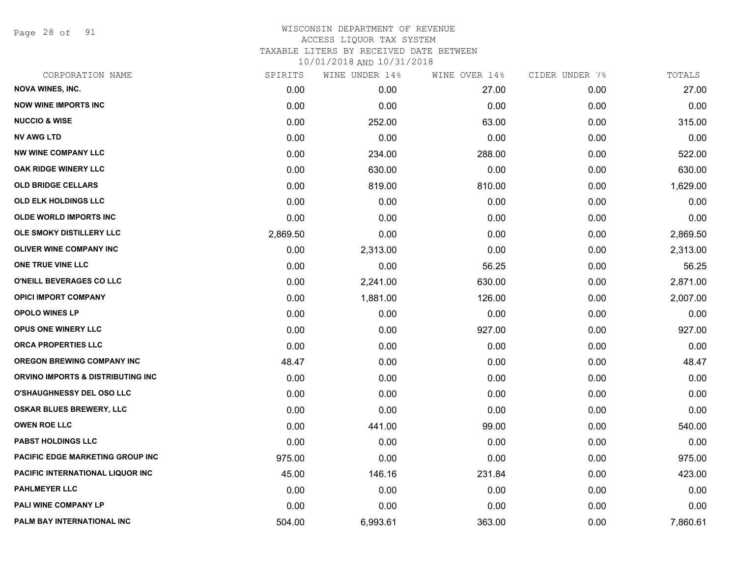Page 28 of 91

| CORPORATION NAME                        | SPIRITS  | WINE UNDER 14% | WINE OVER 14% | CIDER UNDER 7% | TOTALS   |
|-----------------------------------------|----------|----------------|---------------|----------------|----------|
| <b>NOVA WINES, INC.</b>                 | 0.00     | 0.00           | 27.00         | 0.00           | 27.00    |
| <b>NOW WINE IMPORTS INC</b>             | 0.00     | 0.00           | 0.00          | 0.00           | 0.00     |
| <b>NUCCIO &amp; WISE</b>                | 0.00     | 252.00         | 63.00         | 0.00           | 315.00   |
| <b>NV AWG LTD</b>                       | 0.00     | 0.00           | 0.00          | 0.00           | 0.00     |
| <b>NW WINE COMPANY LLC</b>              | 0.00     | 234.00         | 288.00        | 0.00           | 522.00   |
| OAK RIDGE WINERY LLC                    | 0.00     | 630.00         | 0.00          | 0.00           | 630.00   |
| <b>OLD BRIDGE CELLARS</b>               | 0.00     | 819.00         | 810.00        | 0.00           | 1,629.00 |
| <b>OLD ELK HOLDINGS LLC</b>             | 0.00     | 0.00           | 0.00          | 0.00           | 0.00     |
| <b>OLDE WORLD IMPORTS INC</b>           | 0.00     | 0.00           | 0.00          | 0.00           | 0.00     |
| OLE SMOKY DISTILLERY LLC                | 2,869.50 | 0.00           | 0.00          | 0.00           | 2,869.50 |
| OLIVER WINE COMPANY INC                 | 0.00     | 2,313.00       | 0.00          | 0.00           | 2,313.00 |
| ONE TRUE VINE LLC                       | 0.00     | 0.00           | 56.25         | 0.00           | 56.25    |
| O'NEILL BEVERAGES CO LLC                | 0.00     | 2,241.00       | 630.00        | 0.00           | 2,871.00 |
| <b>OPICI IMPORT COMPANY</b>             | 0.00     | 1,881.00       | 126.00        | 0.00           | 2,007.00 |
| <b>OPOLO WINES LP</b>                   | 0.00     | 0.00           | 0.00          | 0.00           | 0.00     |
| <b>OPUS ONE WINERY LLC</b>              | 0.00     | 0.00           | 927.00        | 0.00           | 927.00   |
| <b>ORCA PROPERTIES LLC</b>              | 0.00     | 0.00           | 0.00          | 0.00           | 0.00     |
| <b>OREGON BREWING COMPANY INC</b>       | 48.47    | 0.00           | 0.00          | 0.00           | 48.47    |
| ORVINO IMPORTS & DISTRIBUTING INC       | 0.00     | 0.00           | 0.00          | 0.00           | 0.00     |
| <b>O'SHAUGHNESSY DEL OSO LLC</b>        | 0.00     | 0.00           | 0.00          | 0.00           | 0.00     |
| OSKAR BLUES BREWERY, LLC                | 0.00     | 0.00           | 0.00          | 0.00           | 0.00     |
| <b>OWEN ROE LLC</b>                     | 0.00     | 441.00         | 99.00         | 0.00           | 540.00   |
| <b>PABST HOLDINGS LLC</b>               | 0.00     | 0.00           | 0.00          | 0.00           | 0.00     |
| <b>PACIFIC EDGE MARKETING GROUP INC</b> | 975.00   | 0.00           | 0.00          | 0.00           | 975.00   |
| PACIFIC INTERNATIONAL LIQUOR INC        | 45.00    | 146.16         | 231.84        | 0.00           | 423.00   |
| <b>PAHLMEYER LLC</b>                    | 0.00     | 0.00           | 0.00          | 0.00           | 0.00     |
| <b>PALI WINE COMPANY LP</b>             | 0.00     | 0.00           | 0.00          | 0.00           | 0.00     |
| PALM BAY INTERNATIONAL INC              | 504.00   | 6,993.61       | 363.00        | 0.00           | 7,860.61 |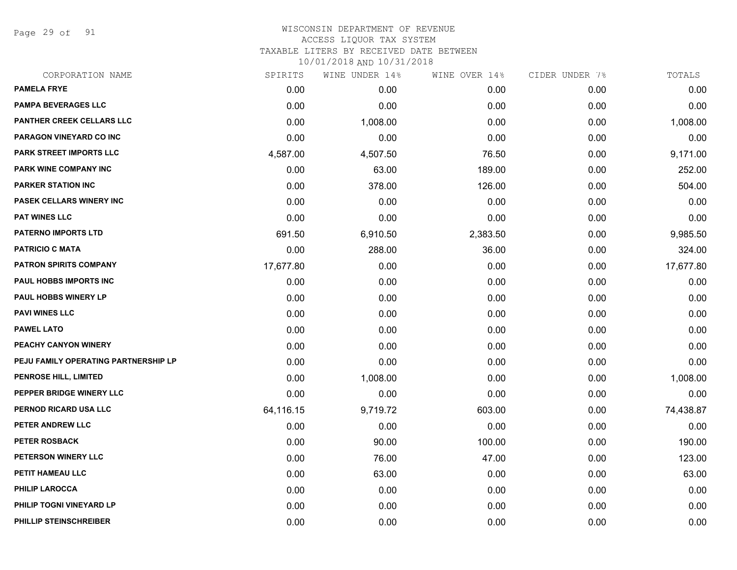Page 29 of 91

# WISCONSIN DEPARTMENT OF REVENUE ACCESS LIQUOR TAX SYSTEM TAXABLE LITERS BY RECEIVED DATE BETWEEN

| CORPORATION NAME                     | SPIRITS   | WINE UNDER 14% | WINE OVER 14% | CIDER UNDER 7% | TOTALS    |
|--------------------------------------|-----------|----------------|---------------|----------------|-----------|
| <b>PAMELA FRYE</b>                   | 0.00      | 0.00           | 0.00          | 0.00           | 0.00      |
| <b>PAMPA BEVERAGES LLC</b>           | 0.00      | 0.00           | 0.00          | 0.00           | 0.00      |
| <b>PANTHER CREEK CELLARS LLC</b>     | 0.00      | 1,008.00       | 0.00          | 0.00           | 1,008.00  |
| <b>PARAGON VINEYARD CO INC</b>       | 0.00      | 0.00           | 0.00          | 0.00           | 0.00      |
| PARK STREET IMPORTS LLC              | 4,587.00  | 4,507.50       | 76.50         | 0.00           | 9,171.00  |
| PARK WINE COMPANY INC                | 0.00      | 63.00          | 189.00        | 0.00           | 252.00    |
| <b>PARKER STATION INC</b>            | 0.00      | 378.00         | 126.00        | 0.00           | 504.00    |
| <b>PASEK CELLARS WINERY INC</b>      | 0.00      | 0.00           | 0.00          | 0.00           | 0.00      |
| <b>PAT WINES LLC</b>                 | 0.00      | 0.00           | 0.00          | 0.00           | 0.00      |
| <b>PATERNO IMPORTS LTD</b>           | 691.50    | 6,910.50       | 2,383.50      | 0.00           | 9,985.50  |
| <b>PATRICIO C MATA</b>               | 0.00      | 288.00         | 36.00         | 0.00           | 324.00    |
| <b>PATRON SPIRITS COMPANY</b>        | 17,677.80 | 0.00           | 0.00          | 0.00           | 17,677.80 |
| PAUL HOBBS IMPORTS INC               | 0.00      | 0.00           | 0.00          | 0.00           | 0.00      |
| <b>PAUL HOBBS WINERY LP</b>          | 0.00      | 0.00           | 0.00          | 0.00           | 0.00      |
| <b>PAVI WINES LLC</b>                | 0.00      | 0.00           | 0.00          | 0.00           | 0.00      |
| <b>PAWEL LATO</b>                    | 0.00      | 0.00           | 0.00          | 0.00           | 0.00      |
| PEACHY CANYON WINERY                 | 0.00      | 0.00           | 0.00          | 0.00           | 0.00      |
| PEJU FAMILY OPERATING PARTNERSHIP LP | 0.00      | 0.00           | 0.00          | 0.00           | 0.00      |
| <b>PENROSE HILL, LIMITED</b>         | 0.00      | 1,008.00       | 0.00          | 0.00           | 1,008.00  |
| PEPPER BRIDGE WINERY LLC             | 0.00      | 0.00           | 0.00          | 0.00           | 0.00      |
| PERNOD RICARD USA LLC                | 64,116.15 | 9,719.72       | 603.00        | 0.00           | 74,438.87 |
| PETER ANDREW LLC                     | 0.00      | 0.00           | 0.00          | 0.00           | 0.00      |
| <b>PETER ROSBACK</b>                 | 0.00      | 90.00          | 100.00        | 0.00           | 190.00    |
| PETERSON WINERY LLC                  | 0.00      | 76.00          | 47.00         | 0.00           | 123.00    |
| PETIT HAMEAU LLC                     | 0.00      | 63.00          | 0.00          | 0.00           | 63.00     |
| <b>PHILIP LAROCCA</b>                | 0.00      | 0.00           | 0.00          | 0.00           | 0.00      |
| PHILIP TOGNI VINEYARD LP             | 0.00      | 0.00           | 0.00          | 0.00           | 0.00      |
| PHILLIP STEINSCHREIBER               | 0.00      | 0.00           | 0.00          | 0.00           | 0.00      |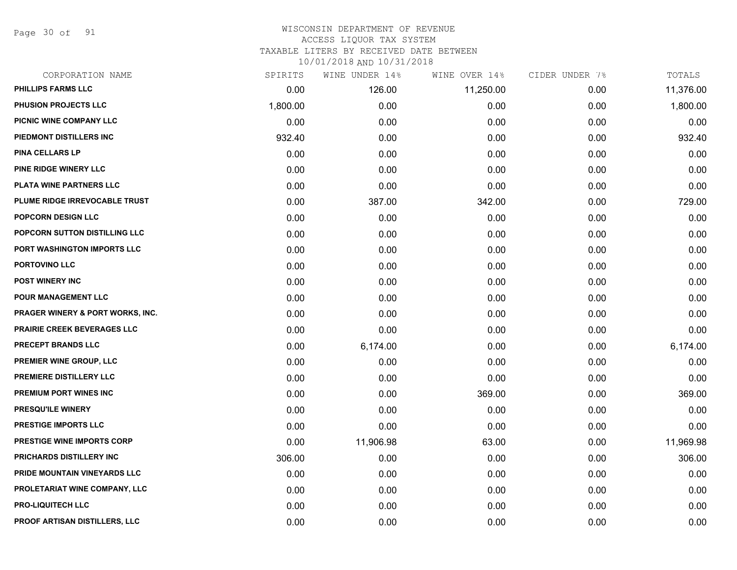Page 30 of 91

#### WISCONSIN DEPARTMENT OF REVENUE ACCESS LIQUOR TAX SYSTEM TAXABLE LITERS BY RECEIVED DATE BETWEEN

| CORPORATION NAME                 | SPIRITS  | WINE UNDER 14% | WINE OVER 14% | CIDER UNDER 7% | TOTALS    |
|----------------------------------|----------|----------------|---------------|----------------|-----------|
| PHILLIPS FARMS LLC               | 0.00     | 126.00         | 11,250.00     | 0.00           | 11,376.00 |
| PHUSION PROJECTS LLC             | 1,800.00 | 0.00           | 0.00          | 0.00           | 1,800.00  |
| PICNIC WINE COMPANY LLC          | 0.00     | 0.00           | 0.00          | 0.00           | 0.00      |
| PIEDMONT DISTILLERS INC          | 932.40   | 0.00           | 0.00          | 0.00           | 932.40    |
| <b>PINA CELLARS LP</b>           | 0.00     | 0.00           | 0.00          | 0.00           | 0.00      |
| PINE RIDGE WINERY LLC            | 0.00     | 0.00           | 0.00          | 0.00           | 0.00      |
| PLATA WINE PARTNERS LLC          | 0.00     | 0.00           | 0.00          | 0.00           | 0.00      |
| PLUME RIDGE IRREVOCABLE TRUST    | 0.00     | 387.00         | 342.00        | 0.00           | 729.00    |
| POPCORN DESIGN LLC               | 0.00     | 0.00           | 0.00          | 0.00           | 0.00      |
| POPCORN SUTTON DISTILLING LLC    | 0.00     | 0.00           | 0.00          | 0.00           | 0.00      |
| PORT WASHINGTON IMPORTS LLC      | 0.00     | 0.00           | 0.00          | 0.00           | 0.00      |
| PORTOVINO LLC                    | 0.00     | 0.00           | 0.00          | 0.00           | 0.00      |
| <b>POST WINERY INC</b>           | 0.00     | 0.00           | 0.00          | 0.00           | 0.00      |
| POUR MANAGEMENT LLC              | 0.00     | 0.00           | 0.00          | 0.00           | 0.00      |
| PRAGER WINERY & PORT WORKS, INC. | 0.00     | 0.00           | 0.00          | 0.00           | 0.00      |
| PRAIRIE CREEK BEVERAGES LLC      | 0.00     | 0.00           | 0.00          | 0.00           | 0.00      |
| PRECEPT BRANDS LLC               | 0.00     | 6,174.00       | 0.00          | 0.00           | 6,174.00  |
| PREMIER WINE GROUP, LLC          | 0.00     | 0.00           | 0.00          | 0.00           | 0.00      |
| PREMIERE DISTILLERY LLC          | 0.00     | 0.00           | 0.00          | 0.00           | 0.00      |
| PREMIUM PORT WINES INC           | 0.00     | 0.00           | 369.00        | 0.00           | 369.00    |
| <b>PRESQU'ILE WINERY</b>         | 0.00     | 0.00           | 0.00          | 0.00           | 0.00      |
| PRESTIGE IMPORTS LLC             | 0.00     | 0.00           | 0.00          | 0.00           | 0.00      |
| PRESTIGE WINE IMPORTS CORP       | 0.00     | 11,906.98      | 63.00         | 0.00           | 11,969.98 |
| PRICHARDS DISTILLERY INC         | 306.00   | 0.00           | 0.00          | 0.00           | 306.00    |
| PRIDE MOUNTAIN VINEYARDS LLC     | 0.00     | 0.00           | 0.00          | 0.00           | 0.00      |
| PROLETARIAT WINE COMPANY, LLC    | 0.00     | 0.00           | 0.00          | 0.00           | 0.00      |
| <b>PRO-LIQUITECH LLC</b>         | 0.00     | 0.00           | 0.00          | 0.00           | 0.00      |
| PROOF ARTISAN DISTILLERS, LLC    | 0.00     | 0.00           | 0.00          | 0.00           | 0.00      |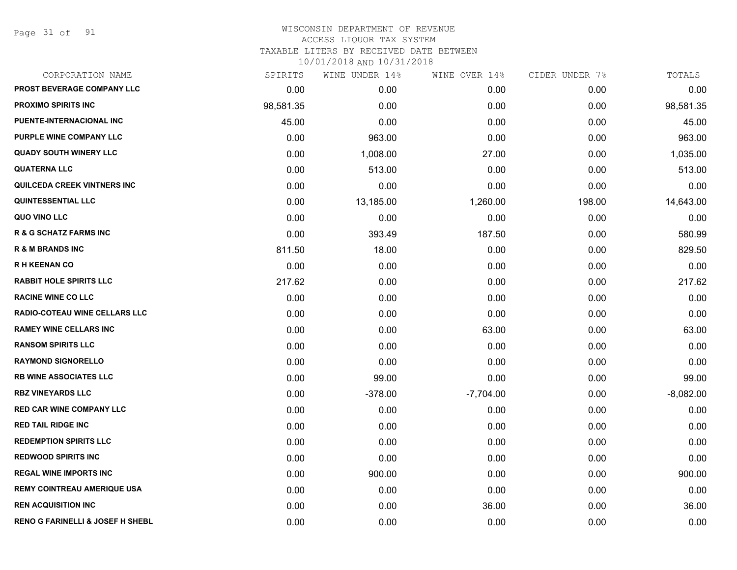Page 31 of 91

#### WISCONSIN DEPARTMENT OF REVENUE ACCESS LIQUOR TAX SYSTEM TAXABLE LITERS BY RECEIVED DATE BETWEEN

| CORPORATION NAME                            | SPIRITS   | WINE UNDER 14% | WINE OVER 14% | CIDER UNDER 7% | TOTALS      |
|---------------------------------------------|-----------|----------------|---------------|----------------|-------------|
| PROST BEVERAGE COMPANY LLC                  | 0.00      | 0.00           | 0.00          | 0.00           | 0.00        |
| <b>PROXIMO SPIRITS INC</b>                  | 98,581.35 | 0.00           | 0.00          | 0.00           | 98,581.35   |
| PUENTE-INTERNACIONAL INC                    | 45.00     | 0.00           | 0.00          | 0.00           | 45.00       |
| PURPLE WINE COMPANY LLC                     | 0.00      | 963.00         | 0.00          | 0.00           | 963.00      |
| <b>QUADY SOUTH WINERY LLC</b>               | 0.00      | 1,008.00       | 27.00         | 0.00           | 1,035.00    |
| <b>QUATERNA LLC</b>                         | 0.00      | 513.00         | 0.00          | 0.00           | 513.00      |
| QUILCEDA CREEK VINTNERS INC                 | 0.00      | 0.00           | 0.00          | 0.00           | 0.00        |
| <b>QUINTESSENTIAL LLC</b>                   | 0.00      | 13,185.00      | 1,260.00      | 198.00         | 14,643.00   |
| QUO VINO LLC                                | 0.00      | 0.00           | 0.00          | 0.00           | 0.00        |
| <b>R &amp; G SCHATZ FARMS INC</b>           | 0.00      | 393.49         | 187.50        | 0.00           | 580.99      |
| <b>R &amp; M BRANDS INC</b>                 | 811.50    | 18.00          | 0.00          | 0.00           | 829.50      |
| <b>RH KEENAN CO</b>                         | 0.00      | 0.00           | 0.00          | 0.00           | 0.00        |
| <b>RABBIT HOLE SPIRITS LLC</b>              | 217.62    | 0.00           | 0.00          | 0.00           | 217.62      |
| <b>RACINE WINE CO LLC</b>                   | 0.00      | 0.00           | 0.00          | 0.00           | 0.00        |
| <b>RADIO-COTEAU WINE CELLARS LLC</b>        | 0.00      | 0.00           | 0.00          | 0.00           | 0.00        |
| <b>RAMEY WINE CELLARS INC</b>               | 0.00      | 0.00           | 63.00         | 0.00           | 63.00       |
| <b>RANSOM SPIRITS LLC</b>                   | 0.00      | 0.00           | 0.00          | 0.00           | 0.00        |
| <b>RAYMOND SIGNORELLO</b>                   | 0.00      | 0.00           | 0.00          | 0.00           | 0.00        |
| <b>RB WINE ASSOCIATES LLC</b>               | 0.00      | 99.00          | 0.00          | 0.00           | 99.00       |
| <b>RBZ VINEYARDS LLC</b>                    | 0.00      | $-378.00$      | $-7,704.00$   | 0.00           | $-8,082.00$ |
| <b>RED CAR WINE COMPANY LLC</b>             | 0.00      | 0.00           | 0.00          | 0.00           | 0.00        |
| <b>RED TAIL RIDGE INC</b>                   | 0.00      | 0.00           | 0.00          | 0.00           | 0.00        |
| <b>REDEMPTION SPIRITS LLC</b>               | 0.00      | 0.00           | 0.00          | 0.00           | 0.00        |
| <b>REDWOOD SPIRITS INC</b>                  | 0.00      | 0.00           | 0.00          | 0.00           | 0.00        |
| <b>REGAL WINE IMPORTS INC</b>               | 0.00      | 900.00         | 0.00          | 0.00           | 900.00      |
| <b>REMY COINTREAU AMERIQUE USA</b>          | 0.00      | 0.00           | 0.00          | 0.00           | 0.00        |
| <b>REN ACQUISITION INC</b>                  | 0.00      | 0.00           | 36.00         | 0.00           | 36.00       |
| <b>RENO G FARINELLI &amp; JOSEF H SHEBL</b> | 0.00      | 0.00           | 0.00          | 0.00           | 0.00        |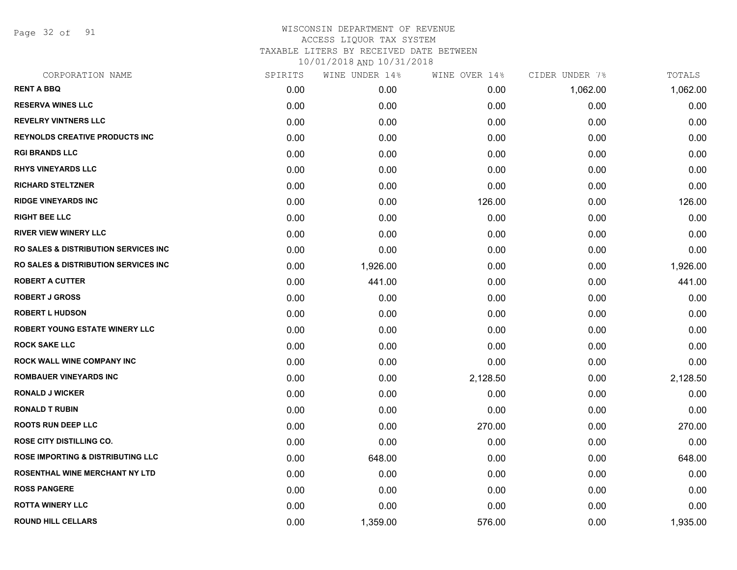Page 32 of 91

| SPIRITS | WINE UNDER 14% |          | CIDER UNDER 7% | TOTALS   |
|---------|----------------|----------|----------------|----------|
| 0.00    | 0.00           | 0.00     | 1,062.00       | 1,062.00 |
| 0.00    | 0.00           | 0.00     | 0.00           | 0.00     |
| 0.00    | 0.00           | 0.00     | 0.00           | 0.00     |
| 0.00    | 0.00           | 0.00     | 0.00           | 0.00     |
| 0.00    | 0.00           | 0.00     | 0.00           | 0.00     |
| 0.00    | 0.00           | 0.00     | 0.00           | 0.00     |
| 0.00    | 0.00           | 0.00     | 0.00           | 0.00     |
| 0.00    | 0.00           | 126.00   | 0.00           | 126.00   |
| 0.00    | 0.00           | 0.00     | 0.00           | 0.00     |
| 0.00    | 0.00           | 0.00     | 0.00           | 0.00     |
| 0.00    | 0.00           | 0.00     | 0.00           | 0.00     |
| 0.00    | 1,926.00       | 0.00     | 0.00           | 1,926.00 |
| 0.00    | 441.00         | 0.00     | 0.00           | 441.00   |
| 0.00    | 0.00           | 0.00     | 0.00           | 0.00     |
| 0.00    | 0.00           | 0.00     | 0.00           | 0.00     |
| 0.00    | 0.00           | 0.00     | 0.00           | 0.00     |
| 0.00    | 0.00           | 0.00     | 0.00           | 0.00     |
| 0.00    | 0.00           | 0.00     | 0.00           | 0.00     |
| 0.00    | 0.00           | 2,128.50 | 0.00           | 2,128.50 |
| 0.00    | 0.00           | 0.00     | 0.00           | 0.00     |
| 0.00    | 0.00           | 0.00     | 0.00           | 0.00     |
| 0.00    | 0.00           | 270.00   | 0.00           | 270.00   |
| 0.00    | 0.00           | 0.00     | 0.00           | 0.00     |
| 0.00    | 648.00         | 0.00     | 0.00           | 648.00   |
| 0.00    | 0.00           | 0.00     | 0.00           | 0.00     |
| 0.00    | 0.00           | 0.00     | 0.00           | 0.00     |
| 0.00    | 0.00           | 0.00     | 0.00           | 0.00     |
| 0.00    | 1,359.00       | 576.00   | 0.00           | 1,935.00 |
|         |                |          | WINE OVER 14%  |          |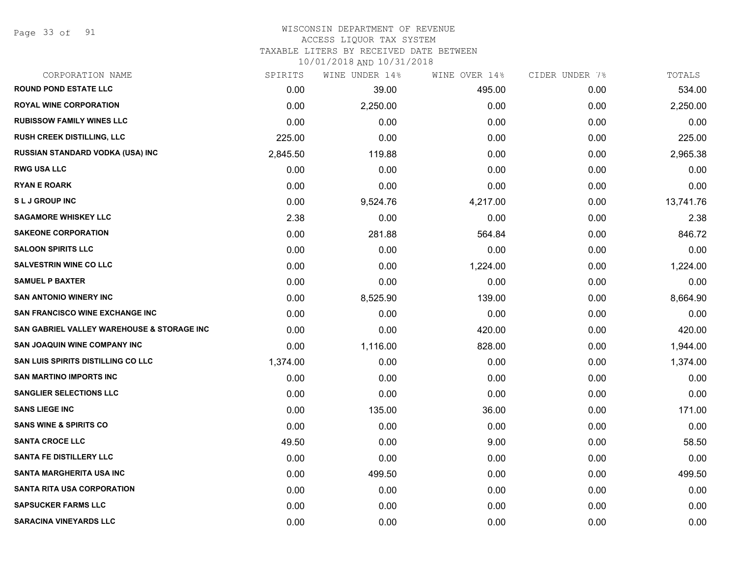Page 33 of 91

# WISCONSIN DEPARTMENT OF REVENUE

## ACCESS LIQUOR TAX SYSTEM

TAXABLE LITERS BY RECEIVED DATE BETWEEN

| CORPORATION NAME                           | SPIRITS  | WINE UNDER 14% | WINE OVER 14% | CIDER UNDER 7% | TOTALS    |
|--------------------------------------------|----------|----------------|---------------|----------------|-----------|
| <b>ROUND POND ESTATE LLC</b>               | 0.00     | 39.00          | 495.00        | 0.00           | 534.00    |
| <b>ROYAL WINE CORPORATION</b>              | 0.00     | 2,250.00       | 0.00          | 0.00           | 2,250.00  |
| <b>RUBISSOW FAMILY WINES LLC</b>           | 0.00     | 0.00           | 0.00          | 0.00           | 0.00      |
| <b>RUSH CREEK DISTILLING, LLC</b>          | 225.00   | 0.00           | 0.00          | 0.00           | 225.00    |
| RUSSIAN STANDARD VODKA (USA) INC           | 2,845.50 | 119.88         | 0.00          | 0.00           | 2,965.38  |
| <b>RWG USA LLC</b>                         | 0.00     | 0.00           | 0.00          | 0.00           | 0.00      |
| <b>RYAN E ROARK</b>                        | 0.00     | 0.00           | 0.00          | 0.00           | 0.00      |
| <b>SLJ GROUP INC</b>                       | 0.00     | 9,524.76       | 4,217.00      | 0.00           | 13,741.76 |
| <b>SAGAMORE WHISKEY LLC</b>                | 2.38     | 0.00           | 0.00          | 0.00           | 2.38      |
| <b>SAKEONE CORPORATION</b>                 | 0.00     | 281.88         | 564.84        | 0.00           | 846.72    |
| <b>SALOON SPIRITS LLC</b>                  | 0.00     | 0.00           | 0.00          | 0.00           | 0.00      |
| <b>SALVESTRIN WINE CO LLC</b>              | 0.00     | 0.00           | 1,224.00      | 0.00           | 1,224.00  |
| <b>SAMUEL P BAXTER</b>                     | 0.00     | 0.00           | 0.00          | 0.00           | 0.00      |
| <b>SAN ANTONIO WINERY INC</b>              | 0.00     | 8,525.90       | 139.00        | 0.00           | 8,664.90  |
| <b>SAN FRANCISCO WINE EXCHANGE INC</b>     | 0.00     | 0.00           | 0.00          | 0.00           | 0.00      |
| SAN GABRIEL VALLEY WAREHOUSE & STORAGE INC | 0.00     | 0.00           | 420.00        | 0.00           | 420.00    |
| <b>SAN JOAQUIN WINE COMPANY INC</b>        | 0.00     | 1,116.00       | 828.00        | 0.00           | 1,944.00  |
| SAN LUIS SPIRITS DISTILLING CO LLC         | 1,374.00 | 0.00           | 0.00          | 0.00           | 1,374.00  |
| <b>SAN MARTINO IMPORTS INC</b>             | 0.00     | 0.00           | 0.00          | 0.00           | 0.00      |
| <b>SANGLIER SELECTIONS LLC</b>             | 0.00     | 0.00           | 0.00          | 0.00           | 0.00      |
| <b>SANS LIEGE INC</b>                      | 0.00     | 135.00         | 36.00         | 0.00           | 171.00    |
| <b>SANS WINE &amp; SPIRITS CO</b>          | 0.00     | 0.00           | 0.00          | 0.00           | 0.00      |
| <b>SANTA CROCE LLC</b>                     | 49.50    | 0.00           | 9.00          | 0.00           | 58.50     |
| SANTA FE DISTILLERY LLC                    | 0.00     | 0.00           | 0.00          | 0.00           | 0.00      |
| <b>SANTA MARGHERITA USA INC</b>            | 0.00     | 499.50         | 0.00          | 0.00           | 499.50    |
| <b>SANTA RITA USA CORPORATION</b>          | 0.00     | 0.00           | 0.00          | 0.00           | 0.00      |
| <b>SAPSUCKER FARMS LLC</b>                 | 0.00     | 0.00           | 0.00          | 0.00           | 0.00      |
| <b>SARACINA VINEYARDS LLC</b>              | 0.00     | 0.00           | 0.00          | 0.00           | 0.00      |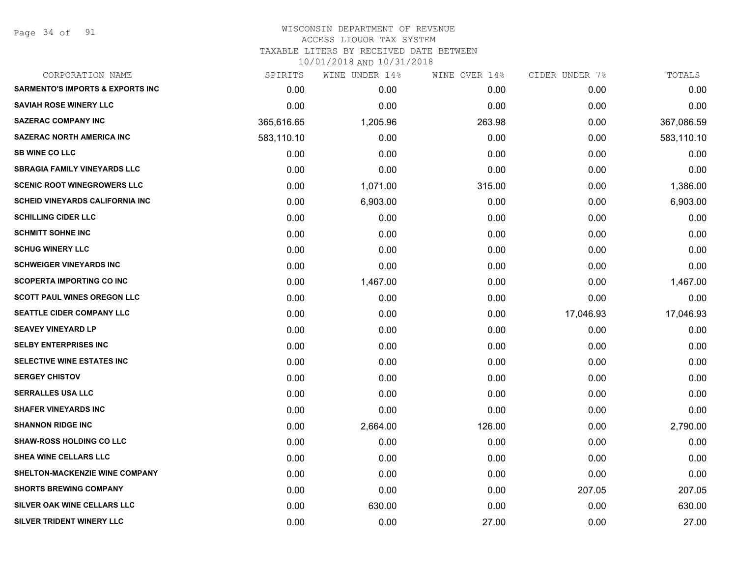Page 34 of 91

| CORPORATION NAME                            | SPIRITS    | WINE UNDER 14% | WINE OVER 14% | CIDER UNDER 7% | TOTALS     |
|---------------------------------------------|------------|----------------|---------------|----------------|------------|
| <b>SARMENTO'S IMPORTS &amp; EXPORTS INC</b> | 0.00       | 0.00           | 0.00          | 0.00           | 0.00       |
| <b>SAVIAH ROSE WINERY LLC</b>               | 0.00       | 0.00           | 0.00          | 0.00           | 0.00       |
| <b>SAZERAC COMPANY INC</b>                  | 365,616.65 | 1,205.96       | 263.98        | 0.00           | 367,086.59 |
| <b>SAZERAC NORTH AMERICA INC</b>            | 583,110.10 | 0.00           | 0.00          | 0.00           | 583,110.10 |
| <b>SB WINE CO LLC</b>                       | 0.00       | 0.00           | 0.00          | 0.00           | 0.00       |
| <b>SBRAGIA FAMILY VINEYARDS LLC</b>         | 0.00       | 0.00           | 0.00          | 0.00           | 0.00       |
| <b>SCENIC ROOT WINEGROWERS LLC</b>          | 0.00       | 1,071.00       | 315.00        | 0.00           | 1,386.00   |
| <b>SCHEID VINEYARDS CALIFORNIA INC.</b>     | 0.00       | 6,903.00       | 0.00          | 0.00           | 6,903.00   |
| <b>SCHILLING CIDER LLC</b>                  | 0.00       | 0.00           | 0.00          | 0.00           | 0.00       |
| <b>SCHMITT SOHNE INC</b>                    | 0.00       | 0.00           | 0.00          | 0.00           | 0.00       |
| <b>SCHUG WINERY LLC</b>                     | 0.00       | 0.00           | 0.00          | 0.00           | 0.00       |
| <b>SCHWEIGER VINEYARDS INC</b>              | 0.00       | 0.00           | 0.00          | 0.00           | 0.00       |
| <b>SCOPERTA IMPORTING CO INC</b>            | 0.00       | 1,467.00       | 0.00          | 0.00           | 1,467.00   |
| <b>SCOTT PAUL WINES OREGON LLC</b>          | 0.00       | 0.00           | 0.00          | 0.00           | 0.00       |
| <b>SEATTLE CIDER COMPANY LLC</b>            | 0.00       | 0.00           | 0.00          | 17,046.93      | 17,046.93  |
| <b>SEAVEY VINEYARD LP</b>                   | 0.00       | 0.00           | 0.00          | 0.00           | 0.00       |
| <b>SELBY ENTERPRISES INC</b>                | 0.00       | 0.00           | 0.00          | 0.00           | 0.00       |
| <b>SELECTIVE WINE ESTATES INC</b>           | 0.00       | 0.00           | 0.00          | 0.00           | 0.00       |
| <b>SERGEY CHISTOV</b>                       | 0.00       | 0.00           | 0.00          | 0.00           | 0.00       |
| <b>SERRALLES USA LLC</b>                    | 0.00       | 0.00           | 0.00          | 0.00           | 0.00       |
| <b>SHAFER VINEYARDS INC</b>                 | 0.00       | 0.00           | 0.00          | 0.00           | 0.00       |
| <b>SHANNON RIDGE INC</b>                    | 0.00       | 2,664.00       | 126.00        | 0.00           | 2,790.00   |
| <b>SHAW-ROSS HOLDING CO LLC</b>             | 0.00       | 0.00           | 0.00          | 0.00           | 0.00       |
| <b>SHEA WINE CELLARS LLC</b>                | 0.00       | 0.00           | 0.00          | 0.00           | 0.00       |
| SHELTON-MACKENZIE WINE COMPANY              | 0.00       | 0.00           | 0.00          | 0.00           | 0.00       |
| <b>SHORTS BREWING COMPANY</b>               | 0.00       | 0.00           | 0.00          | 207.05         | 207.05     |
| <b>SILVER OAK WINE CELLARS LLC</b>          | 0.00       | 630.00         | 0.00          | 0.00           | 630.00     |
| SILVER TRIDENT WINERY LLC                   | 0.00       | 0.00           | 27.00         | 0.00           | 27.00      |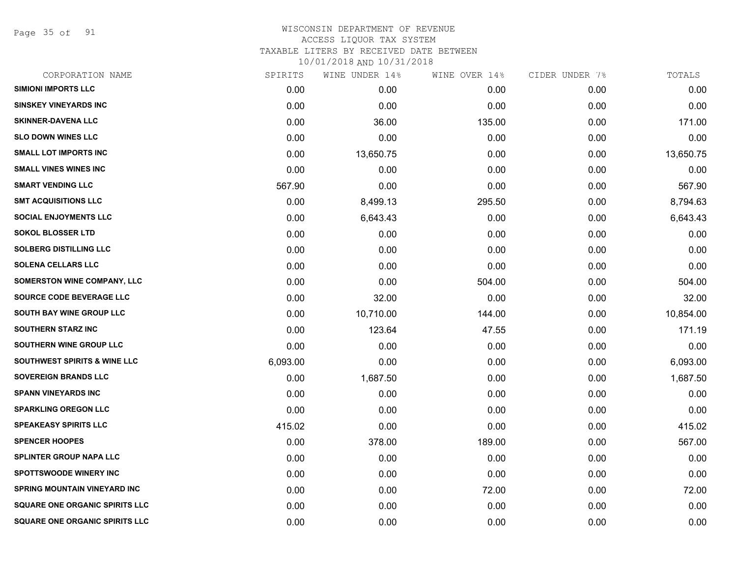Page 35 of 91

## WISCONSIN DEPARTMENT OF REVENUE ACCESS LIQUOR TAX SYSTEM TAXABLE LITERS BY RECEIVED DATE BETWEEN

| CORPORATION NAME                        | SPIRITS  | WINE UNDER 14% | WINE OVER 14% | CIDER UNDER 7% | TOTALS    |
|-----------------------------------------|----------|----------------|---------------|----------------|-----------|
| <b>SIMIONI IMPORTS LLC</b>              | 0.00     | 0.00           | 0.00          | 0.00           | 0.00      |
| <b>SINSKEY VINEYARDS INC</b>            | 0.00     | 0.00           | 0.00          | 0.00           | 0.00      |
| <b>SKINNER-DAVENA LLC</b>               | 0.00     | 36.00          | 135.00        | 0.00           | 171.00    |
| <b>SLO DOWN WINES LLC</b>               | 0.00     | 0.00           | 0.00          | 0.00           | 0.00      |
| <b>SMALL LOT IMPORTS INC</b>            | 0.00     | 13,650.75      | 0.00          | 0.00           | 13,650.75 |
| <b>SMALL VINES WINES INC</b>            | 0.00     | 0.00           | 0.00          | 0.00           | 0.00      |
| <b>SMART VENDING LLC</b>                | 567.90   | 0.00           | 0.00          | 0.00           | 567.90    |
| <b>SMT ACQUISITIONS LLC</b>             | 0.00     | 8,499.13       | 295.50        | 0.00           | 8,794.63  |
| <b>SOCIAL ENJOYMENTS LLC</b>            | 0.00     | 6,643.43       | 0.00          | 0.00           | 6,643.43  |
| <b>SOKOL BLOSSER LTD</b>                | 0.00     | 0.00           | 0.00          | 0.00           | 0.00      |
| <b>SOLBERG DISTILLING LLC</b>           | 0.00     | 0.00           | 0.00          | 0.00           | 0.00      |
| <b>SOLENA CELLARS LLC</b>               | 0.00     | 0.00           | 0.00          | 0.00           | 0.00      |
| SOMERSTON WINE COMPANY, LLC             | 0.00     | 0.00           | 504.00        | 0.00           | 504.00    |
| <b>SOURCE CODE BEVERAGE LLC</b>         | 0.00     | 32.00          | 0.00          | 0.00           | 32.00     |
| <b>SOUTH BAY WINE GROUP LLC</b>         | 0.00     | 10,710.00      | 144.00        | 0.00           | 10,854.00 |
| SOUTHERN STARZ INC                      | 0.00     | 123.64         | 47.55         | 0.00           | 171.19    |
| SOUTHERN WINE GROUP LLC                 | 0.00     | 0.00           | 0.00          | 0.00           | 0.00      |
| <b>SOUTHWEST SPIRITS &amp; WINE LLC</b> | 6,093.00 | 0.00           | 0.00          | 0.00           | 6,093.00  |
| SOVEREIGN BRANDS LLC                    | 0.00     | 1,687.50       | 0.00          | 0.00           | 1,687.50  |
| <b>SPANN VINEYARDS INC</b>              | 0.00     | 0.00           | 0.00          | 0.00           | 0.00      |
| <b>SPARKLING OREGON LLC</b>             | 0.00     | 0.00           | 0.00          | 0.00           | 0.00      |
| <b>SPEAKEASY SPIRITS LLC</b>            | 415.02   | 0.00           | 0.00          | 0.00           | 415.02    |
| <b>SPENCER HOOPES</b>                   | 0.00     | 378.00         | 189.00        | 0.00           | 567.00    |
| <b>SPLINTER GROUP NAPA LLC</b>          | 0.00     | 0.00           | 0.00          | 0.00           | 0.00      |
| <b>SPOTTSWOODE WINERY INC</b>           | 0.00     | 0.00           | 0.00          | 0.00           | 0.00      |
| <b>SPRING MOUNTAIN VINEYARD INC</b>     | 0.00     | 0.00           | 72.00         | 0.00           | 72.00     |
| <b>SQUARE ONE ORGANIC SPIRITS LLC</b>   | 0.00     | 0.00           | 0.00          | 0.00           | 0.00      |
| <b>SQUARE ONE ORGANIC SPIRITS LLC</b>   | 0.00     | 0.00           | 0.00          | 0.00           | 0.00      |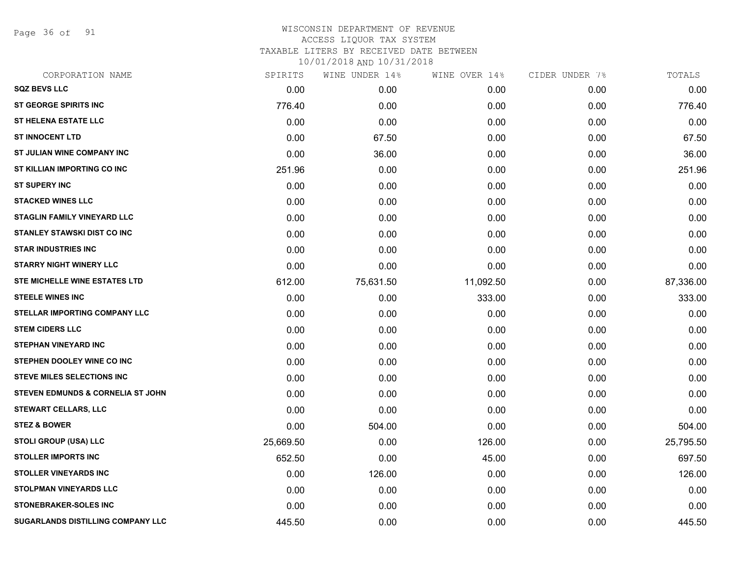Page 36 of 91

| CORPORATION NAME                             | SPIRITS   | WINE UNDER 14% | WINE OVER 14% | CIDER UNDER 7% | TOTALS    |
|----------------------------------------------|-----------|----------------|---------------|----------------|-----------|
| <b>SQZ BEVS LLC</b>                          | 0.00      | 0.00           | 0.00          | 0.00           | 0.00      |
| <b>ST GEORGE SPIRITS INC</b>                 | 776.40    | 0.00           | 0.00          | 0.00           | 776.40    |
| <b>ST HELENA ESTATE LLC</b>                  | 0.00      | 0.00           | 0.00          | 0.00           | 0.00      |
| <b>ST INNOCENT LTD</b>                       | 0.00      | 67.50          | 0.00          | 0.00           | 67.50     |
| ST JULIAN WINE COMPANY INC                   | 0.00      | 36.00          | 0.00          | 0.00           | 36.00     |
| ST KILLIAN IMPORTING CO INC                  | 251.96    | 0.00           | 0.00          | 0.00           | 251.96    |
| <b>ST SUPERY INC</b>                         | 0.00      | 0.00           | 0.00          | 0.00           | 0.00      |
| <b>STACKED WINES LLC</b>                     | 0.00      | 0.00           | 0.00          | 0.00           | 0.00      |
| <b>STAGLIN FAMILY VINEYARD LLC</b>           | 0.00      | 0.00           | 0.00          | 0.00           | 0.00      |
| <b>STANLEY STAWSKI DIST CO INC</b>           | 0.00      | 0.00           | 0.00          | 0.00           | 0.00      |
| <b>STAR INDUSTRIES INC</b>                   | 0.00      | 0.00           | 0.00          | 0.00           | 0.00      |
| <b>STARRY NIGHT WINERY LLC</b>               | 0.00      | 0.00           | 0.00          | 0.00           | 0.00      |
| STE MICHELLE WINE ESTATES LTD                | 612.00    | 75,631.50      | 11,092.50     | 0.00           | 87,336.00 |
| <b>STEELE WINES INC</b>                      | 0.00      | 0.00           | 333.00        | 0.00           | 333.00    |
| <b>STELLAR IMPORTING COMPANY LLC</b>         | 0.00      | 0.00           | 0.00          | 0.00           | 0.00      |
| <b>STEM CIDERS LLC</b>                       | 0.00      | 0.00           | 0.00          | 0.00           | 0.00      |
| <b>STEPHAN VINEYARD INC</b>                  | 0.00      | 0.00           | 0.00          | 0.00           | 0.00      |
| STEPHEN DOOLEY WINE CO INC                   | 0.00      | 0.00           | 0.00          | 0.00           | 0.00      |
| <b>STEVE MILES SELECTIONS INC</b>            | 0.00      | 0.00           | 0.00          | 0.00           | 0.00      |
| <b>STEVEN EDMUNDS &amp; CORNELIA ST JOHN</b> | 0.00      | 0.00           | 0.00          | 0.00           | 0.00      |
| <b>STEWART CELLARS, LLC</b>                  | 0.00      | 0.00           | 0.00          | 0.00           | 0.00      |
| <b>STEZ &amp; BOWER</b>                      | 0.00      | 504.00         | 0.00          | 0.00           | 504.00    |
| <b>STOLI GROUP (USA) LLC</b>                 | 25,669.50 | 0.00           | 126.00        | 0.00           | 25,795.50 |
| <b>STOLLER IMPORTS INC</b>                   | 652.50    | 0.00           | 45.00         | 0.00           | 697.50    |
| <b>STOLLER VINEYARDS INC</b>                 | 0.00      | 126.00         | 0.00          | 0.00           | 126.00    |
| STOLPMAN VINEYARDS LLC                       | 0.00      | 0.00           | 0.00          | 0.00           | 0.00      |
| <b>STONEBRAKER-SOLES INC</b>                 | 0.00      | 0.00           | 0.00          | 0.00           | 0.00      |
| SUGARLANDS DISTILLING COMPANY LLC            | 445.50    | 0.00           | 0.00          | 0.00           | 445.50    |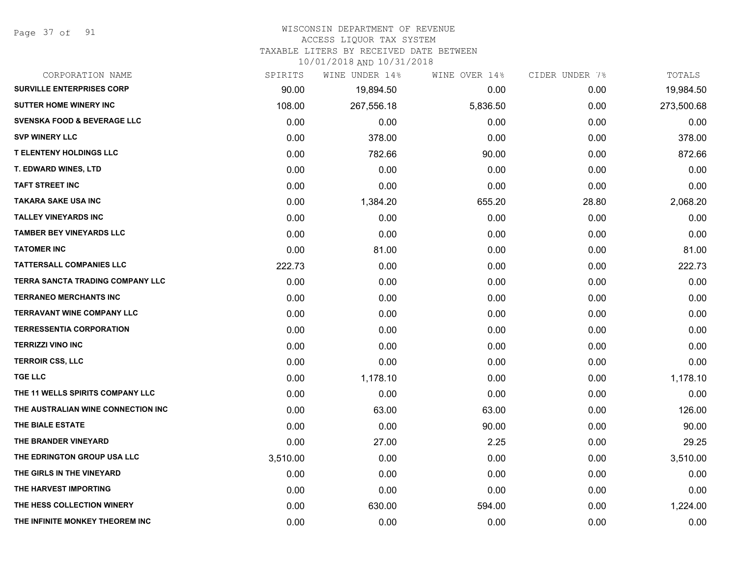Page 37 of 91

### WISCONSIN DEPARTMENT OF REVENUE

### ACCESS LIQUOR TAX SYSTEM

TAXABLE LITERS BY RECEIVED DATE BETWEEN

| CORPORATION NAME                       | SPIRITS  | WINE UNDER 14% | WINE OVER 14% | CIDER UNDER 7% | TOTALS     |
|----------------------------------------|----------|----------------|---------------|----------------|------------|
| <b>SURVILLE ENTERPRISES CORP</b>       | 90.00    | 19,894.50      | 0.00          | 0.00           | 19,984.50  |
| SUTTER HOME WINERY INC                 | 108.00   | 267,556.18     | 5,836.50      | 0.00           | 273,500.68 |
| <b>SVENSKA FOOD &amp; BEVERAGE LLC</b> | 0.00     | 0.00           | 0.00          | 0.00           | 0.00       |
| <b>SVP WINERY LLC</b>                  | 0.00     | 378.00         | 0.00          | 0.00           | 378.00     |
| <b>T ELENTENY HOLDINGS LLC</b>         | 0.00     | 782.66         | 90.00         | 0.00           | 872.66     |
| T. EDWARD WINES, LTD                   | 0.00     | 0.00           | 0.00          | 0.00           | 0.00       |
| <b>TAFT STREET INC</b>                 | 0.00     | 0.00           | 0.00          | 0.00           | 0.00       |
| <b>TAKARA SAKE USA INC</b>             | 0.00     | 1,384.20       | 655.20        | 28.80          | 2,068.20   |
| <b>TALLEY VINEYARDS INC</b>            | 0.00     | 0.00           | 0.00          | 0.00           | 0.00       |
| <b>TAMBER BEY VINEYARDS LLC</b>        | 0.00     | 0.00           | 0.00          | 0.00           | 0.00       |
| <b>TATOMER INC</b>                     | 0.00     | 81.00          | 0.00          | 0.00           | 81.00      |
| <b>TATTERSALL COMPANIES LLC</b>        | 222.73   | 0.00           | 0.00          | 0.00           | 222.73     |
| TERRA SANCTA TRADING COMPANY LLC       | 0.00     | 0.00           | 0.00          | 0.00           | 0.00       |
| <b>TERRANEO MERCHANTS INC</b>          | 0.00     | 0.00           | 0.00          | 0.00           | 0.00       |
| <b>TERRAVANT WINE COMPANY LLC</b>      | 0.00     | 0.00           | 0.00          | 0.00           | 0.00       |
| <b>TERRESSENTIA CORPORATION</b>        | 0.00     | 0.00           | 0.00          | 0.00           | 0.00       |
| <b>TERRIZZI VINO INC</b>               | 0.00     | 0.00           | 0.00          | 0.00           | 0.00       |
| <b>TERROIR CSS, LLC</b>                | 0.00     | 0.00           | 0.00          | 0.00           | 0.00       |
| <b>TGE LLC</b>                         | 0.00     | 1,178.10       | 0.00          | 0.00           | 1,178.10   |
| THE 11 WELLS SPIRITS COMPANY LLC       | 0.00     | 0.00           | 0.00          | 0.00           | 0.00       |
| THE AUSTRALIAN WINE CONNECTION INC     | 0.00     | 63.00          | 63.00         | 0.00           | 126.00     |
| THE BIALE ESTATE                       | 0.00     | 0.00           | 90.00         | 0.00           | 90.00      |
| THE BRANDER VINEYARD                   | 0.00     | 27.00          | 2.25          | 0.00           | 29.25      |
| THE EDRINGTON GROUP USA LLC            | 3,510.00 | 0.00           | 0.00          | 0.00           | 3,510.00   |
| THE GIRLS IN THE VINEYARD              | 0.00     | 0.00           | 0.00          | 0.00           | 0.00       |
| THE HARVEST IMPORTING                  | 0.00     | 0.00           | 0.00          | 0.00           | 0.00       |
| THE HESS COLLECTION WINERY             | 0.00     | 630.00         | 594.00        | 0.00           | 1,224.00   |
| THE INFINITE MONKEY THEOREM INC        | 0.00     | 0.00           | 0.00          | 0.00           | 0.00       |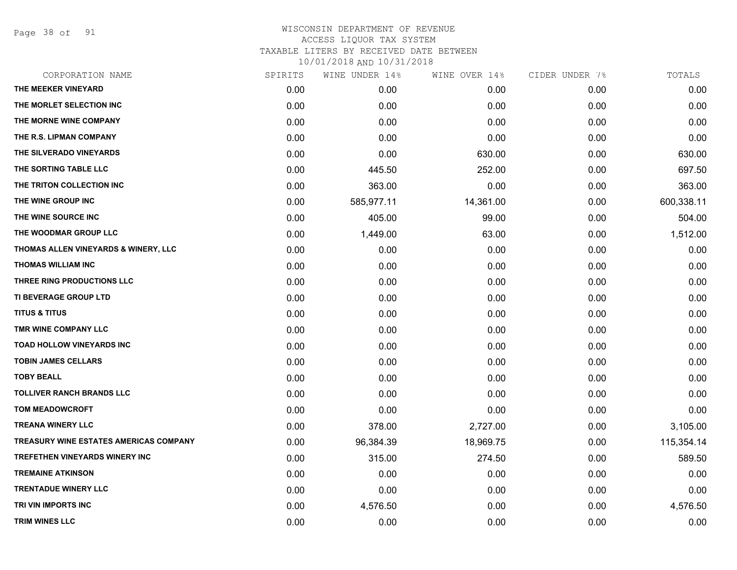Page 38 of 91

| CORPORATION NAME                       | SPIRITS | WINE UNDER 14% | WINE OVER 14% | CIDER UNDER 7% | TOTALS     |
|----------------------------------------|---------|----------------|---------------|----------------|------------|
| THE MEEKER VINEYARD                    | 0.00    | 0.00           | 0.00          | 0.00           | 0.00       |
| THE MORLET SELECTION INC               | 0.00    | 0.00           | 0.00          | 0.00           | 0.00       |
| THE MORNE WINE COMPANY                 | 0.00    | 0.00           | 0.00          | 0.00           | 0.00       |
| THE R.S. LIPMAN COMPANY                | 0.00    | 0.00           | 0.00          | 0.00           | 0.00       |
| THE SILVERADO VINEYARDS                | 0.00    | 0.00           | 630.00        | 0.00           | 630.00     |
| THE SORTING TABLE LLC                  | 0.00    | 445.50         | 252.00        | 0.00           | 697.50     |
| THE TRITON COLLECTION INC              | 0.00    | 363.00         | 0.00          | 0.00           | 363.00     |
| THE WINE GROUP INC                     | 0.00    | 585,977.11     | 14,361.00     | 0.00           | 600,338.11 |
| THE WINE SOURCE INC                    | 0.00    | 405.00         | 99.00         | 0.00           | 504.00     |
| THE WOODMAR GROUP LLC                  | 0.00    | 1,449.00       | 63.00         | 0.00           | 1,512.00   |
| THOMAS ALLEN VINEYARDS & WINERY, LLC   | 0.00    | 0.00           | 0.00          | 0.00           | 0.00       |
| <b>THOMAS WILLIAM INC</b>              | 0.00    | 0.00           | 0.00          | 0.00           | 0.00       |
| THREE RING PRODUCTIONS LLC             | 0.00    | 0.00           | 0.00          | 0.00           | 0.00       |
| TI BEVERAGE GROUP LTD                  | 0.00    | 0.00           | 0.00          | 0.00           | 0.00       |
| <b>TITUS &amp; TITUS</b>               | 0.00    | 0.00           | 0.00          | 0.00           | 0.00       |
| TMR WINE COMPANY LLC                   | 0.00    | 0.00           | 0.00          | 0.00           | 0.00       |
| <b>TOAD HOLLOW VINEYARDS INC</b>       | 0.00    | 0.00           | 0.00          | 0.00           | 0.00       |
| <b>TOBIN JAMES CELLARS</b>             | 0.00    | 0.00           | 0.00          | 0.00           | 0.00       |
| <b>TOBY BEALL</b>                      | 0.00    | 0.00           | 0.00          | 0.00           | 0.00       |
| <b>TOLLIVER RANCH BRANDS LLC</b>       | 0.00    | 0.00           | 0.00          | 0.00           | 0.00       |
| <b>TOM MEADOWCROFT</b>                 | 0.00    | 0.00           | 0.00          | 0.00           | 0.00       |
| <b>TREANA WINERY LLC</b>               | 0.00    | 378.00         | 2,727.00      | 0.00           | 3,105.00   |
| TREASURY WINE ESTATES AMERICAS COMPANY | 0.00    | 96,384.39      | 18,969.75     | 0.00           | 115,354.14 |
| <b>TREFETHEN VINEYARDS WINERY INC</b>  | 0.00    | 315.00         | 274.50        | 0.00           | 589.50     |
| <b>TREMAINE ATKINSON</b>               | 0.00    | 0.00           | 0.00          | 0.00           | 0.00       |
| <b>TRENTADUE WINERY LLC</b>            | 0.00    | 0.00           | 0.00          | 0.00           | 0.00       |
| TRI VIN IMPORTS INC                    | 0.00    | 4,576.50       | 0.00          | 0.00           | 4,576.50   |
| <b>TRIM WINES LLC</b>                  | 0.00    | 0.00           | 0.00          | 0.00           | 0.00       |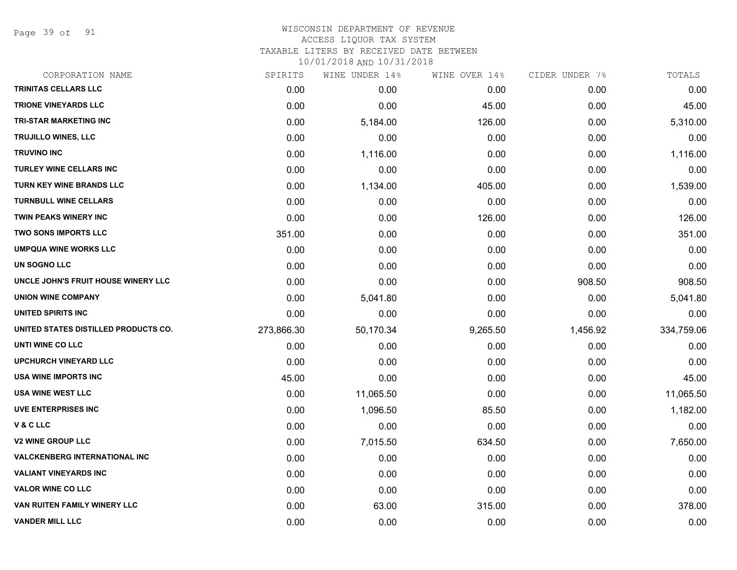Page 39 of 91

| CORPORATION NAME                     | SPIRITS    | WINE UNDER 14% | WINE OVER 14% | CIDER UNDER 7% | TOTALS     |
|--------------------------------------|------------|----------------|---------------|----------------|------------|
| <b>TRINITAS CELLARS LLC</b>          | 0.00       | 0.00           | 0.00          | 0.00           | 0.00       |
| <b>TRIONE VINEYARDS LLC</b>          | 0.00       | 0.00           | 45.00         | 0.00           | 45.00      |
| <b>TRI-STAR MARKETING INC</b>        | 0.00       | 5,184.00       | 126.00        | 0.00           | 5,310.00   |
| <b>TRUJILLO WINES, LLC</b>           | 0.00       | 0.00           | 0.00          | 0.00           | 0.00       |
| <b>TRUVINO INC</b>                   | 0.00       | 1,116.00       | 0.00          | 0.00           | 1,116.00   |
| TURLEY WINE CELLARS INC              | 0.00       | 0.00           | 0.00          | 0.00           | 0.00       |
| <b>TURN KEY WINE BRANDS LLC</b>      | 0.00       | 1,134.00       | 405.00        | 0.00           | 1,539.00   |
| <b>TURNBULL WINE CELLARS</b>         | 0.00       | 0.00           | 0.00          | 0.00           | 0.00       |
| <b>TWIN PEAKS WINERY INC</b>         | 0.00       | 0.00           | 126.00        | 0.00           | 126.00     |
| <b>TWO SONS IMPORTS LLC</b>          | 351.00     | 0.00           | 0.00          | 0.00           | 351.00     |
| <b>UMPQUA WINE WORKS LLC</b>         | 0.00       | 0.00           | 0.00          | 0.00           | 0.00       |
| UN SOGNO LLC                         | 0.00       | 0.00           | 0.00          | 0.00           | 0.00       |
| UNCLE JOHN'S FRUIT HOUSE WINERY LLC  | 0.00       | 0.00           | 0.00          | 908.50         | 908.50     |
| <b>UNION WINE COMPANY</b>            | 0.00       | 5,041.80       | 0.00          | 0.00           | 5,041.80   |
| UNITED SPIRITS INC                   | 0.00       | 0.00           | 0.00          | 0.00           | 0.00       |
| UNITED STATES DISTILLED PRODUCTS CO. | 273,866.30 | 50,170.34      | 9,265.50      | 1,456.92       | 334,759.06 |
| UNTI WINE CO LLC                     | 0.00       | 0.00           | 0.00          | 0.00           | 0.00       |
| <b>UPCHURCH VINEYARD LLC</b>         | 0.00       | 0.00           | 0.00          | 0.00           | 0.00       |
| USA WINE IMPORTS INC                 | 45.00      | 0.00           | 0.00          | 0.00           | 45.00      |
| <b>USA WINE WEST LLC</b>             | 0.00       | 11,065.50      | 0.00          | 0.00           | 11,065.50  |
| <b>UVE ENTERPRISES INC</b>           | 0.00       | 1,096.50       | 85.50         | 0.00           | 1,182.00   |
| V & C LLC                            | 0.00       | 0.00           | 0.00          | 0.00           | 0.00       |
| <b>V2 WINE GROUP LLC</b>             | 0.00       | 7,015.50       | 634.50        | 0.00           | 7,650.00   |
| <b>VALCKENBERG INTERNATIONAL INC</b> | 0.00       | 0.00           | 0.00          | 0.00           | 0.00       |
| <b>VALIANT VINEYARDS INC</b>         | 0.00       | 0.00           | 0.00          | 0.00           | 0.00       |
| <b>VALOR WINE CO LLC</b>             | 0.00       | 0.00           | 0.00          | 0.00           | 0.00       |
| VAN RUITEN FAMILY WINERY LLC         | 0.00       | 63.00          | 315.00        | 0.00           | 378.00     |
| <b>VANDER MILL LLC</b>               | 0.00       | 0.00           | 0.00          | 0.00           | 0.00       |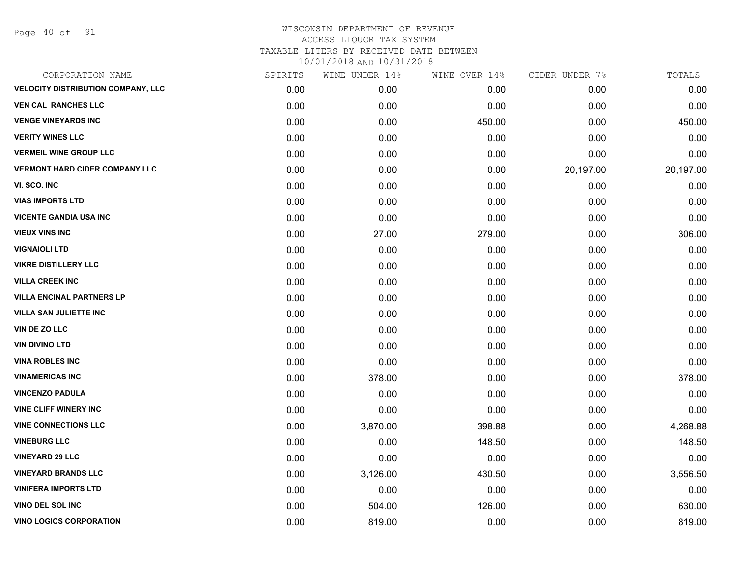Page 40 of 91

| CORPORATION NAME                          | SPIRITS | WINE UNDER 14% | WINE OVER 14% | CIDER UNDER 7% | TOTALS    |
|-------------------------------------------|---------|----------------|---------------|----------------|-----------|
| <b>VELOCITY DISTRIBUTION COMPANY, LLC</b> | 0.00    | 0.00           | 0.00          | 0.00           | 0.00      |
| <b>VEN CAL RANCHES LLC</b>                | 0.00    | 0.00           | 0.00          | 0.00           | 0.00      |
| <b>VENGE VINEYARDS INC</b>                | 0.00    | 0.00           | 450.00        | 0.00           | 450.00    |
| <b>VERITY WINES LLC</b>                   | 0.00    | 0.00           | 0.00          | 0.00           | 0.00      |
| <b>VERMEIL WINE GROUP LLC</b>             | 0.00    | 0.00           | 0.00          | 0.00           | 0.00      |
| <b>VERMONT HARD CIDER COMPANY LLC</b>     | 0.00    | 0.00           | 0.00          | 20,197.00      | 20,197.00 |
| VI. SCO. INC                              | 0.00    | 0.00           | 0.00          | 0.00           | 0.00      |
| <b>VIAS IMPORTS LTD</b>                   | 0.00    | 0.00           | 0.00          | 0.00           | 0.00      |
| <b>VICENTE GANDIA USA INC</b>             | 0.00    | 0.00           | 0.00          | 0.00           | 0.00      |
| <b>VIEUX VINS INC</b>                     | 0.00    | 27.00          | 279.00        | 0.00           | 306.00    |
| <b>VIGNAIOLI LTD</b>                      | 0.00    | 0.00           | 0.00          | 0.00           | 0.00      |
| <b>VIKRE DISTILLERY LLC</b>               | 0.00    | 0.00           | 0.00          | 0.00           | 0.00      |
| <b>VILLA CREEK INC</b>                    | 0.00    | 0.00           | 0.00          | 0.00           | 0.00      |
| <b>VILLA ENCINAL PARTNERS LP</b>          | 0.00    | 0.00           | 0.00          | 0.00           | 0.00      |
| <b>VILLA SAN JULIETTE INC</b>             | 0.00    | 0.00           | 0.00          | 0.00           | 0.00      |
| VIN DE ZO LLC                             | 0.00    | 0.00           | 0.00          | 0.00           | 0.00      |
| <b>VIN DIVINO LTD</b>                     | 0.00    | 0.00           | 0.00          | 0.00           | 0.00      |
| <b>VINA ROBLES INC</b>                    | 0.00    | 0.00           | 0.00          | 0.00           | 0.00      |
| <b>VINAMERICAS INC</b>                    | 0.00    | 378.00         | 0.00          | 0.00           | 378.00    |
| <b>VINCENZO PADULA</b>                    | 0.00    | 0.00           | 0.00          | 0.00           | 0.00      |
| <b>VINE CLIFF WINERY INC</b>              | 0.00    | 0.00           | 0.00          | 0.00           | 0.00      |
| <b>VINE CONNECTIONS LLC</b>               | 0.00    | 3,870.00       | 398.88        | 0.00           | 4,268.88  |
| <b>VINEBURG LLC</b>                       | 0.00    | 0.00           | 148.50        | 0.00           | 148.50    |
| <b>VINEYARD 29 LLC</b>                    | 0.00    | 0.00           | 0.00          | 0.00           | 0.00      |
| <b>VINEYARD BRANDS LLC</b>                | 0.00    | 3,126.00       | 430.50        | 0.00           | 3,556.50  |
| <b>VINIFERA IMPORTS LTD</b>               | 0.00    | 0.00           | 0.00          | 0.00           | 0.00      |
| <b>VINO DEL SOL INC</b>                   | 0.00    | 504.00         | 126.00        | 0.00           | 630.00    |
| <b>VINO LOGICS CORPORATION</b>            | 0.00    | 819.00         | 0.00          | 0.00           | 819.00    |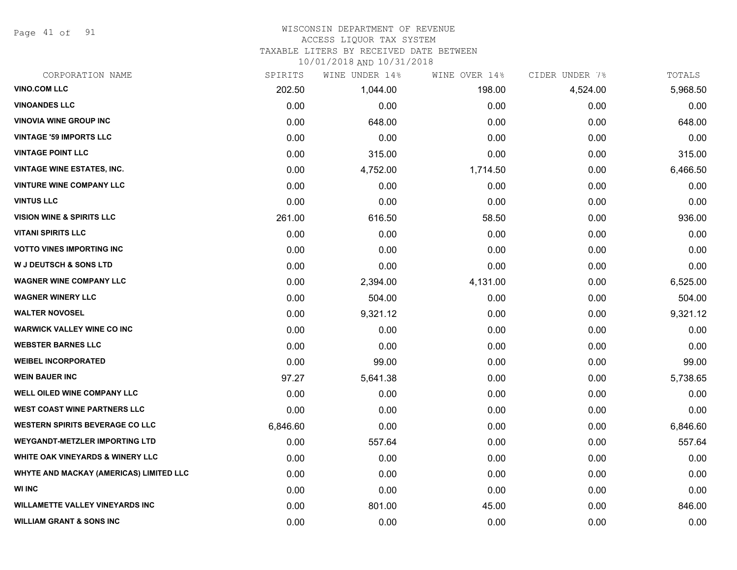Page 41 of 91

### WISCONSIN DEPARTMENT OF REVENUE ACCESS LIQUOR TAX SYSTEM

TAXABLE LITERS BY RECEIVED DATE BETWEEN

| CORPORATION NAME                               | SPIRITS  | WINE UNDER 14% | WINE OVER 14% | CIDER UNDER 7% | TOTALS   |
|------------------------------------------------|----------|----------------|---------------|----------------|----------|
| <b>VINO.COM LLC</b>                            | 202.50   | 1,044.00       | 198.00        | 4,524.00       | 5,968.50 |
| <b>VINOANDES LLC</b>                           | 0.00     | 0.00           | 0.00          | 0.00           | 0.00     |
| <b>VINOVIA WINE GROUP INC</b>                  | 0.00     | 648.00         | 0.00          | 0.00           | 648.00   |
| <b>VINTAGE '59 IMPORTS LLC</b>                 | 0.00     | 0.00           | 0.00          | 0.00           | 0.00     |
| <b>VINTAGE POINT LLC</b>                       | 0.00     | 315.00         | 0.00          | 0.00           | 315.00   |
| <b>VINTAGE WINE ESTATES, INC.</b>              | 0.00     | 4,752.00       | 1,714.50      | 0.00           | 6,466.50 |
| <b>VINTURE WINE COMPANY LLC</b>                | 0.00     | 0.00           | 0.00          | 0.00           | 0.00     |
| <b>VINTUS LLC</b>                              | 0.00     | 0.00           | 0.00          | 0.00           | 0.00     |
| <b>VISION WINE &amp; SPIRITS LLC</b>           | 261.00   | 616.50         | 58.50         | 0.00           | 936.00   |
| <b>VITANI SPIRITS LLC</b>                      | 0.00     | 0.00           | 0.00          | 0.00           | 0.00     |
| <b>VOTTO VINES IMPORTING INC</b>               | 0.00     | 0.00           | 0.00          | 0.00           | 0.00     |
| <b>W J DEUTSCH &amp; SONS LTD</b>              | 0.00     | 0.00           | 0.00          | 0.00           | 0.00     |
| <b>WAGNER WINE COMPANY LLC</b>                 | 0.00     | 2,394.00       | 4,131.00      | 0.00           | 6,525.00 |
| <b>WAGNER WINERY LLC</b>                       | 0.00     | 504.00         | 0.00          | 0.00           | 504.00   |
| <b>WALTER NOVOSEL</b>                          | 0.00     | 9,321.12       | 0.00          | 0.00           | 9,321.12 |
| <b>WARWICK VALLEY WINE CO INC</b>              | 0.00     | 0.00           | 0.00          | 0.00           | 0.00     |
| <b>WEBSTER BARNES LLC</b>                      | 0.00     | 0.00           | 0.00          | 0.00           | 0.00     |
| <b>WEIBEL INCORPORATED</b>                     | 0.00     | 99.00          | 0.00          | 0.00           | 99.00    |
| <b>WEIN BAUER INC</b>                          | 97.27    | 5,641.38       | 0.00          | 0.00           | 5,738.65 |
| <b>WELL OILED WINE COMPANY LLC</b>             | 0.00     | 0.00           | 0.00          | 0.00           | 0.00     |
| <b>WEST COAST WINE PARTNERS LLC</b>            | 0.00     | 0.00           | 0.00          | 0.00           | 0.00     |
| <b>WESTERN SPIRITS BEVERAGE CO LLC</b>         | 6,846.60 | 0.00           | 0.00          | 0.00           | 6,846.60 |
| <b>WEYGANDT-METZLER IMPORTING LTD</b>          | 0.00     | 557.64         | 0.00          | 0.00           | 557.64   |
| WHITE OAK VINEYARDS & WINERY LLC               | 0.00     | 0.00           | 0.00          | 0.00           | 0.00     |
| <b>WHYTE AND MACKAY (AMERICAS) LIMITED LLC</b> | 0.00     | 0.00           | 0.00          | 0.00           | 0.00     |
| <b>WI INC</b>                                  | 0.00     | 0.00           | 0.00          | 0.00           | 0.00     |
| <b>WILLAMETTE VALLEY VINEYARDS INC</b>         | 0.00     | 801.00         | 45.00         | 0.00           | 846.00   |
| <b>WILLIAM GRANT &amp; SONS INC</b>            | 0.00     | 0.00           | 0.00          | 0.00           | 0.00     |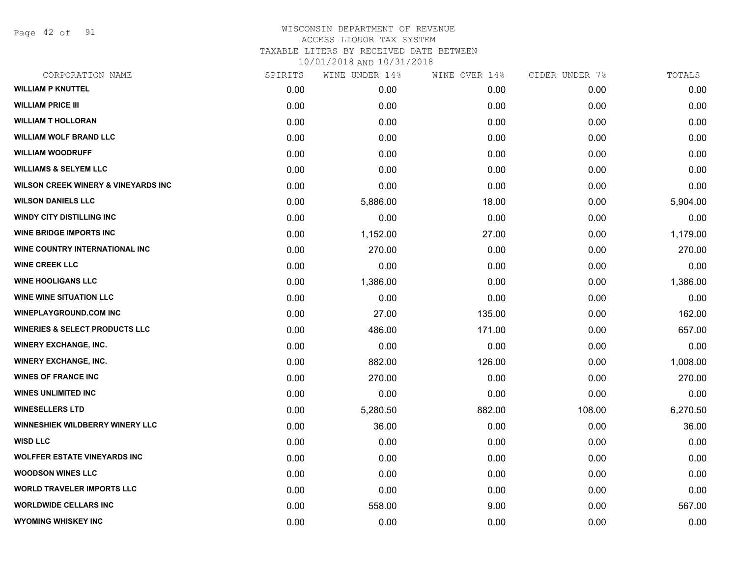Page 42 of 91

### WISCONSIN DEPARTMENT OF REVENUE ACCESS LIQUOR TAX SYSTEM TAXABLE LITERS BY RECEIVED DATE BETWEEN

| CORPORATION NAME                                | SPIRITS | WINE UNDER 14% | WINE OVER 14% | CIDER UNDER 7% | TOTALS   |
|-------------------------------------------------|---------|----------------|---------------|----------------|----------|
| <b>WILLIAM P KNUTTEL</b>                        | 0.00    | 0.00           | 0.00          | 0.00           | 0.00     |
| <b>WILLIAM PRICE III</b>                        | 0.00    | 0.00           | 0.00          | 0.00           | 0.00     |
| <b>WILLIAM T HOLLORAN</b>                       | 0.00    | 0.00           | 0.00          | 0.00           | 0.00     |
| <b>WILLIAM WOLF BRAND LLC</b>                   | 0.00    | 0.00           | 0.00          | 0.00           | 0.00     |
| <b>WILLIAM WOODRUFF</b>                         | 0.00    | 0.00           | 0.00          | 0.00           | 0.00     |
| <b>WILLIAMS &amp; SELYEM LLC</b>                | 0.00    | 0.00           | 0.00          | 0.00           | 0.00     |
| <b>WILSON CREEK WINERY &amp; VINEYARDS INC.</b> | 0.00    | 0.00           | 0.00          | 0.00           | 0.00     |
| <b>WILSON DANIELS LLC</b>                       | 0.00    | 5,886.00       | 18.00         | 0.00           | 5,904.00 |
| <b>WINDY CITY DISTILLING INC</b>                | 0.00    | 0.00           | 0.00          | 0.00           | 0.00     |
| <b>WINE BRIDGE IMPORTS INC</b>                  | 0.00    | 1,152.00       | 27.00         | 0.00           | 1,179.00 |
| WINE COUNTRY INTERNATIONAL INC                  | 0.00    | 270.00         | 0.00          | 0.00           | 270.00   |
| <b>WINE CREEK LLC</b>                           | 0.00    | 0.00           | 0.00          | 0.00           | 0.00     |
| <b>WINE HOOLIGANS LLC</b>                       | 0.00    | 1,386.00       | 0.00          | 0.00           | 1,386.00 |
| <b>WINE WINE SITUATION LLC</b>                  | 0.00    | 0.00           | 0.00          | 0.00           | 0.00     |
| <b>WINEPLAYGROUND.COM INC</b>                   | 0.00    | 27.00          | 135.00        | 0.00           | 162.00   |
| <b>WINERIES &amp; SELECT PRODUCTS LLC</b>       | 0.00    | 486.00         | 171.00        | 0.00           | 657.00   |
| <b>WINERY EXCHANGE, INC.</b>                    | 0.00    | 0.00           | 0.00          | 0.00           | 0.00     |
| <b>WINERY EXCHANGE, INC.</b>                    | 0.00    | 882.00         | 126.00        | 0.00           | 1,008.00 |
| <b>WINES OF FRANCE INC</b>                      | 0.00    | 270.00         | 0.00          | 0.00           | 270.00   |
| <b>WINES UNLIMITED INC</b>                      | 0.00    | 0.00           | 0.00          | 0.00           | 0.00     |
| <b>WINESELLERS LTD</b>                          | 0.00    | 5,280.50       | 882.00        | 108.00         | 6,270.50 |
| <b>WINNESHIEK WILDBERRY WINERY LLC</b>          | 0.00    | 36.00          | 0.00          | 0.00           | 36.00    |
| <b>WISD LLC</b>                                 | 0.00    | 0.00           | 0.00          | 0.00           | 0.00     |
| <b>WOLFFER ESTATE VINEYARDS INC</b>             | 0.00    | 0.00           | 0.00          | 0.00           | 0.00     |
| <b>WOODSON WINES LLC</b>                        | 0.00    | 0.00           | 0.00          | 0.00           | 0.00     |
| <b>WORLD TRAVELER IMPORTS LLC</b>               | 0.00    | 0.00           | 0.00          | 0.00           | 0.00     |
| <b>WORLDWIDE CELLARS INC</b>                    | 0.00    | 558.00         | 9.00          | 0.00           | 567.00   |
| <b>WYOMING WHISKEY INC</b>                      | 0.00    | 0.00           | 0.00          | 0.00           | 0.00     |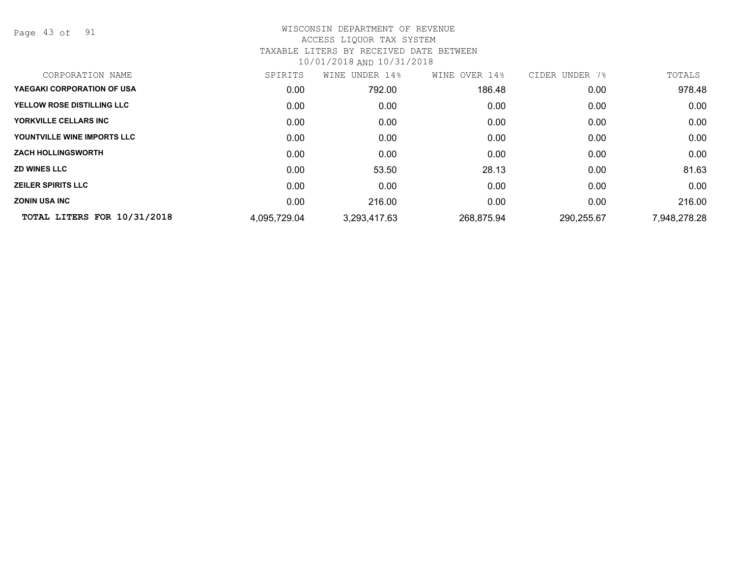Page 43 of 91

| CORPORATION NAME            | SPIRITS      | UNDER 14%<br>WINE | WINE OVER 14% | CIDER UNDER<br>7% | TOTALS       |
|-----------------------------|--------------|-------------------|---------------|-------------------|--------------|
| YAEGAKI CORPORATION OF USA  | 0.00         | 792.00            | 186.48        | 0.00              | 978.48       |
| YELLOW ROSE DISTILLING LLC  | 0.00         | 0.00              | 0.00          | 0.00              | 0.00         |
| YORKVILLE CELLARS INC       | 0.00         | 0.00              | 0.00          | 0.00              | 0.00         |
| YOUNTVILLE WINE IMPORTS LLC | 0.00         | 0.00              | 0.00          | 0.00              | 0.00         |
| <b>ZACH HOLLINGSWORTH</b>   | 0.00         | 0.00              | 0.00          | 0.00              | 0.00         |
| <b>ZD WINES LLC</b>         | 0.00         | 53.50             | 28.13         | 0.00              | 81.63        |
| <b>ZEILER SPIRITS LLC</b>   | 0.00         | 0.00              | 0.00          | 0.00              | 0.00         |
| <b>ZONIN USA INC</b>        | 0.00         | 216.00            | 0.00          | 0.00              | 216.00       |
| TOTAL LITERS FOR 10/31/2018 | 4,095,729.04 | 3,293,417.63      | 268,875.94    | 290,255.67        | 7,948,278.28 |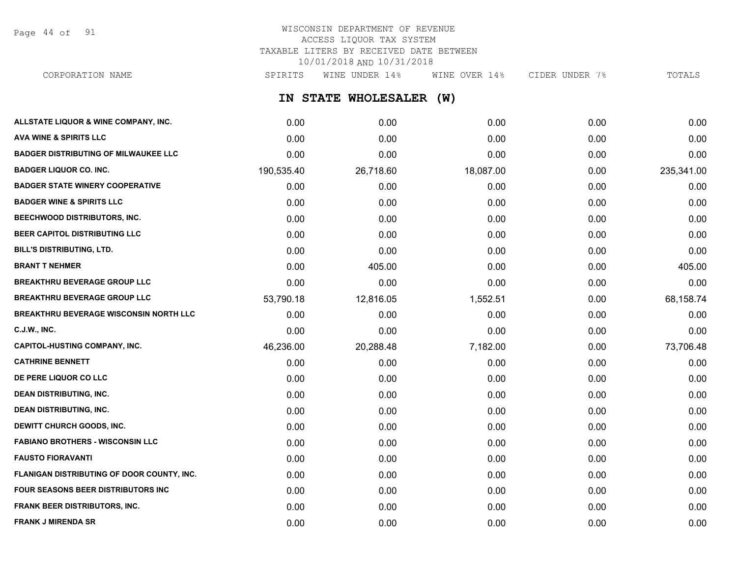Page 44 of 91

# WISCONSIN DEPARTMENT OF REVENUE ACCESS LIQUOR TAX SYSTEM TAXABLE LITERS BY RECEIVED DATE BETWEEN 10/01/2018 AND 10/31/2018

**IN STATE WHOLESALER (W) ALLSTATE LIQUOR & WINE COMPANY, INC.** 0.00 0.00 0.00 0.00 0.00 CORPORATION NAME SPIRITS WINE UNDER 14% WINE OVER 14% CIDER UNDER 7% TOTALS

| 0.00       | 0.00      | 0.00      | 0.00 | 0.00       |
|------------|-----------|-----------|------|------------|
| 0.00       | 0.00      | 0.00      | 0.00 | 0.00       |
| 190,535.40 | 26,718.60 | 18,087.00 | 0.00 | 235,341.00 |
| 0.00       | 0.00      | 0.00      | 0.00 | 0.00       |
| 0.00       | 0.00      | 0.00      | 0.00 | 0.00       |
| 0.00       | 0.00      | 0.00      | 0.00 | 0.00       |
| 0.00       | 0.00      | 0.00      | 0.00 | 0.00       |
| 0.00       | 0.00      | 0.00      | 0.00 | 0.00       |
| 0.00       | 405.00    | 0.00      | 0.00 | 405.00     |
| 0.00       | 0.00      | 0.00      | 0.00 | 0.00       |
| 53,790.18  | 12,816.05 | 1,552.51  | 0.00 | 68,158.74  |
| 0.00       | 0.00      | 0.00      | 0.00 | 0.00       |
| 0.00       | 0.00      | 0.00      | 0.00 | 0.00       |
| 46,236.00  | 20,288.48 | 7,182.00  | 0.00 | 73,706.48  |
| 0.00       | 0.00      | 0.00      | 0.00 | 0.00       |
| 0.00       | 0.00      | 0.00      | 0.00 | 0.00       |
| 0.00       | 0.00      | 0.00      | 0.00 | 0.00       |
| 0.00       | 0.00      | 0.00      | 0.00 | 0.00       |
| 0.00       | 0.00      | 0.00      | 0.00 | 0.00       |
| 0.00       | 0.00      | 0.00      | 0.00 | 0.00       |
| 0.00       | 0.00      | 0.00      | 0.00 | 0.00       |
| 0.00       | 0.00      | 0.00      | 0.00 | 0.00       |
| 0.00       | 0.00      | 0.00      | 0.00 | 0.00       |
| 0.00       | 0.00      | 0.00      | 0.00 | 0.00       |
| 0.00       | 0.00      | 0.00      | 0.00 | 0.00       |
|            |           |           |      |            |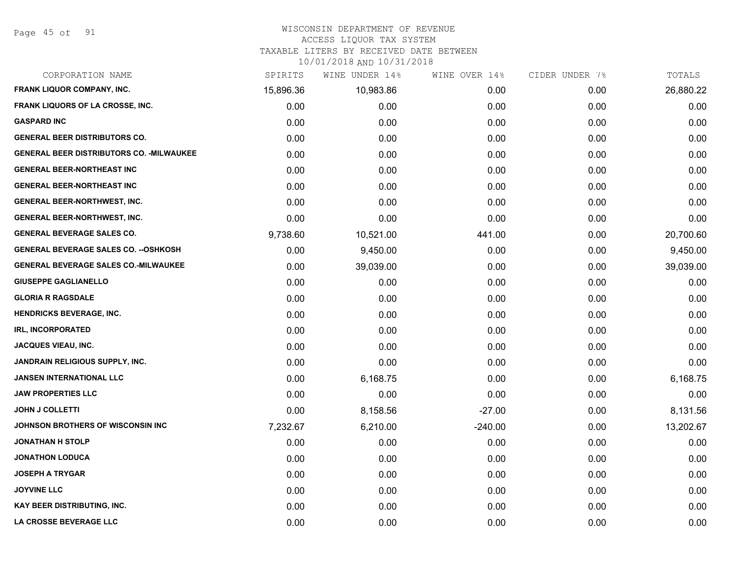#### WISCONSIN DEPARTMENT OF REVENUE

### ACCESS LIQUOR TAX SYSTEM

TAXABLE LITERS BY RECEIVED DATE BETWEEN

| CORPORATION NAME                                 | SPIRITS   | WINE UNDER 14% | WINE OVER 14% | CIDER UNDER 7% | TOTALS    |
|--------------------------------------------------|-----------|----------------|---------------|----------------|-----------|
| <b>FRANK LIQUOR COMPANY, INC.</b>                | 15,896.36 | 10,983.86      | 0.00          | 0.00           | 26,880.22 |
| FRANK LIQUORS OF LA CROSSE, INC.                 | 0.00      | 0.00           | 0.00          | 0.00           | 0.00      |
| <b>GASPARD INC</b>                               | 0.00      | 0.00           | 0.00          | 0.00           | 0.00      |
| <b>GENERAL BEER DISTRIBUTORS CO.</b>             | 0.00      | 0.00           | 0.00          | 0.00           | 0.00      |
| <b>GENERAL BEER DISTRIBUTORS CO. - MILWAUKEE</b> | 0.00      | 0.00           | 0.00          | 0.00           | 0.00      |
| <b>GENERAL BEER-NORTHEAST INC</b>                | 0.00      | 0.00           | 0.00          | 0.00           | 0.00      |
| <b>GENERAL BEER-NORTHEAST INC</b>                | 0.00      | 0.00           | 0.00          | 0.00           | 0.00      |
| GENERAL BEER-NORTHWEST, INC.                     | 0.00      | 0.00           | 0.00          | 0.00           | 0.00      |
| GENERAL BEER-NORTHWEST, INC.                     | 0.00      | 0.00           | 0.00          | 0.00           | 0.00      |
| <b>GENERAL BEVERAGE SALES CO.</b>                | 9,738.60  | 10,521.00      | 441.00        | 0.00           | 20,700.60 |
| <b>GENERAL BEVERAGE SALES CO. -- OSHKOSH</b>     | 0.00      | 9,450.00       | 0.00          | 0.00           | 9,450.00  |
| <b>GENERAL BEVERAGE SALES CO.-MILWAUKEE</b>      | 0.00      | 39,039.00      | 0.00          | 0.00           | 39,039.00 |
| <b>GIUSEPPE GAGLIANELLO</b>                      | 0.00      | 0.00           | 0.00          | 0.00           | 0.00      |
| <b>GLORIA R RAGSDALE</b>                         | 0.00      | 0.00           | 0.00          | 0.00           | 0.00      |
| HENDRICKS BEVERAGE, INC.                         | 0.00      | 0.00           | 0.00          | 0.00           | 0.00      |
| IRL, INCORPORATED                                | 0.00      | 0.00           | 0.00          | 0.00           | 0.00      |
| <b>JACQUES VIEAU, INC.</b>                       | 0.00      | 0.00           | 0.00          | 0.00           | 0.00      |
| <b>JANDRAIN RELIGIOUS SUPPLY, INC.</b>           | 0.00      | 0.00           | 0.00          | 0.00           | 0.00      |
| <b>JANSEN INTERNATIONAL LLC</b>                  | 0.00      | 6,168.75       | 0.00          | 0.00           | 6,168.75  |
| <b>JAW PROPERTIES LLC</b>                        | 0.00      | 0.00           | 0.00          | 0.00           | 0.00      |
| <b>JOHN J COLLETTI</b>                           | 0.00      | 8,158.56       | $-27.00$      | 0.00           | 8,131.56  |
| <b>JOHNSON BROTHERS OF WISCONSIN INC</b>         | 7,232.67  | 6,210.00       | $-240.00$     | 0.00           | 13,202.67 |
| <b>JONATHAN H STOLP</b>                          | 0.00      | 0.00           | 0.00          | 0.00           | 0.00      |
| <b>JONATHON LODUCA</b>                           | 0.00      | 0.00           | 0.00          | 0.00           | 0.00      |
| JOSEPH A TRYGAR                                  | 0.00      | 0.00           | 0.00          | 0.00           | 0.00      |
| <b>JOYVINE LLC</b>                               | 0.00      | 0.00           | 0.00          | 0.00           | 0.00      |
| KAY BEER DISTRIBUTING, INC.                      | 0.00      | 0.00           | 0.00          | 0.00           | 0.00      |
| <b>LA CROSSE BEVERAGE LLC</b>                    | 0.00      | 0.00           | 0.00          | 0.00           | 0.00      |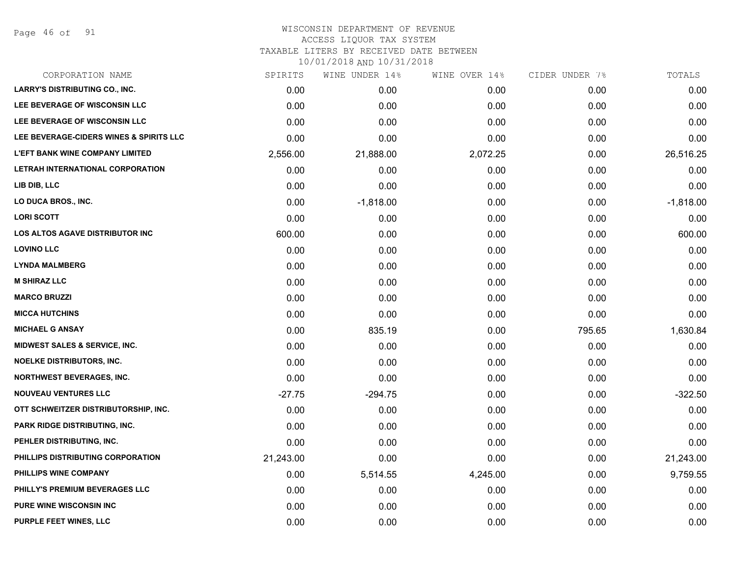Page 46 of 91

# WISCONSIN DEPARTMENT OF REVENUE

### ACCESS LIQUOR TAX SYSTEM

TAXABLE LITERS BY RECEIVED DATE BETWEEN

| CORPORATION NAME                         | SPIRITS   | WINE UNDER 14% | WINE OVER 14% | CIDER UNDER 7% | TOTALS      |
|------------------------------------------|-----------|----------------|---------------|----------------|-------------|
| <b>LARRY'S DISTRIBUTING CO., INC.</b>    | 0.00      | 0.00           | 0.00          | 0.00           | 0.00        |
| LEE BEVERAGE OF WISCONSIN LLC            | 0.00      | 0.00           | 0.00          | 0.00           | 0.00        |
| LEE BEVERAGE OF WISCONSIN LLC            | 0.00      | 0.00           | 0.00          | 0.00           | 0.00        |
| LEE BEVERAGE-CIDERS WINES & SPIRITS LLC  | 0.00      | 0.00           | 0.00          | 0.00           | 0.00        |
| <b>L'EFT BANK WINE COMPANY LIMITED</b>   | 2,556.00  | 21,888.00      | 2,072.25      | 0.00           | 26,516.25   |
| LETRAH INTERNATIONAL CORPORATION         | 0.00      | 0.00           | 0.00          | 0.00           | 0.00        |
| LIB DIB, LLC                             | 0.00      | 0.00           | 0.00          | 0.00           | 0.00        |
| LO DUCA BROS., INC.                      | 0.00      | $-1,818.00$    | 0.00          | 0.00           | $-1,818.00$ |
| <b>LORI SCOTT</b>                        | 0.00      | 0.00           | 0.00          | 0.00           | 0.00        |
| LOS ALTOS AGAVE DISTRIBUTOR INC          | 600.00    | 0.00           | 0.00          | 0.00           | 600.00      |
| <b>LOVINO LLC</b>                        | 0.00      | 0.00           | 0.00          | 0.00           | 0.00        |
| <b>LYNDA MALMBERG</b>                    | 0.00      | 0.00           | 0.00          | 0.00           | 0.00        |
| <b>M SHIRAZ LLC</b>                      | 0.00      | 0.00           | 0.00          | 0.00           | 0.00        |
| <b>MARCO BRUZZI</b>                      | 0.00      | 0.00           | 0.00          | 0.00           | 0.00        |
| <b>MICCA HUTCHINS</b>                    | 0.00      | 0.00           | 0.00          | 0.00           | 0.00        |
| <b>MICHAEL G ANSAY</b>                   | 0.00      | 835.19         | 0.00          | 795.65         | 1,630.84    |
| <b>MIDWEST SALES &amp; SERVICE, INC.</b> | 0.00      | 0.00           | 0.00          | 0.00           | 0.00        |
| <b>NOELKE DISTRIBUTORS, INC.</b>         | 0.00      | 0.00           | 0.00          | 0.00           | 0.00        |
| <b>NORTHWEST BEVERAGES, INC.</b>         | 0.00      | 0.00           | 0.00          | 0.00           | 0.00        |
| <b>NOUVEAU VENTURES LLC</b>              | $-27.75$  | $-294.75$      | 0.00          | 0.00           | $-322.50$   |
| OTT SCHWEITZER DISTRIBUTORSHIP, INC.     | 0.00      | 0.00           | 0.00          | 0.00           | 0.00        |
| PARK RIDGE DISTRIBUTING, INC.            | 0.00      | 0.00           | 0.00          | 0.00           | 0.00        |
| PEHLER DISTRIBUTING, INC.                | 0.00      | 0.00           | 0.00          | 0.00           | 0.00        |
| PHILLIPS DISTRIBUTING CORPORATION        | 21,243.00 | 0.00           | 0.00          | 0.00           | 21,243.00   |
| PHILLIPS WINE COMPANY                    | 0.00      | 5,514.55       | 4,245.00      | 0.00           | 9,759.55    |
| PHILLY'S PREMIUM BEVERAGES LLC           | 0.00      | 0.00           | 0.00          | 0.00           | 0.00        |
| <b>PURE WINE WISCONSIN INC</b>           | 0.00      | 0.00           | 0.00          | 0.00           | 0.00        |
| PURPLE FEET WINES, LLC                   | 0.00      | 0.00           | 0.00          | 0.00           | 0.00        |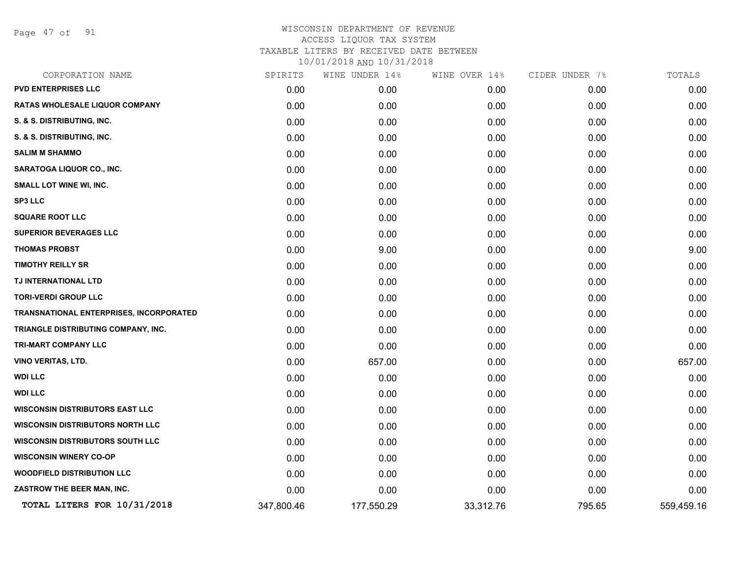Page 47 of 91

| CORPORATION NAME                               | SPIRITS    | WINE UNDER 14% | WINE OVER 14% | CIDER UNDER 7% | TOTALS     |
|------------------------------------------------|------------|----------------|---------------|----------------|------------|
| <b>PVD ENTERPRISES LLC</b>                     | 0.00       | 0.00           | 0.00          | 0.00           | 0.00       |
| <b>RATAS WHOLESALE LIQUOR COMPANY</b>          | 0.00       | 0.00           | 0.00          | 0.00           | 0.00       |
| S. & S. DISTRIBUTING, INC.                     | 0.00       | 0.00           | 0.00          | 0.00           | 0.00       |
| S. & S. DISTRIBUTING, INC.                     | 0.00       | 0.00           | 0.00          | 0.00           | 0.00       |
| <b>SALIM M SHAMMO</b>                          | 0.00       | 0.00           | 0.00          | 0.00           | 0.00       |
| SARATOGA LIQUOR CO., INC.                      | 0.00       | 0.00           | 0.00          | 0.00           | 0.00       |
| <b>SMALL LOT WINE WI, INC.</b>                 | 0.00       | 0.00           | 0.00          | 0.00           | 0.00       |
| <b>SP3 LLC</b>                                 | 0.00       | 0.00           | 0.00          | 0.00           | 0.00       |
| <b>SQUARE ROOT LLC</b>                         | 0.00       | 0.00           | 0.00          | 0.00           | 0.00       |
| <b>SUPERIOR BEVERAGES LLC</b>                  | 0.00       | 0.00           | 0.00          | 0.00           | 0.00       |
| <b>THOMAS PROBST</b>                           | 0.00       | 9.00           | 0.00          | 0.00           | 9.00       |
| <b>TIMOTHY REILLY SR</b>                       | 0.00       | 0.00           | 0.00          | 0.00           | 0.00       |
| TJ INTERNATIONAL LTD                           | 0.00       | 0.00           | 0.00          | 0.00           | 0.00       |
| <b>TORI-VERDI GROUP LLC</b>                    | 0.00       | 0.00           | 0.00          | 0.00           | 0.00       |
| <b>TRANSNATIONAL ENTERPRISES, INCORPORATED</b> | 0.00       | 0.00           | 0.00          | 0.00           | 0.00       |
| TRIANGLE DISTRIBUTING COMPANY, INC.            | 0.00       | 0.00           | 0.00          | 0.00           | 0.00       |
| TRI-MART COMPANY LLC                           | 0.00       | 0.00           | 0.00          | 0.00           | 0.00       |
| <b>VINO VERITAS, LTD.</b>                      | 0.00       | 657.00         | 0.00          | 0.00           | 657.00     |
| <b>WDI LLC</b>                                 | 0.00       | 0.00           | 0.00          | 0.00           | 0.00       |
| <b>WDI LLC</b>                                 | 0.00       | 0.00           | 0.00          | 0.00           | 0.00       |
| <b>WISCONSIN DISTRIBUTORS EAST LLC</b>         | 0.00       | 0.00           | 0.00          | 0.00           | 0.00       |
| <b>WISCONSIN DISTRIBUTORS NORTH LLC</b>        | 0.00       | 0.00           | 0.00          | 0.00           | 0.00       |
| <b>WISCONSIN DISTRIBUTORS SOUTH LLC</b>        | 0.00       | 0.00           | 0.00          | 0.00           | 0.00       |
| <b>WISCONSIN WINERY CO-OP</b>                  | 0.00       | 0.00           | 0.00          | 0.00           | 0.00       |
| <b>WOODFIELD DISTRIBUTION LLC</b>              | 0.00       | 0.00           | 0.00          | 0.00           | 0.00       |
| ZASTROW THE BEER MAN, INC.                     | 0.00       | 0.00           | 0.00          | 0.00           | 0.00       |
| TOTAL LITERS FOR 10/31/2018                    | 347,800.46 | 177,550.29     | 33,312.76     | 795.65         | 559,459.16 |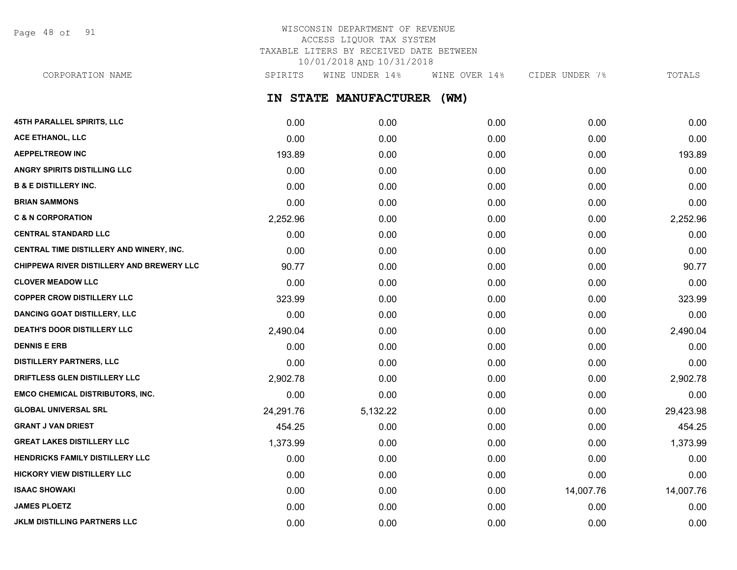Page 48 of 91

# WISCONSIN DEPARTMENT OF REVENUE ACCESS LIQUOR TAX SYSTEM TAXABLE LITERS BY RECEIVED DATE BETWEEN 10/01/2018 AND 10/31/2018

**IN STATE MANUFACTURER (WM) 45TH PARALLEL SPIRITS, LLC** 0.00 0.00 0.00 0.00 0.00 **ACE ETHANOL, LLC** 0.00 0.00 0.00 0.00 0.00 **AEPPELTREOW INC** 193.89 0.00 0.00 0.00 193.89 **ANGRY SPIRITS DISTILLING LLC** 0.00 0.00 0.00 0.00 0.00 **B & E DISTILLERY INC.** 0.00 0.00 0.00 0.00 0.00 CORPORATION NAME SPIRITS WINE UNDER 14% WINE OVER 14% CIDER UNDER 7% TOTALS

| <b>BRIAN SAMMONS</b>                             | 0.00      | 0.00     | 0.00 | 0.00      | 0.00      |
|--------------------------------------------------|-----------|----------|------|-----------|-----------|
| <b>C &amp; N CORPORATION</b>                     | 2,252.96  | 0.00     | 0.00 | 0.00      | 2,252.96  |
| <b>CENTRAL STANDARD LLC</b>                      | 0.00      | 0.00     | 0.00 | 0.00      | 0.00      |
| CENTRAL TIME DISTILLERY AND WINERY, INC.         | 0.00      | 0.00     | 0.00 | 0.00      | 0.00      |
| <b>CHIPPEWA RIVER DISTILLERY AND BREWERY LLC</b> | 90.77     | 0.00     | 0.00 | 0.00      | 90.77     |
| <b>CLOVER MEADOW LLC</b>                         | 0.00      | 0.00     | 0.00 | 0.00      | 0.00      |
| <b>COPPER CROW DISTILLERY LLC</b>                | 323.99    | 0.00     | 0.00 | 0.00      | 323.99    |
| <b>DANCING GOAT DISTILLERY, LLC</b>              | 0.00      | 0.00     | 0.00 | 0.00      | 0.00      |
| <b>DEATH'S DOOR DISTILLERY LLC</b>               | 2,490.04  | 0.00     | 0.00 | 0.00      | 2,490.04  |
| <b>DENNIS E ERB</b>                              | 0.00      | 0.00     | 0.00 | 0.00      | 0.00      |
| <b>DISTILLERY PARTNERS, LLC</b>                  | 0.00      | 0.00     | 0.00 | 0.00      | 0.00      |
| DRIFTLESS GLEN DISTILLERY LLC                    | 2,902.78  | 0.00     | 0.00 | 0.00      | 2,902.78  |
| <b>EMCO CHEMICAL DISTRIBUTORS, INC.</b>          | 0.00      | 0.00     | 0.00 | 0.00      | 0.00      |
| <b>GLOBAL UNIVERSAL SRL</b>                      | 24,291.76 | 5,132.22 | 0.00 | 0.00      | 29,423.98 |
| <b>GRANT J VAN DRIEST</b>                        | 454.25    | 0.00     | 0.00 | 0.00      | 454.25    |
| <b>GREAT LAKES DISTILLERY LLC</b>                | 1,373.99  | 0.00     | 0.00 | 0.00      | 1,373.99  |
| <b>HENDRICKS FAMILY DISTILLERY LLC</b>           | 0.00      | 0.00     | 0.00 | 0.00      | 0.00      |
| <b>HICKORY VIEW DISTILLERY LLC</b>               | 0.00      | 0.00     | 0.00 | 0.00      | 0.00      |
| <b>ISAAC SHOWAKI</b>                             | 0.00      | 0.00     | 0.00 | 14,007.76 | 14,007.76 |
| <b>JAMES PLOETZ</b>                              | 0.00      | 0.00     | 0.00 | 0.00      | 0.00      |
| <b>JKLM DISTILLING PARTNERS LLC</b>              | 0.00      | 0.00     | 0.00 | 0.00      | 0.00      |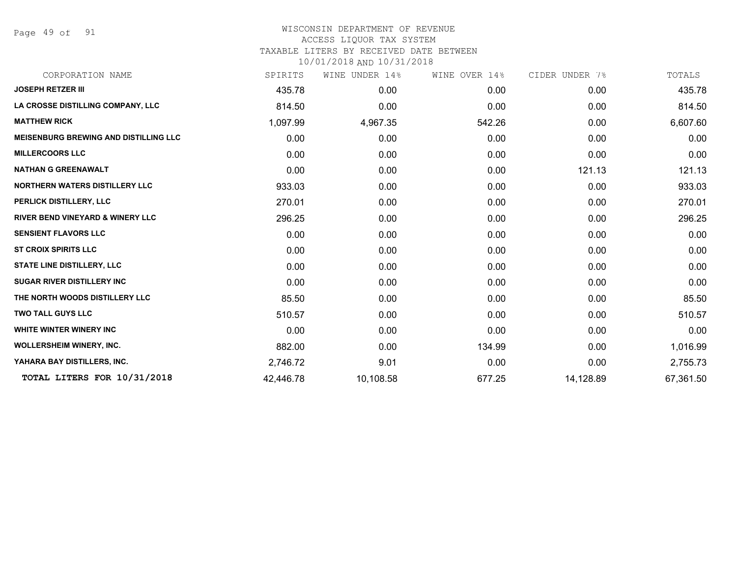Page 49 of 91

## WISCONSIN DEPARTMENT OF REVENUE ACCESS LIQUOR TAX SYSTEM TAXABLE LITERS BY RECEIVED DATE BETWEEN

| CORPORATION NAME                             | SPIRITS   | WINE UNDER 14% | WINE OVER 14% | CIDER UNDER 7% | TOTALS    |
|----------------------------------------------|-----------|----------------|---------------|----------------|-----------|
| <b>JOSEPH RETZER III</b>                     | 435.78    | 0.00           | 0.00          | 0.00           | 435.78    |
| LA CROSSE DISTILLING COMPANY, LLC            | 814.50    | 0.00           | 0.00          | 0.00           | 814.50    |
| <b>MATTHEW RICK</b>                          | 1,097.99  | 4,967.35       | 542.26        | 0.00           | 6,607.60  |
| <b>MEISENBURG BREWING AND DISTILLING LLC</b> | 0.00      | 0.00           | 0.00          | 0.00           | 0.00      |
| <b>MILLERCOORS LLC</b>                       | 0.00      | 0.00           | 0.00          | 0.00           | 0.00      |
| <b>NATHAN G GREENAWALT</b>                   | 0.00      | 0.00           | 0.00          | 121.13         | 121.13    |
| <b>NORTHERN WATERS DISTILLERY LLC</b>        | 933.03    | 0.00           | 0.00          | 0.00           | 933.03    |
| PERLICK DISTILLERY, LLC                      | 270.01    | 0.00           | 0.00          | 0.00           | 270.01    |
| <b>RIVER BEND VINEYARD &amp; WINERY LLC</b>  | 296.25    | 0.00           | 0.00          | 0.00           | 296.25    |
| <b>SENSIENT FLAVORS LLC</b>                  | 0.00      | 0.00           | 0.00          | 0.00           | 0.00      |
| <b>ST CROIX SPIRITS LLC</b>                  | 0.00      | 0.00           | 0.00          | 0.00           | 0.00      |
| <b>STATE LINE DISTILLERY, LLC</b>            | 0.00      | 0.00           | 0.00          | 0.00           | 0.00      |
| <b>SUGAR RIVER DISTILLERY INC</b>            | 0.00      | 0.00           | 0.00          | 0.00           | 0.00      |
| THE NORTH WOODS DISTILLERY LLC               | 85.50     | 0.00           | 0.00          | 0.00           | 85.50     |
| <b>TWO TALL GUYS LLC</b>                     | 510.57    | 0.00           | 0.00          | 0.00           | 510.57    |
| <b>WHITE WINTER WINERY INC</b>               | 0.00      | 0.00           | 0.00          | 0.00           | 0.00      |
| <b>WOLLERSHEIM WINERY, INC.</b>              | 882.00    | 0.00           | 134.99        | 0.00           | 1,016.99  |
| YAHARA BAY DISTILLERS, INC.                  | 2,746.72  | 9.01           | 0.00          | 0.00           | 2,755.73  |
| TOTAL LITERS FOR 10/31/2018                  | 42,446.78 | 10,108.58      | 677.25        | 14,128.89      | 67,361.50 |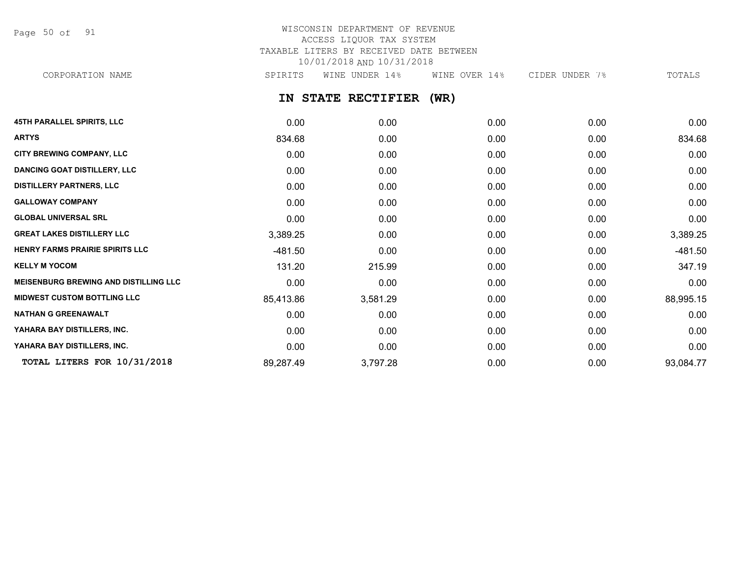Page 50 of 91

# WISCONSIN DEPARTMENT OF REVENUE ACCESS LIQUOR TAX SYSTEM TAXABLE LITERS BY RECEIVED DATE BETWEEN 10/01/2018 AND 10/31/2018

CORPORATION NAME SPIRITS WINE UNDER 14% WINE OVER 14% CIDER UNDER 7% TOTALS

**IN STATE RECTIFIER (WR)**

| <b>45TH PARALLEL SPIRITS, LLC</b>            | 0.00      | 0.00     | 0.00 | 0.00 | 0.00      |
|----------------------------------------------|-----------|----------|------|------|-----------|
| <b>ARTYS</b>                                 | 834.68    | 0.00     | 0.00 | 0.00 | 834.68    |
| <b>CITY BREWING COMPANY, LLC</b>             | 0.00      | 0.00     | 0.00 | 0.00 | 0.00      |
| <b>DANCING GOAT DISTILLERY, LLC</b>          | 0.00      | 0.00     | 0.00 | 0.00 | 0.00      |
| <b>DISTILLERY PARTNERS, LLC</b>              | 0.00      | 0.00     | 0.00 | 0.00 | 0.00      |
| <b>GALLOWAY COMPANY</b>                      | 0.00      | 0.00     | 0.00 | 0.00 | 0.00      |
| <b>GLOBAL UNIVERSAL SRL</b>                  | 0.00      | 0.00     | 0.00 | 0.00 | 0.00      |
| <b>GREAT LAKES DISTILLERY LLC</b>            | 3,389.25  | 0.00     | 0.00 | 0.00 | 3,389.25  |
| HENRY FARMS PRAIRIE SPIRITS LLC              | $-481.50$ | 0.00     | 0.00 | 0.00 | -481.50   |
| <b>KELLY M YOCOM</b>                         | 131.20    | 215.99   | 0.00 | 0.00 | 347.19    |
| <b>MEISENBURG BREWING AND DISTILLING LLC</b> | 0.00      | 0.00     | 0.00 | 0.00 | 0.00      |
| <b>MIDWEST CUSTOM BOTTLING LLC</b>           | 85,413.86 | 3,581.29 | 0.00 | 0.00 | 88,995.15 |
| <b>NATHAN G GREENAWALT</b>                   | 0.00      | 0.00     | 0.00 | 0.00 | 0.00      |
| YAHARA BAY DISTILLERS, INC.                  | 0.00      | 0.00     | 0.00 | 0.00 | 0.00      |
| YAHARA BAY DISTILLERS, INC.                  | 0.00      | 0.00     | 0.00 | 0.00 | 0.00      |
| TOTAL LITERS FOR 10/31/2018                  | 89,287.49 | 3,797.28 | 0.00 | 0.00 | 93,084.77 |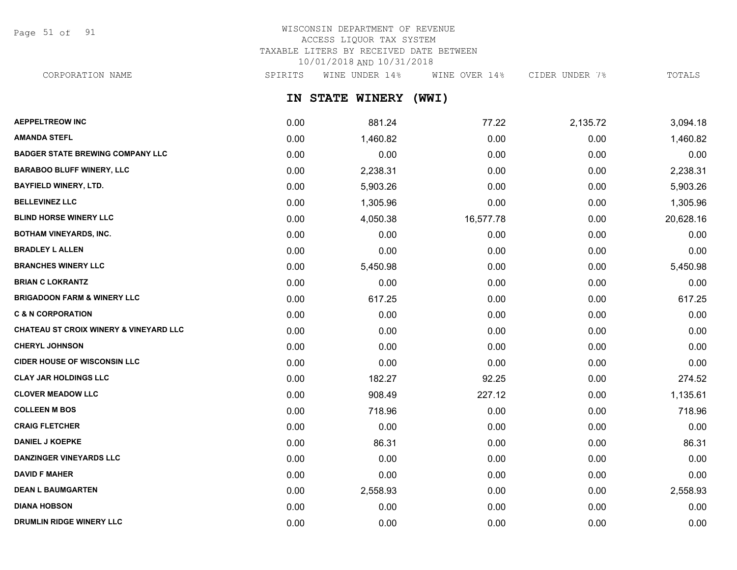Page 51 of 91

# WISCONSIN DEPARTMENT OF REVENUE ACCESS LIQUOR TAX SYSTEM TAXABLE LITERS BY RECEIVED DATE BETWEEN 10/01/2018 AND 10/31/2018

CORPORATION NAME SPIRITS WINE UNDER 14% WINE OVER 14% CIDER UNDER 7% TOTALS

**IN STATE WINERY (WWI)**

| <b>AEPPELTREOW INC</b>                            | 0.00 | 881.24   | 77.22     | 2,135.72 | 3,094.18  |
|---------------------------------------------------|------|----------|-----------|----------|-----------|
| <b>AMANDA STEFL</b>                               | 0.00 | 1,460.82 | 0.00      | 0.00     | 1,460.82  |
| <b>BADGER STATE BREWING COMPANY LLC</b>           | 0.00 | 0.00     | 0.00      | 0.00     | 0.00      |
| <b>BARABOO BLUFF WINERY, LLC</b>                  | 0.00 | 2,238.31 | 0.00      | 0.00     | 2,238.31  |
| <b>BAYFIELD WINERY, LTD.</b>                      | 0.00 | 5,903.26 | 0.00      | 0.00     | 5,903.26  |
| <b>BELLEVINEZ LLC</b>                             | 0.00 | 1,305.96 | 0.00      | 0.00     | 1,305.96  |
| <b>BLIND HORSE WINERY LLC</b>                     | 0.00 | 4,050.38 | 16,577.78 | 0.00     | 20,628.16 |
| <b>BOTHAM VINEYARDS, INC.</b>                     | 0.00 | 0.00     | 0.00      | 0.00     | 0.00      |
| <b>BRADLEY L ALLEN</b>                            | 0.00 | 0.00     | 0.00      | 0.00     | 0.00      |
| <b>BRANCHES WINERY LLC</b>                        | 0.00 | 5,450.98 | 0.00      | 0.00     | 5,450.98  |
| <b>BRIAN C LOKRANTZ</b>                           | 0.00 | 0.00     | 0.00      | 0.00     | 0.00      |
| <b>BRIGADOON FARM &amp; WINERY LLC</b>            | 0.00 | 617.25   | 0.00      | 0.00     | 617.25    |
| <b>C &amp; N CORPORATION</b>                      | 0.00 | 0.00     | 0.00      | 0.00     | 0.00      |
| <b>CHATEAU ST CROIX WINERY &amp; VINEYARD LLC</b> | 0.00 | 0.00     | 0.00      | 0.00     | 0.00      |
| <b>CHERYL JOHNSON</b>                             | 0.00 | 0.00     | 0.00      | 0.00     | 0.00      |
| <b>CIDER HOUSE OF WISCONSIN LLC</b>               | 0.00 | 0.00     | 0.00      | 0.00     | 0.00      |
| <b>CLAY JAR HOLDINGS LLC</b>                      | 0.00 | 182.27   | 92.25     | 0.00     | 274.52    |
| <b>CLOVER MEADOW LLC</b>                          | 0.00 | 908.49   | 227.12    | 0.00     | 1,135.61  |
| <b>COLLEEN M BOS</b>                              | 0.00 | 718.96   | 0.00      | 0.00     | 718.96    |
| <b>CRAIG FLETCHER</b>                             | 0.00 | 0.00     | 0.00      | 0.00     | 0.00      |
| <b>DANIEL J KOEPKE</b>                            | 0.00 | 86.31    | 0.00      | 0.00     | 86.31     |
| <b>DANZINGER VINEYARDS LLC</b>                    | 0.00 | 0.00     | 0.00      | 0.00     | 0.00      |
| <b>DAVID F MAHER</b>                              | 0.00 | 0.00     | 0.00      | 0.00     | 0.00      |
| <b>DEAN L BAUMGARTEN</b>                          | 0.00 | 2,558.93 | 0.00      | 0.00     | 2,558.93  |
| <b>DIANA HOBSON</b>                               | 0.00 | 0.00     | 0.00      | 0.00     | 0.00      |
| DRUMLIN RIDGE WINERY LLC                          | 0.00 | 0.00     | 0.00      | 0.00     | 0.00      |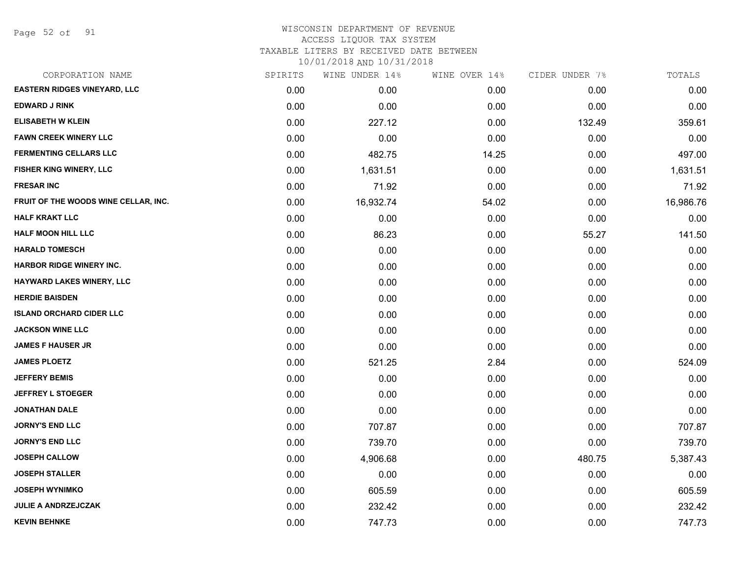Page 52 of 91

### WISCONSIN DEPARTMENT OF REVENUE ACCESS LIQUOR TAX SYSTEM TAXABLE LITERS BY RECEIVED DATE BETWEEN

| CORPORATION NAME                     | SPIRITS | WINE UNDER 14% | WINE OVER 14% | CIDER UNDER 7% | TOTALS    |
|--------------------------------------|---------|----------------|---------------|----------------|-----------|
| <b>EASTERN RIDGES VINEYARD, LLC</b>  | 0.00    | 0.00           | 0.00          | 0.00           | 0.00      |
| <b>EDWARD J RINK</b>                 | 0.00    | 0.00           | 0.00          | 0.00           | 0.00      |
| <b>ELISABETH W KLEIN</b>             | 0.00    | 227.12         | 0.00          | 132.49         | 359.61    |
| <b>FAWN CREEK WINERY LLC</b>         | 0.00    | 0.00           | 0.00          | 0.00           | 0.00      |
| <b>FERMENTING CELLARS LLC</b>        | 0.00    | 482.75         | 14.25         | 0.00           | 497.00    |
| FISHER KING WINERY, LLC              | 0.00    | 1,631.51       | 0.00          | 0.00           | 1,631.51  |
| <b>FRESAR INC</b>                    | 0.00    | 71.92          | 0.00          | 0.00           | 71.92     |
| FRUIT OF THE WOODS WINE CELLAR, INC. | 0.00    | 16,932.74      | 54.02         | 0.00           | 16,986.76 |
| <b>HALF KRAKT LLC</b>                | 0.00    | 0.00           | 0.00          | 0.00           | 0.00      |
| <b>HALF MOON HILL LLC</b>            | 0.00    | 86.23          | 0.00          | 55.27          | 141.50    |
| <b>HARALD TOMESCH</b>                | 0.00    | 0.00           | 0.00          | 0.00           | 0.00      |
| <b>HARBOR RIDGE WINERY INC.</b>      | 0.00    | 0.00           | 0.00          | 0.00           | 0.00      |
| <b>HAYWARD LAKES WINERY, LLC</b>     | 0.00    | 0.00           | 0.00          | 0.00           | 0.00      |
| <b>HERDIE BAISDEN</b>                | 0.00    | 0.00           | 0.00          | 0.00           | 0.00      |
| <b>ISLAND ORCHARD CIDER LLC</b>      | 0.00    | 0.00           | 0.00          | 0.00           | 0.00      |
| <b>JACKSON WINE LLC</b>              | 0.00    | 0.00           | 0.00          | 0.00           | 0.00      |
| <b>JAMES F HAUSER JR</b>             | 0.00    | 0.00           | 0.00          | 0.00           | 0.00      |
| <b>JAMES PLOETZ</b>                  | 0.00    | 521.25         | 2.84          | 0.00           | 524.09    |
| <b>JEFFERY BEMIS</b>                 | 0.00    | 0.00           | 0.00          | 0.00           | 0.00      |
| <b>JEFFREY L STOEGER</b>             | 0.00    | 0.00           | 0.00          | 0.00           | 0.00      |
| <b>JONATHAN DALE</b>                 | 0.00    | 0.00           | 0.00          | 0.00           | 0.00      |
| <b>JORNY'S END LLC</b>               | 0.00    | 707.87         | 0.00          | 0.00           | 707.87    |
| <b>JORNY'S END LLC</b>               | 0.00    | 739.70         | 0.00          | 0.00           | 739.70    |
| <b>JOSEPH CALLOW</b>                 | 0.00    | 4,906.68       | 0.00          | 480.75         | 5,387.43  |
| <b>JOSEPH STALLER</b>                | 0.00    | 0.00           | 0.00          | 0.00           | 0.00      |
| <b>JOSEPH WYNIMKO</b>                | 0.00    | 605.59         | 0.00          | 0.00           | 605.59    |
| <b>JULIE A ANDRZEJCZAK</b>           | 0.00    | 232.42         | 0.00          | 0.00           | 232.42    |
| <b>KEVIN BEHNKE</b>                  | 0.00    | 747.73         | 0.00          | 0.00           | 747.73    |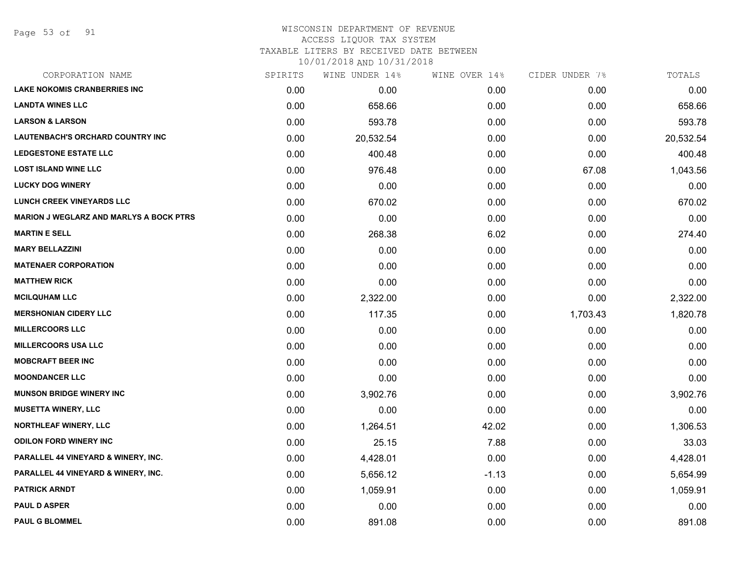Page 53 of 91

### WISCONSIN DEPARTMENT OF REVENUE ACCESS LIQUOR TAX SYSTEM

TAXABLE LITERS BY RECEIVED DATE BETWEEN

| CORPORATION NAME                               | SPIRITS | WINE UNDER 14% | WINE OVER 14% | CIDER UNDER 7% | TOTALS    |
|------------------------------------------------|---------|----------------|---------------|----------------|-----------|
| <b>LAKE NOKOMIS CRANBERRIES INC</b>            | 0.00    | 0.00           | 0.00          | 0.00           | 0.00      |
| <b>LANDTA WINES LLC</b>                        | 0.00    | 658.66         | 0.00          | 0.00           | 658.66    |
| <b>LARSON &amp; LARSON</b>                     | 0.00    | 593.78         | 0.00          | 0.00           | 593.78    |
| <b>LAUTENBACH'S ORCHARD COUNTRY INC</b>        | 0.00    | 20,532.54      | 0.00          | 0.00           | 20,532.54 |
| <b>LEDGESTONE ESTATE LLC</b>                   | 0.00    | 400.48         | 0.00          | 0.00           | 400.48    |
| <b>LOST ISLAND WINE LLC</b>                    | 0.00    | 976.48         | 0.00          | 67.08          | 1,043.56  |
| <b>LUCKY DOG WINERY</b>                        | 0.00    | 0.00           | 0.00          | 0.00           | 0.00      |
| <b>LUNCH CREEK VINEYARDS LLC</b>               | 0.00    | 670.02         | 0.00          | 0.00           | 670.02    |
| <b>MARION J WEGLARZ AND MARLYS A BOCK PTRS</b> | 0.00    | 0.00           | 0.00          | 0.00           | 0.00      |
| <b>MARTIN E SELL</b>                           | 0.00    | 268.38         | 6.02          | 0.00           | 274.40    |
| <b>MARY BELLAZZINI</b>                         | 0.00    | 0.00           | 0.00          | 0.00           | 0.00      |
| <b>MATENAER CORPORATION</b>                    | 0.00    | 0.00           | 0.00          | 0.00           | 0.00      |
| <b>MATTHEW RICK</b>                            | 0.00    | 0.00           | 0.00          | 0.00           | 0.00      |
| <b>MCILQUHAM LLC</b>                           | 0.00    | 2,322.00       | 0.00          | 0.00           | 2,322.00  |
| <b>MERSHONIAN CIDERY LLC</b>                   | 0.00    | 117.35         | 0.00          | 1,703.43       | 1,820.78  |
| <b>MILLERCOORS LLC</b>                         | 0.00    | 0.00           | 0.00          | 0.00           | 0.00      |
| <b>MILLERCOORS USA LLC</b>                     | 0.00    | 0.00           | 0.00          | 0.00           | 0.00      |
| <b>MOBCRAFT BEER INC</b>                       | 0.00    | 0.00           | 0.00          | 0.00           | 0.00      |
| <b>MOONDANCER LLC</b>                          | 0.00    | 0.00           | 0.00          | 0.00           | 0.00      |
| <b>MUNSON BRIDGE WINERY INC</b>                | 0.00    | 3,902.76       | 0.00          | 0.00           | 3,902.76  |
| <b>MUSETTA WINERY, LLC</b>                     | 0.00    | 0.00           | 0.00          | 0.00           | 0.00      |
| NORTHLEAF WINERY, LLC                          | 0.00    | 1,264.51       | 42.02         | 0.00           | 1,306.53  |
| <b>ODILON FORD WINERY INC</b>                  | 0.00    | 25.15          | 7.88          | 0.00           | 33.03     |
| PARALLEL 44 VINEYARD & WINERY, INC.            | 0.00    | 4,428.01       | 0.00          | 0.00           | 4,428.01  |
| PARALLEL 44 VINEYARD & WINERY, INC.            | 0.00    | 5,656.12       | $-1.13$       | 0.00           | 5,654.99  |
| <b>PATRICK ARNDT</b>                           | 0.00    | 1,059.91       | 0.00          | 0.00           | 1,059.91  |
| <b>PAUL D ASPER</b>                            | 0.00    | 0.00           | 0.00          | 0.00           | 0.00      |
| <b>PAUL G BLOMMEL</b>                          | 0.00    | 891.08         | 0.00          | 0.00           | 891.08    |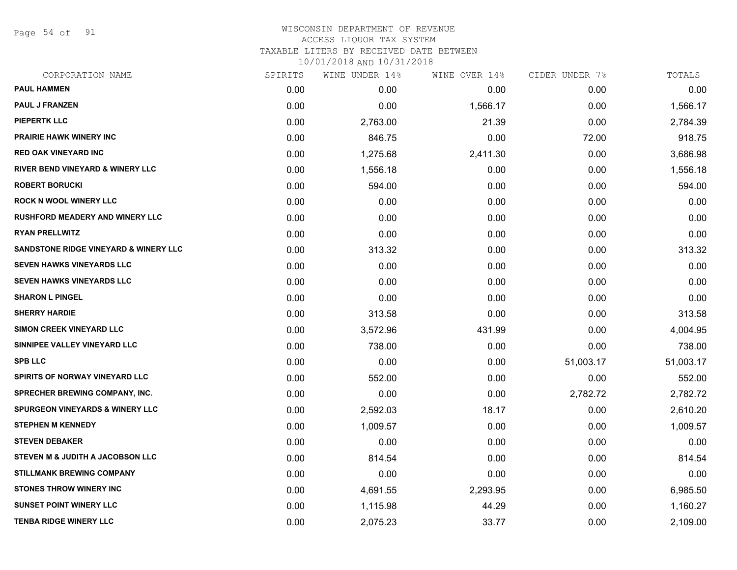Page 54 of 91

# WISCONSIN DEPARTMENT OF REVENUE ACCESS LIQUOR TAX SYSTEM TAXABLE LITERS BY RECEIVED DATE BETWEEN

| CORPORATION NAME                            | SPIRITS | WINE UNDER 14% | WINE OVER 14% | CIDER UNDER 7% | TOTALS    |
|---------------------------------------------|---------|----------------|---------------|----------------|-----------|
| <b>PAUL HAMMEN</b>                          | 0.00    | 0.00           | 0.00          | 0.00           | 0.00      |
| <b>PAUL J FRANZEN</b>                       | 0.00    | 0.00           | 1,566.17      | 0.00           | 1,566.17  |
| <b>PIEPERTK LLC</b>                         | 0.00    | 2,763.00       | 21.39         | 0.00           | 2,784.39  |
| <b>PRAIRIE HAWK WINERY INC</b>              | 0.00    | 846.75         | 0.00          | 72.00          | 918.75    |
| <b>RED OAK VINEYARD INC</b>                 | 0.00    | 1,275.68       | 2,411.30      | 0.00           | 3,686.98  |
| <b>RIVER BEND VINEYARD &amp; WINERY LLC</b> | 0.00    | 1,556.18       | 0.00          | 0.00           | 1,556.18  |
| <b>ROBERT BORUCKI</b>                       | 0.00    | 594.00         | 0.00          | 0.00           | 594.00    |
| <b>ROCK N WOOL WINERY LLC</b>               | 0.00    | 0.00           | 0.00          | 0.00           | 0.00      |
| RUSHFORD MEADERY AND WINERY LLC             | 0.00    | 0.00           | 0.00          | 0.00           | 0.00      |
| <b>RYAN PRELLWITZ</b>                       | 0.00    | 0.00           | 0.00          | 0.00           | 0.00      |
| SANDSTONE RIDGE VINEYARD & WINERY LLC       | 0.00    | 313.32         | 0.00          | 0.00           | 313.32    |
| SEVEN HAWKS VINEYARDS LLC                   | 0.00    | 0.00           | 0.00          | 0.00           | 0.00      |
| SEVEN HAWKS VINEYARDS LLC                   | 0.00    | 0.00           | 0.00          | 0.00           | 0.00      |
| <b>SHARON L PINGEL</b>                      | 0.00    | 0.00           | 0.00          | 0.00           | 0.00      |
| <b>SHERRY HARDIE</b>                        | 0.00    | 313.58         | 0.00          | 0.00           | 313.58    |
| SIMON CREEK VINEYARD LLC                    | 0.00    | 3,572.96       | 431.99        | 0.00           | 4,004.95  |
| SINNIPEE VALLEY VINEYARD LLC                | 0.00    | 738.00         | 0.00          | 0.00           | 738.00    |
| <b>SPB LLC</b>                              | 0.00    | 0.00           | 0.00          | 51,003.17      | 51,003.17 |
| <b>SPIRITS OF NORWAY VINEYARD LLC</b>       | 0.00    | 552.00         | 0.00          | 0.00           | 552.00    |
| <b>SPRECHER BREWING COMPANY, INC.</b>       | 0.00    | 0.00           | 0.00          | 2,782.72       | 2,782.72  |
| <b>SPURGEON VINEYARDS &amp; WINERY LLC</b>  | 0.00    | 2,592.03       | 18.17         | 0.00           | 2,610.20  |
| <b>STEPHEN M KENNEDY</b>                    | 0.00    | 1,009.57       | 0.00          | 0.00           | 1,009.57  |
| <b>STEVEN DEBAKER</b>                       | 0.00    | 0.00           | 0.00          | 0.00           | 0.00      |
| <b>STEVEN M &amp; JUDITH A JACOBSON LLC</b> | 0.00    | 814.54         | 0.00          | 0.00           | 814.54    |
| <b>STILLMANK BREWING COMPANY</b>            | 0.00    | 0.00           | 0.00          | 0.00           | 0.00      |
| <b>STONES THROW WINERY INC</b>              | 0.00    | 4,691.55       | 2,293.95      | 0.00           | 6,985.50  |
| <b>SUNSET POINT WINERY LLC</b>              | 0.00    | 1,115.98       | 44.29         | 0.00           | 1,160.27  |
| <b>TENBA RIDGE WINERY LLC</b>               | 0.00    | 2,075.23       | 33.77         | 0.00           | 2,109.00  |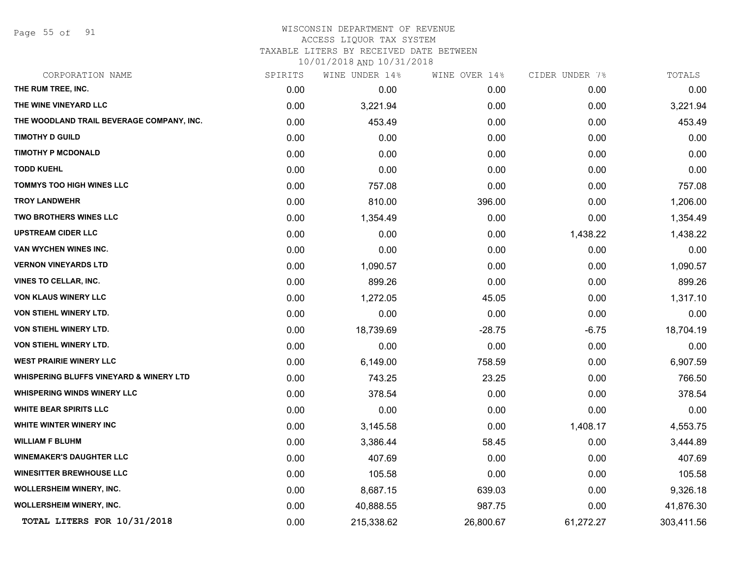Page 55 of 91

# WISCONSIN DEPARTMENT OF REVENUE

# ACCESS LIQUOR TAX SYSTEM

TAXABLE LITERS BY RECEIVED DATE BETWEEN

| CORPORATION NAME                                   | SPIRITS | WINE UNDER 14% | WINE OVER 14% | CIDER UNDER 7% | TOTALS     |
|----------------------------------------------------|---------|----------------|---------------|----------------|------------|
| THE RUM TREE, INC.                                 | 0.00    | 0.00           | 0.00          | 0.00           | 0.00       |
| THE WINE VINEYARD LLC                              | 0.00    | 3,221.94       | 0.00          | 0.00           | 3,221.94   |
| THE WOODLAND TRAIL BEVERAGE COMPANY, INC.          | 0.00    | 453.49         | 0.00          | 0.00           | 453.49     |
| <b>TIMOTHY D GUILD</b>                             | 0.00    | 0.00           | 0.00          | 0.00           | 0.00       |
| <b>TIMOTHY P MCDONALD</b>                          | 0.00    | 0.00           | 0.00          | 0.00           | 0.00       |
| <b>TODD KUEHL</b>                                  | 0.00    | 0.00           | 0.00          | 0.00           | 0.00       |
| <b>TOMMYS TOO HIGH WINES LLC</b>                   | 0.00    | 757.08         | 0.00          | 0.00           | 757.08     |
| <b>TROY LANDWEHR</b>                               | 0.00    | 810.00         | 396.00        | 0.00           | 1,206.00   |
| <b>TWO BROTHERS WINES LLC</b>                      | 0.00    | 1,354.49       | 0.00          | 0.00           | 1,354.49   |
| <b>UPSTREAM CIDER LLC</b>                          | 0.00    | 0.00           | 0.00          | 1,438.22       | 1,438.22   |
| VAN WYCHEN WINES INC.                              | 0.00    | 0.00           | 0.00          | 0.00           | 0.00       |
| <b>VERNON VINEYARDS LTD</b>                        | 0.00    | 1,090.57       | 0.00          | 0.00           | 1,090.57   |
| <b>VINES TO CELLAR, INC.</b>                       | 0.00    | 899.26         | 0.00          | 0.00           | 899.26     |
| <b>VON KLAUS WINERY LLC</b>                        | 0.00    | 1,272.05       | 45.05         | 0.00           | 1,317.10   |
| VON STIEHL WINERY LTD.                             | 0.00    | 0.00           | 0.00          | 0.00           | 0.00       |
| <b>VON STIEHL WINERY LTD.</b>                      | 0.00    | 18,739.69      | $-28.75$      | $-6.75$        | 18,704.19  |
| VON STIEHL WINERY LTD.                             | 0.00    | 0.00           | 0.00          | 0.00           | 0.00       |
| <b>WEST PRAIRIE WINERY LLC</b>                     | 0.00    | 6,149.00       | 758.59        | 0.00           | 6,907.59   |
| <b>WHISPERING BLUFFS VINEYARD &amp; WINERY LTD</b> | 0.00    | 743.25         | 23.25         | 0.00           | 766.50     |
| <b>WHISPERING WINDS WINERY LLC</b>                 | 0.00    | 378.54         | 0.00          | 0.00           | 378.54     |
| <b>WHITE BEAR SPIRITS LLC</b>                      | 0.00    | 0.00           | 0.00          | 0.00           | 0.00       |
| WHITE WINTER WINERY INC                            | 0.00    | 3,145.58       | 0.00          | 1,408.17       | 4,553.75   |
| <b>WILLIAM F BLUHM</b>                             | 0.00    | 3,386.44       | 58.45         | 0.00           | 3,444.89   |
| <b>WINEMAKER'S DAUGHTER LLC</b>                    | 0.00    | 407.69         | 0.00          | 0.00           | 407.69     |
| <b>WINESITTER BREWHOUSE LLC</b>                    | 0.00    | 105.58         | 0.00          | 0.00           | 105.58     |
| WOLLERSHEIM WINERY, INC.                           | 0.00    | 8,687.15       | 639.03        | 0.00           | 9,326.18   |
| <b>WOLLERSHEIM WINERY, INC.</b>                    | 0.00    | 40,888.55      | 987.75        | 0.00           | 41,876.30  |
| TOTAL LITERS FOR 10/31/2018                        | 0.00    | 215,338.62     | 26,800.67     | 61,272.27      | 303,411.56 |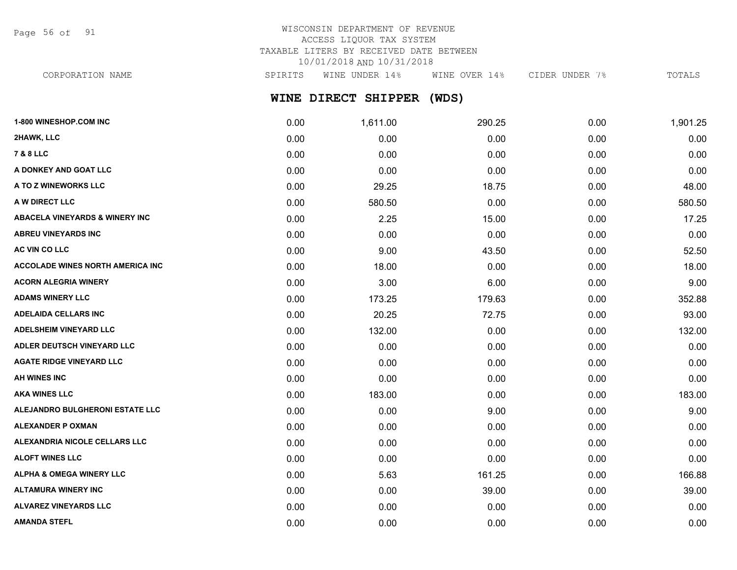Page 56 of 91

# WISCONSIN DEPARTMENT OF REVENUE ACCESS LIQUOR TAX SYSTEM TAXABLE LITERS BY RECEIVED DATE BETWEEN 10/01/2018 AND 10/31/2018

CORPORATION NAME SPIRITS WINE UNDER 14% WINE OVER 14% CIDER UNDER 7% TOTALS

# **WINE DIRECT SHIPPER (WDS)**

| 1-800 WINESHOP.COM INC                    | 0.00 | 1,611.00 | 290.25 | 0.00 | 1,901.25 |
|-------------------------------------------|------|----------|--------|------|----------|
| 2HAWK, LLC                                | 0.00 | 0.00     | 0.00   | 0.00 | 0.00     |
| <b>7 &amp; 8 LLC</b>                      | 0.00 | 0.00     | 0.00   | 0.00 | 0.00     |
| A DONKEY AND GOAT LLC                     | 0.00 | 0.00     | 0.00   | 0.00 | 0.00     |
| A TO Z WINEWORKS LLC                      | 0.00 | 29.25    | 18.75  | 0.00 | 48.00    |
| A W DIRECT LLC                            | 0.00 | 580.50   | 0.00   | 0.00 | 580.50   |
| <b>ABACELA VINEYARDS &amp; WINERY INC</b> | 0.00 | 2.25     | 15.00  | 0.00 | 17.25    |
| <b>ABREU VINEYARDS INC</b>                | 0.00 | 0.00     | 0.00   | 0.00 | 0.00     |
| AC VIN CO LLC                             | 0.00 | 9.00     | 43.50  | 0.00 | 52.50    |
| <b>ACCOLADE WINES NORTH AMERICA INC</b>   | 0.00 | 18.00    | 0.00   | 0.00 | 18.00    |
| <b>ACORN ALEGRIA WINERY</b>               | 0.00 | 3.00     | 6.00   | 0.00 | 9.00     |
| <b>ADAMS WINERY LLC</b>                   | 0.00 | 173.25   | 179.63 | 0.00 | 352.88   |
| <b>ADELAIDA CELLARS INC</b>               | 0.00 | 20.25    | 72.75  | 0.00 | 93.00    |
| <b>ADELSHEIM VINEYARD LLC</b>             | 0.00 | 132.00   | 0.00   | 0.00 | 132.00   |
| ADLER DEUTSCH VINEYARD LLC                | 0.00 | 0.00     | 0.00   | 0.00 | 0.00     |
| <b>AGATE RIDGE VINEYARD LLC</b>           | 0.00 | 0.00     | 0.00   | 0.00 | 0.00     |
| AH WINES INC                              | 0.00 | 0.00     | 0.00   | 0.00 | 0.00     |
| <b>AKA WINES LLC</b>                      | 0.00 | 183.00   | 0.00   | 0.00 | 183.00   |
| ALEJANDRO BULGHERONI ESTATE LLC           | 0.00 | 0.00     | 9.00   | 0.00 | 9.00     |
| <b>ALEXANDER P OXMAN</b>                  | 0.00 | 0.00     | 0.00   | 0.00 | 0.00     |
| ALEXANDRIA NICOLE CELLARS LLC             | 0.00 | 0.00     | 0.00   | 0.00 | 0.00     |
| <b>ALOFT WINES LLC</b>                    | 0.00 | 0.00     | 0.00   | 0.00 | 0.00     |
| <b>ALPHA &amp; OMEGA WINERY LLC</b>       | 0.00 | 5.63     | 161.25 | 0.00 | 166.88   |
| <b>ALTAMURA WINERY INC</b>                | 0.00 | 0.00     | 39.00  | 0.00 | 39.00    |
| <b>ALVAREZ VINEYARDS LLC</b>              | 0.00 | 0.00     | 0.00   | 0.00 | 0.00     |
| <b>AMANDA STEFL</b>                       | 0.00 | 0.00     | 0.00   | 0.00 | 0.00     |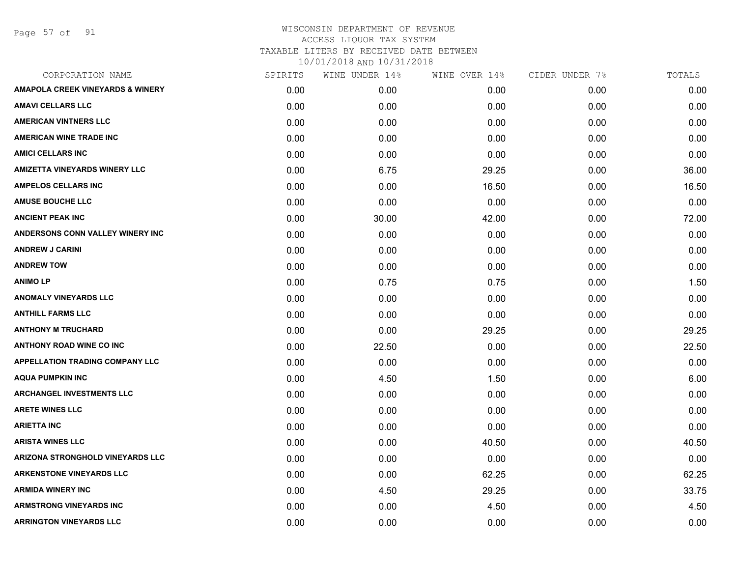Page 57 of 91

| SPIRITS | WINE UNDER 14% | WINE OVER 14% | CIDER UNDER 7% | TOTALS |
|---------|----------------|---------------|----------------|--------|
| 0.00    | 0.00           | 0.00          | 0.00           | 0.00   |
| 0.00    | 0.00           | 0.00          | 0.00           | 0.00   |
| 0.00    | 0.00           | 0.00          | 0.00           | 0.00   |
| 0.00    | 0.00           | 0.00          | 0.00           | 0.00   |
| 0.00    | 0.00           | 0.00          | 0.00           | 0.00   |
| 0.00    | 6.75           | 29.25         | 0.00           | 36.00  |
| 0.00    | 0.00           | 16.50         | 0.00           | 16.50  |
| 0.00    | 0.00           | 0.00          | 0.00           | 0.00   |
| 0.00    | 30.00          | 42.00         | 0.00           | 72.00  |
| 0.00    | 0.00           | 0.00          | 0.00           | 0.00   |
| 0.00    | 0.00           | 0.00          | 0.00           | 0.00   |
| 0.00    | 0.00           | 0.00          | 0.00           | 0.00   |
| 0.00    | 0.75           | 0.75          | 0.00           | 1.50   |
| 0.00    | 0.00           | 0.00          | 0.00           | 0.00   |
| 0.00    | 0.00           | 0.00          | 0.00           | 0.00   |
| 0.00    | 0.00           | 29.25         | 0.00           | 29.25  |
| 0.00    | 22.50          | 0.00          | 0.00           | 22.50  |
| 0.00    | 0.00           | 0.00          | 0.00           | 0.00   |
| 0.00    | 4.50           | 1.50          | 0.00           | 6.00   |
| 0.00    | 0.00           | 0.00          | 0.00           | 0.00   |
| 0.00    | 0.00           | 0.00          | 0.00           | 0.00   |
| 0.00    | 0.00           | 0.00          | 0.00           | 0.00   |
| 0.00    | 0.00           | 40.50         | 0.00           | 40.50  |
| 0.00    | 0.00           | 0.00          | 0.00           | 0.00   |
| 0.00    | 0.00           | 62.25         | 0.00           | 62.25  |
| 0.00    | 4.50           | 29.25         | 0.00           | 33.75  |
| 0.00    | 0.00           | 4.50          | 0.00           | 4.50   |
| 0.00    | 0.00           | 0.00          | 0.00           | 0.00   |
|         |                |               |                |        |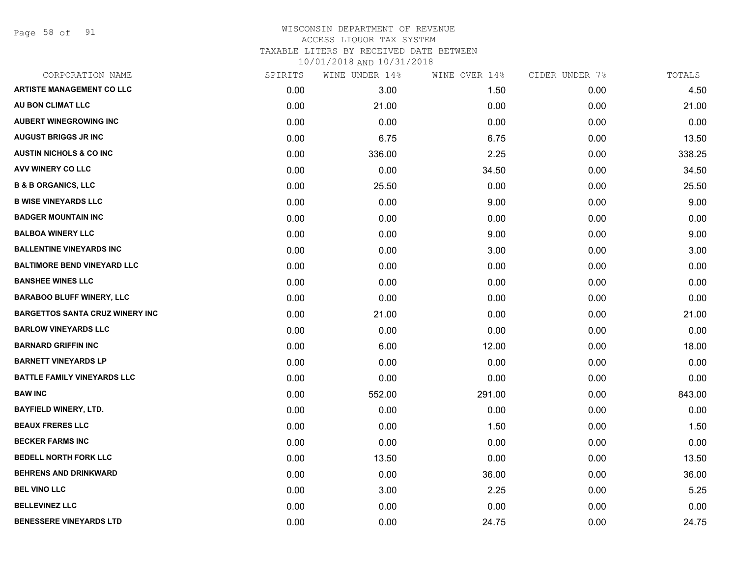Page 58 of 91

# WISCONSIN DEPARTMENT OF REVENUE ACCESS LIQUOR TAX SYSTEM TAXABLE LITERS BY RECEIVED DATE BETWEEN

| CORPORATION NAME                       | SPIRITS | WINE UNDER 14% | WINE OVER 14% | CIDER UNDER 7% | TOTALS |
|----------------------------------------|---------|----------------|---------------|----------------|--------|
| <b>ARTISTE MANAGEMENT CO LLC</b>       | 0.00    | 3.00           | 1.50          | 0.00           | 4.50   |
| AU BON CLIMAT LLC                      | 0.00    | 21.00          | 0.00          | 0.00           | 21.00  |
| <b>AUBERT WINEGROWING INC</b>          | 0.00    | 0.00           | 0.00          | 0.00           | 0.00   |
| <b>AUGUST BRIGGS JR INC</b>            | 0.00    | 6.75           | 6.75          | 0.00           | 13.50  |
| <b>AUSTIN NICHOLS &amp; CO INC</b>     | 0.00    | 336.00         | 2.25          | 0.00           | 338.25 |
| AVV WINERY CO LLC                      | 0.00    | 0.00           | 34.50         | 0.00           | 34.50  |
| <b>B &amp; B ORGANICS, LLC</b>         | 0.00    | 25.50          | 0.00          | 0.00           | 25.50  |
| <b>B WISE VINEYARDS LLC</b>            | 0.00    | 0.00           | 9.00          | 0.00           | 9.00   |
| <b>BADGER MOUNTAIN INC</b>             | 0.00    | 0.00           | 0.00          | 0.00           | 0.00   |
| <b>BALBOA WINERY LLC</b>               | 0.00    | 0.00           | 9.00          | 0.00           | 9.00   |
| <b>BALLENTINE VINEYARDS INC</b>        | 0.00    | 0.00           | 3.00          | 0.00           | 3.00   |
| <b>BALTIMORE BEND VINEYARD LLC</b>     | 0.00    | 0.00           | 0.00          | 0.00           | 0.00   |
| <b>BANSHEE WINES LLC</b>               | 0.00    | 0.00           | 0.00          | 0.00           | 0.00   |
| <b>BARABOO BLUFF WINERY, LLC</b>       | 0.00    | 0.00           | 0.00          | 0.00           | 0.00   |
| <b>BARGETTOS SANTA CRUZ WINERY INC</b> | 0.00    | 21.00          | 0.00          | 0.00           | 21.00  |
| <b>BARLOW VINEYARDS LLC</b>            | 0.00    | 0.00           | 0.00          | 0.00           | 0.00   |
| <b>BARNARD GRIFFIN INC</b>             | 0.00    | 6.00           | 12.00         | 0.00           | 18.00  |
| <b>BARNETT VINEYARDS LP</b>            | 0.00    | 0.00           | 0.00          | 0.00           | 0.00   |
| <b>BATTLE FAMILY VINEYARDS LLC</b>     | 0.00    | 0.00           | 0.00          | 0.00           | 0.00   |
| <b>BAW INC</b>                         | 0.00    | 552.00         | 291.00        | 0.00           | 843.00 |
| <b>BAYFIELD WINERY, LTD.</b>           | 0.00    | 0.00           | 0.00          | 0.00           | 0.00   |
| <b>BEAUX FRERES LLC</b>                | 0.00    | 0.00           | 1.50          | 0.00           | 1.50   |
| <b>BECKER FARMS INC</b>                | 0.00    | 0.00           | 0.00          | 0.00           | 0.00   |
| <b>BEDELL NORTH FORK LLC</b>           | 0.00    | 13.50          | 0.00          | 0.00           | 13.50  |
| <b>BEHRENS AND DRINKWARD</b>           | 0.00    | 0.00           | 36.00         | 0.00           | 36.00  |
| <b>BEL VINO LLC</b>                    | 0.00    | 3.00           | 2.25          | 0.00           | 5.25   |
| <b>BELLEVINEZ LLC</b>                  | 0.00    | 0.00           | 0.00          | 0.00           | 0.00   |
| <b>BENESSERE VINEYARDS LTD</b>         | 0.00    | 0.00           | 24.75         | 0.00           | 24.75  |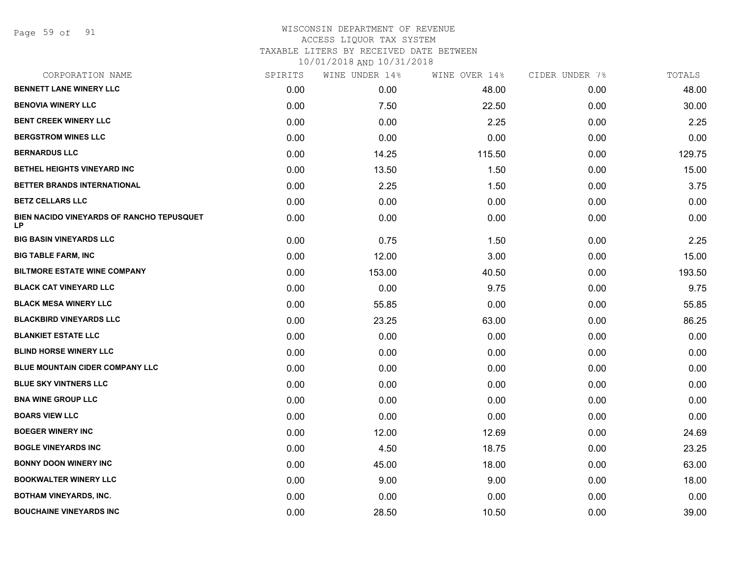Page 59 of 91

### WISCONSIN DEPARTMENT OF REVENUE ACCESS LIQUOR TAX SYSTEM TAXABLE LITERS BY RECEIVED DATE BETWEEN

| CORPORATION NAME                                | SPIRITS | WINE UNDER 14% | WINE OVER 14% | CIDER UNDER 7% | TOTALS |
|-------------------------------------------------|---------|----------------|---------------|----------------|--------|
| <b>BENNETT LANE WINERY LLC</b>                  | 0.00    | 0.00           | 48.00         | 0.00           | 48.00  |
| <b>BENOVIA WINERY LLC</b>                       | 0.00    | 7.50           | 22.50         | 0.00           | 30.00  |
| <b>BENT CREEK WINERY LLC</b>                    | 0.00    | 0.00           | 2.25          | 0.00           | 2.25   |
| <b>BERGSTROM WINES LLC</b>                      | 0.00    | 0.00           | 0.00          | 0.00           | 0.00   |
| <b>BERNARDUS LLC</b>                            | 0.00    | 14.25          | 115.50        | 0.00           | 129.75 |
| BETHEL HEIGHTS VINEYARD INC                     | 0.00    | 13.50          | 1.50          | 0.00           | 15.00  |
| BETTER BRANDS INTERNATIONAL                     | 0.00    | 2.25           | 1.50          | 0.00           | 3.75   |
| <b>BETZ CELLARS LLC</b>                         | 0.00    | 0.00           | 0.00          | 0.00           | 0.00   |
| BIEN NACIDO VINEYARDS OF RANCHO TEPUSQUET<br>LP | 0.00    | 0.00           | 0.00          | 0.00           | 0.00   |
| <b>BIG BASIN VINEYARDS LLC</b>                  | 0.00    | 0.75           | 1.50          | 0.00           | 2.25   |
| <b>BIG TABLE FARM, INC</b>                      | 0.00    | 12.00          | 3.00          | 0.00           | 15.00  |
| <b>BILTMORE ESTATE WINE COMPANY</b>             | 0.00    | 153.00         | 40.50         | 0.00           | 193.50 |
| <b>BLACK CAT VINEYARD LLC</b>                   | 0.00    | 0.00           | 9.75          | 0.00           | 9.75   |
| <b>BLACK MESA WINERY LLC</b>                    | 0.00    | 55.85          | 0.00          | 0.00           | 55.85  |
| <b>BLACKBIRD VINEYARDS LLC</b>                  | 0.00    | 23.25          | 63.00         | 0.00           | 86.25  |
| <b>BLANKIET ESTATE LLC</b>                      | 0.00    | 0.00           | 0.00          | 0.00           | 0.00   |
| <b>BLIND HORSE WINERY LLC</b>                   | 0.00    | 0.00           | 0.00          | 0.00           | 0.00   |
| BLUE MOUNTAIN CIDER COMPANY LLC                 | 0.00    | 0.00           | 0.00          | 0.00           | 0.00   |
| <b>BLUE SKY VINTNERS LLC</b>                    | 0.00    | 0.00           | 0.00          | 0.00           | 0.00   |
| <b>BNA WINE GROUP LLC</b>                       | 0.00    | 0.00           | 0.00          | 0.00           | 0.00   |
| <b>BOARS VIEW LLC</b>                           | 0.00    | 0.00           | 0.00          | 0.00           | 0.00   |
| <b>BOEGER WINERY INC</b>                        | 0.00    | 12.00          | 12.69         | 0.00           | 24.69  |
| <b>BOGLE VINEYARDS INC</b>                      | 0.00    | 4.50           | 18.75         | 0.00           | 23.25  |
| <b>BONNY DOON WINERY INC</b>                    | 0.00    | 45.00          | 18.00         | 0.00           | 63.00  |
| <b>BOOKWALTER WINERY LLC</b>                    | 0.00    | 9.00           | 9.00          | 0.00           | 18.00  |
| <b>BOTHAM VINEYARDS, INC.</b>                   | 0.00    | 0.00           | 0.00          | 0.00           | 0.00   |
| <b>BOUCHAINE VINEYARDS INC</b>                  | 0.00    | 28.50          | 10.50         | 0.00           | 39.00  |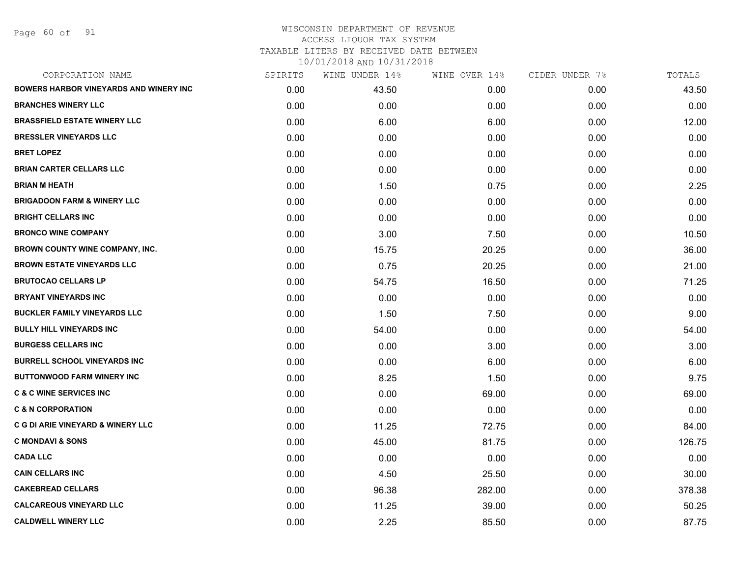Page 60 of 91

### WISCONSIN DEPARTMENT OF REVENUE ACCESS LIQUOR TAX SYSTEM TAXABLE LITERS BY RECEIVED DATE BETWEEN

| CORPORATION NAME                              | SPIRITS | WINE UNDER 14% | WINE OVER 14% | CIDER UNDER 7% | TOTALS |
|-----------------------------------------------|---------|----------------|---------------|----------------|--------|
| <b>BOWERS HARBOR VINEYARDS AND WINERY INC</b> | 0.00    | 43.50          | 0.00          | 0.00           | 43.50  |
| <b>BRANCHES WINERY LLC</b>                    | 0.00    | 0.00           | 0.00          | 0.00           | 0.00   |
| <b>BRASSFIELD ESTATE WINERY LLC</b>           | 0.00    | 6.00           | 6.00          | 0.00           | 12.00  |
| <b>BRESSLER VINEYARDS LLC</b>                 | 0.00    | 0.00           | 0.00          | 0.00           | 0.00   |
| <b>BRET LOPEZ</b>                             | 0.00    | 0.00           | 0.00          | 0.00           | 0.00   |
| <b>BRIAN CARTER CELLARS LLC</b>               | 0.00    | 0.00           | 0.00          | 0.00           | 0.00   |
| <b>BRIAN M HEATH</b>                          | 0.00    | 1.50           | 0.75          | 0.00           | 2.25   |
| <b>BRIGADOON FARM &amp; WINERY LLC</b>        | 0.00    | 0.00           | 0.00          | 0.00           | 0.00   |
| <b>BRIGHT CELLARS INC</b>                     | 0.00    | 0.00           | 0.00          | 0.00           | 0.00   |
| <b>BRONCO WINE COMPANY</b>                    | 0.00    | 3.00           | 7.50          | 0.00           | 10.50  |
| <b>BROWN COUNTY WINE COMPANY, INC.</b>        | 0.00    | 15.75          | 20.25         | 0.00           | 36.00  |
| <b>BROWN ESTATE VINEYARDS LLC</b>             | 0.00    | 0.75           | 20.25         | 0.00           | 21.00  |
| <b>BRUTOCAO CELLARS LP</b>                    | 0.00    | 54.75          | 16.50         | 0.00           | 71.25  |
| <b>BRYANT VINEYARDS INC</b>                   | 0.00    | 0.00           | 0.00          | 0.00           | 0.00   |
| <b>BUCKLER FAMILY VINEYARDS LLC</b>           | 0.00    | 1.50           | 7.50          | 0.00           | 9.00   |
| <b>BULLY HILL VINEYARDS INC</b>               | 0.00    | 54.00          | 0.00          | 0.00           | 54.00  |
| <b>BURGESS CELLARS INC</b>                    | 0.00    | 0.00           | 3.00          | 0.00           | 3.00   |
| <b>BURRELL SCHOOL VINEYARDS INC</b>           | 0.00    | 0.00           | 6.00          | 0.00           | 6.00   |
| <b>BUTTONWOOD FARM WINERY INC</b>             | 0.00    | 8.25           | 1.50          | 0.00           | 9.75   |
| <b>C &amp; C WINE SERVICES INC</b>            | 0.00    | 0.00           | 69.00         | 0.00           | 69.00  |
| <b>C &amp; N CORPORATION</b>                  | 0.00    | 0.00           | 0.00          | 0.00           | 0.00   |
| <b>C G DI ARIE VINEYARD &amp; WINERY LLC</b>  | 0.00    | 11.25          | 72.75         | 0.00           | 84.00  |
| <b>C MONDAVI &amp; SONS</b>                   | 0.00    | 45.00          | 81.75         | 0.00           | 126.75 |
| <b>CADA LLC</b>                               | 0.00    | 0.00           | 0.00          | 0.00           | 0.00   |
| <b>CAIN CELLARS INC</b>                       | 0.00    | 4.50           | 25.50         | 0.00           | 30.00  |
| <b>CAKEBREAD CELLARS</b>                      | 0.00    | 96.38          | 282.00        | 0.00           | 378.38 |
| <b>CALCAREOUS VINEYARD LLC</b>                | 0.00    | 11.25          | 39.00         | 0.00           | 50.25  |
| <b>CALDWELL WINERY LLC</b>                    | 0.00    | 2.25           | 85.50         | 0.00           | 87.75  |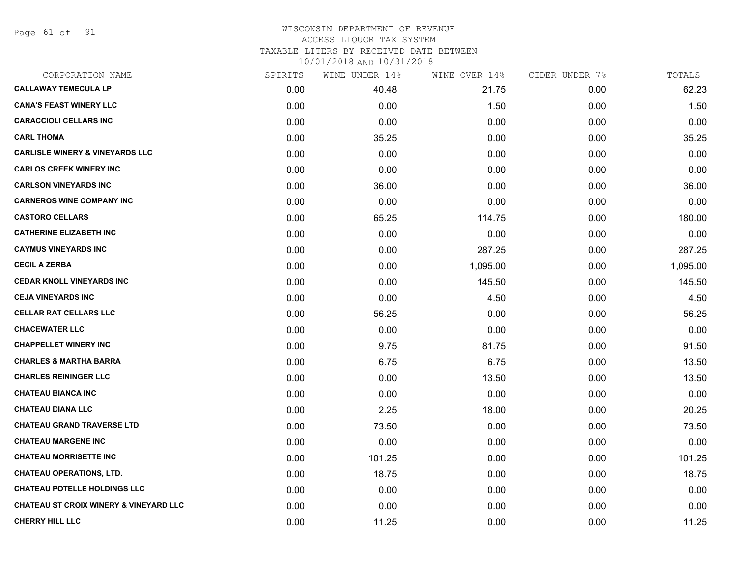Page 61 of 91

### WISCONSIN DEPARTMENT OF REVENUE ACCESS LIQUOR TAX SYSTEM TAXABLE LITERS BY RECEIVED DATE BETWEEN

| CORPORATION NAME                                  | SPIRITS | WINE UNDER 14% | WINE OVER 14% | CIDER UNDER 7% | TOTALS   |
|---------------------------------------------------|---------|----------------|---------------|----------------|----------|
| <b>CALLAWAY TEMECULA LP</b>                       | 0.00    | 40.48          | 21.75         | 0.00           | 62.23    |
| <b>CANA'S FEAST WINERY LLC</b>                    | 0.00    | 0.00           | 1.50          | 0.00           | 1.50     |
| <b>CARACCIOLI CELLARS INC</b>                     | 0.00    | 0.00           | 0.00          | 0.00           | 0.00     |
| <b>CARL THOMA</b>                                 | 0.00    | 35.25          | 0.00          | 0.00           | 35.25    |
| <b>CARLISLE WINERY &amp; VINEYARDS LLC</b>        | 0.00    | 0.00           | 0.00          | 0.00           | 0.00     |
| <b>CARLOS CREEK WINERY INC</b>                    | 0.00    | 0.00           | 0.00          | 0.00           | 0.00     |
| <b>CARLSON VINEYARDS INC</b>                      | 0.00    | 36.00          | 0.00          | 0.00           | 36.00    |
| <b>CARNEROS WINE COMPANY INC</b>                  | 0.00    | 0.00           | 0.00          | 0.00           | 0.00     |
| <b>CASTORO CELLARS</b>                            | 0.00    | 65.25          | 114.75        | 0.00           | 180.00   |
| <b>CATHERINE ELIZABETH INC</b>                    | 0.00    | 0.00           | 0.00          | 0.00           | 0.00     |
| <b>CAYMUS VINEYARDS INC</b>                       | 0.00    | 0.00           | 287.25        | 0.00           | 287.25   |
| <b>CECIL A ZERBA</b>                              | 0.00    | 0.00           | 1,095.00      | 0.00           | 1,095.00 |
| <b>CEDAR KNOLL VINEYARDS INC</b>                  | 0.00    | 0.00           | 145.50        | 0.00           | 145.50   |
| <b>CEJA VINEYARDS INC</b>                         | 0.00    | 0.00           | 4.50          | 0.00           | 4.50     |
| <b>CELLAR RAT CELLARS LLC</b>                     | 0.00    | 56.25          | 0.00          | 0.00           | 56.25    |
| <b>CHACEWATER LLC</b>                             | 0.00    | 0.00           | 0.00          | 0.00           | 0.00     |
| <b>CHAPPELLET WINERY INC</b>                      | 0.00    | 9.75           | 81.75         | 0.00           | 91.50    |
| <b>CHARLES &amp; MARTHA BARRA</b>                 | 0.00    | 6.75           | 6.75          | 0.00           | 13.50    |
| <b>CHARLES REININGER LLC</b>                      | 0.00    | 0.00           | 13.50         | 0.00           | 13.50    |
| <b>CHATEAU BIANCA INC</b>                         | 0.00    | 0.00           | 0.00          | 0.00           | 0.00     |
| <b>CHATEAU DIANA LLC</b>                          | 0.00    | 2.25           | 18.00         | 0.00           | 20.25    |
| <b>CHATEAU GRAND TRAVERSE LTD</b>                 | 0.00    | 73.50          | 0.00          | 0.00           | 73.50    |
| <b>CHATEAU MARGENE INC</b>                        | 0.00    | 0.00           | 0.00          | 0.00           | 0.00     |
| <b>CHATEAU MORRISETTE INC</b>                     | 0.00    | 101.25         | 0.00          | 0.00           | 101.25   |
| <b>CHATEAU OPERATIONS, LTD.</b>                   | 0.00    | 18.75          | 0.00          | 0.00           | 18.75    |
| <b>CHATEAU POTELLE HOLDINGS LLC</b>               | 0.00    | 0.00           | 0.00          | 0.00           | 0.00     |
| <b>CHATEAU ST CROIX WINERY &amp; VINEYARD LLC</b> | 0.00    | 0.00           | 0.00          | 0.00           | 0.00     |
| <b>CHERRY HILL LLC</b>                            | 0.00    | 11.25          | 0.00          | 0.00           | 11.25    |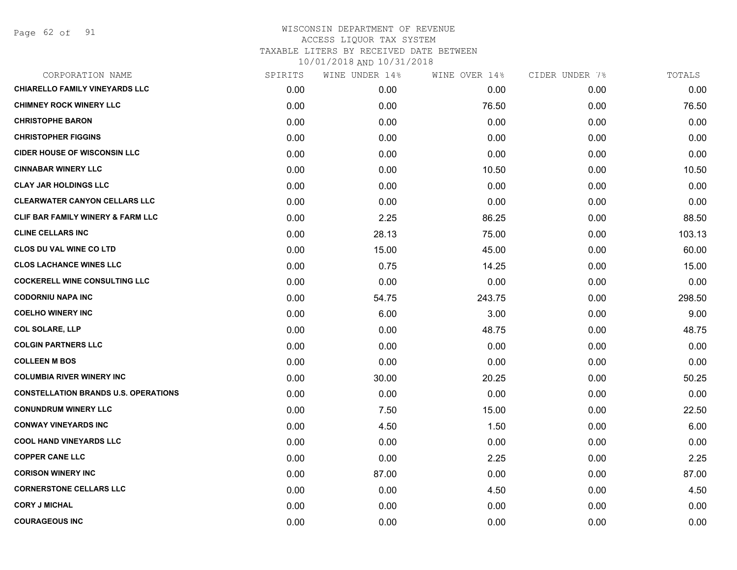Page 62 of 91

| CORPORATION NAME                             | SPIRITS | WINE UNDER 14% | WINE OVER 14% | CIDER UNDER 7% | TOTALS |
|----------------------------------------------|---------|----------------|---------------|----------------|--------|
| <b>CHIARELLO FAMILY VINEYARDS LLC</b>        | 0.00    | 0.00           | 0.00          | 0.00           | 0.00   |
| <b>CHIMNEY ROCK WINERY LLC</b>               | 0.00    | 0.00           | 76.50         | 0.00           | 76.50  |
| <b>CHRISTOPHE BARON</b>                      | 0.00    | 0.00           | 0.00          | 0.00           | 0.00   |
| <b>CHRISTOPHER FIGGINS</b>                   | 0.00    | 0.00           | 0.00          | 0.00           | 0.00   |
| <b>CIDER HOUSE OF WISCONSIN LLC</b>          | 0.00    | 0.00           | 0.00          | 0.00           | 0.00   |
| <b>CINNABAR WINERY LLC</b>                   | 0.00    | 0.00           | 10.50         | 0.00           | 10.50  |
| <b>CLAY JAR HOLDINGS LLC</b>                 | 0.00    | 0.00           | 0.00          | 0.00           | 0.00   |
| <b>CLEARWATER CANYON CELLARS LLC</b>         | 0.00    | 0.00           | 0.00          | 0.00           | 0.00   |
| <b>CLIF BAR FAMILY WINERY &amp; FARM LLC</b> | 0.00    | 2.25           | 86.25         | 0.00           | 88.50  |
| <b>CLINE CELLARS INC</b>                     | 0.00    | 28.13          | 75.00         | 0.00           | 103.13 |
| <b>CLOS DU VAL WINE CO LTD</b>               | 0.00    | 15.00          | 45.00         | 0.00           | 60.00  |
| <b>CLOS LACHANCE WINES LLC</b>               | 0.00    | 0.75           | 14.25         | 0.00           | 15.00  |
| <b>COCKERELL WINE CONSULTING LLC</b>         | 0.00    | 0.00           | 0.00          | 0.00           | 0.00   |
| <b>CODORNIU NAPA INC</b>                     | 0.00    | 54.75          | 243.75        | 0.00           | 298.50 |
| <b>COELHO WINERY INC</b>                     | 0.00    | 6.00           | 3.00          | 0.00           | 9.00   |
| <b>COL SOLARE, LLP</b>                       | 0.00    | 0.00           | 48.75         | 0.00           | 48.75  |
| <b>COLGIN PARTNERS LLC</b>                   | 0.00    | 0.00           | 0.00          | 0.00           | 0.00   |
| <b>COLLEEN M BOS</b>                         | 0.00    | 0.00           | 0.00          | 0.00           | 0.00   |
| <b>COLUMBIA RIVER WINERY INC</b>             | 0.00    | 30.00          | 20.25         | 0.00           | 50.25  |
| <b>CONSTELLATION BRANDS U.S. OPERATIONS</b>  | 0.00    | 0.00           | 0.00          | 0.00           | 0.00   |
| <b>CONUNDRUM WINERY LLC</b>                  | 0.00    | 7.50           | 15.00         | 0.00           | 22.50  |
| <b>CONWAY VINEYARDS INC</b>                  | 0.00    | 4.50           | 1.50          | 0.00           | 6.00   |
| <b>COOL HAND VINEYARDS LLC</b>               | 0.00    | 0.00           | 0.00          | 0.00           | 0.00   |
| <b>COPPER CANE LLC</b>                       | 0.00    | 0.00           | 2.25          | 0.00           | 2.25   |
| <b>CORISON WINERY INC</b>                    | 0.00    | 87.00          | 0.00          | 0.00           | 87.00  |
| <b>CORNERSTONE CELLARS LLC</b>               | 0.00    | 0.00           | 4.50          | 0.00           | 4.50   |
| <b>CORY J MICHAL</b>                         | 0.00    | 0.00           | 0.00          | 0.00           | 0.00   |
| <b>COURAGEOUS INC</b>                        | 0.00    | 0.00           | 0.00          | 0.00           | 0.00   |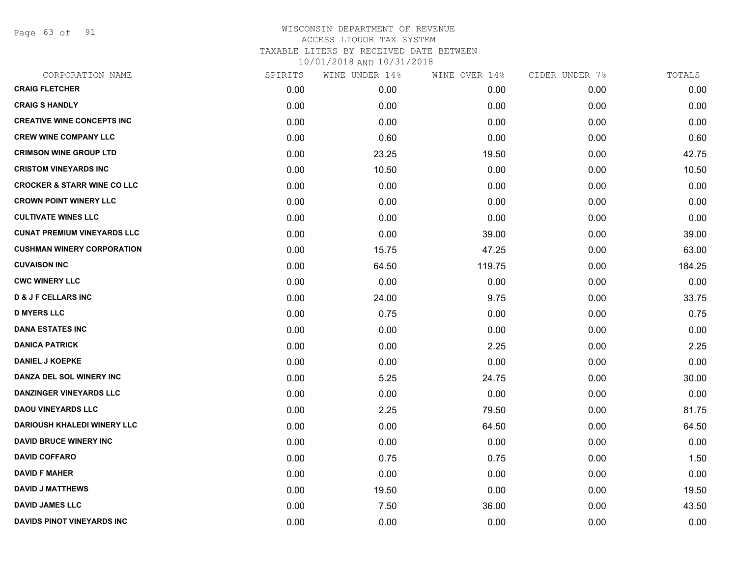Page 63 of 91

| CORPORATION NAME                       | SPIRITS | WINE UNDER 14% | WINE OVER 14% | CIDER UNDER 7% | TOTALS |
|----------------------------------------|---------|----------------|---------------|----------------|--------|
| <b>CRAIG FLETCHER</b>                  | 0.00    | 0.00           | 0.00          | 0.00           | 0.00   |
| <b>CRAIG S HANDLY</b>                  | 0.00    | 0.00           | 0.00          | 0.00           | 0.00   |
| <b>CREATIVE WINE CONCEPTS INC</b>      | 0.00    | 0.00           | 0.00          | 0.00           | 0.00   |
| <b>CREW WINE COMPANY LLC</b>           | 0.00    | 0.60           | 0.00          | 0.00           | 0.60   |
| <b>CRIMSON WINE GROUP LTD</b>          | 0.00    | 23.25          | 19.50         | 0.00           | 42.75  |
| <b>CRISTOM VINEYARDS INC</b>           | 0.00    | 10.50          | 0.00          | 0.00           | 10.50  |
| <b>CROCKER &amp; STARR WINE CO LLC</b> | 0.00    | 0.00           | 0.00          | 0.00           | 0.00   |
| <b>CROWN POINT WINERY LLC</b>          | 0.00    | 0.00           | 0.00          | 0.00           | 0.00   |
| <b>CULTIVATE WINES LLC</b>             | 0.00    | 0.00           | 0.00          | 0.00           | 0.00   |
| <b>CUNAT PREMIUM VINEYARDS LLC</b>     | 0.00    | 0.00           | 39.00         | 0.00           | 39.00  |
| <b>CUSHMAN WINERY CORPORATION</b>      | 0.00    | 15.75          | 47.25         | 0.00           | 63.00  |
| <b>CUVAISON INC</b>                    | 0.00    | 64.50          | 119.75        | 0.00           | 184.25 |
| <b>CWC WINERY LLC</b>                  | 0.00    | 0.00           | 0.00          | 0.00           | 0.00   |
| <b>D &amp; J F CELLARS INC</b>         | 0.00    | 24.00          | 9.75          | 0.00           | 33.75  |
| <b>D MYERS LLC</b>                     | 0.00    | 0.75           | 0.00          | 0.00           | 0.75   |
| <b>DANA ESTATES INC</b>                | 0.00    | 0.00           | 0.00          | 0.00           | 0.00   |
| <b>DANICA PATRICK</b>                  | 0.00    | 0.00           | 2.25          | 0.00           | 2.25   |
| <b>DANIEL J KOEPKE</b>                 | 0.00    | 0.00           | 0.00          | 0.00           | 0.00   |
| DANZA DEL SOL WINERY INC               | 0.00    | 5.25           | 24.75         | 0.00           | 30.00  |
| <b>DANZINGER VINEYARDS LLC</b>         | 0.00    | 0.00           | 0.00          | 0.00           | 0.00   |
| <b>DAOU VINEYARDS LLC</b>              | 0.00    | 2.25           | 79.50         | 0.00           | 81.75  |
| <b>DARIOUSH KHALEDI WINERY LLC</b>     | 0.00    | 0.00           | 64.50         | 0.00           | 64.50  |
| <b>DAVID BRUCE WINERY INC</b>          | 0.00    | 0.00           | 0.00          | 0.00           | 0.00   |
| <b>DAVID COFFARO</b>                   | 0.00    | 0.75           | 0.75          | 0.00           | 1.50   |
| <b>DAVID F MAHER</b>                   | 0.00    | 0.00           | 0.00          | 0.00           | 0.00   |
| <b>DAVID J MATTHEWS</b>                | 0.00    | 19.50          | 0.00          | 0.00           | 19.50  |
| <b>DAVID JAMES LLC</b>                 | 0.00    | 7.50           | 36.00         | 0.00           | 43.50  |
| DAVIDS PINOT VINEYARDS INC             | 0.00    | 0.00           | 0.00          | 0.00           | 0.00   |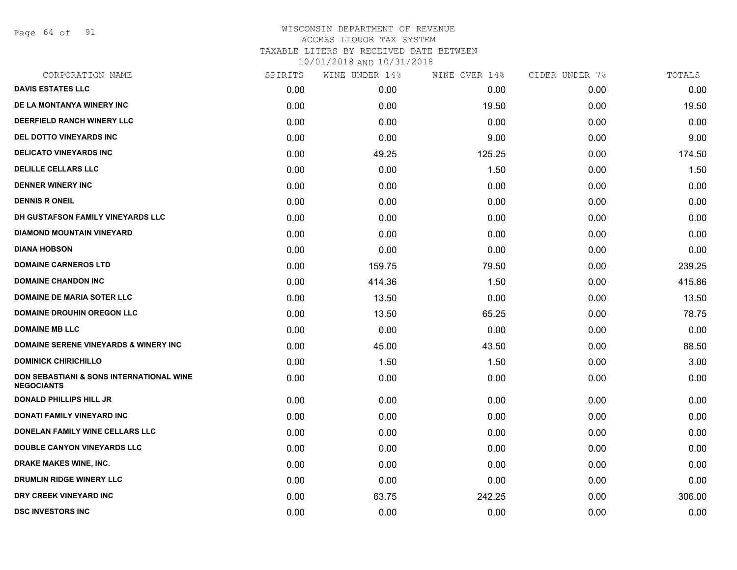Page 64 of 91

| CORPORATION NAME                                              | SPIRITS | WINE UNDER 14% | WINE OVER 14% | CIDER UNDER 7% | TOTALS |
|---------------------------------------------------------------|---------|----------------|---------------|----------------|--------|
| <b>DAVIS ESTATES LLC</b>                                      | 0.00    | 0.00           | 0.00          | 0.00           | 0.00   |
| DE LA MONTANYA WINERY INC                                     | 0.00    | 0.00           | 19.50         | 0.00           | 19.50  |
| DEERFIELD RANCH WINERY LLC                                    | 0.00    | 0.00           | 0.00          | 0.00           | 0.00   |
| DEL DOTTO VINEYARDS INC                                       | 0.00    | 0.00           | 9.00          | 0.00           | 9.00   |
| <b>DELICATO VINEYARDS INC</b>                                 | 0.00    | 49.25          | 125.25        | 0.00           | 174.50 |
| <b>DELILLE CELLARS LLC</b>                                    | 0.00    | 0.00           | 1.50          | 0.00           | 1.50   |
| <b>DENNER WINERY INC</b>                                      | 0.00    | 0.00           | 0.00          | 0.00           | 0.00   |
| <b>DENNIS R ONEIL</b>                                         | 0.00    | 0.00           | 0.00          | 0.00           | 0.00   |
| DH GUSTAFSON FAMILY VINEYARDS LLC                             | 0.00    | 0.00           | 0.00          | 0.00           | 0.00   |
| <b>DIAMOND MOUNTAIN VINEYARD</b>                              | 0.00    | 0.00           | 0.00          | 0.00           | 0.00   |
| <b>DIANA HOBSON</b>                                           | 0.00    | 0.00           | 0.00          | 0.00           | 0.00   |
| <b>DOMAINE CARNEROS LTD</b>                                   | 0.00    | 159.75         | 79.50         | 0.00           | 239.25 |
| <b>DOMAINE CHANDON INC</b>                                    | 0.00    | 414.36         | 1.50          | 0.00           | 415.86 |
| <b>DOMAINE DE MARIA SOTER LLC</b>                             | 0.00    | 13.50          | 0.00          | 0.00           | 13.50  |
| <b>DOMAINE DROUHIN OREGON LLC</b>                             | 0.00    | 13.50          | 65.25         | 0.00           | 78.75  |
| <b>DOMAINE MB LLC</b>                                         | 0.00    | 0.00           | 0.00          | 0.00           | 0.00   |
| <b>DOMAINE SERENE VINEYARDS &amp; WINERY INC</b>              | 0.00    | 45.00          | 43.50         | 0.00           | 88.50  |
| <b>DOMINICK CHIRICHILLO</b>                                   | 0.00    | 1.50           | 1.50          | 0.00           | 3.00   |
| DON SEBASTIANI & SONS INTERNATIONAL WINE<br><b>NEGOCIANTS</b> | 0.00    | 0.00           | 0.00          | 0.00           | 0.00   |
| <b>DONALD PHILLIPS HILL JR</b>                                | 0.00    | 0.00           | 0.00          | 0.00           | 0.00   |
| <b>DONATI FAMILY VINEYARD INC</b>                             | 0.00    | 0.00           | 0.00          | 0.00           | 0.00   |
| DONELAN FAMILY WINE CELLARS LLC                               | 0.00    | 0.00           | 0.00          | 0.00           | 0.00   |
| <b>DOUBLE CANYON VINEYARDS LLC</b>                            | 0.00    | 0.00           | 0.00          | 0.00           | 0.00   |
| <b>DRAKE MAKES WINE, INC.</b>                                 | 0.00    | 0.00           | 0.00          | 0.00           | 0.00   |
| DRUMLIN RIDGE WINERY LLC                                      | 0.00    | 0.00           | 0.00          | 0.00           | 0.00   |
| DRY CREEK VINEYARD INC                                        | 0.00    | 63.75          | 242.25        | 0.00           | 306.00 |
| <b>DSC INVESTORS INC</b>                                      | 0.00    | 0.00           | 0.00          | 0.00           | 0.00   |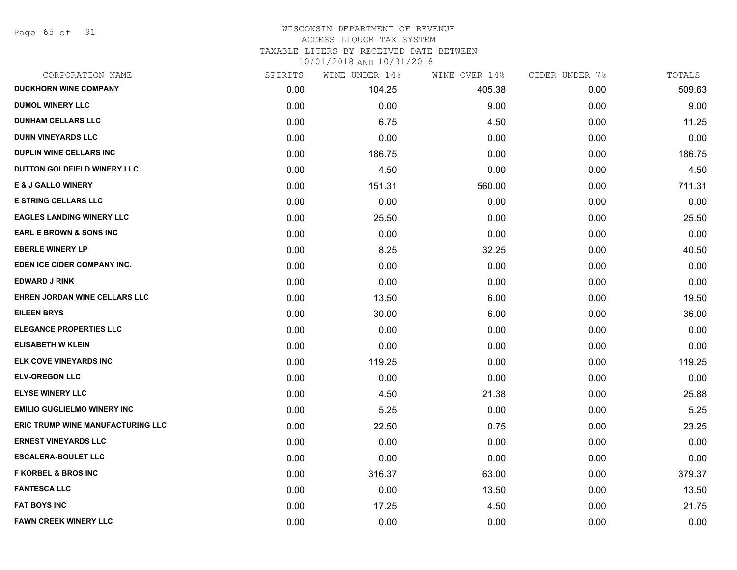Page 65 of 91

### WISCONSIN DEPARTMENT OF REVENUE ACCESS LIQUOR TAX SYSTEM

TAXABLE LITERS BY RECEIVED DATE BETWEEN

| CORPORATION NAME                         | SPIRITS | WINE UNDER 14% | WINE OVER 14% | CIDER UNDER 7% | TOTALS |
|------------------------------------------|---------|----------------|---------------|----------------|--------|
| <b>DUCKHORN WINE COMPANY</b>             | 0.00    | 104.25         | 405.38        | 0.00           | 509.63 |
| <b>DUMOL WINERY LLC</b>                  | 0.00    | 0.00           | 9.00          | 0.00           | 9.00   |
| <b>DUNHAM CELLARS LLC</b>                | 0.00    | 6.75           | 4.50          | 0.00           | 11.25  |
| <b>DUNN VINEYARDS LLC</b>                | 0.00    | 0.00           | 0.00          | 0.00           | 0.00   |
| <b>DUPLIN WINE CELLARS INC</b>           | 0.00    | 186.75         | 0.00          | 0.00           | 186.75 |
| DUTTON GOLDFIELD WINERY LLC              | 0.00    | 4.50           | 0.00          | 0.00           | 4.50   |
| <b>E &amp; J GALLO WINERY</b>            | 0.00    | 151.31         | 560.00        | 0.00           | 711.31 |
| <b>E STRING CELLARS LLC</b>              | 0.00    | 0.00           | 0.00          | 0.00           | 0.00   |
| <b>EAGLES LANDING WINERY LLC</b>         | 0.00    | 25.50          | 0.00          | 0.00           | 25.50  |
| <b>EARL E BROWN &amp; SONS INC</b>       | 0.00    | 0.00           | 0.00          | 0.00           | 0.00   |
| <b>EBERLE WINERY LP</b>                  | 0.00    | 8.25           | 32.25         | 0.00           | 40.50  |
| EDEN ICE CIDER COMPANY INC.              | 0.00    | 0.00           | 0.00          | 0.00           | 0.00   |
| <b>EDWARD J RINK</b>                     | 0.00    | 0.00           | 0.00          | 0.00           | 0.00   |
| EHREN JORDAN WINE CELLARS LLC            | 0.00    | 13.50          | 6.00          | 0.00           | 19.50  |
| <b>EILEEN BRYS</b>                       | 0.00    | 30.00          | 6.00          | 0.00           | 36.00  |
| <b>ELEGANCE PROPERTIES LLC</b>           | 0.00    | 0.00           | 0.00          | 0.00           | 0.00   |
| <b>ELISABETH W KLEIN</b>                 | 0.00    | 0.00           | 0.00          | 0.00           | 0.00   |
| ELK COVE VINEYARDS INC                   | 0.00    | 119.25         | 0.00          | 0.00           | 119.25 |
| <b>ELV-OREGON LLC</b>                    | 0.00    | 0.00           | 0.00          | 0.00           | 0.00   |
| <b>ELYSE WINERY LLC</b>                  | 0.00    | 4.50           | 21.38         | 0.00           | 25.88  |
| <b>EMILIO GUGLIELMO WINERY INC</b>       | 0.00    | 5.25           | 0.00          | 0.00           | 5.25   |
| <b>ERIC TRUMP WINE MANUFACTURING LLC</b> | 0.00    | 22.50          | 0.75          | 0.00           | 23.25  |
| <b>ERNEST VINEYARDS LLC</b>              | 0.00    | 0.00           | 0.00          | 0.00           | 0.00   |
| <b>ESCALERA-BOULET LLC</b>               | 0.00    | 0.00           | 0.00          | 0.00           | 0.00   |
| <b>F KORBEL &amp; BROS INC</b>           | 0.00    | 316.37         | 63.00         | 0.00           | 379.37 |
| <b>FANTESCA LLC</b>                      | 0.00    | 0.00           | 13.50         | 0.00           | 13.50  |
| <b>FAT BOYS INC</b>                      | 0.00    | 17.25          | 4.50          | 0.00           | 21.75  |
| <b>FAWN CREEK WINERY LLC</b>             | 0.00    | 0.00           | 0.00          | 0.00           | 0.00   |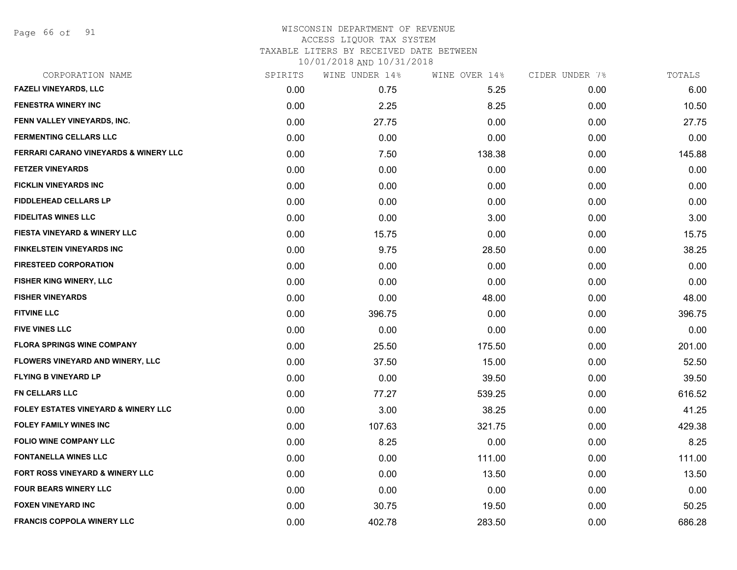Page 66 of 91

### WISCONSIN DEPARTMENT OF REVENUE ACCESS LIQUOR TAX SYSTEM TAXABLE LITERS BY RECEIVED DATE BETWEEN

| CORPORATION NAME                                 | SPIRITS | WINE UNDER 14% | WINE OVER 14% | CIDER UNDER 7% | TOTALS |
|--------------------------------------------------|---------|----------------|---------------|----------------|--------|
| <b>FAZELI VINEYARDS, LLC</b>                     | 0.00    | 0.75           | 5.25          | 0.00           | 6.00   |
| <b>FENESTRA WINERY INC</b>                       | 0.00    | 2.25           | 8.25          | 0.00           | 10.50  |
| FENN VALLEY VINEYARDS, INC.                      | 0.00    | 27.75          | 0.00          | 0.00           | 27.75  |
| <b>FERMENTING CELLARS LLC</b>                    | 0.00    | 0.00           | 0.00          | 0.00           | 0.00   |
| <b>FERRARI CARANO VINEYARDS &amp; WINERY LLC</b> | 0.00    | 7.50           | 138.38        | 0.00           | 145.88 |
| <b>FETZER VINEYARDS</b>                          | 0.00    | 0.00           | 0.00          | 0.00           | 0.00   |
| FICKLIN VINEYARDS INC                            | 0.00    | 0.00           | 0.00          | 0.00           | 0.00   |
| <b>FIDDLEHEAD CELLARS LP</b>                     | 0.00    | 0.00           | 0.00          | 0.00           | 0.00   |
| <b>FIDELITAS WINES LLC</b>                       | 0.00    | 0.00           | 3.00          | 0.00           | 3.00   |
| <b>FIESTA VINEYARD &amp; WINERY LLC</b>          | 0.00    | 15.75          | 0.00          | 0.00           | 15.75  |
| <b>FINKELSTEIN VINEYARDS INC</b>                 | 0.00    | 9.75           | 28.50         | 0.00           | 38.25  |
| <b>FIRESTEED CORPORATION</b>                     | 0.00    | 0.00           | 0.00          | 0.00           | 0.00   |
| <b>FISHER KING WINERY, LLC</b>                   | 0.00    | 0.00           | 0.00          | 0.00           | 0.00   |
| <b>FISHER VINEYARDS</b>                          | 0.00    | 0.00           | 48.00         | 0.00           | 48.00  |
| <b>FITVINE LLC</b>                               | 0.00    | 396.75         | 0.00          | 0.00           | 396.75 |
| <b>FIVE VINES LLC</b>                            | 0.00    | 0.00           | 0.00          | 0.00           | 0.00   |
| <b>FLORA SPRINGS WINE COMPANY</b>                | 0.00    | 25.50          | 175.50        | 0.00           | 201.00 |
| FLOWERS VINEYARD AND WINERY, LLC                 | 0.00    | 37.50          | 15.00         | 0.00           | 52.50  |
| <b>FLYING B VINEYARD LP</b>                      | 0.00    | 0.00           | 39.50         | 0.00           | 39.50  |
| <b>FN CELLARS LLC</b>                            | 0.00    | 77.27          | 539.25        | 0.00           | 616.52 |
| <b>FOLEY ESTATES VINEYARD &amp; WINERY LLC</b>   | 0.00    | 3.00           | 38.25         | 0.00           | 41.25  |
| <b>FOLEY FAMILY WINES INC</b>                    | 0.00    | 107.63         | 321.75        | 0.00           | 429.38 |
| <b>FOLIO WINE COMPANY LLC</b>                    | 0.00    | 8.25           | 0.00          | 0.00           | 8.25   |
| <b>FONTANELLA WINES LLC</b>                      | 0.00    | 0.00           | 111.00        | 0.00           | 111.00 |
| FORT ROSS VINEYARD & WINERY LLC                  | 0.00    | 0.00           | 13.50         | 0.00           | 13.50  |
| <b>FOUR BEARS WINERY LLC</b>                     | 0.00    | 0.00           | 0.00          | 0.00           | 0.00   |
| <b>FOXEN VINEYARD INC</b>                        | 0.00    | 30.75          | 19.50         | 0.00           | 50.25  |
| <b>FRANCIS COPPOLA WINERY LLC</b>                | 0.00    | 402.78         | 283.50        | 0.00           | 686.28 |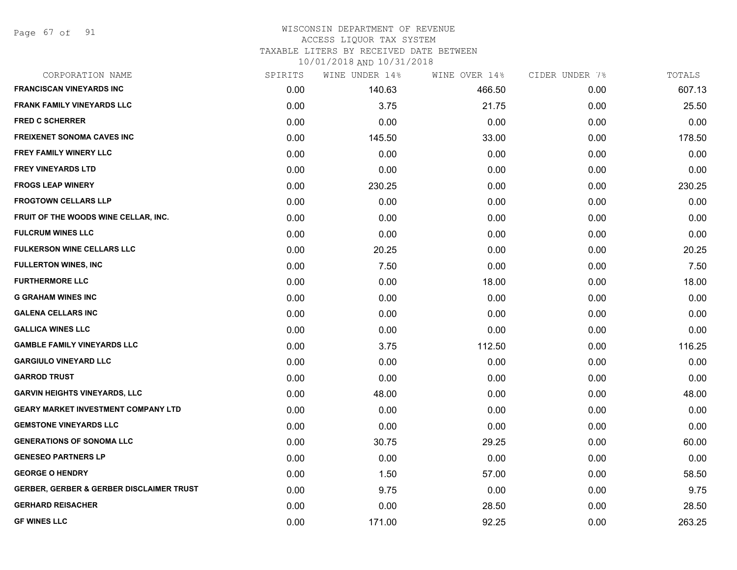Page 67 of 91

# WISCONSIN DEPARTMENT OF REVENUE ACCESS LIQUOR TAX SYSTEM

TAXABLE LITERS BY RECEIVED DATE BETWEEN

| CORPORATION NAME                                    | SPIRITS | WINE UNDER 14% | WINE OVER 14% | CIDER UNDER 7% | TOTALS |
|-----------------------------------------------------|---------|----------------|---------------|----------------|--------|
| <b>FRANCISCAN VINEYARDS INC</b>                     | 0.00    | 140.63         | 466.50        | 0.00           | 607.13 |
| <b>FRANK FAMILY VINEYARDS LLC</b>                   | 0.00    | 3.75           | 21.75         | 0.00           | 25.50  |
| <b>FRED C SCHERRER</b>                              | 0.00    | 0.00           | 0.00          | 0.00           | 0.00   |
| <b>FREIXENET SONOMA CAVES INC</b>                   | 0.00    | 145.50         | 33.00         | 0.00           | 178.50 |
| <b>FREY FAMILY WINERY LLC</b>                       | 0.00    | 0.00           | 0.00          | 0.00           | 0.00   |
| <b>FREY VINEYARDS LTD</b>                           | 0.00    | 0.00           | 0.00          | 0.00           | 0.00   |
| <b>FROGS LEAP WINERY</b>                            | 0.00    | 230.25         | 0.00          | 0.00           | 230.25 |
| <b>FROGTOWN CELLARS LLP</b>                         | 0.00    | 0.00           | 0.00          | 0.00           | 0.00   |
| FRUIT OF THE WOODS WINE CELLAR, INC.                | 0.00    | 0.00           | 0.00          | 0.00           | 0.00   |
| <b>FULCRUM WINES LLC</b>                            | 0.00    | 0.00           | 0.00          | 0.00           | 0.00   |
| <b>FULKERSON WINE CELLARS LLC</b>                   | 0.00    | 20.25          | 0.00          | 0.00           | 20.25  |
| <b>FULLERTON WINES, INC</b>                         | 0.00    | 7.50           | 0.00          | 0.00           | 7.50   |
| <b>FURTHERMORE LLC</b>                              | 0.00    | 0.00           | 18.00         | 0.00           | 18.00  |
| <b>G GRAHAM WINES INC</b>                           | 0.00    | 0.00           | 0.00          | 0.00           | 0.00   |
| <b>GALENA CELLARS INC</b>                           | 0.00    | 0.00           | 0.00          | 0.00           | 0.00   |
| <b>GALLICA WINES LLC</b>                            | 0.00    | 0.00           | 0.00          | 0.00           | 0.00   |
| <b>GAMBLE FAMILY VINEYARDS LLC</b>                  | 0.00    | 3.75           | 112.50        | 0.00           | 116.25 |
| <b>GARGIULO VINEYARD LLC</b>                        | 0.00    | 0.00           | 0.00          | 0.00           | 0.00   |
| <b>GARROD TRUST</b>                                 | 0.00    | 0.00           | 0.00          | 0.00           | 0.00   |
| <b>GARVIN HEIGHTS VINEYARDS, LLC</b>                | 0.00    | 48.00          | 0.00          | 0.00           | 48.00  |
| <b>GEARY MARKET INVESTMENT COMPANY LTD</b>          | 0.00    | 0.00           | 0.00          | 0.00           | 0.00   |
| <b>GEMSTONE VINEYARDS LLC</b>                       | 0.00    | 0.00           | 0.00          | 0.00           | 0.00   |
| <b>GENERATIONS OF SONOMA LLC</b>                    | 0.00    | 30.75          | 29.25         | 0.00           | 60.00  |
| <b>GENESEO PARTNERS LP</b>                          | 0.00    | 0.00           | 0.00          | 0.00           | 0.00   |
| <b>GEORGE O HENDRY</b>                              | 0.00    | 1.50           | 57.00         | 0.00           | 58.50  |
| <b>GERBER, GERBER &amp; GERBER DISCLAIMER TRUST</b> | 0.00    | 9.75           | 0.00          | 0.00           | 9.75   |
| <b>GERHARD REISACHER</b>                            | 0.00    | 0.00           | 28.50         | 0.00           | 28.50  |
| <b>GF WINES LLC</b>                                 | 0.00    | 171.00         | 92.25         | 0.00           | 263.25 |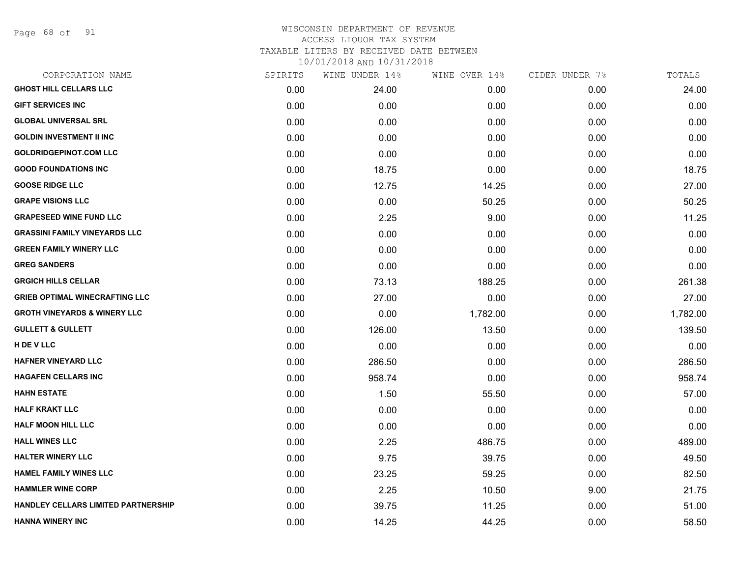Page 68 of 91

| CORPORATION NAME                           | SPIRITS | WINE UNDER 14% | WINE OVER 14% | CIDER UNDER 7% | TOTALS   |
|--------------------------------------------|---------|----------------|---------------|----------------|----------|
| <b>GHOST HILL CELLARS LLC</b>              | 0.00    | 24.00          | 0.00          | 0.00           | 24.00    |
| <b>GIFT SERVICES INC</b>                   | 0.00    | 0.00           | 0.00          | 0.00           | 0.00     |
| <b>GLOBAL UNIVERSAL SRL</b>                | 0.00    | 0.00           | 0.00          | 0.00           | 0.00     |
| <b>GOLDIN INVESTMENT II INC</b>            | 0.00    | 0.00           | 0.00          | 0.00           | 0.00     |
| <b>GOLDRIDGEPINOT.COM LLC</b>              | 0.00    | 0.00           | 0.00          | 0.00           | 0.00     |
| <b>GOOD FOUNDATIONS INC</b>                | 0.00    | 18.75          | 0.00          | 0.00           | 18.75    |
| <b>GOOSE RIDGE LLC</b>                     | 0.00    | 12.75          | 14.25         | 0.00           | 27.00    |
| <b>GRAPE VISIONS LLC</b>                   | 0.00    | 0.00           | 50.25         | 0.00           | 50.25    |
| <b>GRAPESEED WINE FUND LLC</b>             | 0.00    | 2.25           | 9.00          | 0.00           | 11.25    |
| <b>GRASSINI FAMILY VINEYARDS LLC</b>       | 0.00    | 0.00           | 0.00          | 0.00           | 0.00     |
| <b>GREEN FAMILY WINERY LLC</b>             | 0.00    | 0.00           | 0.00          | 0.00           | 0.00     |
| <b>GREG SANDERS</b>                        | 0.00    | 0.00           | 0.00          | 0.00           | 0.00     |
| <b>GRGICH HILLS CELLAR</b>                 | 0.00    | 73.13          | 188.25        | 0.00           | 261.38   |
| <b>GRIEB OPTIMAL WINECRAFTING LLC</b>      | 0.00    | 27.00          | 0.00          | 0.00           | 27.00    |
| <b>GROTH VINEYARDS &amp; WINERY LLC</b>    | 0.00    | 0.00           | 1,782.00      | 0.00           | 1,782.00 |
| <b>GULLETT &amp; GULLETT</b>               | 0.00    | 126.00         | 13.50         | 0.00           | 139.50   |
| H DE V LLC                                 | 0.00    | 0.00           | 0.00          | 0.00           | 0.00     |
| HAFNER VINEYARD LLC                        | 0.00    | 286.50         | 0.00          | 0.00           | 286.50   |
| <b>HAGAFEN CELLARS INC</b>                 | 0.00    | 958.74         | 0.00          | 0.00           | 958.74   |
| <b>HAHN ESTATE</b>                         | 0.00    | 1.50           | 55.50         | 0.00           | 57.00    |
| <b>HALF KRAKT LLC</b>                      | 0.00    | 0.00           | 0.00          | 0.00           | 0.00     |
| <b>HALF MOON HILL LLC</b>                  | 0.00    | 0.00           | 0.00          | 0.00           | 0.00     |
| <b>HALL WINES LLC</b>                      | 0.00    | 2.25           | 486.75        | 0.00           | 489.00   |
| <b>HALTER WINERY LLC</b>                   | 0.00    | 9.75           | 39.75         | 0.00           | 49.50    |
| <b>HAMEL FAMILY WINES LLC</b>              | 0.00    | 23.25          | 59.25         | 0.00           | 82.50    |
| <b>HAMMLER WINE CORP</b>                   | 0.00    | 2.25           | 10.50         | 9.00           | 21.75    |
| <b>HANDLEY CELLARS LIMITED PARTNERSHIP</b> | 0.00    | 39.75          | 11.25         | 0.00           | 51.00    |
| <b>HANNA WINERY INC</b>                    | 0.00    | 14.25          | 44.25         | 0.00           | 58.50    |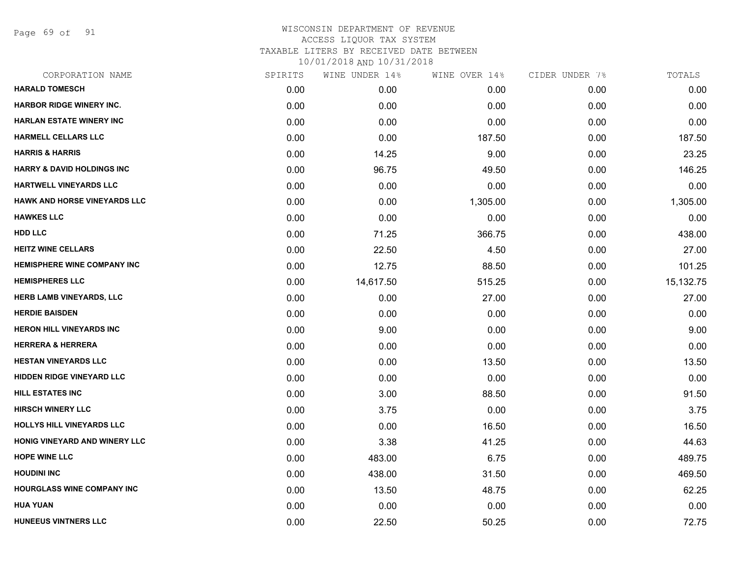Page 69 of 91

| CORPORATION NAME                      | SPIRITS | WINE UNDER 14% | WINE OVER 14% | CIDER UNDER 7% | TOTALS    |
|---------------------------------------|---------|----------------|---------------|----------------|-----------|
| <b>HARALD TOMESCH</b>                 | 0.00    | 0.00           | 0.00          | 0.00           | 0.00      |
| <b>HARBOR RIDGE WINERY INC.</b>       | 0.00    | 0.00           | 0.00          | 0.00           | 0.00      |
| <b>HARLAN ESTATE WINERY INC</b>       | 0.00    | 0.00           | 0.00          | 0.00           | 0.00      |
| <b>HARMELL CELLARS LLC</b>            | 0.00    | 0.00           | 187.50        | 0.00           | 187.50    |
| <b>HARRIS &amp; HARRIS</b>            | 0.00    | 14.25          | 9.00          | 0.00           | 23.25     |
| <b>HARRY &amp; DAVID HOLDINGS INC</b> | 0.00    | 96.75          | 49.50         | 0.00           | 146.25    |
| HARTWELL VINEYARDS LLC                | 0.00    | 0.00           | 0.00          | 0.00           | 0.00      |
| <b>HAWK AND HORSE VINEYARDS LLC</b>   | 0.00    | 0.00           | 1,305.00      | 0.00           | 1,305.00  |
| <b>HAWKES LLC</b>                     | 0.00    | 0.00           | 0.00          | 0.00           | 0.00      |
| <b>HDD LLC</b>                        | 0.00    | 71.25          | 366.75        | 0.00           | 438.00    |
| <b>HEITZ WINE CELLARS</b>             | 0.00    | 22.50          | 4.50          | 0.00           | 27.00     |
| <b>HEMISPHERE WINE COMPANY INC</b>    | 0.00    | 12.75          | 88.50         | 0.00           | 101.25    |
| <b>HEMISPHERES LLC</b>                | 0.00    | 14,617.50      | 515.25        | 0.00           | 15,132.75 |
| <b>HERB LAMB VINEYARDS, LLC</b>       | 0.00    | 0.00           | 27.00         | 0.00           | 27.00     |
| <b>HERDIE BAISDEN</b>                 | 0.00    | 0.00           | 0.00          | 0.00           | 0.00      |
| <b>HERON HILL VINEYARDS INC</b>       | 0.00    | 9.00           | 0.00          | 0.00           | 9.00      |
| <b>HERRERA &amp; HERRERA</b>          | 0.00    | 0.00           | 0.00          | 0.00           | 0.00      |
| <b>HESTAN VINEYARDS LLC</b>           | 0.00    | 0.00           | 13.50         | 0.00           | 13.50     |
| <b>HIDDEN RIDGE VINEYARD LLC</b>      | 0.00    | 0.00           | 0.00          | 0.00           | 0.00      |
| <b>HILL ESTATES INC</b>               | 0.00    | 3.00           | 88.50         | 0.00           | 91.50     |
| <b>HIRSCH WINERY LLC</b>              | 0.00    | 3.75           | 0.00          | 0.00           | 3.75      |
| HOLLYS HILL VINEYARDS LLC             | 0.00    | 0.00           | 16.50         | 0.00           | 16.50     |
| <b>HONIG VINEYARD AND WINERY LLC</b>  | 0.00    | 3.38           | 41.25         | 0.00           | 44.63     |
| <b>HOPE WINE LLC</b>                  | 0.00    | 483.00         | 6.75          | 0.00           | 489.75    |
| <b>HOUDINI INC</b>                    | 0.00    | 438.00         | 31.50         | 0.00           | 469.50    |
| <b>HOURGLASS WINE COMPANY INC</b>     | 0.00    | 13.50          | 48.75         | 0.00           | 62.25     |
| <b>HUA YUAN</b>                       | 0.00    | 0.00           | 0.00          | 0.00           | 0.00      |
| <b>HUNEEUS VINTNERS LLC</b>           | 0.00    | 22.50          | 50.25         | 0.00           | 72.75     |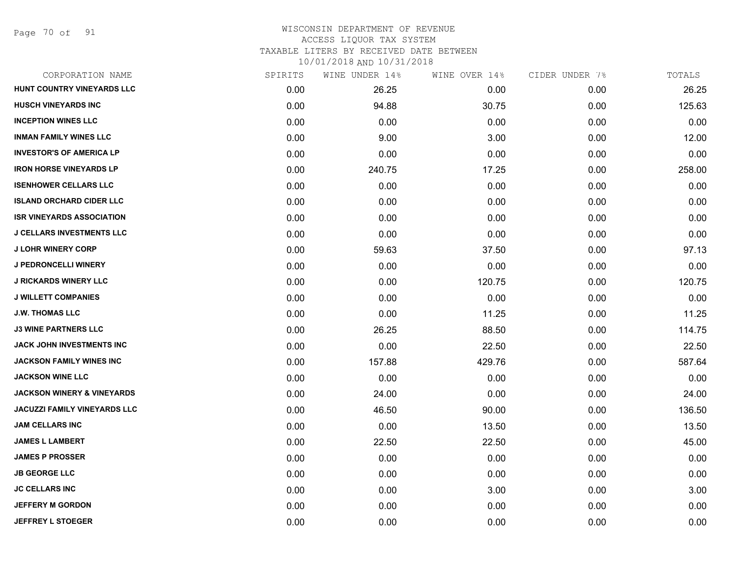Page 70 of 91

### WISCONSIN DEPARTMENT OF REVENUE ACCESS LIQUOR TAX SYSTEM TAXABLE LITERS BY RECEIVED DATE BETWEEN

| CORPORATION NAME                      | SPIRITS | WINE UNDER 14% | WINE OVER 14% | CIDER UNDER 7% | TOTALS |
|---------------------------------------|---------|----------------|---------------|----------------|--------|
| HUNT COUNTRY VINEYARDS LLC            | 0.00    | 26.25          | 0.00          | 0.00           | 26.25  |
| <b>HUSCH VINEYARDS INC</b>            | 0.00    | 94.88          | 30.75         | 0.00           | 125.63 |
| <b>INCEPTION WINES LLC</b>            | 0.00    | 0.00           | 0.00          | 0.00           | 0.00   |
| <b>INMAN FAMILY WINES LLC</b>         | 0.00    | 9.00           | 3.00          | 0.00           | 12.00  |
| <b>INVESTOR'S OF AMERICA LP</b>       | 0.00    | 0.00           | 0.00          | 0.00           | 0.00   |
| <b>IRON HORSE VINEYARDS LP</b>        | 0.00    | 240.75         | 17.25         | 0.00           | 258.00 |
| <b>ISENHOWER CELLARS LLC</b>          | 0.00    | 0.00           | 0.00          | 0.00           | 0.00   |
| <b>ISLAND ORCHARD CIDER LLC</b>       | 0.00    | 0.00           | 0.00          | 0.00           | 0.00   |
| <b>ISR VINEYARDS ASSOCIATION</b>      | 0.00    | 0.00           | 0.00          | 0.00           | 0.00   |
| <b>J CELLARS INVESTMENTS LLC</b>      | 0.00    | 0.00           | 0.00          | 0.00           | 0.00   |
| <b>J LOHR WINERY CORP</b>             | 0.00    | 59.63          | 37.50         | 0.00           | 97.13  |
| <b>J PEDRONCELLI WINERY</b>           | 0.00    | 0.00           | 0.00          | 0.00           | 0.00   |
| <b>J RICKARDS WINERY LLC</b>          | 0.00    | 0.00           | 120.75        | 0.00           | 120.75 |
| <b>J WILLETT COMPANIES</b>            | 0.00    | 0.00           | 0.00          | 0.00           | 0.00   |
| <b>J.W. THOMAS LLC</b>                | 0.00    | 0.00           | 11.25         | 0.00           | 11.25  |
| <b>J3 WINE PARTNERS LLC</b>           | 0.00    | 26.25          | 88.50         | 0.00           | 114.75 |
| <b>JACK JOHN INVESTMENTS INC</b>      | 0.00    | 0.00           | 22.50         | 0.00           | 22.50  |
| JACKSON FAMILY WINES INC              | 0.00    | 157.88         | 429.76        | 0.00           | 587.64 |
| <b>JACKSON WINE LLC</b>               | 0.00    | 0.00           | 0.00          | 0.00           | 0.00   |
| <b>JACKSON WINERY &amp; VINEYARDS</b> | 0.00    | 24.00          | 0.00          | 0.00           | 24.00  |
| <b>JACUZZI FAMILY VINEYARDS LLC</b>   | 0.00    | 46.50          | 90.00         | 0.00           | 136.50 |
| <b>JAM CELLARS INC</b>                | 0.00    | 0.00           | 13.50         | 0.00           | 13.50  |
| <b>JAMES L LAMBERT</b>                | 0.00    | 22.50          | 22.50         | 0.00           | 45.00  |
| <b>JAMES P PROSSER</b>                | 0.00    | 0.00           | 0.00          | 0.00           | 0.00   |
| <b>JB GEORGE LLC</b>                  | 0.00    | 0.00           | 0.00          | 0.00           | 0.00   |
| <b>JC CELLARS INC</b>                 | 0.00    | 0.00           | 3.00          | 0.00           | 3.00   |
| <b>JEFFERY M GORDON</b>               | 0.00    | 0.00           | 0.00          | 0.00           | 0.00   |
| <b>JEFFREY L STOEGER</b>              | 0.00    | 0.00           | 0.00          | 0.00           | 0.00   |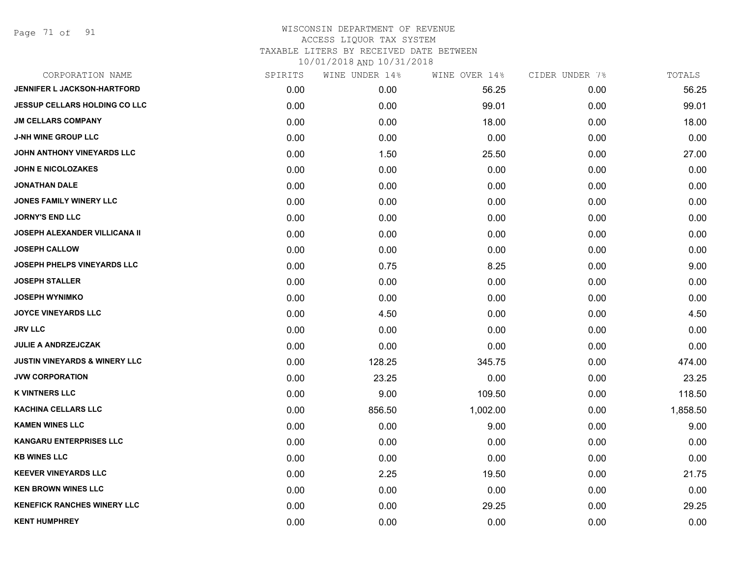Page 71 of 91

| CORPORATION NAME                         | SPIRITS | WINE UNDER 14% | WINE OVER 14% | CIDER UNDER 7% | TOTALS   |
|------------------------------------------|---------|----------------|---------------|----------------|----------|
| JENNIFER L JACKSON-HARTFORD              | 0.00    | 0.00           | 56.25         | 0.00           | 56.25    |
| JESSUP CELLARS HOLDING CO LLC            | 0.00    | 0.00           | 99.01         | 0.00           | 99.01    |
| <b>JM CELLARS COMPANY</b>                | 0.00    | 0.00           | 18.00         | 0.00           | 18.00    |
| <b>J-NH WINE GROUP LLC</b>               | 0.00    | 0.00           | 0.00          | 0.00           | 0.00     |
| JOHN ANTHONY VINEYARDS LLC               | 0.00    | 1.50           | 25.50         | 0.00           | 27.00    |
| <b>JOHN E NICOLOZAKES</b>                | 0.00    | 0.00           | 0.00          | 0.00           | 0.00     |
| <b>JONATHAN DALE</b>                     | 0.00    | 0.00           | 0.00          | 0.00           | 0.00     |
| JONES FAMILY WINERY LLC                  | 0.00    | 0.00           | 0.00          | 0.00           | 0.00     |
| <b>JORNY'S END LLC</b>                   | 0.00    | 0.00           | 0.00          | 0.00           | 0.00     |
| <b>JOSEPH ALEXANDER VILLICANA II</b>     | 0.00    | 0.00           | 0.00          | 0.00           | 0.00     |
| <b>JOSEPH CALLOW</b>                     | 0.00    | 0.00           | 0.00          | 0.00           | 0.00     |
| <b>JOSEPH PHELPS VINEYARDS LLC</b>       | 0.00    | 0.75           | 8.25          | 0.00           | 9.00     |
| <b>JOSEPH STALLER</b>                    | 0.00    | 0.00           | 0.00          | 0.00           | 0.00     |
| <b>JOSEPH WYNIMKO</b>                    | 0.00    | 0.00           | 0.00          | 0.00           | 0.00     |
| <b>JOYCE VINEYARDS LLC</b>               | 0.00    | 4.50           | 0.00          | 0.00           | 4.50     |
| <b>JRV LLC</b>                           | 0.00    | 0.00           | 0.00          | 0.00           | 0.00     |
| <b>JULIE A ANDRZEJCZAK</b>               | 0.00    | 0.00           | 0.00          | 0.00           | 0.00     |
| <b>JUSTIN VINEYARDS &amp; WINERY LLC</b> | 0.00    | 128.25         | 345.75        | 0.00           | 474.00   |
| <b>JVW CORPORATION</b>                   | 0.00    | 23.25          | 0.00          | 0.00           | 23.25    |
| <b>K VINTNERS LLC</b>                    | 0.00    | 9.00           | 109.50        | 0.00           | 118.50   |
| <b>KACHINA CELLARS LLC</b>               | 0.00    | 856.50         | 1,002.00      | 0.00           | 1,858.50 |
| <b>KAMEN WINES LLC</b>                   | 0.00    | 0.00           | 9.00          | 0.00           | 9.00     |
| <b>KANGARU ENTERPRISES LLC</b>           | 0.00    | 0.00           | 0.00          | 0.00           | 0.00     |
| <b>KB WINES LLC</b>                      | 0.00    | 0.00           | 0.00          | 0.00           | 0.00     |
| <b>KEEVER VINEYARDS LLC</b>              | 0.00    | 2.25           | 19.50         | 0.00           | 21.75    |
| <b>KEN BROWN WINES LLC</b>               | 0.00    | 0.00           | 0.00          | 0.00           | 0.00     |
| <b>KENEFICK RANCHES WINERY LLC</b>       | 0.00    | 0.00           | 29.25         | 0.00           | 29.25    |
| <b>KENT HUMPHREY</b>                     | 0.00    | 0.00           | 0.00          | 0.00           | 0.00     |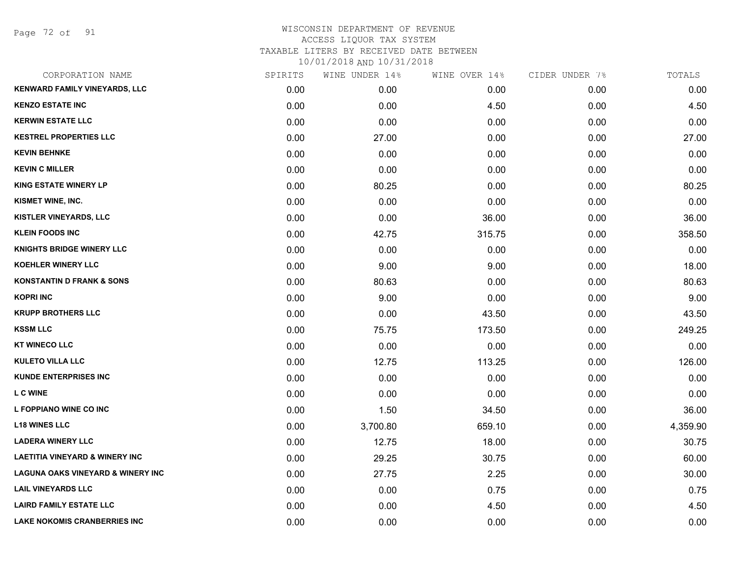Page 72 of 91

| CORPORATION NAME                             | SPIRITS | WINE UNDER 14% | WINE OVER 14% | CIDER UNDER 7% | TOTALS   |
|----------------------------------------------|---------|----------------|---------------|----------------|----------|
| KENWARD FAMILY VINEYARDS, LLC                | 0.00    | 0.00           | 0.00          | 0.00           | 0.00     |
| <b>KENZO ESTATE INC</b>                      | 0.00    | 0.00           | 4.50          | 0.00           | 4.50     |
| <b>KERWIN ESTATE LLC</b>                     | 0.00    | 0.00           | 0.00          | 0.00           | 0.00     |
| <b>KESTREL PROPERTIES LLC</b>                | 0.00    | 27.00          | 0.00          | 0.00           | 27.00    |
| <b>KEVIN BEHNKE</b>                          | 0.00    | 0.00           | 0.00          | 0.00           | 0.00     |
| <b>KEVIN C MILLER</b>                        | 0.00    | 0.00           | 0.00          | 0.00           | 0.00     |
| <b>KING ESTATE WINERY LP</b>                 | 0.00    | 80.25          | 0.00          | 0.00           | 80.25    |
| KISMET WINE, INC.                            | 0.00    | 0.00           | 0.00          | 0.00           | 0.00     |
| <b>KISTLER VINEYARDS, LLC</b>                | 0.00    | 0.00           | 36.00         | 0.00           | 36.00    |
| <b>KLEIN FOODS INC</b>                       | 0.00    | 42.75          | 315.75        | 0.00           | 358.50   |
| <b>KNIGHTS BRIDGE WINERY LLC</b>             | 0.00    | 0.00           | 0.00          | 0.00           | 0.00     |
| <b>KOEHLER WINERY LLC</b>                    | 0.00    | 9.00           | 9.00          | 0.00           | 18.00    |
| <b>KONSTANTIN D FRANK &amp; SONS</b>         | 0.00    | 80.63          | 0.00          | 0.00           | 80.63    |
| <b>KOPRI INC</b>                             | 0.00    | 9.00           | 0.00          | 0.00           | 9.00     |
| <b>KRUPP BROTHERS LLC</b>                    | 0.00    | 0.00           | 43.50         | 0.00           | 43.50    |
| <b>KSSM LLC</b>                              | 0.00    | 75.75          | 173.50        | 0.00           | 249.25   |
| <b>KT WINECO LLC</b>                         | 0.00    | 0.00           | 0.00          | 0.00           | 0.00     |
| <b>KULETO VILLA LLC</b>                      | 0.00    | 12.75          | 113.25        | 0.00           | 126.00   |
| <b>KUNDE ENTERPRISES INC</b>                 | 0.00    | 0.00           | 0.00          | 0.00           | 0.00     |
| <b>L C WINE</b>                              | 0.00    | 0.00           | 0.00          | 0.00           | 0.00     |
| L FOPPIANO WINE CO INC                       | 0.00    | 1.50           | 34.50         | 0.00           | 36.00    |
| <b>L18 WINES LLC</b>                         | 0.00    | 3,700.80       | 659.10        | 0.00           | 4,359.90 |
| <b>LADERA WINERY LLC</b>                     | 0.00    | 12.75          | 18.00         | 0.00           | 30.75    |
| <b>LAETITIA VINEYARD &amp; WINERY INC</b>    | 0.00    | 29.25          | 30.75         | 0.00           | 60.00    |
| <b>LAGUNA OAKS VINEYARD &amp; WINERY INC</b> | 0.00    | 27.75          | 2.25          | 0.00           | 30.00    |
| <b>LAIL VINEYARDS LLC</b>                    | 0.00    | 0.00           | 0.75          | 0.00           | 0.75     |
| <b>LAIRD FAMILY ESTATE LLC</b>               | 0.00    | 0.00           | 4.50          | 0.00           | 4.50     |
| LAKE NOKOMIS CRANBERRIES INC                 | 0.00    | 0.00           | 0.00          | 0.00           | 0.00     |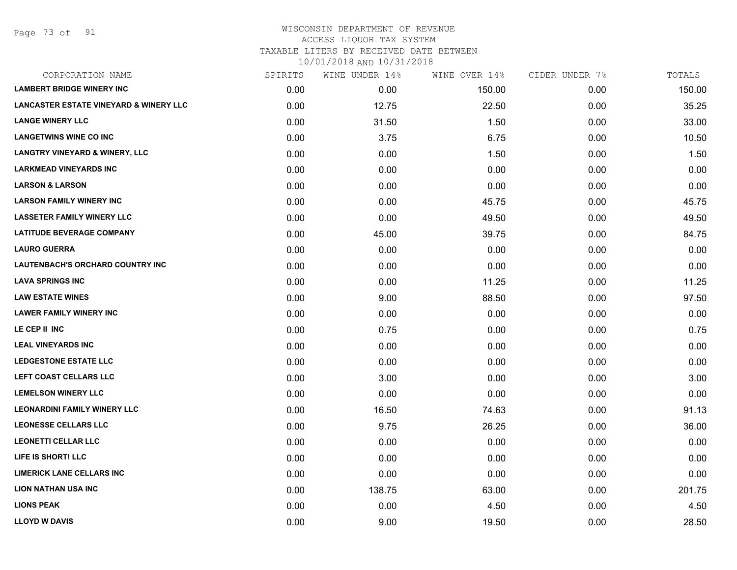Page 73 of 91

| CORPORATION NAME                                  | SPIRITS | WINE UNDER 14% | WINE OVER 14% | CIDER UNDER 7% | TOTALS |
|---------------------------------------------------|---------|----------------|---------------|----------------|--------|
| <b>LAMBERT BRIDGE WINERY INC</b>                  | 0.00    | 0.00           | 150.00        | 0.00           | 150.00 |
| <b>LANCASTER ESTATE VINEYARD &amp; WINERY LLC</b> | 0.00    | 12.75          | 22.50         | 0.00           | 35.25  |
| <b>LANGE WINERY LLC</b>                           | 0.00    | 31.50          | 1.50          | 0.00           | 33.00  |
| <b>LANGETWINS WINE CO INC</b>                     | 0.00    | 3.75           | 6.75          | 0.00           | 10.50  |
| <b>LANGTRY VINEYARD &amp; WINERY, LLC</b>         | 0.00    | 0.00           | 1.50          | 0.00           | 1.50   |
| <b>LARKMEAD VINEYARDS INC</b>                     | 0.00    | 0.00           | 0.00          | 0.00           | 0.00   |
| <b>LARSON &amp; LARSON</b>                        | 0.00    | 0.00           | 0.00          | 0.00           | 0.00   |
| <b>LARSON FAMILY WINERY INC</b>                   | 0.00    | 0.00           | 45.75         | 0.00           | 45.75  |
| <b>LASSETER FAMILY WINERY LLC</b>                 | 0.00    | 0.00           | 49.50         | 0.00           | 49.50  |
| <b>LATITUDE BEVERAGE COMPANY</b>                  | 0.00    | 45.00          | 39.75         | 0.00           | 84.75  |
| <b>LAURO GUERRA</b>                               | 0.00    | 0.00           | 0.00          | 0.00           | 0.00   |
| LAUTENBACH'S ORCHARD COUNTRY INC                  | 0.00    | 0.00           | 0.00          | 0.00           | 0.00   |
| <b>LAVA SPRINGS INC</b>                           | 0.00    | 0.00           | 11.25         | 0.00           | 11.25  |
| <b>LAW ESTATE WINES</b>                           | 0.00    | 9.00           | 88.50         | 0.00           | 97.50  |
| <b>LAWER FAMILY WINERY INC</b>                    | 0.00    | 0.00           | 0.00          | 0.00           | 0.00   |
| LE CEP II INC                                     | 0.00    | 0.75           | 0.00          | 0.00           | 0.75   |
| <b>LEAL VINEYARDS INC</b>                         | 0.00    | 0.00           | 0.00          | 0.00           | 0.00   |
| <b>LEDGESTONE ESTATE LLC</b>                      | 0.00    | 0.00           | 0.00          | 0.00           | 0.00   |
| <b>LEFT COAST CELLARS LLC</b>                     | 0.00    | 3.00           | 0.00          | 0.00           | 3.00   |
| <b>LEMELSON WINERY LLC</b>                        | 0.00    | 0.00           | 0.00          | 0.00           | 0.00   |
| <b>LEONARDINI FAMILY WINERY LLC</b>               | 0.00    | 16.50          | 74.63         | 0.00           | 91.13  |
| <b>LEONESSE CELLARS LLC</b>                       | 0.00    | 9.75           | 26.25         | 0.00           | 36.00  |
| <b>LEONETTI CELLAR LLC</b>                        | 0.00    | 0.00           | 0.00          | 0.00           | 0.00   |
| LIFE IS SHORT! LLC                                | 0.00    | 0.00           | 0.00          | 0.00           | 0.00   |
| <b>LIMERICK LANE CELLARS INC</b>                  | 0.00    | 0.00           | 0.00          | 0.00           | 0.00   |
| LION NATHAN USA INC                               | 0.00    | 138.75         | 63.00         | 0.00           | 201.75 |
| <b>LIONS PEAK</b>                                 | 0.00    | 0.00           | 4.50          | 0.00           | 4.50   |
| <b>LLOYD W DAVIS</b>                              | 0.00    | 9.00           | 19.50         | 0.00           | 28.50  |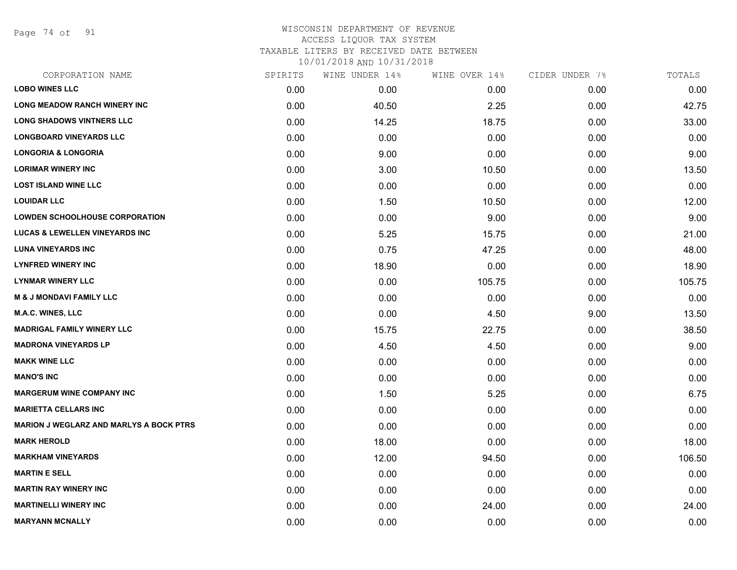Page 74 of 91

| CORPORATION NAME                               | SPIRITS | WINE UNDER 14% | WINE OVER 14% | CIDER UNDER 7% | TOTALS |
|------------------------------------------------|---------|----------------|---------------|----------------|--------|
| <b>LOBO WINES LLC</b>                          | 0.00    | 0.00           | 0.00          | 0.00           | 0.00   |
| <b>LONG MEADOW RANCH WINERY INC</b>            | 0.00    | 40.50          | 2.25          | 0.00           | 42.75  |
| <b>LONG SHADOWS VINTNERS LLC</b>               | 0.00    | 14.25          | 18.75         | 0.00           | 33.00  |
| <b>LONGBOARD VINEYARDS LLC</b>                 | 0.00    | 0.00           | 0.00          | 0.00           | 0.00   |
| <b>LONGORIA &amp; LONGORIA</b>                 | 0.00    | 9.00           | 0.00          | 0.00           | 9.00   |
| <b>LORIMAR WINERY INC</b>                      | 0.00    | 3.00           | 10.50         | 0.00           | 13.50  |
| <b>LOST ISLAND WINE LLC</b>                    | 0.00    | 0.00           | 0.00          | 0.00           | 0.00   |
| <b>LOUIDAR LLC</b>                             | 0.00    | 1.50           | 10.50         | 0.00           | 12.00  |
| <b>LOWDEN SCHOOLHOUSE CORPORATION</b>          | 0.00    | 0.00           | 9.00          | 0.00           | 9.00   |
| <b>LUCAS &amp; LEWELLEN VINEYARDS INC</b>      | 0.00    | 5.25           | 15.75         | 0.00           | 21.00  |
| <b>LUNA VINEYARDS INC</b>                      | 0.00    | 0.75           | 47.25         | 0.00           | 48.00  |
| <b>LYNFRED WINERY INC</b>                      | 0.00    | 18.90          | 0.00          | 0.00           | 18.90  |
| <b>LYNMAR WINERY LLC</b>                       | 0.00    | 0.00           | 105.75        | 0.00           | 105.75 |
| <b>M &amp; J MONDAVI FAMILY LLC</b>            | 0.00    | 0.00           | 0.00          | 0.00           | 0.00   |
| <b>M.A.C. WINES, LLC</b>                       | 0.00    | 0.00           | 4.50          | 9.00           | 13.50  |
| <b>MADRIGAL FAMILY WINERY LLC</b>              | 0.00    | 15.75          | 22.75         | 0.00           | 38.50  |
| <b>MADRONA VINEYARDS LP</b>                    | 0.00    | 4.50           | 4.50          | 0.00           | 9.00   |
| <b>MAKK WINE LLC</b>                           | 0.00    | 0.00           | 0.00          | 0.00           | 0.00   |
| <b>MANO'S INC</b>                              | 0.00    | 0.00           | 0.00          | 0.00           | 0.00   |
| <b>MARGERUM WINE COMPANY INC</b>               | 0.00    | 1.50           | 5.25          | 0.00           | 6.75   |
| <b>MARIETTA CELLARS INC</b>                    | 0.00    | 0.00           | 0.00          | 0.00           | 0.00   |
| <b>MARION J WEGLARZ AND MARLYS A BOCK PTRS</b> | 0.00    | 0.00           | 0.00          | 0.00           | 0.00   |
| <b>MARK HEROLD</b>                             | 0.00    | 18.00          | 0.00          | 0.00           | 18.00  |
| <b>MARKHAM VINEYARDS</b>                       | 0.00    | 12.00          | 94.50         | 0.00           | 106.50 |
| <b>MARTIN E SELL</b>                           | 0.00    | 0.00           | 0.00          | 0.00           | 0.00   |
| <b>MARTIN RAY WINERY INC</b>                   | 0.00    | 0.00           | 0.00          | 0.00           | 0.00   |
| <b>MARTINELLI WINERY INC</b>                   | 0.00    | 0.00           | 24.00         | 0.00           | 24.00  |
| <b>MARYANN MCNALLY</b>                         | 0.00    | 0.00           | 0.00          | 0.00           | 0.00   |
|                                                |         |                |               |                |        |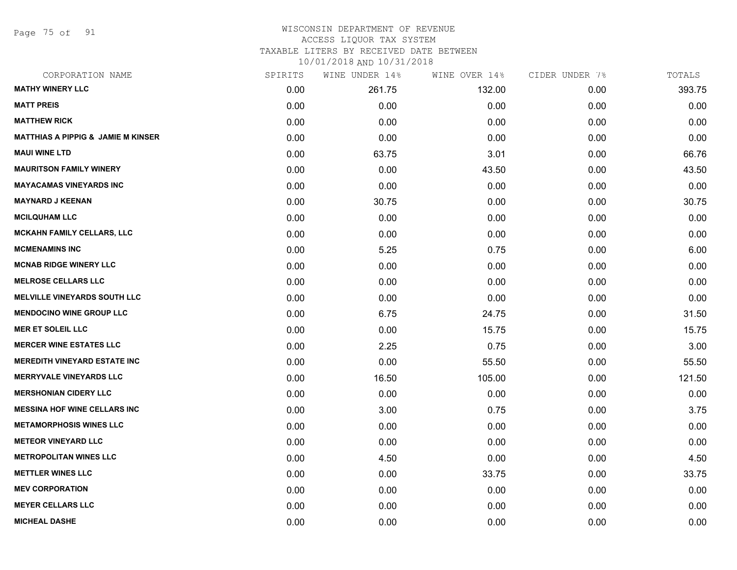Page 75 of 91

#### WISCONSIN DEPARTMENT OF REVENUE ACCESS LIQUOR TAX SYSTEM TAXABLE LITERS BY RECEIVED DATE BETWEEN

| CORPORATION NAME                              | SPIRITS | WINE UNDER 14% | WINE OVER 14% | CIDER UNDER 7% | TOTALS |
|-----------------------------------------------|---------|----------------|---------------|----------------|--------|
| <b>MATHY WINERY LLC</b>                       | 0.00    | 261.75         | 132.00        | 0.00           | 393.75 |
| <b>MATT PREIS</b>                             | 0.00    | 0.00           | 0.00          | 0.00           | 0.00   |
| <b>MATTHEW RICK</b>                           | 0.00    | 0.00           | 0.00          | 0.00           | 0.00   |
| <b>MATTHIAS A PIPPIG &amp; JAMIE M KINSER</b> | 0.00    | 0.00           | 0.00          | 0.00           | 0.00   |
| <b>MAUI WINE LTD</b>                          | 0.00    | 63.75          | 3.01          | 0.00           | 66.76  |
| <b>MAURITSON FAMILY WINERY</b>                | 0.00    | 0.00           | 43.50         | 0.00           | 43.50  |
| <b>MAYACAMAS VINEYARDS INC</b>                | 0.00    | 0.00           | 0.00          | 0.00           | 0.00   |
| <b>MAYNARD J KEENAN</b>                       | 0.00    | 30.75          | 0.00          | 0.00           | 30.75  |
| <b>MCILQUHAM LLC</b>                          | 0.00    | 0.00           | 0.00          | 0.00           | 0.00   |
| <b>MCKAHN FAMILY CELLARS, LLC</b>             | 0.00    | 0.00           | 0.00          | 0.00           | 0.00   |
| <b>MCMENAMINS INC</b>                         | 0.00    | 5.25           | 0.75          | 0.00           | 6.00   |
| <b>MCNAB RIDGE WINERY LLC</b>                 | 0.00    | 0.00           | 0.00          | 0.00           | 0.00   |
| <b>MELROSE CELLARS LLC</b>                    | 0.00    | 0.00           | 0.00          | 0.00           | 0.00   |
| <b>MELVILLE VINEYARDS SOUTH LLC</b>           | 0.00    | 0.00           | 0.00          | 0.00           | 0.00   |
| <b>MENDOCINO WINE GROUP LLC</b>               | 0.00    | 6.75           | 24.75         | 0.00           | 31.50  |
| <b>MER ET SOLEIL LLC</b>                      | 0.00    | 0.00           | 15.75         | 0.00           | 15.75  |
| <b>MERCER WINE ESTATES LLC</b>                | 0.00    | 2.25           | 0.75          | 0.00           | 3.00   |
| <b>MEREDITH VINEYARD ESTATE INC</b>           | 0.00    | 0.00           | 55.50         | 0.00           | 55.50  |
| <b>MERRYVALE VINEYARDS LLC</b>                | 0.00    | 16.50          | 105.00        | 0.00           | 121.50 |
| <b>MERSHONIAN CIDERY LLC</b>                  | 0.00    | 0.00           | 0.00          | 0.00           | 0.00   |
| <b>MESSINA HOF WINE CELLARS INC</b>           | 0.00    | 3.00           | 0.75          | 0.00           | 3.75   |
| <b>METAMORPHOSIS WINES LLC</b>                | 0.00    | 0.00           | 0.00          | 0.00           | 0.00   |
| <b>METEOR VINEYARD LLC</b>                    | 0.00    | 0.00           | 0.00          | 0.00           | 0.00   |
| <b>METROPOLITAN WINES LLC</b>                 | 0.00    | 4.50           | 0.00          | 0.00           | 4.50   |
| <b>METTLER WINES LLC</b>                      | 0.00    | 0.00           | 33.75         | 0.00           | 33.75  |
| <b>MEV CORPORATION</b>                        | 0.00    | 0.00           | 0.00          | 0.00           | 0.00   |
| <b>MEYER CELLARS LLC</b>                      | 0.00    | 0.00           | 0.00          | 0.00           | 0.00   |
| <b>MICHEAL DASHE</b>                          | 0.00    | 0.00           | 0.00          | 0.00           | 0.00   |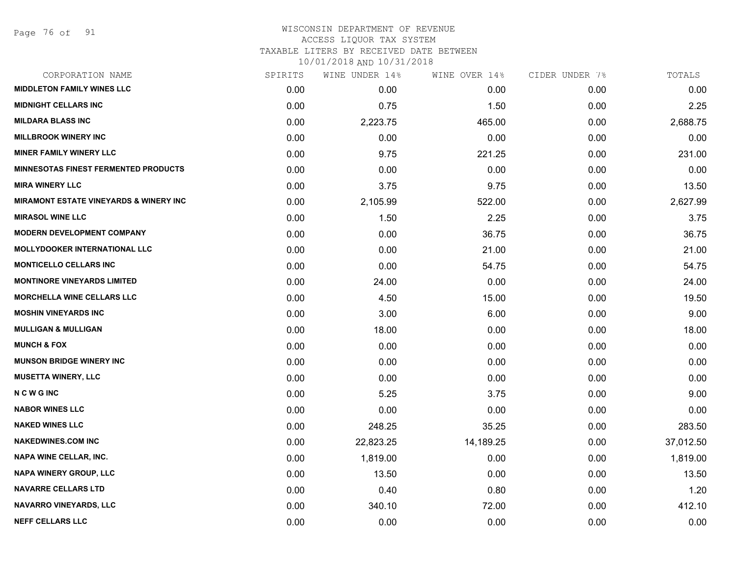Page 76 of 91

#### WISCONSIN DEPARTMENT OF REVENUE ACCESS LIQUOR TAX SYSTEM

TAXABLE LITERS BY RECEIVED DATE BETWEEN

| CORPORATION NAME                                  | SPIRITS | WINE UNDER 14% | WINE OVER 14% | CIDER UNDER 7% | TOTALS    |
|---------------------------------------------------|---------|----------------|---------------|----------------|-----------|
| <b>MIDDLETON FAMILY WINES LLC</b>                 | 0.00    | 0.00           | 0.00          | 0.00           | 0.00      |
| <b>MIDNIGHT CELLARS INC</b>                       | 0.00    | 0.75           | 1.50          | 0.00           | 2.25      |
| <b>MILDARA BLASS INC</b>                          | 0.00    | 2,223.75       | 465.00        | 0.00           | 2,688.75  |
| <b>MILLBROOK WINERY INC</b>                       | 0.00    | 0.00           | 0.00          | 0.00           | 0.00      |
| <b>MINER FAMILY WINERY LLC</b>                    | 0.00    | 9.75           | 221.25        | 0.00           | 231.00    |
| <b>MINNESOTAS FINEST FERMENTED PRODUCTS</b>       | 0.00    | 0.00           | 0.00          | 0.00           | 0.00      |
| <b>MIRA WINERY LLC</b>                            | 0.00    | 3.75           | 9.75          | 0.00           | 13.50     |
| <b>MIRAMONT ESTATE VINEYARDS &amp; WINERY INC</b> | 0.00    | 2,105.99       | 522.00        | 0.00           | 2,627.99  |
| <b>MIRASOL WINE LLC</b>                           | 0.00    | 1.50           | 2.25          | 0.00           | 3.75      |
| <b>MODERN DEVELOPMENT COMPANY</b>                 | 0.00    | 0.00           | 36.75         | 0.00           | 36.75     |
| <b>MOLLYDOOKER INTERNATIONAL LLC</b>              | 0.00    | 0.00           | 21.00         | 0.00           | 21.00     |
| <b>MONTICELLO CELLARS INC</b>                     | 0.00    | 0.00           | 54.75         | 0.00           | 54.75     |
| <b>MONTINORE VINEYARDS LIMITED</b>                | 0.00    | 24.00          | 0.00          | 0.00           | 24.00     |
| <b>MORCHELLA WINE CELLARS LLC</b>                 | 0.00    | 4.50           | 15.00         | 0.00           | 19.50     |
| <b>MOSHIN VINEYARDS INC</b>                       | 0.00    | 3.00           | 6.00          | 0.00           | 9.00      |
| <b>MULLIGAN &amp; MULLIGAN</b>                    | 0.00    | 18.00          | 0.00          | 0.00           | 18.00     |
| <b>MUNCH &amp; FOX</b>                            | 0.00    | 0.00           | 0.00          | 0.00           | 0.00      |
| <b>MUNSON BRIDGE WINERY INC</b>                   | 0.00    | 0.00           | 0.00          | 0.00           | 0.00      |
| <b>MUSETTA WINERY, LLC</b>                        | 0.00    | 0.00           | 0.00          | 0.00           | 0.00      |
| <b>NCWGINC</b>                                    | 0.00    | 5.25           | 3.75          | 0.00           | 9.00      |
| <b>NABOR WINES LLC</b>                            | 0.00    | 0.00           | 0.00          | 0.00           | 0.00      |
| <b>NAKED WINES LLC</b>                            | 0.00    | 248.25         | 35.25         | 0.00           | 283.50    |
| <b>NAKEDWINES.COM INC</b>                         | 0.00    | 22,823.25      | 14,189.25     | 0.00           | 37,012.50 |
| <b>NAPA WINE CELLAR, INC.</b>                     | 0.00    | 1,819.00       | 0.00          | 0.00           | 1,819.00  |
| <b>NAPA WINERY GROUP, LLC</b>                     | 0.00    | 13.50          | 0.00          | 0.00           | 13.50     |
| <b>NAVARRE CELLARS LTD</b>                        | 0.00    | 0.40           | 0.80          | 0.00           | 1.20      |
| <b>NAVARRO VINEYARDS, LLC</b>                     | 0.00    | 340.10         | 72.00         | 0.00           | 412.10    |
| <b>NEFF CELLARS LLC</b>                           | 0.00    | 0.00           | 0.00          | 0.00           | 0.00      |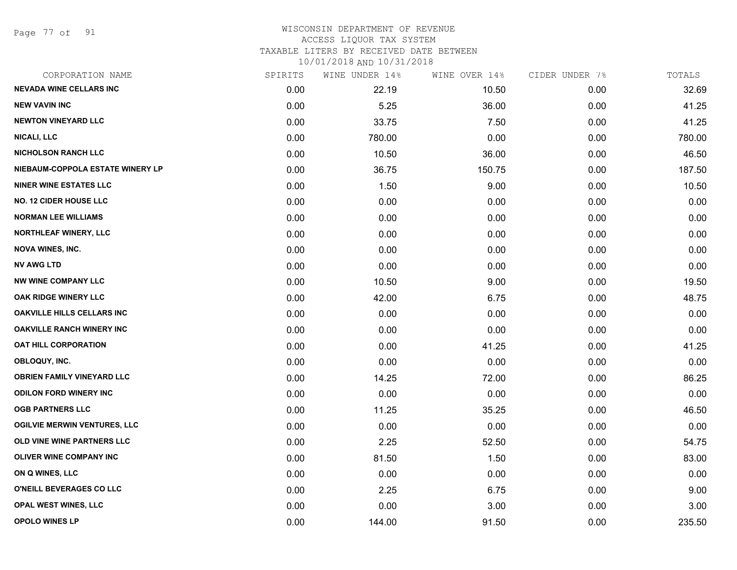Page 77 of 91

#### WISCONSIN DEPARTMENT OF REVENUE ACCESS LIQUOR TAX SYSTEM TAXABLE LITERS BY RECEIVED DATE BETWEEN

| CORPORATION NAME                    | SPIRITS | WINE UNDER 14% | WINE OVER 14% | CIDER UNDER 7% | TOTALS |
|-------------------------------------|---------|----------------|---------------|----------------|--------|
| <b>NEVADA WINE CELLARS INC</b>      | 0.00    | 22.19          | 10.50         | 0.00           | 32.69  |
| <b>NEW VAVIN INC</b>                | 0.00    | 5.25           | 36.00         | 0.00           | 41.25  |
| <b>NEWTON VINEYARD LLC</b>          | 0.00    | 33.75          | 7.50          | 0.00           | 41.25  |
| <b>NICALI, LLC</b>                  | 0.00    | 780.00         | 0.00          | 0.00           | 780.00 |
| <b>NICHOLSON RANCH LLC</b>          | 0.00    | 10.50          | 36.00         | 0.00           | 46.50  |
| NIEBAUM-COPPOLA ESTATE WINERY LP    | 0.00    | 36.75          | 150.75        | 0.00           | 187.50 |
| <b>NINER WINE ESTATES LLC</b>       | 0.00    | 1.50           | 9.00          | 0.00           | 10.50  |
| <b>NO. 12 CIDER HOUSE LLC</b>       | 0.00    | 0.00           | 0.00          | 0.00           | 0.00   |
| <b>NORMAN LEE WILLIAMS</b>          | 0.00    | 0.00           | 0.00          | 0.00           | 0.00   |
| <b>NORTHLEAF WINERY, LLC</b>        | 0.00    | 0.00           | 0.00          | 0.00           | 0.00   |
| <b>NOVA WINES, INC.</b>             | 0.00    | 0.00           | 0.00          | 0.00           | 0.00   |
| <b>NV AWG LTD</b>                   | 0.00    | 0.00           | 0.00          | 0.00           | 0.00   |
| <b>NW WINE COMPANY LLC</b>          | 0.00    | 10.50          | 9.00          | 0.00           | 19.50  |
| <b>OAK RIDGE WINERY LLC</b>         | 0.00    | 42.00          | 6.75          | 0.00           | 48.75  |
| OAKVILLE HILLS CELLARS INC          | 0.00    | 0.00           | 0.00          | 0.00           | 0.00   |
| <b>OAKVILLE RANCH WINERY INC</b>    | 0.00    | 0.00           | 0.00          | 0.00           | 0.00   |
| <b>OAT HILL CORPORATION</b>         | 0.00    | 0.00           | 41.25         | 0.00           | 41.25  |
| OBLOQUY, INC.                       | 0.00    | 0.00           | 0.00          | 0.00           | 0.00   |
| <b>OBRIEN FAMILY VINEYARD LLC</b>   | 0.00    | 14.25          | 72.00         | 0.00           | 86.25  |
| <b>ODILON FORD WINERY INC</b>       | 0.00    | 0.00           | 0.00          | 0.00           | 0.00   |
| <b>OGB PARTNERS LLC</b>             | 0.00    | 11.25          | 35.25         | 0.00           | 46.50  |
| <b>OGILVIE MERWIN VENTURES, LLC</b> | 0.00    | 0.00           | 0.00          | 0.00           | 0.00   |
| OLD VINE WINE PARTNERS LLC          | 0.00    | 2.25           | 52.50         | 0.00           | 54.75  |
| OLIVER WINE COMPANY INC             | 0.00    | 81.50          | 1.50          | 0.00           | 83.00  |
| ON Q WINES, LLC                     | 0.00    | 0.00           | 0.00          | 0.00           | 0.00   |
| O'NEILL BEVERAGES CO LLC            | 0.00    | 2.25           | 6.75          | 0.00           | 9.00   |
| OPAL WEST WINES, LLC                | 0.00    | 0.00           | 3.00          | 0.00           | 3.00   |
| <b>OPOLO WINES LP</b>               | 0.00    | 144.00         | 91.50         | 0.00           | 235.50 |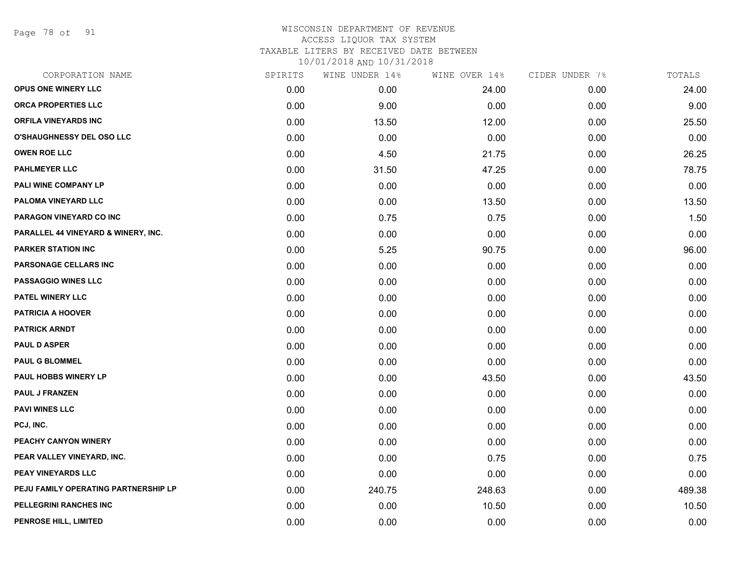Page 78 of 91

## WISCONSIN DEPARTMENT OF REVENUE ACCESS LIQUOR TAX SYSTEM TAXABLE LITERS BY RECEIVED DATE BETWEEN

| CORPORATION NAME                     | SPIRITS | WINE UNDER 14% | WINE OVER 14% | CIDER UNDER 7% | TOTALS |
|--------------------------------------|---------|----------------|---------------|----------------|--------|
| OPUS ONE WINERY LLC                  | 0.00    | 0.00           | 24.00         | 0.00           | 24.00  |
| <b>ORCA PROPERTIES LLC</b>           | 0.00    | 9.00           | 0.00          | 0.00           | 9.00   |
| ORFILA VINEYARDS INC                 | 0.00    | 13.50          | 12.00         | 0.00           | 25.50  |
| <b>O'SHAUGHNESSY DEL OSO LLC</b>     | 0.00    | 0.00           | 0.00          | 0.00           | 0.00   |
| <b>OWEN ROE LLC</b>                  | 0.00    | 4.50           | 21.75         | 0.00           | 26.25  |
| <b>PAHLMEYER LLC</b>                 | 0.00    | 31.50          | 47.25         | 0.00           | 78.75  |
| PALI WINE COMPANY LP                 | 0.00    | 0.00           | 0.00          | 0.00           | 0.00   |
| PALOMA VINEYARD LLC                  | 0.00    | 0.00           | 13.50         | 0.00           | 13.50  |
| PARAGON VINEYARD CO INC              | 0.00    | 0.75           | 0.75          | 0.00           | 1.50   |
| PARALLEL 44 VINEYARD & WINERY, INC.  | 0.00    | 0.00           | 0.00          | 0.00           | 0.00   |
| <b>PARKER STATION INC</b>            | 0.00    | 5.25           | 90.75         | 0.00           | 96.00  |
| PARSONAGE CELLARS INC                | 0.00    | 0.00           | 0.00          | 0.00           | 0.00   |
| PASSAGGIO WINES LLC                  | 0.00    | 0.00           | 0.00          | 0.00           | 0.00   |
| PATEL WINERY LLC                     | 0.00    | 0.00           | 0.00          | 0.00           | 0.00   |
| <b>PATRICIA A HOOVER</b>             | 0.00    | 0.00           | 0.00          | 0.00           | 0.00   |
| <b>PATRICK ARNDT</b>                 | 0.00    | 0.00           | 0.00          | 0.00           | 0.00   |
| <b>PAUL D ASPER</b>                  | 0.00    | 0.00           | 0.00          | 0.00           | 0.00   |
| <b>PAUL G BLOMMEL</b>                | 0.00    | 0.00           | 0.00          | 0.00           | 0.00   |
| PAUL HOBBS WINERY LP                 | 0.00    | 0.00           | 43.50         | 0.00           | 43.50  |
| <b>PAUL J FRANZEN</b>                | 0.00    | 0.00           | 0.00          | 0.00           | 0.00   |
| <b>PAVI WINES LLC</b>                | 0.00    | 0.00           | 0.00          | 0.00           | 0.00   |
| PCJ, INC.                            | 0.00    | 0.00           | 0.00          | 0.00           | 0.00   |
| PEACHY CANYON WINERY                 | 0.00    | 0.00           | 0.00          | 0.00           | 0.00   |
| PEAR VALLEY VINEYARD, INC.           | 0.00    | 0.00           | 0.75          | 0.00           | 0.75   |
| <b>PEAY VINEYARDS LLC</b>            | 0.00    | 0.00           | 0.00          | 0.00           | 0.00   |
| PEJU FAMILY OPERATING PARTNERSHIP LP | 0.00    | 240.75         | 248.63        | 0.00           | 489.38 |
| PELLEGRINI RANCHES INC               | 0.00    | 0.00           | 10.50         | 0.00           | 10.50  |
| PENROSE HILL, LIMITED                | 0.00    | 0.00           | 0.00          | 0.00           | 0.00   |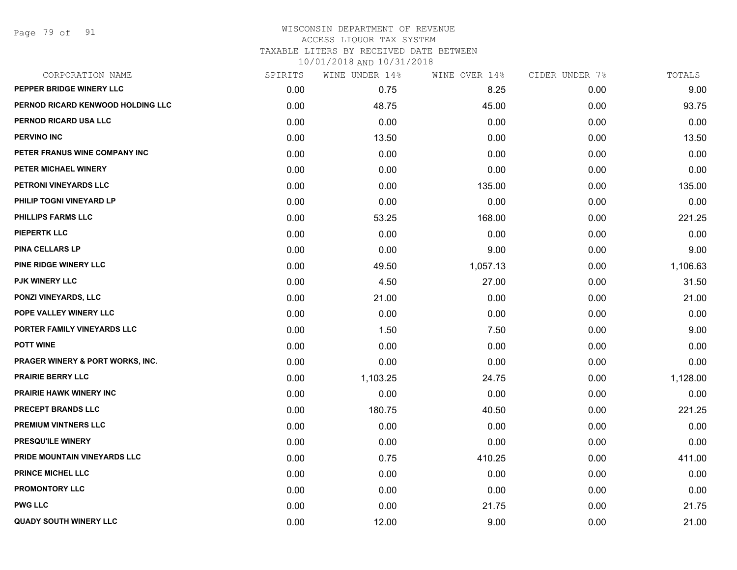Page 79 of 91

#### WISCONSIN DEPARTMENT OF REVENUE ACCESS LIQUOR TAX SYSTEM TAXABLE LITERS BY RECEIVED DATE BETWEEN

| CORPORATION NAME                  | SPIRITS | WINE UNDER 14% | WINE OVER 14% | CIDER UNDER 7% | TOTALS   |
|-----------------------------------|---------|----------------|---------------|----------------|----------|
| PEPPER BRIDGE WINERY LLC          | 0.00    | 0.75           | 8.25          | 0.00           | 9.00     |
| PERNOD RICARD KENWOOD HOLDING LLC | 0.00    | 48.75          | 45.00         | 0.00           | 93.75    |
| PERNOD RICARD USA LLC             | 0.00    | 0.00           | 0.00          | 0.00           | 0.00     |
| <b>PERVINO INC</b>                | 0.00    | 13.50          | 0.00          | 0.00           | 13.50    |
| PETER FRANUS WINE COMPANY INC     | 0.00    | 0.00           | 0.00          | 0.00           | 0.00     |
| PETER MICHAEL WINERY              | 0.00    | 0.00           | 0.00          | 0.00           | 0.00     |
| PETRONI VINEYARDS LLC             | 0.00    | 0.00           | 135.00        | 0.00           | 135.00   |
| PHILIP TOGNI VINEYARD LP          | 0.00    | 0.00           | 0.00          | 0.00           | 0.00     |
| PHILLIPS FARMS LLC                | 0.00    | 53.25          | 168.00        | 0.00           | 221.25   |
| <b>PIEPERTK LLC</b>               | 0.00    | 0.00           | 0.00          | 0.00           | 0.00     |
| <b>PINA CELLARS LP</b>            | 0.00    | 0.00           | 9.00          | 0.00           | 9.00     |
| PINE RIDGE WINERY LLC             | 0.00    | 49.50          | 1,057.13      | 0.00           | 1,106.63 |
| <b>PJK WINERY LLC</b>             | 0.00    | 4.50           | 27.00         | 0.00           | 31.50    |
| <b>PONZI VINEYARDS, LLC</b>       | 0.00    | 21.00          | 0.00          | 0.00           | 21.00    |
| POPE VALLEY WINERY LLC            | 0.00    | 0.00           | 0.00          | 0.00           | 0.00     |
| PORTER FAMILY VINEYARDS LLC       | 0.00    | 1.50           | 7.50          | 0.00           | 9.00     |
| <b>POTT WINE</b>                  | 0.00    | 0.00           | 0.00          | 0.00           | 0.00     |
| PRAGER WINERY & PORT WORKS, INC.  | 0.00    | 0.00           | 0.00          | 0.00           | 0.00     |
| <b>PRAIRIE BERRY LLC</b>          | 0.00    | 1,103.25       | 24.75         | 0.00           | 1,128.00 |
| <b>PRAIRIE HAWK WINERY INC</b>    | 0.00    | 0.00           | 0.00          | 0.00           | 0.00     |
| PRECEPT BRANDS LLC                | 0.00    | 180.75         | 40.50         | 0.00           | 221.25   |
| PREMIUM VINTNERS LLC              | 0.00    | 0.00           | 0.00          | 0.00           | 0.00     |
| PRESQU'ILE WINERY                 | 0.00    | 0.00           | 0.00          | 0.00           | 0.00     |
| PRIDE MOUNTAIN VINEYARDS LLC      | 0.00    | 0.75           | 410.25        | 0.00           | 411.00   |
| <b>PRINCE MICHEL LLC</b>          | 0.00    | 0.00           | 0.00          | 0.00           | 0.00     |
| <b>PROMONTORY LLC</b>             | 0.00    | 0.00           | 0.00          | 0.00           | 0.00     |
| <b>PWG LLC</b>                    | 0.00    | 0.00           | 21.75         | 0.00           | 21.75    |
| <b>QUADY SOUTH WINERY LLC</b>     | 0.00    | 12.00          | 9.00          | 0.00           | 21.00    |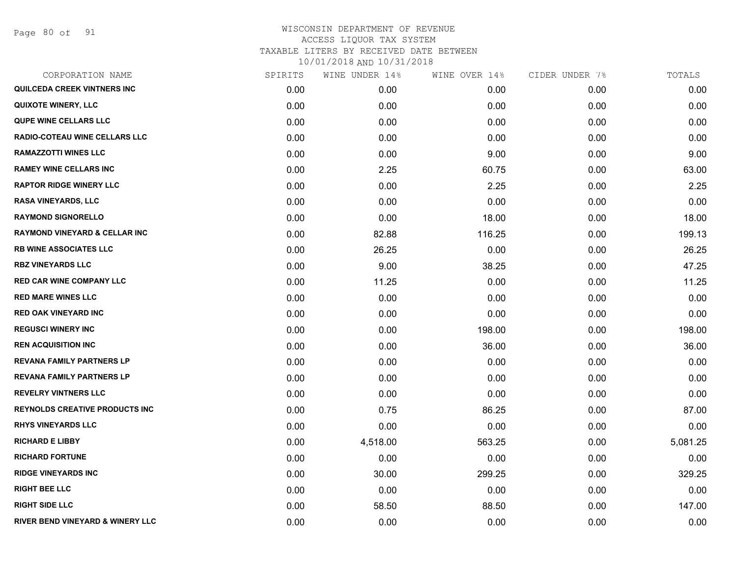Page 80 of 91

| CORPORATION NAME                         | SPIRITS | WINE UNDER 14% | WINE OVER 14% | CIDER UNDER 7% | TOTALS   |
|------------------------------------------|---------|----------------|---------------|----------------|----------|
| QUILCEDA CREEK VINTNERS INC              | 0.00    | 0.00           | 0.00          | 0.00           | 0.00     |
| <b>QUIXOTE WINERY, LLC</b>               | 0.00    | 0.00           | 0.00          | 0.00           | 0.00     |
| <b>QUPE WINE CELLARS LLC</b>             | 0.00    | 0.00           | 0.00          | 0.00           | 0.00     |
| <b>RADIO-COTEAU WINE CELLARS LLC</b>     | 0.00    | 0.00           | 0.00          | 0.00           | 0.00     |
| <b>RAMAZZOTTI WINES LLC</b>              | 0.00    | 0.00           | 9.00          | 0.00           | 9.00     |
| <b>RAMEY WINE CELLARS INC</b>            | 0.00    | 2.25           | 60.75         | 0.00           | 63.00    |
| <b>RAPTOR RIDGE WINERY LLC</b>           | 0.00    | 0.00           | 2.25          | 0.00           | 2.25     |
| <b>RASA VINEYARDS, LLC</b>               | 0.00    | 0.00           | 0.00          | 0.00           | 0.00     |
| <b>RAYMOND SIGNORELLO</b>                | 0.00    | 0.00           | 18.00         | 0.00           | 18.00    |
| <b>RAYMOND VINEYARD &amp; CELLAR INC</b> | 0.00    | 82.88          | 116.25        | 0.00           | 199.13   |
| <b>RB WINE ASSOCIATES LLC</b>            | 0.00    | 26.25          | 0.00          | 0.00           | 26.25    |
| <b>RBZ VINEYARDS LLC</b>                 | 0.00    | 9.00           | 38.25         | 0.00           | 47.25    |
| <b>RED CAR WINE COMPANY LLC</b>          | 0.00    | 11.25          | 0.00          | 0.00           | 11.25    |
| <b>RED MARE WINES LLC</b>                | 0.00    | 0.00           | 0.00          | 0.00           | 0.00     |
| <b>RED OAK VINEYARD INC</b>              | 0.00    | 0.00           | 0.00          | 0.00           | 0.00     |
| <b>REGUSCI WINERY INC</b>                | 0.00    | 0.00           | 198.00        | 0.00           | 198.00   |
| <b>REN ACQUISITION INC</b>               | 0.00    | 0.00           | 36.00         | 0.00           | 36.00    |
| <b>REVANA FAMILY PARTNERS LP</b>         | 0.00    | 0.00           | 0.00          | 0.00           | 0.00     |
| <b>REVANA FAMILY PARTNERS LP</b>         | 0.00    | 0.00           | 0.00          | 0.00           | 0.00     |
| <b>REVELRY VINTNERS LLC</b>              | 0.00    | 0.00           | 0.00          | 0.00           | 0.00     |
| <b>REYNOLDS CREATIVE PRODUCTS INC</b>    | 0.00    | 0.75           | 86.25         | 0.00           | 87.00    |
| <b>RHYS VINEYARDS LLC</b>                | 0.00    | 0.00           | 0.00          | 0.00           | 0.00     |
| <b>RICHARD E LIBBY</b>                   | 0.00    | 4,518.00       | 563.25        | 0.00           | 5,081.25 |
| <b>RICHARD FORTUNE</b>                   | 0.00    | 0.00           | 0.00          | 0.00           | 0.00     |
| <b>RIDGE VINEYARDS INC</b>               | 0.00    | 30.00          | 299.25        | 0.00           | 329.25   |
| <b>RIGHT BEE LLC</b>                     | 0.00    | 0.00           | 0.00          | 0.00           | 0.00     |
| <b>RIGHT SIDE LLC</b>                    | 0.00    | 58.50          | 88.50         | 0.00           | 147.00   |
| RIVER BEND VINEYARD & WINERY LLC         | 0.00    | 0.00           | 0.00          | 0.00           | 0.00     |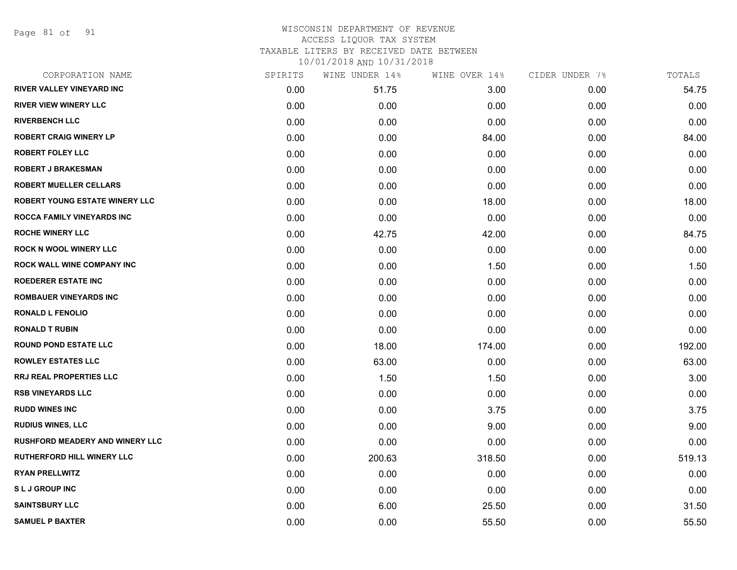Page 81 of 91

| CORPORATION NAME                       | SPIRITS | WINE UNDER 14% | WINE OVER 14% | CIDER UNDER 7% | TOTALS |
|----------------------------------------|---------|----------------|---------------|----------------|--------|
| <b>RIVER VALLEY VINEYARD INC</b>       | 0.00    | 51.75          | 3.00          | 0.00           | 54.75  |
| <b>RIVER VIEW WINERY LLC</b>           | 0.00    | 0.00           | 0.00          | 0.00           | 0.00   |
| <b>RIVERBENCH LLC</b>                  | 0.00    | 0.00           | 0.00          | 0.00           | 0.00   |
| <b>ROBERT CRAIG WINERY LP</b>          | 0.00    | 0.00           | 84.00         | 0.00           | 84.00  |
| <b>ROBERT FOLEY LLC</b>                | 0.00    | 0.00           | 0.00          | 0.00           | 0.00   |
| <b>ROBERT J BRAKESMAN</b>              | 0.00    | 0.00           | 0.00          | 0.00           | 0.00   |
| <b>ROBERT MUELLER CELLARS</b>          | 0.00    | 0.00           | 0.00          | 0.00           | 0.00   |
| <b>ROBERT YOUNG ESTATE WINERY LLC</b>  | 0.00    | 0.00           | 18.00         | 0.00           | 18.00  |
| ROCCA FAMILY VINEYARDS INC             | 0.00    | 0.00           | 0.00          | 0.00           | 0.00   |
| <b>ROCHE WINERY LLC</b>                | 0.00    | 42.75          | 42.00         | 0.00           | 84.75  |
| <b>ROCK N WOOL WINERY LLC</b>          | 0.00    | 0.00           | 0.00          | 0.00           | 0.00   |
| ROCK WALL WINE COMPANY INC             | 0.00    | 0.00           | 1.50          | 0.00           | 1.50   |
| <b>ROEDERER ESTATE INC</b>             | 0.00    | 0.00           | 0.00          | 0.00           | 0.00   |
| <b>ROMBAUER VINEYARDS INC</b>          | 0.00    | 0.00           | 0.00          | 0.00           | 0.00   |
| <b>RONALD L FENOLIO</b>                | 0.00    | 0.00           | 0.00          | 0.00           | 0.00   |
| <b>RONALD T RUBIN</b>                  | 0.00    | 0.00           | 0.00          | 0.00           | 0.00   |
| <b>ROUND POND ESTATE LLC</b>           | 0.00    | 18.00          | 174.00        | 0.00           | 192.00 |
| <b>ROWLEY ESTATES LLC</b>              | 0.00    | 63.00          | 0.00          | 0.00           | 63.00  |
| <b>RRJ REAL PROPERTIES LLC</b>         | 0.00    | 1.50           | 1.50          | 0.00           | 3.00   |
| <b>RSB VINEYARDS LLC</b>               | 0.00    | 0.00           | 0.00          | 0.00           | 0.00   |
| <b>RUDD WINES INC</b>                  | 0.00    | 0.00           | 3.75          | 0.00           | 3.75   |
| <b>RUDIUS WINES, LLC</b>               | 0.00    | 0.00           | 9.00          | 0.00           | 9.00   |
| <b>RUSHFORD MEADERY AND WINERY LLC</b> | 0.00    | 0.00           | 0.00          | 0.00           | 0.00   |
| <b>RUTHERFORD HILL WINERY LLC</b>      | 0.00    | 200.63         | 318.50        | 0.00           | 519.13 |
| <b>RYAN PRELLWITZ</b>                  | 0.00    | 0.00           | 0.00          | 0.00           | 0.00   |
| <b>SLJ GROUP INC</b>                   | 0.00    | 0.00           | 0.00          | 0.00           | 0.00   |
| <b>SAINTSBURY LLC</b>                  | 0.00    | 6.00           | 25.50         | 0.00           | 31.50  |
| <b>SAMUEL P BAXTER</b>                 | 0.00    | 0.00           | 55.50         | 0.00           | 55.50  |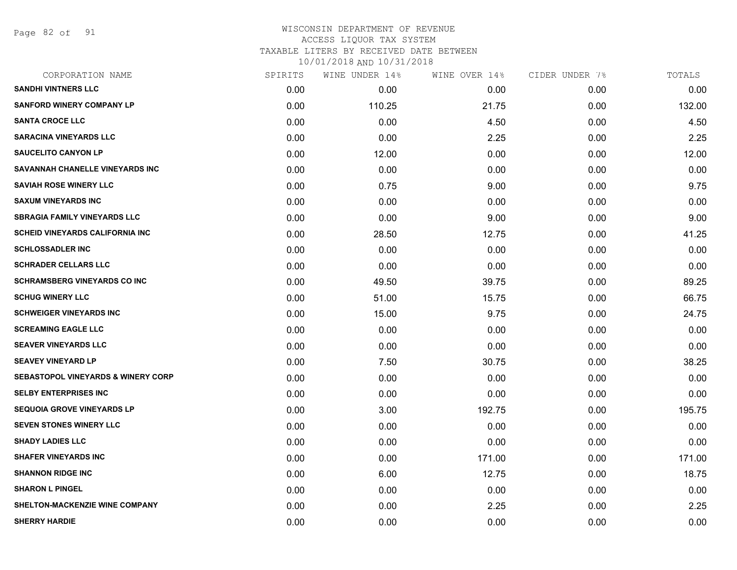Page 82 of 91

## WISCONSIN DEPARTMENT OF REVENUE ACCESS LIQUOR TAX SYSTEM TAXABLE LITERS BY RECEIVED DATE BETWEEN

| CORPORATION NAME                              | SPIRITS | WINE UNDER 14% | WINE OVER 14% | CIDER UNDER 7% | TOTALS |
|-----------------------------------------------|---------|----------------|---------------|----------------|--------|
| <b>SANDHI VINTNERS LLC</b>                    | 0.00    | 0.00           | 0.00          | 0.00           | 0.00   |
| <b>SANFORD WINERY COMPANY LP</b>              | 0.00    | 110.25         | 21.75         | 0.00           | 132.00 |
| <b>SANTA CROCE LLC</b>                        | 0.00    | 0.00           | 4.50          | 0.00           | 4.50   |
| <b>SARACINA VINEYARDS LLC</b>                 | 0.00    | 0.00           | 2.25          | 0.00           | 2.25   |
| <b>SAUCELITO CANYON LP</b>                    | 0.00    | 12.00          | 0.00          | 0.00           | 12.00  |
| SAVANNAH CHANELLE VINEYARDS INC               | 0.00    | 0.00           | 0.00          | 0.00           | 0.00   |
| <b>SAVIAH ROSE WINERY LLC</b>                 | 0.00    | 0.75           | 9.00          | 0.00           | 9.75   |
| <b>SAXUM VINEYARDS INC</b>                    | 0.00    | 0.00           | 0.00          | 0.00           | 0.00   |
| <b>SBRAGIA FAMILY VINEYARDS LLC</b>           | 0.00    | 0.00           | 9.00          | 0.00           | 9.00   |
| <b>SCHEID VINEYARDS CALIFORNIA INC.</b>       | 0.00    | 28.50          | 12.75         | 0.00           | 41.25  |
| <b>SCHLOSSADLER INC</b>                       | 0.00    | 0.00           | 0.00          | 0.00           | 0.00   |
| <b>SCHRADER CELLARS LLC</b>                   | 0.00    | 0.00           | 0.00          | 0.00           | 0.00   |
| <b>SCHRAMSBERG VINEYARDS CO INC</b>           | 0.00    | 49.50          | 39.75         | 0.00           | 89.25  |
| <b>SCHUG WINERY LLC</b>                       | 0.00    | 51.00          | 15.75         | 0.00           | 66.75  |
| <b>SCHWEIGER VINEYARDS INC</b>                | 0.00    | 15.00          | 9.75          | 0.00           | 24.75  |
| <b>SCREAMING EAGLE LLC</b>                    | 0.00    | 0.00           | 0.00          | 0.00           | 0.00   |
| <b>SEAVER VINEYARDS LLC</b>                   | 0.00    | 0.00           | 0.00          | 0.00           | 0.00   |
| <b>SEAVEY VINEYARD LP</b>                     | 0.00    | 7.50           | 30.75         | 0.00           | 38.25  |
| <b>SEBASTOPOL VINEYARDS &amp; WINERY CORP</b> | 0.00    | 0.00           | 0.00          | 0.00           | 0.00   |
| <b>SELBY ENTERPRISES INC</b>                  | 0.00    | 0.00           | 0.00          | 0.00           | 0.00   |
| <b>SEQUOIA GROVE VINEYARDS LP</b>             | 0.00    | 3.00           | 192.75        | 0.00           | 195.75 |
| <b>SEVEN STONES WINERY LLC</b>                | 0.00    | 0.00           | 0.00          | 0.00           | 0.00   |
| <b>SHADY LADIES LLC</b>                       | 0.00    | 0.00           | 0.00          | 0.00           | 0.00   |
| <b>SHAFER VINEYARDS INC</b>                   | 0.00    | 0.00           | 171.00        | 0.00           | 171.00 |
| <b>SHANNON RIDGE INC</b>                      | 0.00    | 6.00           | 12.75         | 0.00           | 18.75  |
| <b>SHARON L PINGEL</b>                        | 0.00    | 0.00           | 0.00          | 0.00           | 0.00   |
| SHELTON-MACKENZIE WINE COMPANY                | 0.00    | 0.00           | 2.25          | 0.00           | 2.25   |
| <b>SHERRY HARDIE</b>                          | 0.00    | 0.00           | 0.00          | 0.00           | 0.00   |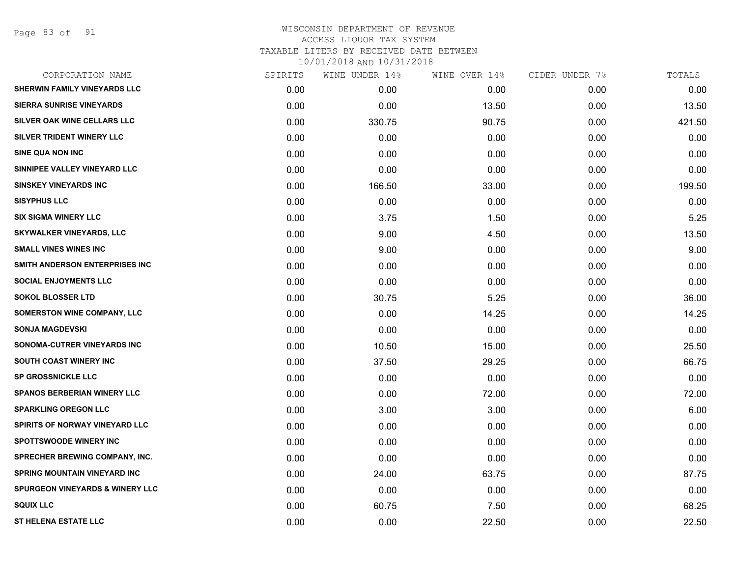Page 83 of 91

| CORPORATION NAME                           | SPIRITS | WINE UNDER 14% | WINE OVER 14% | CIDER UNDER 7% | TOTALS |
|--------------------------------------------|---------|----------------|---------------|----------------|--------|
| SHERWIN FAMILY VINEYARDS LLC               | 0.00    | 0.00           | 0.00          | 0.00           | 0.00   |
| <b>SIERRA SUNRISE VINEYARDS</b>            | 0.00    | 0.00           | 13.50         | 0.00           | 13.50  |
| SILVER OAK WINE CELLARS LLC                | 0.00    | 330.75         | 90.75         | 0.00           | 421.50 |
| SILVER TRIDENT WINERY LLC                  | 0.00    | 0.00           | 0.00          | 0.00           | 0.00   |
| <b>SINE QUA NON INC</b>                    | 0.00    | 0.00           | 0.00          | 0.00           | 0.00   |
| SINNIPEE VALLEY VINEYARD LLC               | 0.00    | 0.00           | 0.00          | 0.00           | 0.00   |
| <b>SINSKEY VINEYARDS INC</b>               | 0.00    | 166.50         | 33.00         | 0.00           | 199.50 |
| <b>SISYPHUS LLC</b>                        | 0.00    | 0.00           | 0.00          | 0.00           | 0.00   |
| <b>SIX SIGMA WINERY LLC</b>                | 0.00    | 3.75           | 1.50          | 0.00           | 5.25   |
| <b>SKYWALKER VINEYARDS, LLC</b>            | 0.00    | 9.00           | 4.50          | 0.00           | 13.50  |
| <b>SMALL VINES WINES INC</b>               | 0.00    | 9.00           | 0.00          | 0.00           | 9.00   |
| SMITH ANDERSON ENTERPRISES INC             | 0.00    | 0.00           | 0.00          | 0.00           | 0.00   |
| <b>SOCIAL ENJOYMENTS LLC</b>               | 0.00    | 0.00           | 0.00          | 0.00           | 0.00   |
| <b>SOKOL BLOSSER LTD</b>                   | 0.00    | 30.75          | 5.25          | 0.00           | 36.00  |
| <b>SOMERSTON WINE COMPANY, LLC</b>         | 0.00    | 0.00           | 14.25         | 0.00           | 14.25  |
| <b>SONJA MAGDEVSKI</b>                     | 0.00    | 0.00           | 0.00          | 0.00           | 0.00   |
| SONOMA-CUTRER VINEYARDS INC                | 0.00    | 10.50          | 15.00         | 0.00           | 25.50  |
| <b>SOUTH COAST WINERY INC</b>              | 0.00    | 37.50          | 29.25         | 0.00           | 66.75  |
| <b>SP GROSSNICKLE LLC</b>                  | 0.00    | 0.00           | 0.00          | 0.00           | 0.00   |
| <b>SPANOS BERBERIAN WINERY LLC</b>         | 0.00    | 0.00           | 72.00         | 0.00           | 72.00  |
| <b>SPARKLING OREGON LLC</b>                | 0.00    | 3.00           | 3.00          | 0.00           | 6.00   |
| SPIRITS OF NORWAY VINEYARD LLC             | 0.00    | 0.00           | 0.00          | 0.00           | 0.00   |
| <b>SPOTTSWOODE WINERY INC</b>              | 0.00    | 0.00           | 0.00          | 0.00           | 0.00   |
| <b>SPRECHER BREWING COMPANY, INC.</b>      | 0.00    | 0.00           | 0.00          | 0.00           | 0.00   |
| <b>SPRING MOUNTAIN VINEYARD INC</b>        | 0.00    | 24.00          | 63.75         | 0.00           | 87.75  |
| <b>SPURGEON VINEYARDS &amp; WINERY LLC</b> | 0.00    | 0.00           | 0.00          | 0.00           | 0.00   |
| <b>SQUIX LLC</b>                           | 0.00    | 60.75          | 7.50          | 0.00           | 68.25  |
| <b>ST HELENA ESTATE LLC</b>                | 0.00    | 0.00           | 22.50         | 0.00           | 22.50  |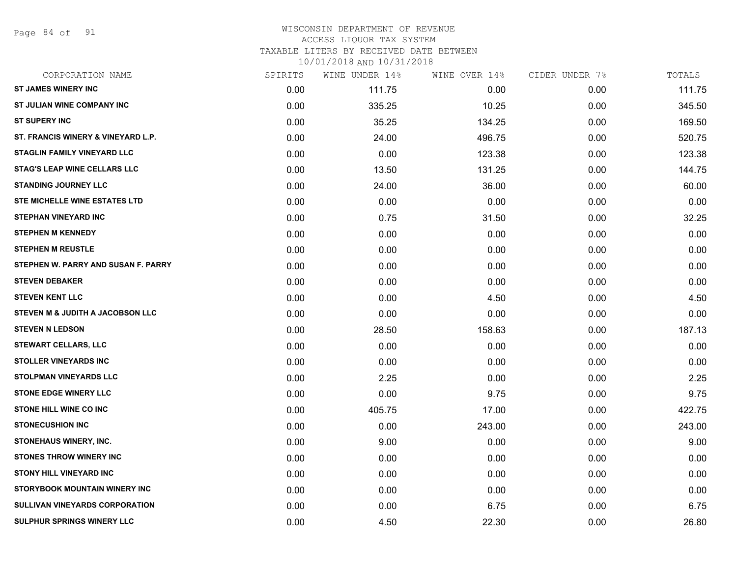Page 84 of 91

#### WISCONSIN DEPARTMENT OF REVENUE ACCESS LIQUOR TAX SYSTEM TAXABLE LITERS BY RECEIVED DATE BETWEEN

| CORPORATION NAME                    | SPIRITS | WINE UNDER 14% | WINE OVER 14% | CIDER UNDER 7% | TOTALS |
|-------------------------------------|---------|----------------|---------------|----------------|--------|
| <b>ST JAMES WINERY INC</b>          | 0.00    | 111.75         | 0.00          | 0.00           | 111.75 |
| <b>ST JULIAN WINE COMPANY INC</b>   | 0.00    | 335.25         | 10.25         | 0.00           | 345.50 |
| <b>ST SUPERY INC</b>                | 0.00    | 35.25          | 134.25        | 0.00           | 169.50 |
| ST. FRANCIS WINERY & VINEYARD L.P.  | 0.00    | 24.00          | 496.75        | 0.00           | 520.75 |
| <b>STAGLIN FAMILY VINEYARD LLC</b>  | 0.00    | 0.00           | 123.38        | 0.00           | 123.38 |
| <b>STAG'S LEAP WINE CELLARS LLC</b> | 0.00    | 13.50          | 131.25        | 0.00           | 144.75 |
| <b>STANDING JOURNEY LLC</b>         | 0.00    | 24.00          | 36.00         | 0.00           | 60.00  |
| STE MICHELLE WINE ESTATES LTD       | 0.00    | 0.00           | 0.00          | 0.00           | 0.00   |
| <b>STEPHAN VINEYARD INC</b>         | 0.00    | 0.75           | 31.50         | 0.00           | 32.25  |
| <b>STEPHEN M KENNEDY</b>            | 0.00    | 0.00           | 0.00          | 0.00           | 0.00   |
| <b>STEPHEN M REUSTLE</b>            | 0.00    | 0.00           | 0.00          | 0.00           | 0.00   |
| STEPHEN W. PARRY AND SUSAN F. PARRY | 0.00    | 0.00           | 0.00          | 0.00           | 0.00   |
| <b>STEVEN DEBAKER</b>               | 0.00    | 0.00           | 0.00          | 0.00           | 0.00   |
| <b>STEVEN KENT LLC</b>              | 0.00    | 0.00           | 4.50          | 0.00           | 4.50   |
| STEVEN M & JUDITH A JACOBSON LLC    | 0.00    | 0.00           | 0.00          | 0.00           | 0.00   |
| <b>STEVEN N LEDSON</b>              | 0.00    | 28.50          | 158.63        | 0.00           | 187.13 |
| <b>STEWART CELLARS, LLC</b>         | 0.00    | 0.00           | 0.00          | 0.00           | 0.00   |
| <b>STOLLER VINEYARDS INC</b>        | 0.00    | 0.00           | 0.00          | 0.00           | 0.00   |
| <b>STOLPMAN VINEYARDS LLC</b>       | 0.00    | 2.25           | 0.00          | 0.00           | 2.25   |
| <b>STONE EDGE WINERY LLC</b>        | 0.00    | 0.00           | 9.75          | 0.00           | 9.75   |
| <b>STONE HILL WINE CO INC</b>       | 0.00    | 405.75         | 17.00         | 0.00           | 422.75 |
| <b>STONECUSHION INC</b>             | 0.00    | 0.00           | 243.00        | 0.00           | 243.00 |
| <b>STONEHAUS WINERY, INC.</b>       | 0.00    | 9.00           | 0.00          | 0.00           | 9.00   |
| <b>STONES THROW WINERY INC.</b>     | 0.00    | 0.00           | 0.00          | 0.00           | 0.00   |
| <b>STONY HILL VINEYARD INC</b>      | 0.00    | 0.00           | 0.00          | 0.00           | 0.00   |
| STORYBOOK MOUNTAIN WINERY INC       | 0.00    | 0.00           | 0.00          | 0.00           | 0.00   |
| SULLIVAN VINEYARDS CORPORATION      | 0.00    | 0.00           | 6.75          | 0.00           | 6.75   |
| SULPHUR SPRINGS WINERY LLC          | 0.00    | 4.50           | 22.30         | 0.00           | 26.80  |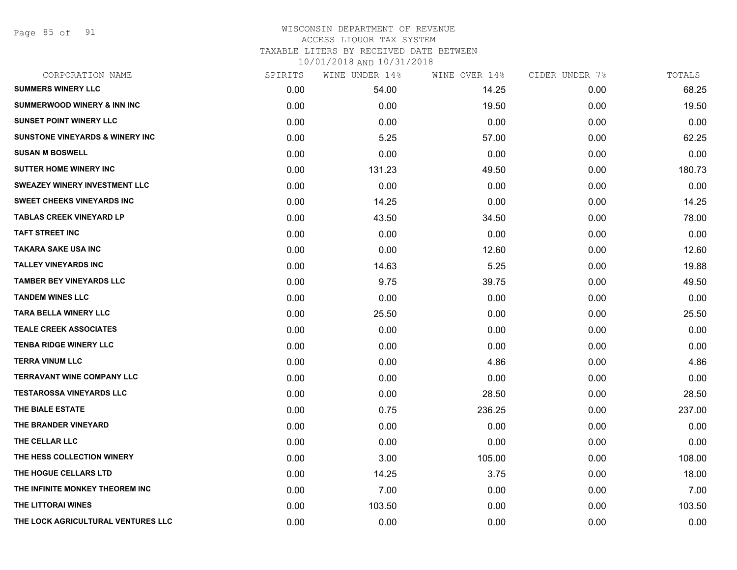Page 85 of 91

| CORPORATION NAME                           | SPIRITS | WINE UNDER 14% | WINE OVER 14% | CIDER UNDER 7% | TOTALS |
|--------------------------------------------|---------|----------------|---------------|----------------|--------|
| <b>SUMMERS WINERY LLC</b>                  | 0.00    | 54.00          | 14.25         | 0.00           | 68.25  |
| <b>SUMMERWOOD WINERY &amp; INN INC</b>     | 0.00    | 0.00           | 19.50         | 0.00           | 19.50  |
| <b>SUNSET POINT WINERY LLC</b>             | 0.00    | 0.00           | 0.00          | 0.00           | 0.00   |
| <b>SUNSTONE VINEYARDS &amp; WINERY INC</b> | 0.00    | 5.25           | 57.00         | 0.00           | 62.25  |
| <b>SUSAN M BOSWELL</b>                     | 0.00    | 0.00           | 0.00          | 0.00           | 0.00   |
| <b>SUTTER HOME WINERY INC</b>              | 0.00    | 131.23         | 49.50         | 0.00           | 180.73 |
| <b>SWEAZEY WINERY INVESTMENT LLC</b>       | 0.00    | 0.00           | 0.00          | 0.00           | 0.00   |
| <b>SWEET CHEEKS VINEYARDS INC</b>          | 0.00    | 14.25          | 0.00          | 0.00           | 14.25  |
| <b>TABLAS CREEK VINEYARD LP</b>            | 0.00    | 43.50          | 34.50         | 0.00           | 78.00  |
| <b>TAFT STREET INC</b>                     | 0.00    | 0.00           | 0.00          | 0.00           | 0.00   |
| <b>TAKARA SAKE USA INC</b>                 | 0.00    | 0.00           | 12.60         | 0.00           | 12.60  |
| <b>TALLEY VINEYARDS INC</b>                | 0.00    | 14.63          | 5.25          | 0.00           | 19.88  |
| <b>TAMBER BEY VINEYARDS LLC</b>            | 0.00    | 9.75           | 39.75         | 0.00           | 49.50  |
| <b>TANDEM WINES LLC</b>                    | 0.00    | 0.00           | 0.00          | 0.00           | 0.00   |
| <b>TARA BELLA WINERY LLC</b>               | 0.00    | 25.50          | 0.00          | 0.00           | 25.50  |
| <b>TEALE CREEK ASSOCIATES</b>              | 0.00    | 0.00           | 0.00          | 0.00           | 0.00   |
| <b>TENBA RIDGE WINERY LLC</b>              | 0.00    | 0.00           | 0.00          | 0.00           | 0.00   |
| <b>TERRA VINUM LLC</b>                     | 0.00    | 0.00           | 4.86          | 0.00           | 4.86   |
| <b>TERRAVANT WINE COMPANY LLC</b>          | 0.00    | 0.00           | 0.00          | 0.00           | 0.00   |
| <b>TESTAROSSA VINEYARDS LLC</b>            | 0.00    | 0.00           | 28.50         | 0.00           | 28.50  |
| THE BIALE ESTATE                           | 0.00    | 0.75           | 236.25        | 0.00           | 237.00 |
| THE BRANDER VINEYARD                       | 0.00    | 0.00           | 0.00          | 0.00           | 0.00   |
| THE CELLAR LLC                             | 0.00    | 0.00           | 0.00          | 0.00           | 0.00   |
| THE HESS COLLECTION WINERY                 | 0.00    | 3.00           | 105.00        | 0.00           | 108.00 |
| THE HOGUE CELLARS LTD                      | 0.00    | 14.25          | 3.75          | 0.00           | 18.00  |
| THE INFINITE MONKEY THEOREM INC            | 0.00    | 7.00           | 0.00          | 0.00           | 7.00   |
| THE LITTORAI WINES                         | 0.00    | 103.50         | 0.00          | 0.00           | 103.50 |
| THE LOCK AGRICULTURAL VENTURES LLC         | 0.00    | 0.00           | 0.00          | 0.00           | 0.00   |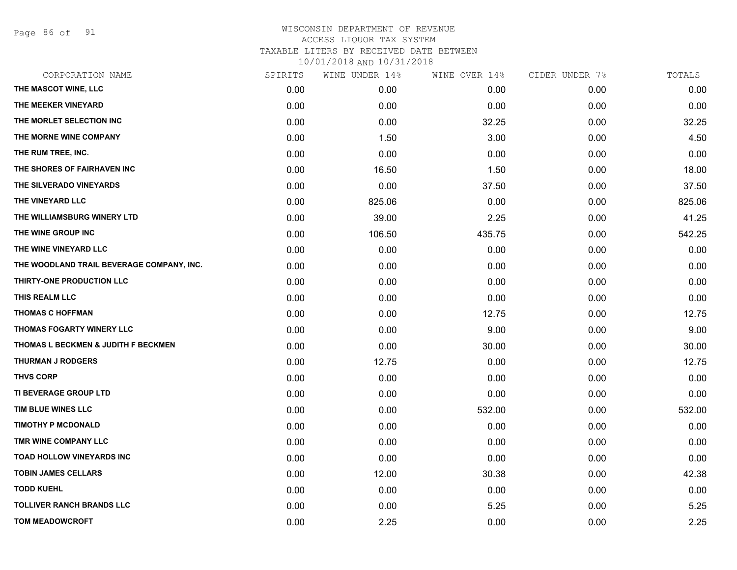Page 86 of 91

| CORPORATION NAME                          | SPIRITS | WINE UNDER 14% | WINE OVER 14% | CIDER UNDER 7% | TOTALS |
|-------------------------------------------|---------|----------------|---------------|----------------|--------|
| THE MASCOT WINE, LLC                      | 0.00    | 0.00           | 0.00          | 0.00           | 0.00   |
| THE MEEKER VINEYARD                       | 0.00    | 0.00           | 0.00          | 0.00           | 0.00   |
| THE MORLET SELECTION INC                  | 0.00    | 0.00           | 32.25         | 0.00           | 32.25  |
| THE MORNE WINE COMPANY                    | 0.00    | 1.50           | 3.00          | 0.00           | 4.50   |
| THE RUM TREE, INC.                        | 0.00    | 0.00           | 0.00          | 0.00           | 0.00   |
| THE SHORES OF FAIRHAVEN INC               | 0.00    | 16.50          | 1.50          | 0.00           | 18.00  |
| THE SILVERADO VINEYARDS                   | 0.00    | 0.00           | 37.50         | 0.00           | 37.50  |
| THE VINEYARD LLC                          | 0.00    | 825.06         | 0.00          | 0.00           | 825.06 |
| THE WILLIAMSBURG WINERY LTD               | 0.00    | 39.00          | 2.25          | 0.00           | 41.25  |
| THE WINE GROUP INC                        | 0.00    | 106.50         | 435.75        | 0.00           | 542.25 |
| THE WINE VINEYARD LLC                     | 0.00    | 0.00           | 0.00          | 0.00           | 0.00   |
| THE WOODLAND TRAIL BEVERAGE COMPANY, INC. | 0.00    | 0.00           | 0.00          | 0.00           | 0.00   |
| THIRTY-ONE PRODUCTION LLC                 | 0.00    | 0.00           | 0.00          | 0.00           | 0.00   |
| THIS REALM LLC                            | 0.00    | 0.00           | 0.00          | 0.00           | 0.00   |
| <b>THOMAS C HOFFMAN</b>                   | 0.00    | 0.00           | 12.75         | 0.00           | 12.75  |
| THOMAS FOGARTY WINERY LLC                 | 0.00    | 0.00           | 9.00          | 0.00           | 9.00   |
| THOMAS L BECKMEN & JUDITH F BECKMEN       | 0.00    | 0.00           | 30.00         | 0.00           | 30.00  |
| <b>THURMAN J RODGERS</b>                  | 0.00    | 12.75          | 0.00          | 0.00           | 12.75  |
| <b>THVS CORP</b>                          | 0.00    | 0.00           | 0.00          | 0.00           | 0.00   |
| TI BEVERAGE GROUP LTD                     | 0.00    | 0.00           | 0.00          | 0.00           | 0.00   |
| TIM BLUE WINES LLC                        | 0.00    | 0.00           | 532.00        | 0.00           | 532.00 |
| <b>TIMOTHY P MCDONALD</b>                 | 0.00    | 0.00           | 0.00          | 0.00           | 0.00   |
| TMR WINE COMPANY LLC                      | 0.00    | 0.00           | 0.00          | 0.00           | 0.00   |
| <b>TOAD HOLLOW VINEYARDS INC</b>          | 0.00    | 0.00           | 0.00          | 0.00           | 0.00   |
| <b>TOBIN JAMES CELLARS</b>                | 0.00    | 12.00          | 30.38         | 0.00           | 42.38  |
| <b>TODD KUEHL</b>                         | 0.00    | 0.00           | 0.00          | 0.00           | 0.00   |
| <b>TOLLIVER RANCH BRANDS LLC</b>          | 0.00    | 0.00           | 5.25          | 0.00           | 5.25   |
| <b>TOM MEADOWCROFT</b>                    | 0.00    | 2.25           | 0.00          | 0.00           | 2.25   |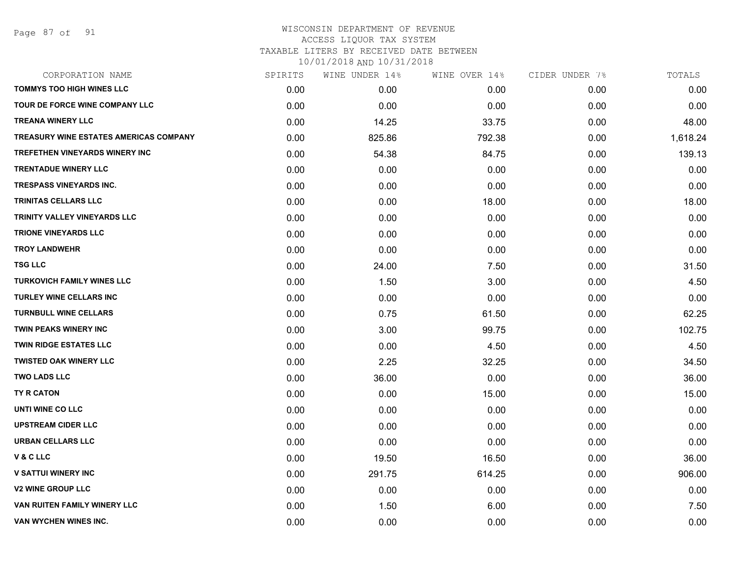| CORPORATION NAME                              | SPIRITS | WINE UNDER 14% | WINE OVER 14% | CIDER UNDER 7% | TOTALS   |
|-----------------------------------------------|---------|----------------|---------------|----------------|----------|
| <b>TOMMYS TOO HIGH WINES LLC</b>              | 0.00    | 0.00           | 0.00          | 0.00           | 0.00     |
| TOUR DE FORCE WINE COMPANY LLC                | 0.00    | 0.00           | 0.00          | 0.00           | 0.00     |
| <b>TREANA WINERY LLC</b>                      | 0.00    | 14.25          | 33.75         | 0.00           | 48.00    |
| <b>TREASURY WINE ESTATES AMERICAS COMPANY</b> | 0.00    | 825.86         | 792.38        | 0.00           | 1,618.24 |
| <b>TREFETHEN VINEYARDS WINERY INC</b>         | 0.00    | 54.38          | 84.75         | 0.00           | 139.13   |
| <b>TRENTADUE WINERY LLC</b>                   | 0.00    | 0.00           | 0.00          | 0.00           | 0.00     |
| <b>TRESPASS VINEYARDS INC.</b>                | 0.00    | 0.00           | 0.00          | 0.00           | 0.00     |
| <b>TRINITAS CELLARS LLC</b>                   | 0.00    | 0.00           | 18.00         | 0.00           | 18.00    |
| TRINITY VALLEY VINEYARDS LLC                  | 0.00    | 0.00           | 0.00          | 0.00           | 0.00     |
| <b>TRIONE VINEYARDS LLC</b>                   | 0.00    | 0.00           | 0.00          | 0.00           | 0.00     |
| <b>TROY LANDWEHR</b>                          | 0.00    | 0.00           | 0.00          | 0.00           | 0.00     |
| <b>TSG LLC</b>                                | 0.00    | 24.00          | 7.50          | 0.00           | 31.50    |
| <b>TURKOVICH FAMILY WINES LLC</b>             | 0.00    | 1.50           | 3.00          | 0.00           | 4.50     |
| <b>TURLEY WINE CELLARS INC</b>                | 0.00    | 0.00           | 0.00          | 0.00           | 0.00     |
| <b>TURNBULL WINE CELLARS</b>                  | 0.00    | 0.75           | 61.50         | 0.00           | 62.25    |
| TWIN PEAKS WINERY INC                         | 0.00    | 3.00           | 99.75         | 0.00           | 102.75   |
| <b>TWIN RIDGE ESTATES LLC</b>                 | 0.00    | 0.00           | 4.50          | 0.00           | 4.50     |
| <b>TWISTED OAK WINERY LLC</b>                 | 0.00    | 2.25           | 32.25         | 0.00           | 34.50    |
| <b>TWO LADS LLC</b>                           | 0.00    | 36.00          | 0.00          | 0.00           | 36.00    |
| TY R CATON                                    | 0.00    | 0.00           | 15.00         | 0.00           | 15.00    |
| UNTI WINE CO LLC                              | 0.00    | 0.00           | 0.00          | 0.00           | 0.00     |
| <b>UPSTREAM CIDER LLC</b>                     | 0.00    | 0.00           | 0.00          | 0.00           | 0.00     |
| <b>URBAN CELLARS LLC</b>                      | 0.00    | 0.00           | 0.00          | 0.00           | 0.00     |
| <b>V&amp;CLLC</b>                             | 0.00    | 19.50          | 16.50         | 0.00           | 36.00    |
| <b>V SATTUI WINERY INC</b>                    | 0.00    | 291.75         | 614.25        | 0.00           | 906.00   |
| <b>V2 WINE GROUP LLC</b>                      | 0.00    | 0.00           | 0.00          | 0.00           | 0.00     |
| VAN RUITEN FAMILY WINERY LLC                  | 0.00    | 1.50           | 6.00          | 0.00           | 7.50     |
| <b>VAN WYCHEN WINES INC.</b>                  | 0.00    | 0.00           | 0.00          | 0.00           | 0.00     |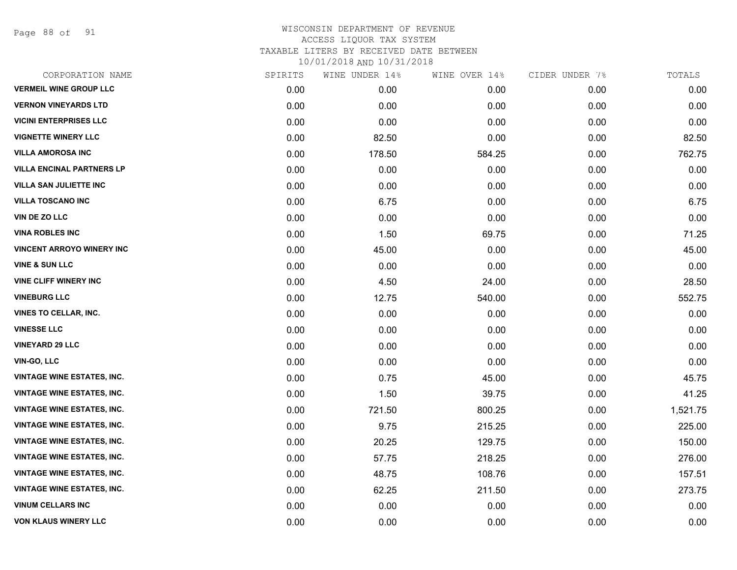Page 88 of 91

| CORPORATION NAME                  | SPIRITS | WINE UNDER 14% | WINE OVER 14% | CIDER UNDER 7% | TOTALS   |
|-----------------------------------|---------|----------------|---------------|----------------|----------|
| <b>VERMEIL WINE GROUP LLC</b>     | 0.00    | 0.00           | 0.00          | 0.00           | 0.00     |
| <b>VERNON VINEYARDS LTD</b>       | 0.00    | 0.00           | 0.00          | 0.00           | 0.00     |
| <b>VICINI ENTERPRISES LLC</b>     | 0.00    | 0.00           | 0.00          | 0.00           | 0.00     |
| <b>VIGNETTE WINERY LLC</b>        | 0.00    | 82.50          | 0.00          | 0.00           | 82.50    |
| <b>VILLA AMOROSA INC</b>          | 0.00    | 178.50         | 584.25        | 0.00           | 762.75   |
| <b>VILLA ENCINAL PARTNERS LP</b>  | 0.00    | 0.00           | 0.00          | 0.00           | 0.00     |
| <b>VILLA SAN JULIETTE INC</b>     | 0.00    | 0.00           | 0.00          | 0.00           | 0.00     |
| <b>VILLA TOSCANO INC</b>          | 0.00    | 6.75           | 0.00          | 0.00           | 6.75     |
| VIN DE ZO LLC                     | 0.00    | 0.00           | 0.00          | 0.00           | 0.00     |
| <b>VINA ROBLES INC</b>            | 0.00    | 1.50           | 69.75         | 0.00           | 71.25    |
| <b>VINCENT ARROYO WINERY INC</b>  | 0.00    | 45.00          | 0.00          | 0.00           | 45.00    |
| <b>VINE &amp; SUN LLC</b>         | 0.00    | 0.00           | 0.00          | 0.00           | 0.00     |
| <b>VINE CLIFF WINERY INC</b>      | 0.00    | 4.50           | 24.00         | 0.00           | 28.50    |
| <b>VINEBURG LLC</b>               | 0.00    | 12.75          | 540.00        | 0.00           | 552.75   |
| <b>VINES TO CELLAR, INC.</b>      | 0.00    | 0.00           | 0.00          | 0.00           | 0.00     |
| <b>VINESSE LLC</b>                | 0.00    | 0.00           | 0.00          | 0.00           | 0.00     |
| <b>VINEYARD 29 LLC</b>            | 0.00    | 0.00           | 0.00          | 0.00           | 0.00     |
| <b>VIN-GO, LLC</b>                | 0.00    | 0.00           | 0.00          | 0.00           | 0.00     |
| <b>VINTAGE WINE ESTATES, INC.</b> | 0.00    | 0.75           | 45.00         | 0.00           | 45.75    |
| <b>VINTAGE WINE ESTATES, INC.</b> | 0.00    | 1.50           | 39.75         | 0.00           | 41.25    |
| <b>VINTAGE WINE ESTATES, INC.</b> | 0.00    | 721.50         | 800.25        | 0.00           | 1,521.75 |
| <b>VINTAGE WINE ESTATES, INC.</b> | 0.00    | 9.75           | 215.25        | 0.00           | 225.00   |
| <b>VINTAGE WINE ESTATES, INC.</b> | 0.00    | 20.25          | 129.75        | 0.00           | 150.00   |
| <b>VINTAGE WINE ESTATES, INC.</b> | 0.00    | 57.75          | 218.25        | 0.00           | 276.00   |
| <b>VINTAGE WINE ESTATES, INC.</b> | 0.00    | 48.75          | 108.76        | 0.00           | 157.51   |
| <b>VINTAGE WINE ESTATES, INC.</b> | 0.00    | 62.25          | 211.50        | 0.00           | 273.75   |
| <b>VINUM CELLARS INC</b>          | 0.00    | 0.00           | 0.00          | 0.00           | 0.00     |
| <b>VON KLAUS WINERY LLC</b>       | 0.00    | 0.00           | 0.00          | 0.00           | 0.00     |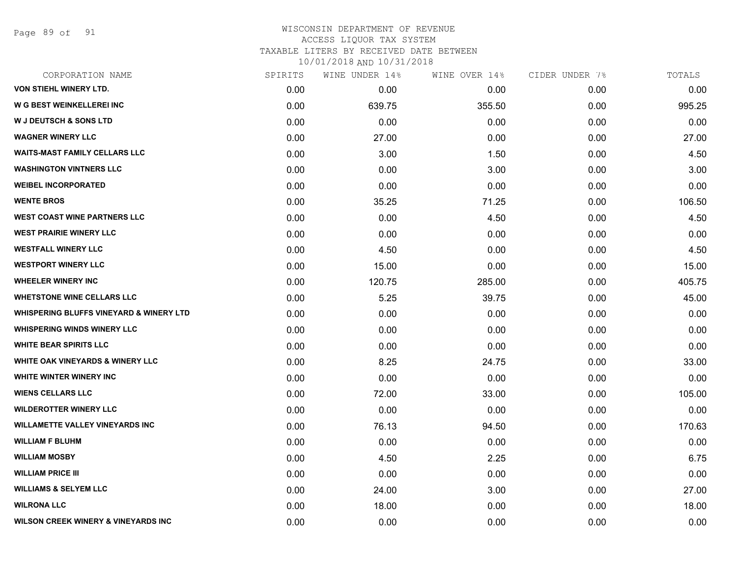Page 89 of 91

#### WISCONSIN DEPARTMENT OF REVENUE ACCESS LIQUOR TAX SYSTEM TAXABLE LITERS BY RECEIVED DATE BETWEEN

| CORPORATION NAME                                   | SPIRITS | WINE UNDER 14% | WINE OVER 14% | CIDER UNDER 7% | TOTALS |
|----------------------------------------------------|---------|----------------|---------------|----------------|--------|
| VON STIEHL WINERY LTD.                             | 0.00    | 0.00           | 0.00          | 0.00           | 0.00   |
| <b>W G BEST WEINKELLEREI INC</b>                   | 0.00    | 639.75         | 355.50        | 0.00           | 995.25 |
| <b>W J DEUTSCH &amp; SONS LTD</b>                  | 0.00    | 0.00           | 0.00          | 0.00           | 0.00   |
| <b>WAGNER WINERY LLC</b>                           | 0.00    | 27.00          | 0.00          | 0.00           | 27.00  |
| <b>WAITS-MAST FAMILY CELLARS LLC</b>               | 0.00    | 3.00           | 1.50          | 0.00           | 4.50   |
| <b>WASHINGTON VINTNERS LLC</b>                     | 0.00    | 0.00           | 3.00          | 0.00           | 3.00   |
| <b>WEIBEL INCORPORATED</b>                         | 0.00    | 0.00           | 0.00          | 0.00           | 0.00   |
| <b>WENTE BROS</b>                                  | 0.00    | 35.25          | 71.25         | 0.00           | 106.50 |
| WEST COAST WINE PARTNERS LLC                       | 0.00    | 0.00           | 4.50          | 0.00           | 4.50   |
| <b>WEST PRAIRIE WINERY LLC</b>                     | 0.00    | 0.00           | 0.00          | 0.00           | 0.00   |
| <b>WESTFALL WINERY LLC</b>                         | 0.00    | 4.50           | 0.00          | 0.00           | 4.50   |
| <b>WESTPORT WINERY LLC</b>                         | 0.00    | 15.00          | 0.00          | 0.00           | 15.00  |
| <b>WHEELER WINERY INC</b>                          | 0.00    | 120.75         | 285.00        | 0.00           | 405.75 |
| <b>WHETSTONE WINE CELLARS LLC</b>                  | 0.00    | 5.25           | 39.75         | 0.00           | 45.00  |
| <b>WHISPERING BLUFFS VINEYARD &amp; WINERY LTD</b> | 0.00    | 0.00           | 0.00          | 0.00           | 0.00   |
| <b>WHISPERING WINDS WINERY LLC</b>                 | 0.00    | 0.00           | 0.00          | 0.00           | 0.00   |
| <b>WHITE BEAR SPIRITS LLC</b>                      | 0.00    | 0.00           | 0.00          | 0.00           | 0.00   |
| <b>WHITE OAK VINEYARDS &amp; WINERY LLC</b>        | 0.00    | 8.25           | 24.75         | 0.00           | 33.00  |
| <b>WHITE WINTER WINERY INC</b>                     | 0.00    | 0.00           | 0.00          | 0.00           | 0.00   |
| <b>WIENS CELLARS LLC</b>                           | 0.00    | 72.00          | 33.00         | 0.00           | 105.00 |
| <b>WILDEROTTER WINERY LLC</b>                      | 0.00    | 0.00           | 0.00          | 0.00           | 0.00   |
| <b>WILLAMETTE VALLEY VINEYARDS INC</b>             | 0.00    | 76.13          | 94.50         | 0.00           | 170.63 |
| <b>WILLIAM F BLUHM</b>                             | 0.00    | 0.00           | 0.00          | 0.00           | 0.00   |
| <b>WILLIAM MOSBY</b>                               | 0.00    | 4.50           | 2.25          | 0.00           | 6.75   |
| <b>WILLIAM PRICE III</b>                           | 0.00    | 0.00           | 0.00          | 0.00           | 0.00   |
| <b>WILLIAMS &amp; SELYEM LLC</b>                   | 0.00    | 24.00          | 3.00          | 0.00           | 27.00  |
| <b>WILRONA LLC</b>                                 | 0.00    | 18.00          | 0.00          | 0.00           | 18.00  |
| <b>WILSON CREEK WINERY &amp; VINEYARDS INC</b>     | 0.00    | 0.00           | 0.00          | 0.00           | 0.00   |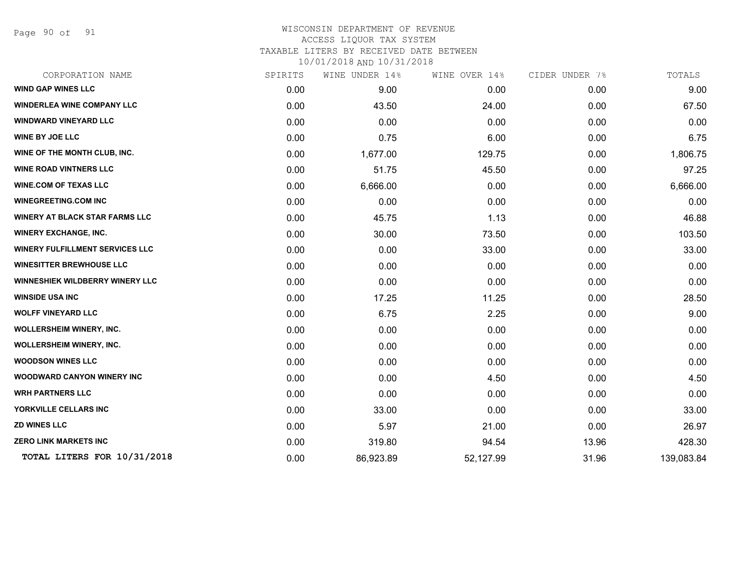Page 90 of 91

#### WISCONSIN DEPARTMENT OF REVENUE ACCESS LIQUOR TAX SYSTEM TAXABLE LITERS BY RECEIVED DATE BETWEEN

| CORPORATION NAME                       | SPIRITS | WINE UNDER 14% | WINE OVER 14% | CIDER UNDER 7% | TOTALS     |
|----------------------------------------|---------|----------------|---------------|----------------|------------|
| <b>WIND GAP WINES LLC</b>              | 0.00    | 9.00           | 0.00          | 0.00           | 9.00       |
| <b>WINDERLEA WINE COMPANY LLC</b>      | 0.00    | 43.50          | 24.00         | 0.00           | 67.50      |
| <b>WINDWARD VINEYARD LLC</b>           | 0.00    | 0.00           | 0.00          | 0.00           | 0.00       |
| WINE BY JOE LLC                        | 0.00    | 0.75           | 6.00          | 0.00           | 6.75       |
| WINE OF THE MONTH CLUB, INC.           | 0.00    | 1,677.00       | 129.75        | 0.00           | 1,806.75   |
| <b>WINE ROAD VINTNERS LLC</b>          | 0.00    | 51.75          | 45.50         | 0.00           | 97.25      |
| <b>WINE.COM OF TEXAS LLC</b>           | 0.00    | 6,666.00       | 0.00          | 0.00           | 6,666.00   |
| <b>WINEGREETING.COM INC</b>            | 0.00    | 0.00           | 0.00          | 0.00           | 0.00       |
| <b>WINERY AT BLACK STAR FARMS LLC</b>  | 0.00    | 45.75          | 1.13          | 0.00           | 46.88      |
| <b>WINERY EXCHANGE, INC.</b>           | 0.00    | 30.00          | 73.50         | 0.00           | 103.50     |
| <b>WINERY FULFILLMENT SERVICES LLC</b> | 0.00    | 0.00           | 33.00         | 0.00           | 33.00      |
| <b>WINESITTER BREWHOUSE LLC</b>        | 0.00    | 0.00           | 0.00          | 0.00           | 0.00       |
| WINNESHIEK WILDBERRY WINERY LLC        | 0.00    | 0.00           | 0.00          | 0.00           | 0.00       |
| <b>WINSIDE USA INC</b>                 | 0.00    | 17.25          | 11.25         | 0.00           | 28.50      |
| <b>WOLFF VINEYARD LLC</b>              | 0.00    | 6.75           | 2.25          | 0.00           | 9.00       |
| <b>WOLLERSHEIM WINERY, INC.</b>        | 0.00    | 0.00           | 0.00          | 0.00           | 0.00       |
| <b>WOLLERSHEIM WINERY, INC.</b>        | 0.00    | 0.00           | 0.00          | 0.00           | 0.00       |
| <b>WOODSON WINES LLC</b>               | 0.00    | 0.00           | 0.00          | 0.00           | 0.00       |
| <b>WOODWARD CANYON WINERY INC</b>      | 0.00    | 0.00           | 4.50          | 0.00           | 4.50       |
| <b>WRH PARTNERS LLC</b>                | 0.00    | 0.00           | 0.00          | 0.00           | 0.00       |
| YORKVILLE CELLARS INC                  | 0.00    | 33.00          | 0.00          | 0.00           | 33.00      |
| <b>ZD WINES LLC</b>                    | 0.00    | 5.97           | 21.00         | 0.00           | 26.97      |
| <b>ZERO LINK MARKETS INC</b>           | 0.00    | 319.80         | 94.54         | 13.96          | 428.30     |
| TOTAL LITERS FOR 10/31/2018            | 0.00    | 86,923.89      | 52,127.99     | 31.96          | 139,083.84 |